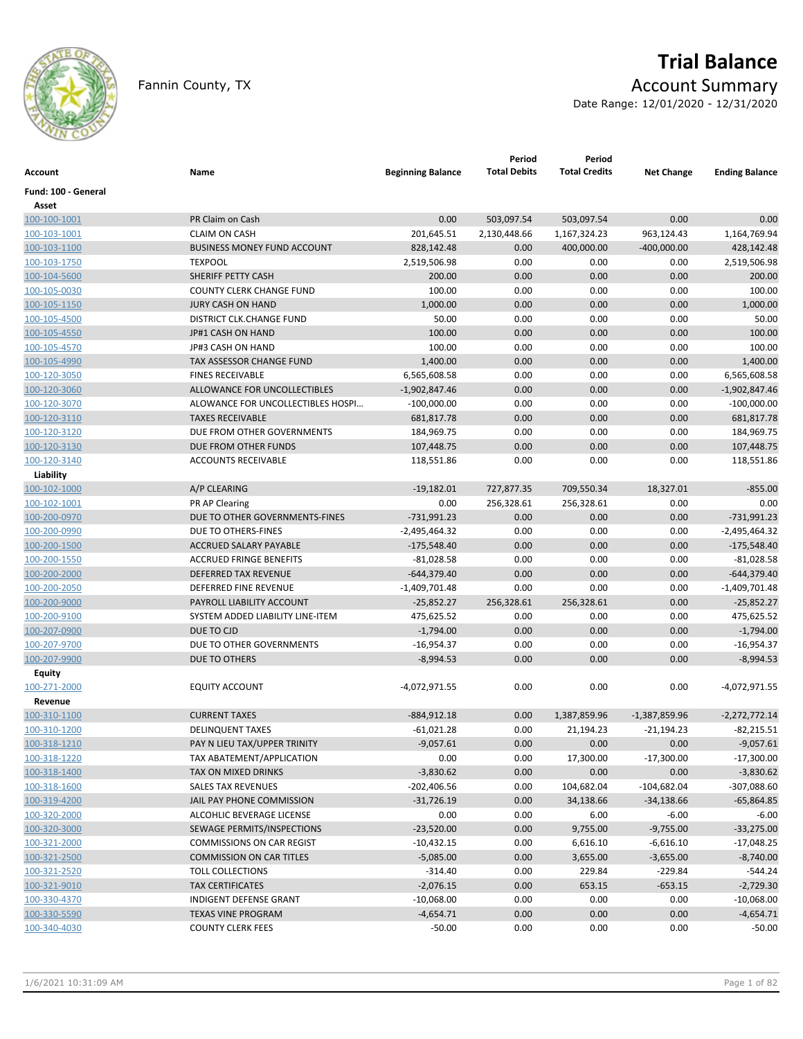

# **Trial Balance**

Fannin County, TX **Account Summary** 

Date Range: 12/01/2020 - 12/31/2020

| <b>Account</b>               | Name                               | <b>Beginning Balance</b> | Period<br><b>Total Debits</b> | Period<br><b>Total Credits</b> | <b>Net Change</b> | <b>Ending Balance</b> |
|------------------------------|------------------------------------|--------------------------|-------------------------------|--------------------------------|-------------------|-----------------------|
| Fund: 100 - General<br>Asset |                                    |                          |                               |                                |                   |                       |
| 100-100-1001                 | PR Claim on Cash                   | 0.00                     | 503,097.54                    | 503,097.54                     | 0.00              | 0.00                  |
| 100-103-1001                 | <b>CLAIM ON CASH</b>               | 201,645.51               | 2,130,448.66                  | 1,167,324.23                   | 963,124.43        | 1,164,769.94          |
| 100-103-1100                 | <b>BUSINESS MONEY FUND ACCOUNT</b> | 828,142.48               | 0.00                          | 400,000.00                     | $-400,000.00$     | 428,142.48            |
| 100-103-1750                 | <b>TEXPOOL</b>                     | 2,519,506.98             | 0.00                          | 0.00                           | 0.00              | 2,519,506.98          |
| 100-104-5600                 | SHERIFF PETTY CASH                 | 200.00                   | 0.00                          | 0.00                           | 0.00              | 200.00                |
| 100-105-0030                 | <b>COUNTY CLERK CHANGE FUND</b>    | 100.00                   | 0.00                          | 0.00                           | 0.00              | 100.00                |
| 100-105-1150                 | <b>JURY CASH ON HAND</b>           | 1,000.00                 | 0.00                          | 0.00                           | 0.00              | 1,000.00              |
| 100-105-4500                 | DISTRICT CLK.CHANGE FUND           | 50.00                    | 0.00                          | 0.00                           | 0.00              | 50.00                 |
| 100-105-4550                 | JP#1 CASH ON HAND                  | 100.00                   | 0.00                          | 0.00                           | 0.00              | 100.00                |
| 100-105-4570                 | JP#3 CASH ON HAND                  | 100.00                   | 0.00                          | 0.00                           | 0.00              | 100.00                |
| 100-105-4990                 | TAX ASSESSOR CHANGE FUND           | 1,400.00                 | 0.00                          | 0.00                           | 0.00              | 1,400.00              |
| 100-120-3050                 | <b>FINES RECEIVABLE</b>            | 6,565,608.58             | 0.00                          | 0.00                           | 0.00              | 6,565,608.58          |
| 100-120-3060                 | ALLOWANCE FOR UNCOLLECTIBLES       | $-1,902,847.46$          | 0.00                          | 0.00                           | 0.00              | $-1,902,847.46$       |
| 100-120-3070                 | ALOWANCE FOR UNCOLLECTIBLES HOSPI  | $-100,000.00$            | 0.00                          | 0.00                           | 0.00              | $-100,000.00$         |
| 100-120-3110                 | <b>TAXES RECEIVABLE</b>            | 681,817.78               | 0.00                          | 0.00                           | 0.00              | 681,817.78            |
| 100-120-3120                 | DUE FROM OTHER GOVERNMENTS         | 184,969.75               | 0.00                          | 0.00                           | 0.00              | 184,969.75            |
| 100-120-3130                 | DUE FROM OTHER FUNDS               | 107,448.75               | 0.00                          | 0.00                           | 0.00              | 107,448.75            |
| 100-120-3140                 | <b>ACCOUNTS RECEIVABLE</b>         | 118,551.86               | 0.00                          | 0.00                           | 0.00              | 118,551.86            |
| Liability                    |                                    |                          |                               |                                |                   |                       |
| 100-102-1000                 | A/P CLEARING                       | $-19,182.01$             | 727,877.35                    | 709,550.34                     | 18,327.01         | $-855.00$             |
| 100-102-1001                 | PR AP Clearing                     | 0.00                     | 256,328.61                    | 256,328.61                     | 0.00              | 0.00                  |
| 100-200-0970                 | DUE TO OTHER GOVERNMENTS-FINES     | $-731,991.23$            | 0.00                          | 0.00                           | 0.00              | $-731,991.23$         |
| 100-200-0990                 | DUE TO OTHERS-FINES                | -2,495,464.32            | 0.00                          | 0.00                           | 0.00              | $-2,495,464.32$       |
| 100-200-1500                 | <b>ACCRUED SALARY PAYABLE</b>      | $-175,548.40$            | 0.00                          | 0.00                           | 0.00              | $-175,548.40$         |
| 100-200-1550                 | <b>ACCRUED FRINGE BENEFITS</b>     | $-81,028.58$             | 0.00                          | 0.00                           | 0.00              | $-81,028.58$          |
| 100-200-2000                 | <b>DEFERRED TAX REVENUE</b>        | -644,379.40              | 0.00                          | 0.00                           | 0.00              | $-644,379.40$         |
| 100-200-2050                 | DEFERRED FINE REVENUE              | $-1,409,701.48$          | 0.00                          | 0.00                           | 0.00              | $-1,409,701.48$       |
| 100-200-9000                 | PAYROLL LIABILITY ACCOUNT          | $-25,852.27$             | 256,328.61                    | 256,328.61                     | 0.00              | $-25,852.27$          |
| 100-200-9100                 | SYSTEM ADDED LIABILITY LINE-ITEM   | 475,625.52               | 0.00                          | 0.00                           | 0.00              | 475,625.52            |
| 100-207-0900                 | DUE TO CJD                         | $-1,794.00$              | 0.00                          | 0.00                           | 0.00              | $-1,794.00$           |
| 100-207-9700                 | DUE TO OTHER GOVERNMENTS           | -16,954.37               | 0.00                          | 0.00                           | 0.00              | $-16,954.37$          |
| 100-207-9900                 | DUE TO OTHERS                      | $-8,994.53$              | 0.00                          | 0.00                           | 0.00              | $-8,994.53$           |
| <b>Equity</b>                |                                    |                          |                               |                                |                   |                       |
| 100-271-2000                 | <b>EQUITY ACCOUNT</b>              | -4,072,971.55            | 0.00                          | 0.00                           | 0.00              | -4,072,971.55         |
| Revenue                      |                                    |                          |                               |                                |                   |                       |
| 100-310-1100                 | <b>CURRENT TAXES</b>               | $-884,912.18$            | 0.00                          | 1,387,859.96                   | $-1,387,859.96$   | $-2,272,772.14$       |
| 100-310-1200                 | <b>DELINQUENT TAXES</b>            | $-61,021.28$             | 0.00                          | 21,194.23                      | $-21,194.23$      | $-82,215.51$          |
| 100-318-1210                 | PAY N LIEU TAX/UPPER TRINITY       | $-9,057.61$              | 0.00                          | 0.00                           | 0.00              | $-9,057.61$           |
| 100-318-1220                 | TAX ABATEMENT/APPLICATION          | 0.00                     | 0.00                          | 17,300.00                      | $-17,300.00$      | $-17,300.00$          |
| 100-318-1400                 | TAX ON MIXED DRINKS                | $-3,830.62$              | 0.00                          | 0.00                           | 0.00              | $-3,830.62$           |
| 100-318-1600                 | <b>SALES TAX REVENUES</b>          | $-202,406.56$            | 0.00                          | 104,682.04                     | $-104,682.04$     | $-307,088.60$         |
| 100-319-4200                 | JAIL PAY PHONE COMMISSION          | $-31,726.19$             | 0.00                          | 34,138.66                      | $-34,138.66$      | $-65,864.85$          |
| 100-320-2000                 | ALCOHLIC BEVERAGE LICENSE          | 0.00                     | 0.00                          | 6.00                           | $-6.00$           | $-6.00$               |
| 100-320-3000                 | SEWAGE PERMITS/INSPECTIONS         | $-23,520.00$             | 0.00                          | 9,755.00                       | $-9,755.00$       | $-33,275.00$          |
| 100-321-2000                 | <b>COMMISSIONS ON CAR REGIST</b>   | $-10,432.15$             | 0.00                          | 6,616.10                       | $-6,616.10$       | $-17,048.25$          |
| 100-321-2500                 | <b>COMMISSION ON CAR TITLES</b>    | $-5,085.00$              | 0.00                          | 3,655.00                       | $-3,655.00$       | $-8,740.00$           |
| 100-321-2520                 | <b>TOLL COLLECTIONS</b>            | $-314.40$                | 0.00                          | 229.84                         | $-229.84$         | $-544.24$             |
| 100-321-9010                 | <b>TAX CERTIFICATES</b>            | $-2,076.15$              | 0.00                          | 653.15                         | $-653.15$         | $-2,729.30$           |
| 100-330-4370                 | INDIGENT DEFENSE GRANT             | $-10,068.00$             | 0.00                          | 0.00                           | 0.00              | $-10,068.00$          |
| 100-330-5590                 | <b>TEXAS VINE PROGRAM</b>          | $-4,654.71$              | 0.00                          | 0.00                           | 0.00              | $-4,654.71$           |
| 100-340-4030                 | <b>COUNTY CLERK FEES</b>           | $-50.00$                 | 0.00                          | 0.00                           | 0.00              | $-50.00$              |
|                              |                                    |                          |                               |                                |                   |                       |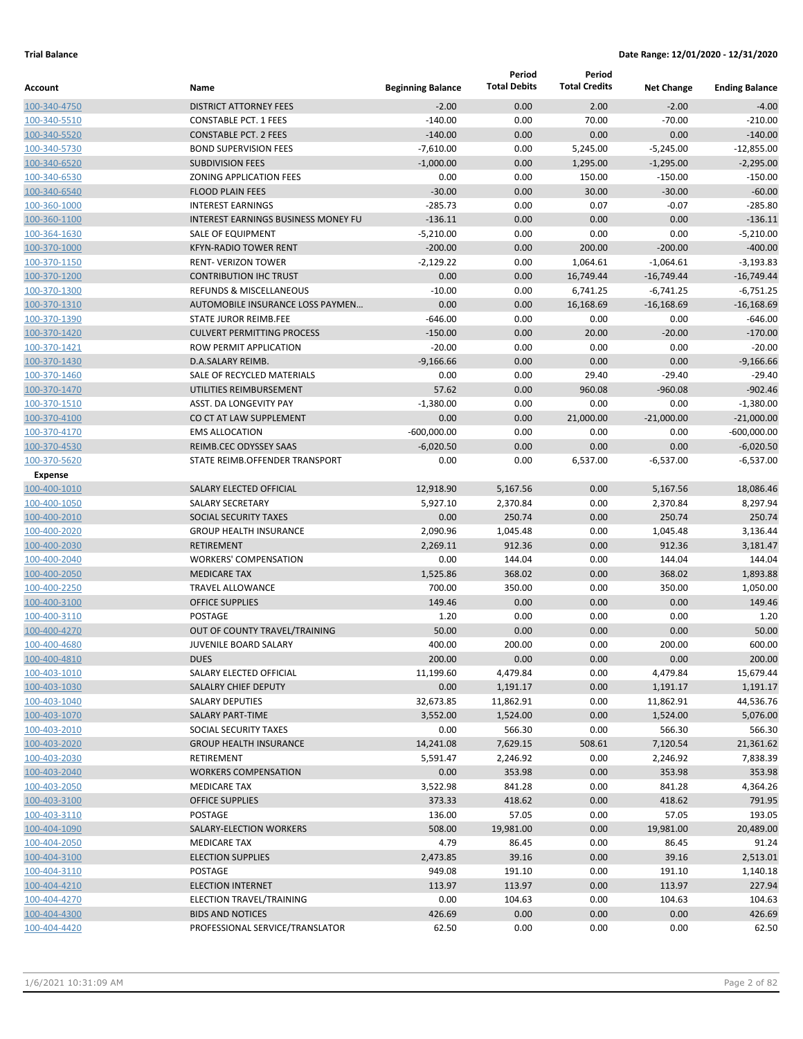|                              |                                            |                          | Period              | Period               |                   |                       |
|------------------------------|--------------------------------------------|--------------------------|---------------------|----------------------|-------------------|-----------------------|
| Account                      | Name                                       | <b>Beginning Balance</b> | <b>Total Debits</b> | <b>Total Credits</b> | <b>Net Change</b> | <b>Ending Balance</b> |
| 100-340-4750                 | <b>DISTRICT ATTORNEY FEES</b>              | $-2.00$                  | 0.00                | 2.00                 | $-2.00$           | $-4.00$               |
| 100-340-5510                 | <b>CONSTABLE PCT. 1 FEES</b>               | $-140.00$                | 0.00                | 70.00                | $-70.00$          | $-210.00$             |
| 100-340-5520                 | <b>CONSTABLE PCT. 2 FEES</b>               | $-140.00$                | 0.00                | 0.00                 | 0.00              | $-140.00$             |
| 100-340-5730                 | <b>BOND SUPERVISION FEES</b>               | $-7,610.00$              | 0.00                | 5,245.00             | $-5,245.00$       | $-12,855.00$          |
| 100-340-6520                 | <b>SUBDIVISION FEES</b>                    | $-1,000.00$              | 0.00                | 1,295.00             | $-1,295.00$       | $-2,295.00$           |
| 100-340-6530                 | ZONING APPLICATION FEES                    | 0.00                     | 0.00                | 150.00               | $-150.00$         | $-150.00$             |
| 100-340-6540                 | <b>FLOOD PLAIN FEES</b>                    | $-30.00$                 | 0.00                | 30.00                | $-30.00$          | $-60.00$              |
| 100-360-1000                 | <b>INTEREST EARNINGS</b>                   | $-285.73$                | 0.00                | 0.07                 | $-0.07$           | $-285.80$             |
| 100-360-1100                 | <b>INTEREST EARNINGS BUSINESS MONEY FU</b> | $-136.11$                | 0.00                | 0.00                 | 0.00              | $-136.11$             |
| 100-364-1630                 | SALE OF EQUIPMENT                          | $-5,210.00$              | 0.00                | 0.00                 | 0.00              | $-5,210.00$           |
| 100-370-1000                 | <b>KFYN-RADIO TOWER RENT</b>               | $-200.00$                | 0.00                | 200.00               | $-200.00$         | $-400.00$             |
| 100-370-1150                 | <b>RENT- VERIZON TOWER</b>                 | $-2,129.22$              | 0.00                | 1,064.61             | $-1,064.61$       | $-3,193.83$           |
| 100-370-1200                 | <b>CONTRIBUTION IHC TRUST</b>              | 0.00                     | 0.00                | 16,749.44            | $-16,749.44$      | $-16,749.44$          |
| 100-370-1300                 | <b>REFUNDS &amp; MISCELLANEOUS</b>         | $-10.00$                 | 0.00                | 6,741.25             | $-6,741.25$       | $-6,751.25$           |
| 100-370-1310                 | AUTOMOBILE INSURANCE LOSS PAYMEN           | 0.00                     | 0.00                | 16,168.69            | $-16,168.69$      | $-16,168.69$          |
| 100-370-1390                 | STATE JUROR REIMB.FEE                      | $-646.00$                | 0.00                | 0.00                 | 0.00              | $-646.00$             |
| 100-370-1420                 | <b>CULVERT PERMITTING PROCESS</b>          | $-150.00$                | 0.00                | 20.00                | $-20.00$          | $-170.00$             |
| 100-370-1421                 | ROW PERMIT APPLICATION                     | $-20.00$                 | 0.00                | 0.00                 | 0.00              | $-20.00$              |
| 100-370-1430                 | D.A.SALARY REIMB.                          | $-9,166.66$              | 0.00                | 0.00                 | 0.00              | $-9.166.66$           |
| 100-370-1460                 | SALE OF RECYCLED MATERIALS                 | 0.00                     | 0.00                | 29.40                | $-29.40$          | $-29.40$              |
| 100-370-1470                 | UTILITIES REIMBURSEMENT                    | 57.62                    | 0.00                | 960.08               | $-960.08$         | $-902.46$             |
| 100-370-1510                 | <b>ASST. DA LONGEVITY PAY</b>              | $-1,380.00$              | 0.00                | 0.00                 | 0.00              | $-1,380.00$           |
| 100-370-4100                 | CO CT AT LAW SUPPLEMENT                    | 0.00                     | 0.00                | 21,000.00            | $-21,000.00$      | $-21,000.00$          |
| 100-370-4170                 | <b>EMS ALLOCATION</b>                      | $-600,000.00$            | 0.00                | 0.00                 | 0.00              | $-600,000.00$         |
| 100-370-4530                 | REIMB.CEC ODYSSEY SAAS                     | $-6,020.50$              | 0.00                | 0.00                 | 0.00              | $-6,020.50$           |
| 100-370-5620                 | STATE REIMB.OFFENDER TRANSPORT             | 0.00                     | 0.00                | 6,537.00             | $-6,537.00$       | $-6,537.00$           |
| Expense                      |                                            |                          |                     |                      |                   |                       |
| 100-400-1010                 | SALARY ELECTED OFFICIAL                    | 12,918.90                | 5,167.56            | 0.00                 | 5,167.56          | 18,086.46             |
| 100-400-1050                 | <b>SALARY SECRETARY</b>                    | 5,927.10                 | 2,370.84            | 0.00                 | 2,370.84          | 8,297.94              |
| 100-400-2010                 | <b>SOCIAL SECURITY TAXES</b>               | 0.00                     | 250.74              | 0.00                 | 250.74            | 250.74                |
| 100-400-2020                 | <b>GROUP HEALTH INSURANCE</b>              | 2,090.96                 | 1,045.48            | 0.00                 | 1,045.48          | 3,136.44              |
| 100-400-2030                 | <b>RETIREMENT</b>                          | 2,269.11                 | 912.36              | 0.00                 | 912.36            | 3,181.47              |
| 100-400-2040                 | <b>WORKERS' COMPENSATION</b>               | 0.00                     | 144.04              | 0.00                 | 144.04            | 144.04                |
| 100-400-2050                 | <b>MEDICARE TAX</b>                        | 1,525.86                 | 368.02              | 0.00                 | 368.02            | 1,893.88              |
| 100-400-2250                 | <b>TRAVEL ALLOWANCE</b>                    | 700.00                   | 350.00              | 0.00                 | 350.00            | 1,050.00              |
| 100-400-3100                 | <b>OFFICE SUPPLIES</b>                     | 149.46                   | 0.00                | 0.00                 | 0.00              | 149.46                |
| 100-400-3110                 | POSTAGE                                    | 1.20                     | 0.00                | 0.00                 | 0.00              | 1.20                  |
| 100-400-4270                 | OUT OF COUNTY TRAVEL/TRAINING              | 50.00                    | 0.00                | 0.00                 | 0.00              | 50.00                 |
| 100-400-4680                 | <b>JUVENILE BOARD SALARY</b>               | 400.00                   | 200.00              | 0.00                 | 200.00            | 600.00                |
| 100-400-4810                 | <b>DUES</b>                                | 200.00                   | 0.00                | 0.00                 | 0.00              | 200.00                |
| 100-403-1010                 | SALARY ELECTED OFFICIAL                    | 11,199.60                | 4,479.84            | 0.00                 | 4,479.84          | 15,679.44             |
| 100-403-1030                 | SALALRY CHIEF DEPUTY                       | 0.00                     | 1,191.17            | 0.00                 | 1,191.17          | 1,191.17              |
| 100-403-1040                 | <b>SALARY DEPUTIES</b>                     | 32,673.85                | 11,862.91           | 0.00                 | 11,862.91         | 44,536.76             |
| 100-403-1070                 | SALARY PART-TIME                           | 3,552.00                 | 1,524.00            | 0.00                 | 1,524.00          | 5,076.00              |
| 100-403-2010                 | SOCIAL SECURITY TAXES                      | 0.00                     | 566.30              | 0.00                 | 566.30            | 566.30                |
| 100-403-2020                 | <b>GROUP HEALTH INSURANCE</b>              | 14,241.08                | 7,629.15            | 508.61               | 7,120.54          | 21,361.62             |
| 100-403-2030                 | RETIREMENT<br><b>WORKERS COMPENSATION</b>  | 5,591.47                 | 2,246.92            | 0.00                 | 2,246.92          | 7,838.39              |
| 100-403-2040<br>100-403-2050 | <b>MEDICARE TAX</b>                        | 0.00<br>3,522.98         | 353.98<br>841.28    | 0.00<br>0.00         | 353.98<br>841.28  | 353.98<br>4,364.26    |
| 100-403-3100                 | <b>OFFICE SUPPLIES</b>                     | 373.33                   | 418.62              | 0.00                 | 418.62            | 791.95                |
|                              | POSTAGE                                    | 136.00                   | 57.05               | 0.00                 | 57.05             | 193.05                |
| 100-403-3110<br>100-404-1090 | SALARY-ELECTION WORKERS                    | 508.00                   | 19,981.00           | 0.00                 | 19,981.00         | 20,489.00             |
| 100-404-2050                 | <b>MEDICARE TAX</b>                        | 4.79                     | 86.45               | 0.00                 | 86.45             | 91.24                 |
| 100-404-3100                 | <b>ELECTION SUPPLIES</b>                   | 2,473.85                 | 39.16               | 0.00                 | 39.16             | 2,513.01              |
| 100-404-3110                 | POSTAGE                                    | 949.08                   | 191.10              | 0.00                 | 191.10            | 1,140.18              |
| 100-404-4210                 | <b>ELECTION INTERNET</b>                   | 113.97                   | 113.97              | 0.00                 | 113.97            | 227.94                |
| 100-404-4270                 | ELECTION TRAVEL/TRAINING                   | 0.00                     | 104.63              | 0.00                 | 104.63            | 104.63                |
| 100-404-4300                 | <b>BIDS AND NOTICES</b>                    | 426.69                   | 0.00                | 0.00                 | 0.00              | 426.69                |
| 100-404-4420                 | PROFESSIONAL SERVICE/TRANSLATOR            | 62.50                    | 0.00                | 0.00                 | 0.00              | 62.50                 |
|                              |                                            |                          |                     |                      |                   |                       |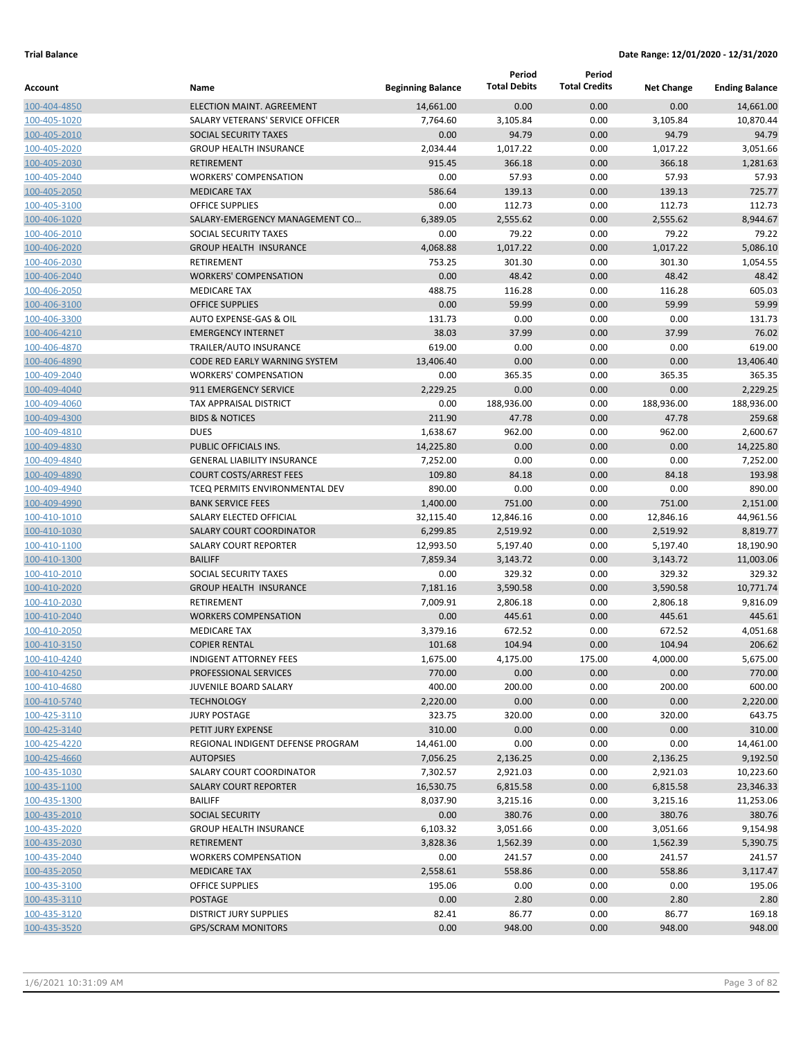|                              |                                                     |                          | Period<br><b>Total Debits</b> | Period<br><b>Total Credits</b> |                   |                       |
|------------------------------|-----------------------------------------------------|--------------------------|-------------------------------|--------------------------------|-------------------|-----------------------|
| Account                      | Name                                                | <b>Beginning Balance</b> |                               |                                | <b>Net Change</b> | <b>Ending Balance</b> |
| 100-404-4850                 | ELECTION MAINT. AGREEMENT                           | 14,661.00                | 0.00                          | 0.00                           | 0.00              | 14,661.00             |
| 100-405-1020                 | SALARY VETERANS' SERVICE OFFICER                    | 7,764.60                 | 3,105.84                      | 0.00                           | 3,105.84          | 10,870.44             |
| 100-405-2010                 | SOCIAL SECURITY TAXES                               | 0.00                     | 94.79                         | 0.00                           | 94.79             | 94.79                 |
| 100-405-2020                 | <b>GROUP HEALTH INSURANCE</b>                       | 2,034.44                 | 1,017.22                      | 0.00                           | 1,017.22          | 3,051.66              |
| 100-405-2030                 | <b>RETIREMENT</b>                                   | 915.45                   | 366.18<br>57.93               | 0.00<br>0.00                   | 366.18<br>57.93   | 1,281.63<br>57.93     |
| 100-405-2040                 | <b>WORKERS' COMPENSATION</b><br><b>MEDICARE TAX</b> | 0.00<br>586.64           | 139.13                        | 0.00                           | 139.13            | 725.77                |
| 100-405-2050<br>100-405-3100 | <b>OFFICE SUPPLIES</b>                              | 0.00                     | 112.73                        | 0.00                           | 112.73            | 112.73                |
| 100-406-1020                 | SALARY-EMERGENCY MANAGEMENT CO                      | 6,389.05                 | 2,555.62                      | 0.00                           | 2,555.62          | 8,944.67              |
| 100-406-2010                 | SOCIAL SECURITY TAXES                               | 0.00                     | 79.22                         | 0.00                           | 79.22             | 79.22                 |
| 100-406-2020                 | <b>GROUP HEALTH INSURANCE</b>                       | 4,068.88                 | 1,017.22                      | 0.00                           | 1,017.22          | 5.086.10              |
| 100-406-2030                 | <b>RETIREMENT</b>                                   | 753.25                   | 301.30                        | 0.00                           | 301.30            | 1,054.55              |
| 100-406-2040                 | <b>WORKERS' COMPENSATION</b>                        | 0.00                     | 48.42                         | 0.00                           | 48.42             | 48.42                 |
| 100-406-2050                 | <b>MEDICARE TAX</b>                                 | 488.75                   | 116.28                        | 0.00                           | 116.28            | 605.03                |
| 100-406-3100                 | <b>OFFICE SUPPLIES</b>                              | 0.00                     | 59.99                         | 0.00                           | 59.99             | 59.99                 |
| 100-406-3300                 | AUTO EXPENSE-GAS & OIL                              | 131.73                   | 0.00                          | 0.00                           | 0.00              | 131.73                |
| 100-406-4210                 | <b>EMERGENCY INTERNET</b>                           | 38.03                    | 37.99                         | 0.00                           | 37.99             | 76.02                 |
| 100-406-4870                 | <b>TRAILER/AUTO INSURANCE</b>                       | 619.00                   | 0.00                          | 0.00                           | 0.00              | 619.00                |
| 100-406-4890                 | CODE RED EARLY WARNING SYSTEM                       | 13,406.40                | 0.00                          | 0.00                           | 0.00              | 13,406.40             |
| 100-409-2040                 | <b>WORKERS' COMPENSATION</b>                        | 0.00                     | 365.35                        | 0.00                           | 365.35            | 365.35                |
| 100-409-4040                 | <b>911 EMERGENCY SERVICE</b>                        | 2,229.25                 | 0.00                          | 0.00                           | 0.00              | 2,229.25              |
| 100-409-4060                 | <b>TAX APPRAISAL DISTRICT</b>                       | 0.00                     | 188,936.00                    | 0.00                           | 188,936.00        | 188,936.00            |
| 100-409-4300                 | <b>BIDS &amp; NOTICES</b>                           | 211.90                   | 47.78                         | 0.00                           | 47.78             | 259.68                |
| 100-409-4810                 | <b>DUES</b>                                         | 1,638.67                 | 962.00                        | 0.00                           | 962.00            | 2,600.67              |
| 100-409-4830                 | PUBLIC OFFICIALS INS.                               | 14,225.80                | 0.00                          | 0.00                           | 0.00              | 14,225.80             |
| 100-409-4840                 | <b>GENERAL LIABILITY INSURANCE</b>                  | 7,252.00                 | 0.00                          | 0.00                           | 0.00              | 7,252.00              |
| 100-409-4890                 | <b>COURT COSTS/ARREST FEES</b>                      | 109.80                   | 84.18                         | 0.00                           | 84.18             | 193.98                |
| 100-409-4940                 | TCEQ PERMITS ENVIRONMENTAL DEV                      | 890.00                   | 0.00                          | 0.00                           | 0.00              | 890.00                |
| 100-409-4990                 | <b>BANK SERVICE FEES</b>                            | 1,400.00                 | 751.00                        | 0.00                           | 751.00            | 2,151.00              |
| 100-410-1010                 | SALARY ELECTED OFFICIAL                             | 32,115.40                | 12,846.16                     | 0.00                           | 12,846.16         | 44,961.56             |
| 100-410-1030                 | <b>SALARY COURT COORDINATOR</b>                     | 6,299.85                 | 2,519.92                      | 0.00                           | 2,519.92          | 8,819.77              |
| 100-410-1100                 | <b>SALARY COURT REPORTER</b>                        | 12,993.50                | 5,197.40                      | 0.00                           | 5,197.40          | 18,190.90             |
| 100-410-1300                 | <b>BAILIFF</b>                                      | 7,859.34                 | 3,143.72                      | 0.00                           | 3,143.72          | 11,003.06             |
| 100-410-2010                 | SOCIAL SECURITY TAXES                               | 0.00                     | 329.32                        | 0.00                           | 329.32            | 329.32                |
| 100-410-2020                 | <b>GROUP HEALTH INSURANCE</b>                       | 7,181.16                 | 3,590.58                      | 0.00                           | 3,590.58          | 10,771.74             |
| 100-410-2030                 | RETIREMENT                                          | 7,009.91                 | 2,806.18                      | 0.00                           | 2,806.18          | 9,816.09              |
| 100-410-2040                 | <b>WORKERS COMPENSATION</b>                         | 0.00                     | 445.61                        | 0.00                           | 445.61            | 445.61                |
| 100-410-2050                 | <b>MEDICARE TAX</b>                                 | 3,379.16                 | 672.52                        | 0.00                           | 672.52            | 4,051.68              |
| 100-410-3150                 | <b>COPIER RENTAL</b>                                | 101.68                   | 104.94                        | 0.00                           | 104.94            | 206.62                |
| 100-410-4240                 | <b>INDIGENT ATTORNEY FEES</b>                       | 1,675.00                 | 4,175.00                      | 175.00                         | 4,000.00          | 5,675.00              |
| 100-410-4250                 | PROFESSIONAL SERVICES                               | 770.00                   | 0.00                          | 0.00                           | 0.00              | 770.00                |
| 100-410-4680                 | JUVENILE BOARD SALARY                               | 400.00                   | 200.00                        | 0.00                           | 200.00            | 600.00                |
| 100-410-5740                 | <b>TECHNOLOGY</b><br><b>JURY POSTAGE</b>            | 2,220.00<br>323.75       | 0.00<br>320.00                | 0.00<br>0.00                   | 0.00<br>320.00    | 2,220.00<br>643.75    |
| 100-425-3110<br>100-425-3140 | PETIT JURY EXPENSE                                  | 310.00                   | 0.00                          | 0.00                           | 0.00              | 310.00                |
| 100-425-4220                 | REGIONAL INDIGENT DEFENSE PROGRAM                   | 14,461.00                | 0.00                          | 0.00                           | 0.00              | 14,461.00             |
| 100-425-4660                 | <b>AUTOPSIES</b>                                    | 7,056.25                 | 2,136.25                      | 0.00                           | 2,136.25          | 9,192.50              |
| 100-435-1030                 | SALARY COURT COORDINATOR                            | 7,302.57                 | 2,921.03                      | 0.00                           | 2,921.03          | 10,223.60             |
| 100-435-1100                 | <b>SALARY COURT REPORTER</b>                        | 16,530.75                | 6,815.58                      | 0.00                           | 6,815.58          | 23,346.33             |
| 100-435-1300                 | <b>BAILIFF</b>                                      | 8,037.90                 | 3,215.16                      | 0.00                           | 3,215.16          | 11,253.06             |
| 100-435-2010                 | <b>SOCIAL SECURITY</b>                              | 0.00                     | 380.76                        | 0.00                           | 380.76            | 380.76                |
| 100-435-2020                 | <b>GROUP HEALTH INSURANCE</b>                       | 6,103.32                 | 3,051.66                      | 0.00                           | 3,051.66          | 9,154.98              |
| 100-435-2030                 | RETIREMENT                                          | 3,828.36                 | 1,562.39                      | 0.00                           | 1,562.39          | 5,390.75              |
| 100-435-2040                 | <b>WORKERS COMPENSATION</b>                         | 0.00                     | 241.57                        | 0.00                           | 241.57            | 241.57                |
| 100-435-2050                 | <b>MEDICARE TAX</b>                                 | 2,558.61                 | 558.86                        | 0.00                           | 558.86            | 3,117.47              |
| 100-435-3100                 | OFFICE SUPPLIES                                     | 195.06                   | 0.00                          | 0.00                           | 0.00              | 195.06                |
| 100-435-3110                 | <b>POSTAGE</b>                                      | 0.00                     | 2.80                          | 0.00                           | 2.80              | 2.80                  |
| 100-435-3120                 | <b>DISTRICT JURY SUPPLIES</b>                       | 82.41                    | 86.77                         | 0.00                           | 86.77             | 169.18                |
| 100-435-3520                 | <b>GPS/SCRAM MONITORS</b>                           | 0.00                     | 948.00                        | 0.00                           | 948.00            | 948.00                |
|                              |                                                     |                          |                               |                                |                   |                       |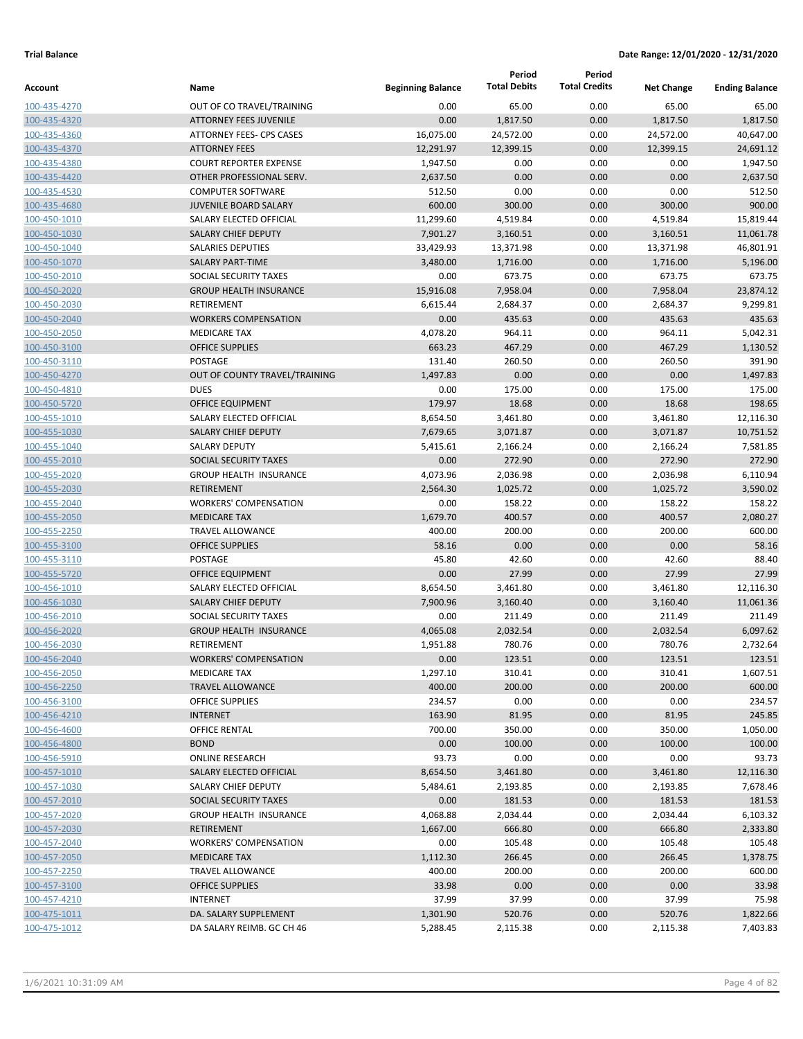|                              |                                                |                          | Period              | Period               |                   |                       |
|------------------------------|------------------------------------------------|--------------------------|---------------------|----------------------|-------------------|-----------------------|
| Account                      | Name                                           | <b>Beginning Balance</b> | <b>Total Debits</b> | <b>Total Credits</b> | <b>Net Change</b> | <b>Ending Balance</b> |
| 100-435-4270                 | OUT OF CO TRAVEL/TRAINING                      | 0.00                     | 65.00               | 0.00                 | 65.00             | 65.00                 |
| 100-435-4320                 | <b>ATTORNEY FEES JUVENILE</b>                  | 0.00                     | 1,817.50            | 0.00                 | 1,817.50          | 1,817.50              |
| 100-435-4360                 | <b>ATTORNEY FEES- CPS CASES</b>                | 16,075.00                | 24,572.00           | 0.00                 | 24,572.00         | 40,647.00             |
| 100-435-4370                 | <b>ATTORNEY FEES</b>                           | 12,291.97                | 12,399.15           | 0.00                 | 12,399.15         | 24,691.12             |
| 100-435-4380                 | <b>COURT REPORTER EXPENSE</b>                  | 1,947.50                 | 0.00                | 0.00                 | 0.00              | 1,947.50              |
| 100-435-4420                 | OTHER PROFESSIONAL SERV.                       | 2,637.50                 | 0.00                | 0.00                 | 0.00              | 2,637.50              |
| 100-435-4530                 | <b>COMPUTER SOFTWARE</b>                       | 512.50                   | 0.00                | 0.00                 | 0.00              | 512.50                |
| 100-435-4680                 | <b>JUVENILE BOARD SALARY</b>                   | 600.00                   | 300.00              | 0.00                 | 300.00            | 900.00                |
| 100-450-1010                 | SALARY ELECTED OFFICIAL                        | 11,299.60                | 4,519.84            | 0.00                 | 4,519.84          | 15,819.44             |
| 100-450-1030                 | <b>SALARY CHIEF DEPUTY</b>                     | 7,901.27                 | 3,160.51            | 0.00                 | 3,160.51          | 11,061.78             |
| 100-450-1040                 | <b>SALARIES DEPUTIES</b>                       | 33,429.93                | 13,371.98           | 0.00                 | 13,371.98         | 46,801.91             |
| 100-450-1070                 | <b>SALARY PART-TIME</b>                        | 3,480.00                 | 1,716.00            | 0.00                 | 1,716.00          | 5,196.00              |
| 100-450-2010                 | SOCIAL SECURITY TAXES                          | 0.00                     | 673.75              | 0.00                 | 673.75            | 673.75                |
| 100-450-2020                 | <b>GROUP HEALTH INSURANCE</b>                  | 15,916.08                | 7,958.04            | 0.00                 | 7,958.04          | 23,874.12             |
| 100-450-2030                 | RETIREMENT                                     | 6,615.44                 | 2,684.37            | 0.00                 | 2,684.37          | 9,299.81              |
| 100-450-2040                 | <b>WORKERS COMPENSATION</b>                    | 0.00                     | 435.63              | 0.00                 | 435.63            | 435.63                |
| 100-450-2050                 | <b>MEDICARE TAX</b>                            | 4,078.20                 | 964.11              | 0.00                 | 964.11            | 5,042.31              |
| 100-450-3100                 | <b>OFFICE SUPPLIES</b>                         | 663.23                   | 467.29              | 0.00                 | 467.29            | 1,130.52              |
| 100-450-3110                 | POSTAGE                                        | 131.40                   | 260.50              | 0.00                 | 260.50            | 391.90                |
| 100-450-4270                 | OUT OF COUNTY TRAVEL/TRAINING                  | 1,497.83                 | 0.00                | 0.00                 | 0.00              | 1,497.83              |
| 100-450-4810                 | <b>DUES</b>                                    | 0.00                     | 175.00              | 0.00                 | 175.00            | 175.00                |
| 100-450-5720                 | <b>OFFICE EQUIPMENT</b>                        | 179.97                   | 18.68               | 0.00                 | 18.68             | 198.65                |
| 100-455-1010                 | SALARY ELECTED OFFICIAL                        | 8,654.50                 | 3,461.80            | 0.00                 | 3,461.80          | 12,116.30             |
| 100-455-1030                 | <b>SALARY CHIEF DEPUTY</b>                     | 7,679.65                 | 3,071.87            | 0.00                 | 3,071.87          | 10,751.52             |
| 100-455-1040                 | <b>SALARY DEPUTY</b>                           | 5,415.61                 | 2,166.24            | 0.00                 | 2,166.24          | 7,581.85              |
| 100-455-2010                 | <b>SOCIAL SECURITY TAXES</b>                   | 0.00                     | 272.90              | 0.00                 | 272.90            | 272.90                |
| 100-455-2020                 | <b>GROUP HEALTH INSURANCE</b>                  | 4,073.96                 | 2,036.98            | 0.00                 | 2,036.98          | 6,110.94              |
| 100-455-2030                 | <b>RETIREMENT</b>                              | 2,564.30                 | 1,025.72            | 0.00                 | 1,025.72          | 3,590.02              |
| 100-455-2040                 | <b>WORKERS' COMPENSATION</b>                   | 0.00                     | 158.22              | 0.00                 | 158.22            | 158.22                |
| 100-455-2050                 | <b>MEDICARE TAX</b>                            | 1,679.70                 | 400.57              | 0.00                 | 400.57            | 2,080.27              |
| 100-455-2250                 | <b>TRAVEL ALLOWANCE</b>                        | 400.00                   | 200.00              | 0.00                 | 200.00            | 600.00                |
| 100-455-3100                 | <b>OFFICE SUPPLIES</b>                         | 58.16                    | 0.00                | 0.00                 | 0.00              | 58.16                 |
| 100-455-3110                 | POSTAGE                                        | 45.80                    | 42.60               | 0.00                 | 42.60             | 88.40                 |
| 100-455-5720                 | <b>OFFICE EQUIPMENT</b>                        | 0.00                     | 27.99               | 0.00                 | 27.99             | 27.99                 |
| 100-456-1010                 | SALARY ELECTED OFFICIAL                        | 8,654.50                 | 3,461.80            | 0.00                 | 3,461.80          | 12,116.30             |
| 100-456-1030                 | <b>SALARY CHIEF DEPUTY</b>                     | 7,900.96                 | 3,160.40            | 0.00                 | 3,160.40          | 11,061.36             |
| 100-456-2010                 | SOCIAL SECURITY TAXES                          | 0.00                     | 211.49              | 0.00                 | 211.49            | 211.49                |
| 100-456-2020                 | <b>GROUP HEALTH INSURANCE</b>                  | 4,065.08                 | 2,032.54            | 0.00                 | 2,032.54          | 6,097.62              |
| 100-456-2030                 | <b>RETIREMENT</b>                              | 1,951.88                 | 780.76              | 0.00                 | 780.76            | 2,732.64              |
| 100-456-2040                 | <b>WORKERS' COMPENSATION</b>                   | 0.00                     | 123.51              | 0.00                 | 123.51            | 123.51                |
| 100-456-2050<br>100-456-2250 | <b>MEDICARE TAX</b><br><b>TRAVEL ALLOWANCE</b> | 1,297.10<br>400.00       | 310.41<br>200.00    | 0.00<br>0.00         | 310.41<br>200.00  | 1,607.51<br>600.00    |
| 100-456-3100                 | <b>OFFICE SUPPLIES</b>                         | 234.57                   | 0.00                | 0.00                 | 0.00              | 234.57                |
| 100-456-4210                 | <b>INTERNET</b>                                | 163.90                   | 81.95               | 0.00                 | 81.95             | 245.85                |
| 100-456-4600                 | <b>OFFICE RENTAL</b>                           | 700.00                   | 350.00              | 0.00                 | 350.00            | 1,050.00              |
| 100-456-4800                 | <b>BOND</b>                                    | 0.00                     | 100.00              | 0.00                 | 100.00            | 100.00                |
| 100-456-5910                 | <b>ONLINE RESEARCH</b>                         | 93.73                    | 0.00                | 0.00                 | 0.00              | 93.73                 |
| 100-457-1010                 | SALARY ELECTED OFFICIAL                        | 8,654.50                 | 3,461.80            | 0.00                 | 3,461.80          | 12,116.30             |
| 100-457-1030                 | SALARY CHIEF DEPUTY                            | 5,484.61                 | 2,193.85            | 0.00                 | 2,193.85          | 7,678.46              |
| 100-457-2010                 | SOCIAL SECURITY TAXES                          | 0.00                     | 181.53              | 0.00                 | 181.53            | 181.53                |
| 100-457-2020                 | <b>GROUP HEALTH INSURANCE</b>                  | 4,068.88                 | 2,034.44            | 0.00                 | 2,034.44          | 6,103.32              |
| 100-457-2030                 | RETIREMENT                                     | 1,667.00                 | 666.80              | 0.00                 | 666.80            | 2,333.80              |
| 100-457-2040                 | <b>WORKERS' COMPENSATION</b>                   | 0.00                     | 105.48              | 0.00                 | 105.48            | 105.48                |
| 100-457-2050                 | MEDICARE TAX                                   | 1,112.30                 | 266.45              | 0.00                 | 266.45            | 1,378.75              |
| 100-457-2250                 | TRAVEL ALLOWANCE                               | 400.00                   | 200.00              | 0.00                 | 200.00            | 600.00                |
| 100-457-3100                 | <b>OFFICE SUPPLIES</b>                         | 33.98                    | 0.00                | 0.00                 | 0.00              | 33.98                 |
| 100-457-4210                 | <b>INTERNET</b>                                | 37.99                    | 37.99               | 0.00                 | 37.99             | 75.98                 |
| 100-475-1011                 | DA. SALARY SUPPLEMENT                          | 1,301.90                 | 520.76              | 0.00                 | 520.76            | 1,822.66              |
| 100-475-1012                 | DA SALARY REIMB. GC CH 46                      | 5,288.45                 | 2,115.38            | 0.00                 | 2,115.38          | 7,403.83              |
|                              |                                                |                          |                     |                      |                   |                       |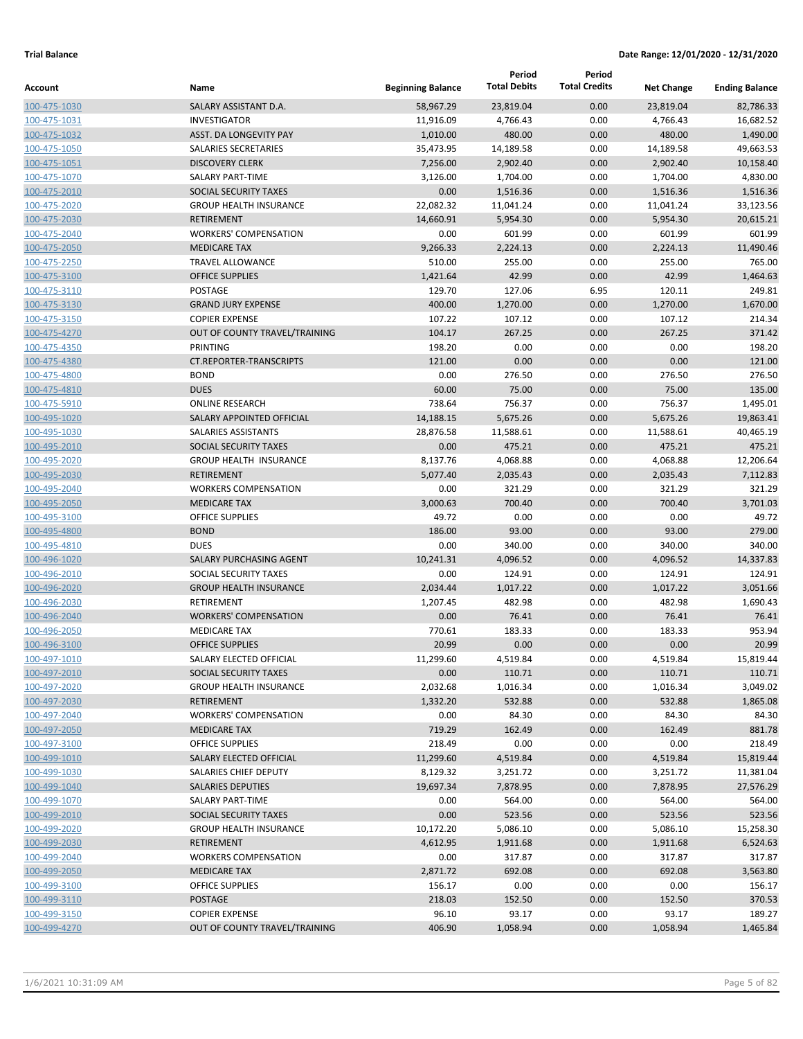|                              |                                                    |                          | Period<br><b>Total Debits</b> | Period<br><b>Total Credits</b> |                       |                        |
|------------------------------|----------------------------------------------------|--------------------------|-------------------------------|--------------------------------|-----------------------|------------------------|
| Account                      | Name                                               | <b>Beginning Balance</b> |                               |                                | <b>Net Change</b>     | <b>Ending Balance</b>  |
| 100-475-1030                 | SALARY ASSISTANT D.A.                              | 58,967.29                | 23,819.04                     | 0.00                           | 23,819.04             | 82,786.33              |
| 100-475-1031                 | <b>INVESTIGATOR</b>                                | 11,916.09                | 4,766.43                      | 0.00                           | 4,766.43              | 16,682.52              |
| 100-475-1032                 | <b>ASST. DA LONGEVITY PAY</b>                      | 1,010.00                 | 480.00                        | 0.00                           | 480.00                | 1,490.00               |
| 100-475-1050                 | SALARIES SECRETARIES                               | 35,473.95                | 14,189.58                     | 0.00                           | 14,189.58             | 49,663.53              |
| 100-475-1051                 | <b>DISCOVERY CLERK</b>                             | 7,256.00                 | 2,902.40                      | 0.00                           | 2,902.40              | 10,158.40              |
| 100-475-1070                 | <b>SALARY PART-TIME</b>                            | 3,126.00                 | 1,704.00                      | 0.00                           | 1,704.00              | 4,830.00               |
| 100-475-2010                 | SOCIAL SECURITY TAXES                              | 0.00                     | 1,516.36                      | 0.00                           | 1,516.36              | 1,516.36               |
| 100-475-2020<br>100-475-2030 | <b>GROUP HEALTH INSURANCE</b><br><b>RETIREMENT</b> | 22,082.32<br>14,660.91   | 11,041.24<br>5,954.30         | 0.00<br>0.00                   | 11,041.24<br>5,954.30 | 33,123.56<br>20,615.21 |
| 100-475-2040                 | <b>WORKERS' COMPENSATION</b>                       | 0.00                     | 601.99                        | 0.00                           | 601.99                | 601.99                 |
| 100-475-2050                 | <b>MEDICARE TAX</b>                                | 9,266.33                 | 2,224.13                      | 0.00                           | 2,224.13              | 11,490.46              |
| 100-475-2250                 | <b>TRAVEL ALLOWANCE</b>                            | 510.00                   | 255.00                        | 0.00                           | 255.00                | 765.00                 |
| 100-475-3100                 | <b>OFFICE SUPPLIES</b>                             | 1,421.64                 | 42.99                         | 0.00                           | 42.99                 | 1,464.63               |
| 100-475-3110                 | POSTAGE                                            | 129.70                   | 127.06                        | 6.95                           | 120.11                | 249.81                 |
| 100-475-3130                 | <b>GRAND JURY EXPENSE</b>                          | 400.00                   | 1,270.00                      | 0.00                           | 1,270.00              | 1,670.00               |
| 100-475-3150                 | <b>COPIER EXPENSE</b>                              | 107.22                   | 107.12                        | 0.00                           | 107.12                | 214.34                 |
| 100-475-4270                 | OUT OF COUNTY TRAVEL/TRAINING                      | 104.17                   | 267.25                        | 0.00                           | 267.25                | 371.42                 |
| 100-475-4350                 | PRINTING                                           | 198.20                   | 0.00                          | 0.00                           | 0.00                  | 198.20                 |
| 100-475-4380                 | <b>CT.REPORTER-TRANSCRIPTS</b>                     | 121.00                   | 0.00                          | 0.00                           | 0.00                  | 121.00                 |
| 100-475-4800                 | <b>BOND</b>                                        | 0.00                     | 276.50                        | 0.00                           | 276.50                | 276.50                 |
| 100-475-4810                 | <b>DUES</b>                                        | 60.00                    | 75.00                         | 0.00                           | 75.00                 | 135.00                 |
| 100-475-5910                 | <b>ONLINE RESEARCH</b>                             | 738.64                   | 756.37                        | 0.00                           | 756.37                | 1,495.01               |
| 100-495-1020                 | SALARY APPOINTED OFFICIAL                          | 14,188.15                | 5,675.26                      | 0.00                           | 5,675.26              | 19,863.41              |
| 100-495-1030                 | SALARIES ASSISTANTS                                | 28,876.58                | 11,588.61                     | 0.00                           | 11,588.61             | 40,465.19              |
| 100-495-2010                 | SOCIAL SECURITY TAXES                              | 0.00                     | 475.21                        | 0.00                           | 475.21                | 475.21                 |
| 100-495-2020                 | <b>GROUP HEALTH INSURANCE</b>                      | 8,137.76                 | 4,068.88                      | 0.00                           | 4,068.88              | 12,206.64              |
| 100-495-2030                 | <b>RETIREMENT</b>                                  | 5,077.40                 | 2,035.43                      | 0.00                           | 2,035.43              | 7,112.83               |
| 100-495-2040                 | <b>WORKERS COMPENSATION</b>                        | 0.00                     | 321.29                        | 0.00                           | 321.29                | 321.29                 |
| 100-495-2050                 | <b>MEDICARE TAX</b>                                | 3,000.63                 | 700.40                        | 0.00                           | 700.40                | 3,701.03               |
| 100-495-3100                 | <b>OFFICE SUPPLIES</b>                             | 49.72                    | 0.00                          | 0.00                           | 0.00                  | 49.72                  |
| 100-495-4800                 | <b>BOND</b>                                        | 186.00                   | 93.00                         | 0.00                           | 93.00                 | 279.00                 |
| 100-495-4810                 | <b>DUES</b>                                        | 0.00                     | 340.00                        | 0.00                           | 340.00                | 340.00                 |
| 100-496-1020                 | SALARY PURCHASING AGENT                            | 10,241.31                | 4,096.52                      | 0.00                           | 4,096.52              | 14,337.83              |
| 100-496-2010                 | SOCIAL SECURITY TAXES                              | 0.00                     | 124.91                        | 0.00                           | 124.91                | 124.91                 |
| 100-496-2020                 | <b>GROUP HEALTH INSURANCE</b>                      | 2,034.44                 | 1,017.22                      | 0.00                           | 1,017.22              | 3,051.66               |
| 100-496-2030                 | RETIREMENT                                         | 1,207.45                 | 482.98                        | 0.00                           | 482.98                | 1,690.43               |
| 100-496-2040                 | <b>WORKERS' COMPENSATION</b>                       | 0.00                     | 76.41                         | 0.00                           | 76.41                 | 76.41                  |
| 100-496-2050                 | <b>MEDICARE TAX</b>                                | 770.61                   | 183.33                        | 0.00                           | 183.33                | 953.94                 |
| 100-496-3100                 | <b>OFFICE SUPPLIES</b>                             | 20.99                    | 0.00                          | 0.00                           | 0.00                  | 20.99                  |
| 100-497-1010                 | SALARY ELECTED OFFICIAL                            | 11,299.60                | 4,519.84                      | 0.00                           | 4,519.84              | 15,819.44              |
| 100-497-2010                 | SOCIAL SECURITY TAXES                              | 0.00                     | 110.71                        | 0.00                           | 110.71                | 110.71                 |
| 100-497-2020                 | <b>GROUP HEALTH INSURANCE</b>                      | 2,032.68                 | 1,016.34                      | 0.00                           | 1,016.34              | 3,049.02               |
| 100-497-2030                 | RETIREMENT                                         | 1,332.20                 | 532.88                        | 0.00                           | 532.88                | 1,865.08               |
| 100-497-2040                 | <b>WORKERS' COMPENSATION</b>                       | 0.00                     | 84.30                         | 0.00                           | 84.30                 | 84.30                  |
| 100-497-2050                 | <b>MEDICARE TAX</b>                                | 719.29                   | 162.49                        | 0.00                           | 162.49                | 881.78                 |
| 100-497-3100                 | OFFICE SUPPLIES                                    | 218.49                   | 0.00                          | 0.00                           | 0.00                  | 218.49                 |
| 100-499-1010                 | SALARY ELECTED OFFICIAL<br>SALARIES CHIEF DEPUTY   | 11,299.60                | 4,519.84                      | 0.00                           | 4,519.84              | 15,819.44              |
| 100-499-1030<br>100-499-1040 | <b>SALARIES DEPUTIES</b>                           | 8,129.32<br>19,697.34    | 3,251.72                      | 0.00<br>0.00                   | 3,251.72              | 11,381.04<br>27,576.29 |
| 100-499-1070                 | SALARY PART-TIME                                   | 0.00                     | 7,878.95<br>564.00            | 0.00                           | 7,878.95<br>564.00    | 564.00                 |
| 100-499-2010                 | SOCIAL SECURITY TAXES                              | 0.00                     | 523.56                        | 0.00                           | 523.56                | 523.56                 |
| 100-499-2020                 | <b>GROUP HEALTH INSURANCE</b>                      | 10,172.20                | 5,086.10                      | 0.00                           | 5,086.10              | 15,258.30              |
| 100-499-2030                 | RETIREMENT                                         | 4,612.95                 | 1,911.68                      | 0.00                           | 1,911.68              | 6,524.63               |
| 100-499-2040                 | <b>WORKERS COMPENSATION</b>                        | 0.00                     | 317.87                        | 0.00                           | 317.87                | 317.87                 |
| 100-499-2050                 | <b>MEDICARE TAX</b>                                | 2,871.72                 | 692.08                        | 0.00                           | 692.08                | 3,563.80               |
| 100-499-3100                 | OFFICE SUPPLIES                                    | 156.17                   | 0.00                          | 0.00                           | 0.00                  | 156.17                 |
| 100-499-3110                 | POSTAGE                                            | 218.03                   | 152.50                        | 0.00                           | 152.50                | 370.53                 |
| 100-499-3150                 | <b>COPIER EXPENSE</b>                              | 96.10                    | 93.17                         | 0.00                           | 93.17                 | 189.27                 |
| 100-499-4270                 | OUT OF COUNTY TRAVEL/TRAINING                      | 406.90                   | 1,058.94                      | 0.00                           | 1,058.94              | 1,465.84               |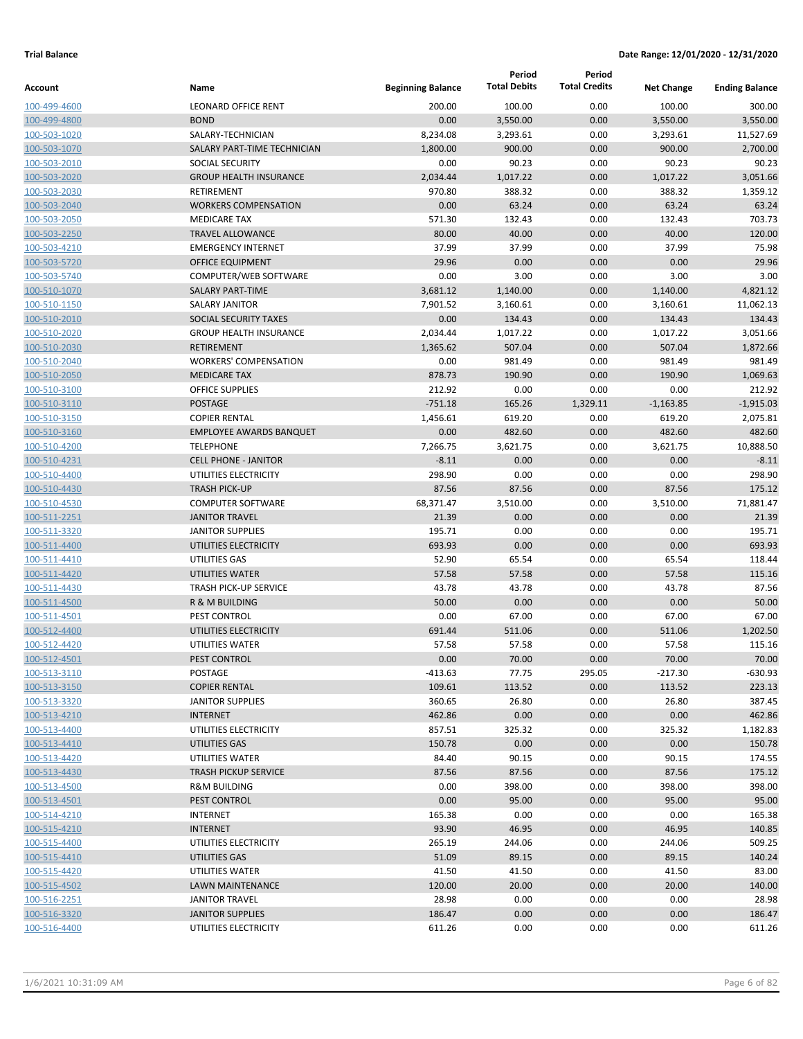|                              |                                                 |                          | Period              | Period               |                   |                       |
|------------------------------|-------------------------------------------------|--------------------------|---------------------|----------------------|-------------------|-----------------------|
| Account                      | Name                                            | <b>Beginning Balance</b> | <b>Total Debits</b> | <b>Total Credits</b> | <b>Net Change</b> | <b>Ending Balance</b> |
| 100-499-4600                 | <b>LEONARD OFFICE RENT</b>                      | 200.00                   | 100.00              | 0.00                 | 100.00            | 300.00                |
| 100-499-4800                 | <b>BOND</b>                                     | 0.00                     | 3,550.00            | 0.00                 | 3,550.00          | 3,550.00              |
| 100-503-1020                 | SALARY-TECHNICIAN                               | 8,234.08                 | 3,293.61            | 0.00                 | 3,293.61          | 11,527.69             |
| 100-503-1070                 | SALARY PART-TIME TECHNICIAN                     | 1,800.00                 | 900.00              | 0.00                 | 900.00            | 2,700.00              |
| 100-503-2010                 | <b>SOCIAL SECURITY</b>                          | 0.00                     | 90.23               | 0.00                 | 90.23             | 90.23                 |
| 100-503-2020                 | <b>GROUP HEALTH INSURANCE</b>                   | 2,034.44                 | 1,017.22            | 0.00                 | 1,017.22          | 3,051.66              |
| 100-503-2030                 | RETIREMENT                                      | 970.80                   | 388.32              | 0.00                 | 388.32            | 1,359.12              |
| 100-503-2040                 | <b>WORKERS COMPENSATION</b>                     | 0.00                     | 63.24               | 0.00                 | 63.24             | 63.24                 |
| 100-503-2050                 | <b>MEDICARE TAX</b>                             | 571.30                   | 132.43              | 0.00                 | 132.43            | 703.73                |
| 100-503-2250                 | <b>TRAVEL ALLOWANCE</b>                         | 80.00                    | 40.00               | 0.00                 | 40.00             | 120.00                |
| 100-503-4210                 | <b>EMERGENCY INTERNET</b>                       | 37.99                    | 37.99               | 0.00                 | 37.99             | 75.98                 |
| 100-503-5720                 | <b>OFFICE EQUIPMENT</b>                         | 29.96                    | 0.00                | 0.00                 | 0.00              | 29.96                 |
| 100-503-5740                 | COMPUTER/WEB SOFTWARE                           | 0.00                     | 3.00                | 0.00                 | 3.00              | 3.00                  |
| 100-510-1070                 | <b>SALARY PART-TIME</b>                         | 3,681.12                 | 1,140.00            | 0.00                 | 1,140.00          | 4,821.12              |
| 100-510-1150                 | <b>SALARY JANITOR</b>                           | 7,901.52                 | 3,160.61            | 0.00                 | 3,160.61          | 11,062.13             |
| 100-510-2010                 | SOCIAL SECURITY TAXES                           | 0.00                     | 134.43              | 0.00                 | 134.43            | 134.43                |
| 100-510-2020                 | <b>GROUP HEALTH INSURANCE</b>                   | 2,034.44                 | 1,017.22            | 0.00                 | 1,017.22          | 3,051.66              |
| 100-510-2030                 | <b>RETIREMENT</b>                               | 1,365.62                 | 507.04              | 0.00                 | 507.04            | 1,872.66              |
| 100-510-2040                 | <b>WORKERS' COMPENSATION</b>                    | 0.00                     | 981.49              | 0.00                 | 981.49            | 981.49                |
| 100-510-2050                 | <b>MEDICARE TAX</b>                             | 878.73                   | 190.90              | 0.00                 | 190.90            | 1,069.63              |
| 100-510-3100                 | <b>OFFICE SUPPLIES</b>                          | 212.92                   | 0.00                | 0.00                 | 0.00              | 212.92                |
| 100-510-3110                 | <b>POSTAGE</b>                                  | $-751.18$                | 165.26              | 1,329.11             | $-1,163.85$       | $-1,915.03$           |
| 100-510-3150                 | <b>COPIER RENTAL</b>                            | 1,456.61                 | 619.20              | 0.00                 | 619.20            | 2,075.81              |
| 100-510-3160                 | <b>EMPLOYEE AWARDS BANQUET</b>                  | 0.00                     | 482.60              | 0.00                 | 482.60            | 482.60                |
| 100-510-4200                 | <b>TELEPHONE</b>                                | 7,266.75                 | 3,621.75            | 0.00                 | 3,621.75          | 10,888.50             |
| 100-510-4231                 | <b>CELL PHONE - JANITOR</b>                     | $-8.11$                  | 0.00                | 0.00                 | 0.00              | $-8.11$               |
| 100-510-4400                 | UTILITIES ELECTRICITY                           | 298.90                   | 0.00                | 0.00                 | 0.00              | 298.90                |
| 100-510-4430                 | <b>TRASH PICK-UP</b>                            | 87.56                    | 87.56               | 0.00                 | 87.56             | 175.12                |
| 100-510-4530                 | <b>COMPUTER SOFTWARE</b>                        | 68,371.47                | 3,510.00            | 0.00                 | 3,510.00          | 71,881.47             |
| 100-511-2251                 | <b>JANITOR TRAVEL</b>                           | 21.39                    | 0.00                | 0.00                 | 0.00              | 21.39                 |
| 100-511-3320                 | <b>JANITOR SUPPLIES</b>                         | 195.71                   | 0.00                | 0.00                 | 0.00              | 195.71                |
| 100-511-4400                 | UTILITIES ELECTRICITY                           | 693.93                   | 0.00                | 0.00                 | 0.00              | 693.93                |
| 100-511-4410                 | UTILITIES GAS                                   | 52.90                    | 65.54               | 0.00                 | 65.54             | 118.44                |
| 100-511-4420                 | UTILITIES WATER                                 | 57.58                    | 57.58               | 0.00                 | 57.58             | 115.16                |
| 100-511-4430                 | <b>TRASH PICK-UP SERVICE</b>                    | 43.78                    | 43.78               | 0.00                 | 43.78             | 87.56                 |
| 100-511-4500                 | R & M BUILDING                                  | 50.00                    | 0.00                | 0.00                 | 0.00              | 50.00                 |
| 100-511-4501                 | PEST CONTROL                                    | 0.00                     | 67.00               | 0.00                 | 67.00             | 67.00                 |
| 100-512-4400                 | UTILITIES ELECTRICITY                           | 691.44                   | 511.06              | 0.00                 | 511.06            | 1,202.50              |
| 100-512-4420                 | UTILITIES WATER                                 | 57.58                    | 57.58               | 0.00                 | 57.58             | 115.16                |
| 100-512-4501                 | PEST CONTROL                                    | 0.00                     | 70.00               | 0.00                 | 70.00             | 70.00                 |
| 100-513-3110                 | POSTAGE                                         | $-413.63$                | 77.75               | 295.05               | $-217.30$         | $-630.93$             |
| 100-513-3150<br>100-513-3320 | <b>COPIER RENTAL</b><br><b>JANITOR SUPPLIES</b> | 109.61<br>360.65         | 113.52              | 0.00                 | 113.52            | 223.13                |
| 100-513-4210                 | <b>INTERNET</b>                                 | 462.86                   | 26.80<br>0.00       | 0.00<br>0.00         | 26.80<br>0.00     | 387.45<br>462.86      |
| 100-513-4400                 | UTILITIES ELECTRICITY                           | 857.51                   | 325.32              | 0.00                 | 325.32            | 1,182.83              |
| 100-513-4410                 | UTILITIES GAS                                   | 150.78                   | 0.00                | 0.00                 | 0.00              | 150.78                |
| 100-513-4420                 | UTILITIES WATER                                 | 84.40                    | 90.15               | 0.00                 | 90.15             | 174.55                |
| 100-513-4430                 | <b>TRASH PICKUP SERVICE</b>                     | 87.56                    | 87.56               | 0.00                 | 87.56             | 175.12                |
| 100-513-4500                 | <b>R&amp;M BUILDING</b>                         | 0.00                     | 398.00              | 0.00                 | 398.00            | 398.00                |
| 100-513-4501                 | PEST CONTROL                                    | 0.00                     | 95.00               | 0.00                 | 95.00             | 95.00                 |
| 100-514-4210                 | <b>INTERNET</b>                                 | 165.38                   | 0.00                | 0.00                 | 0.00              | 165.38                |
| 100-515-4210                 | <b>INTERNET</b>                                 | 93.90                    | 46.95               | 0.00                 | 46.95             | 140.85                |
| 100-515-4400                 | UTILITIES ELECTRICITY                           | 265.19                   | 244.06              | 0.00                 | 244.06            | 509.25                |
| 100-515-4410                 | UTILITIES GAS                                   | 51.09                    | 89.15               | 0.00                 | 89.15             | 140.24                |
| 100-515-4420                 | UTILITIES WATER                                 | 41.50                    | 41.50               | 0.00                 | 41.50             | 83.00                 |
| 100-515-4502                 | LAWN MAINTENANCE                                | 120.00                   | 20.00               | 0.00                 | 20.00             | 140.00                |
| 100-516-2251                 | <b>JANITOR TRAVEL</b>                           | 28.98                    | 0.00                | 0.00                 | 0.00              | 28.98                 |
| 100-516-3320                 | <b>JANITOR SUPPLIES</b>                         | 186.47                   | 0.00                | 0.00                 | 0.00              | 186.47                |
| 100-516-4400                 | UTILITIES ELECTRICITY                           | 611.26                   | 0.00                | 0.00                 | 0.00              | 611.26                |
|                              |                                                 |                          |                     |                      |                   |                       |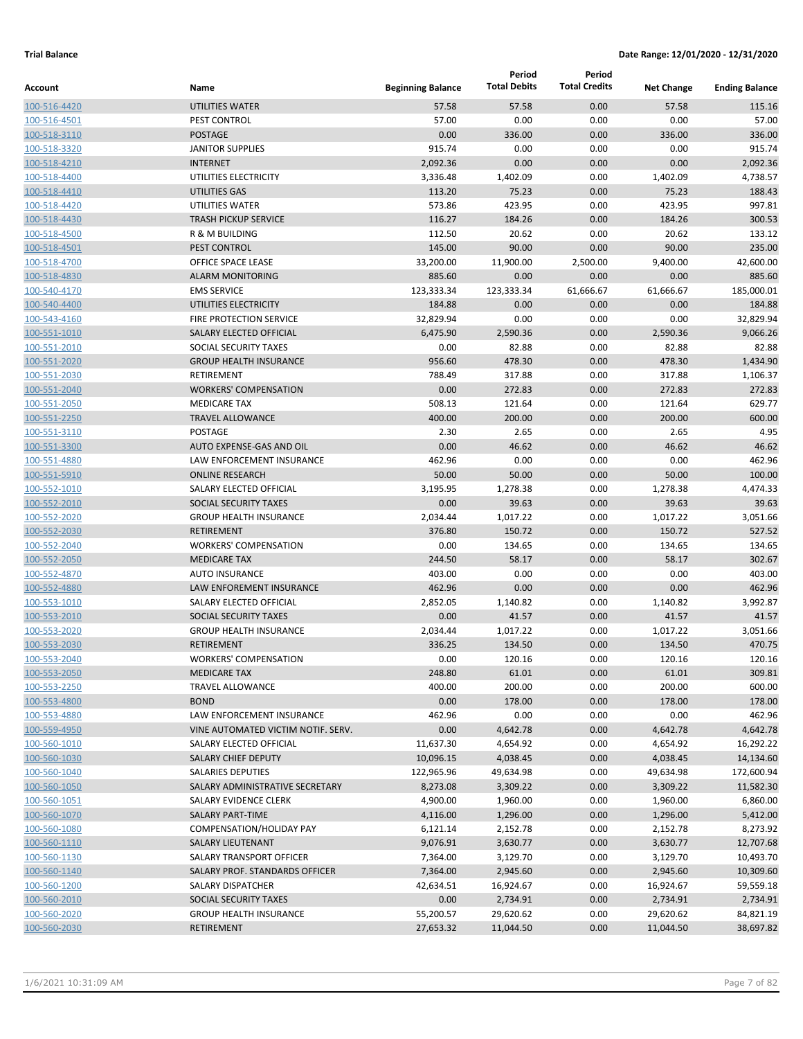|                              |                                                  |                          | Period              | Period               |                   |                       |
|------------------------------|--------------------------------------------------|--------------------------|---------------------|----------------------|-------------------|-----------------------|
| Account                      | Name                                             | <b>Beginning Balance</b> | <b>Total Debits</b> | <b>Total Credits</b> | <b>Net Change</b> | <b>Ending Balance</b> |
| 100-516-4420                 | UTILITIES WATER                                  | 57.58                    | 57.58               | 0.00                 | 57.58             | 115.16                |
| 100-516-4501                 | PEST CONTROL                                     | 57.00                    | 0.00                | 0.00                 | 0.00              | 57.00                 |
| 100-518-3110                 | <b>POSTAGE</b>                                   | 0.00                     | 336.00              | 0.00                 | 336.00            | 336.00                |
| 100-518-3320                 | <b>JANITOR SUPPLIES</b>                          | 915.74                   | 0.00                | 0.00                 | 0.00              | 915.74                |
| 100-518-4210                 | <b>INTERNET</b>                                  | 2,092.36                 | 0.00                | 0.00                 | 0.00              | 2,092.36              |
| 100-518-4400                 | UTILITIES ELECTRICITY                            | 3,336.48                 | 1,402.09            | 0.00                 | 1,402.09          | 4,738.57              |
| 100-518-4410                 | <b>UTILITIES GAS</b>                             | 113.20                   | 75.23               | 0.00                 | 75.23             | 188.43                |
| 100-518-4420                 | UTILITIES WATER                                  | 573.86                   | 423.95              | 0.00                 | 423.95            | 997.81                |
| 100-518-4430                 | <b>TRASH PICKUP SERVICE</b>                      | 116.27                   | 184.26              | 0.00                 | 184.26            | 300.53                |
| 100-518-4500                 | R & M BUILDING                                   | 112.50                   | 20.62               | 0.00                 | 20.62             | 133.12                |
| 100-518-4501                 | PEST CONTROL                                     | 145.00                   | 90.00               | 0.00                 | 90.00             | 235.00                |
| 100-518-4700                 | OFFICE SPACE LEASE                               | 33,200.00                | 11,900.00           | 2,500.00             | 9,400.00          | 42,600.00             |
| 100-518-4830                 | <b>ALARM MONITORING</b>                          | 885.60                   | 0.00                | 0.00                 | 0.00              | 885.60                |
| 100-540-4170                 | <b>EMS SERVICE</b>                               | 123,333.34               | 123,333.34<br>0.00  | 61,666.67            | 61,666.67         | 185,000.01<br>184.88  |
| 100-540-4400                 | UTILITIES ELECTRICITY<br>FIRE PROTECTION SERVICE | 184.88<br>32,829.94      | 0.00                | 0.00<br>0.00         | 0.00<br>0.00      | 32,829.94             |
| 100-543-4160                 | SALARY ELECTED OFFICIAL                          | 6,475.90                 | 2,590.36            | 0.00                 | 2,590.36          | 9,066.26              |
| 100-551-1010<br>100-551-2010 | SOCIAL SECURITY TAXES                            | 0.00                     | 82.88               | 0.00                 | 82.88             | 82.88                 |
| 100-551-2020                 | <b>GROUP HEALTH INSURANCE</b>                    | 956.60                   | 478.30              | 0.00                 | 478.30            | 1,434.90              |
| 100-551-2030                 | RETIREMENT                                       | 788.49                   | 317.88              | 0.00                 | 317.88            | 1,106.37              |
| 100-551-2040                 | <b>WORKERS' COMPENSATION</b>                     | 0.00                     | 272.83              | 0.00                 | 272.83            | 272.83                |
| 100-551-2050                 | <b>MEDICARE TAX</b>                              | 508.13                   | 121.64              | 0.00                 | 121.64            | 629.77                |
| 100-551-2250                 | <b>TRAVEL ALLOWANCE</b>                          | 400.00                   | 200.00              | 0.00                 | 200.00            | 600.00                |
| 100-551-3110                 | <b>POSTAGE</b>                                   | 2.30                     | 2.65                | 0.00                 | 2.65              | 4.95                  |
| 100-551-3300                 | AUTO EXPENSE-GAS AND OIL                         | 0.00                     | 46.62               | 0.00                 | 46.62             | 46.62                 |
| 100-551-4880                 | LAW ENFORCEMENT INSURANCE                        | 462.96                   | 0.00                | 0.00                 | 0.00              | 462.96                |
| 100-551-5910                 | <b>ONLINE RESEARCH</b>                           | 50.00                    | 50.00               | 0.00                 | 50.00             | 100.00                |
| 100-552-1010                 | SALARY ELECTED OFFICIAL                          | 3,195.95                 | 1,278.38            | 0.00                 | 1,278.38          | 4,474.33              |
| 100-552-2010                 | SOCIAL SECURITY TAXES                            | 0.00                     | 39.63               | 0.00                 | 39.63             | 39.63                 |
| 100-552-2020                 | <b>GROUP HEALTH INSURANCE</b>                    | 2,034.44                 | 1,017.22            | 0.00                 | 1,017.22          | 3,051.66              |
| 100-552-2030                 | <b>RETIREMENT</b>                                | 376.80                   | 150.72              | 0.00                 | 150.72            | 527.52                |
| 100-552-2040                 | <b>WORKERS' COMPENSATION</b>                     | 0.00                     | 134.65              | 0.00                 | 134.65            | 134.65                |
| 100-552-2050                 | <b>MEDICARE TAX</b>                              | 244.50                   | 58.17               | 0.00                 | 58.17             | 302.67                |
| 100-552-4870                 | <b>AUTO INSURANCE</b>                            | 403.00                   | 0.00                | 0.00                 | 0.00              | 403.00                |
| 100-552-4880                 | LAW ENFOREMENT INSURANCE                         | 462.96                   | 0.00                | 0.00                 | 0.00              | 462.96                |
| 100-553-1010                 | SALARY ELECTED OFFICIAL                          | 2,852.05                 | 1,140.82            | 0.00                 | 1,140.82          | 3,992.87              |
| 100-553-2010                 | SOCIAL SECURITY TAXES                            | 0.00                     | 41.57               | 0.00                 | 41.57             | 41.57                 |
| 100-553-2020                 | <b>GROUP HEALTH INSURANCE</b>                    | 2,034.44                 | 1,017.22            | 0.00                 | 1,017.22          | 3,051.66              |
| 100-553-2030                 | <b>RETIREMENT</b>                                | 336.25                   | 134.50              | 0.00                 | 134.50            | 470.75                |
| 100-553-2040                 | <b>WORKERS' COMPENSATION</b>                     | 0.00                     | 120.16              | 0.00                 | 120.16            | 120.16                |
| 100-553-2050                 | <b>MEDICARE TAX</b>                              | 248.80                   | 61.01               | 0.00                 | 61.01             | 309.81                |
| 100-553-2250                 | <b>TRAVEL ALLOWANCE</b>                          | 400.00                   | 200.00              | 0.00                 | 200.00            | 600.00                |
| 100-553-4800                 | <b>BOND</b>                                      | 0.00                     | 178.00              | 0.00                 | 178.00            | 178.00                |
| 100-553-4880                 | LAW ENFORCEMENT INSURANCE                        | 462.96                   | 0.00                | 0.00                 | 0.00              | 462.96                |
| 100-559-4950                 | VINE AUTOMATED VICTIM NOTIF. SERV.               | 0.00                     | 4,642.78            | 0.00                 | 4,642.78          | 4,642.78              |
| 100-560-1010                 | SALARY ELECTED OFFICIAL                          | 11,637.30                | 4,654.92            | 0.00                 | 4,654.92          | 16,292.22             |
| 100-560-1030                 | <b>SALARY CHIEF DEPUTY</b>                       | 10,096.15                | 4,038.45            | 0.00                 | 4,038.45          | 14,134.60             |
| 100-560-1040                 | <b>SALARIES DEPUTIES</b>                         | 122,965.96               | 49,634.98           | 0.00                 | 49,634.98         | 172,600.94            |
| 100-560-1050                 | SALARY ADMINISTRATIVE SECRETARY                  | 8,273.08                 | 3,309.22            | 0.00                 | 3,309.22          | 11,582.30             |
| 100-560-1051                 | SALARY EVIDENCE CLERK                            | 4,900.00                 | 1,960.00            | 0.00                 | 1,960.00          | 6,860.00              |
| 100-560-1070                 | SALARY PART-TIME                                 | 4,116.00                 | 1,296.00            | 0.00                 | 1,296.00          | 5,412.00              |
| 100-560-1080                 | COMPENSATION/HOLIDAY PAY                         | 6,121.14                 | 2,152.78            | 0.00                 | 2,152.78          | 8,273.92              |
| 100-560-1110                 | SALARY LIEUTENANT                                | 9,076.91                 | 3,630.77            | 0.00                 | 3,630.77          | 12,707.68             |
| 100-560-1130                 | SALARY TRANSPORT OFFICER                         | 7,364.00                 | 3,129.70            | 0.00                 | 3,129.70          | 10,493.70             |
| 100-560-1140                 | SALARY PROF. STANDARDS OFFICER                   | 7,364.00                 | 2,945.60            | 0.00                 | 2,945.60          | 10,309.60             |
| 100-560-1200                 | SALARY DISPATCHER                                | 42,634.51                | 16,924.67           | 0.00                 | 16,924.67         | 59,559.18             |
| 100-560-2010                 | SOCIAL SECURITY TAXES                            | 0.00                     | 2,734.91            | 0.00                 | 2,734.91          | 2,734.91              |
| 100-560-2020                 | <b>GROUP HEALTH INSURANCE</b>                    | 55,200.57                | 29,620.62           | 0.00                 | 29,620.62         | 84,821.19             |
| 100-560-2030                 | RETIREMENT                                       | 27,653.32                | 11,044.50           | 0.00                 | 11,044.50         | 38,697.82             |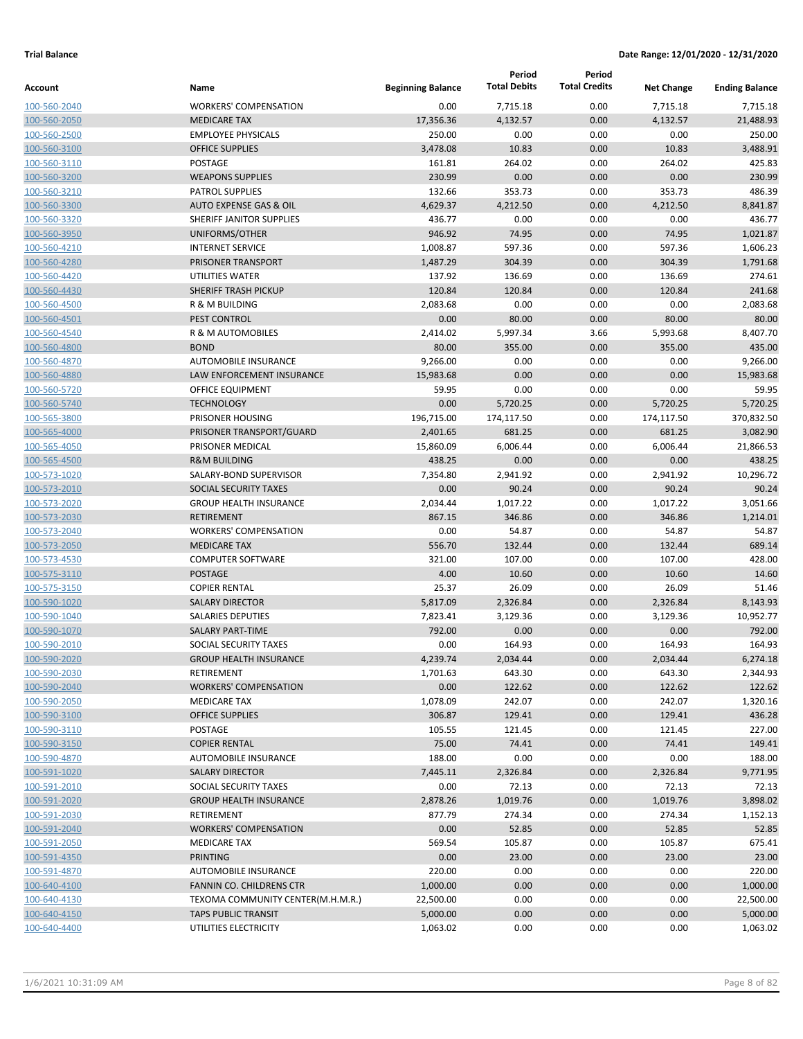| Account                      | Name                                                | <b>Beginning Balance</b> | Period<br><b>Total Debits</b> | Period<br><b>Total Credits</b> | <b>Net Change</b> | <b>Ending Balance</b> |
|------------------------------|-----------------------------------------------------|--------------------------|-------------------------------|--------------------------------|-------------------|-----------------------|
| 100-560-2040                 | <b>WORKERS' COMPENSATION</b>                        | 0.00                     | 7,715.18                      | 0.00                           | 7,715.18          | 7,715.18              |
| 100-560-2050                 | <b>MEDICARE TAX</b>                                 | 17,356.36                | 4,132.57                      | 0.00                           | 4,132.57          | 21,488.93             |
| 100-560-2500                 | <b>EMPLOYEE PHYSICALS</b>                           | 250.00                   | 0.00                          | 0.00                           | 0.00              | 250.00                |
| 100-560-3100                 | <b>OFFICE SUPPLIES</b>                              | 3,478.08                 | 10.83                         | 0.00                           | 10.83             | 3,488.91              |
| 100-560-3110                 | POSTAGE                                             | 161.81                   | 264.02                        | 0.00                           | 264.02            | 425.83                |
| 100-560-3200                 | <b>WEAPONS SUPPLIES</b>                             | 230.99                   | 0.00                          | 0.00                           | 0.00              | 230.99                |
| 100-560-3210                 | <b>PATROL SUPPLIES</b>                              | 132.66                   | 353.73                        | 0.00                           | 353.73            | 486.39                |
| 100-560-3300                 | <b>AUTO EXPENSE GAS &amp; OIL</b>                   | 4,629.37                 | 4,212.50                      | 0.00                           | 4,212.50          | 8,841.87              |
| 100-560-3320                 | SHERIFF JANITOR SUPPLIES                            | 436.77                   | 0.00                          | 0.00                           | 0.00              | 436.77                |
| 100-560-3950                 | UNIFORMS/OTHER                                      | 946.92                   | 74.95                         | 0.00                           | 74.95             | 1,021.87              |
| 100-560-4210                 | <b>INTERNET SERVICE</b>                             | 1,008.87                 | 597.36                        | 0.00                           | 597.36            | 1,606.23              |
| 100-560-4280                 | PRISONER TRANSPORT                                  | 1,487.29                 | 304.39                        | 0.00                           | 304.39            | 1,791.68              |
| 100-560-4420                 | UTILITIES WATER                                     | 137.92                   | 136.69                        | 0.00                           | 136.69            | 274.61                |
| 100-560-4430                 | <b>SHERIFF TRASH PICKUP</b>                         | 120.84                   | 120.84                        | 0.00                           | 120.84            | 241.68                |
| 100-560-4500                 | R & M BUILDING                                      | 2,083.68                 | 0.00                          | 0.00                           | 0.00              | 2,083.68              |
| 100-560-4501                 | PEST CONTROL                                        | 0.00                     | 80.00                         | 0.00                           | 80.00             | 80.00                 |
| 100-560-4540                 | <b>R &amp; M AUTOMOBILES</b>                        | 2,414.02                 | 5,997.34                      | 3.66                           | 5,993.68          | 8,407.70              |
| 100-560-4800                 | <b>BOND</b>                                         | 80.00                    | 355.00                        | 0.00                           | 355.00            | 435.00                |
| 100-560-4870                 | <b>AUTOMOBILE INSURANCE</b>                         | 9,266.00                 | 0.00                          | 0.00                           | 0.00              | 9,266.00              |
| 100-560-4880                 | LAW ENFORCEMENT INSURANCE                           | 15,983.68                | 0.00                          | 0.00                           | 0.00              | 15,983.68             |
| 100-560-5720                 | OFFICE EQUIPMENT                                    | 59.95                    | 0.00                          | 0.00                           | 0.00              | 59.95                 |
| 100-560-5740                 | <b>TECHNOLOGY</b>                                   | 0.00                     | 5,720.25                      | 0.00                           | 5,720.25          | 5,720.25              |
| 100-565-3800                 | PRISONER HOUSING                                    | 196,715.00               | 174,117.50                    | 0.00                           | 174,117.50        | 370,832.50            |
| 100-565-4000                 | PRISONER TRANSPORT/GUARD                            | 2,401.65                 | 681.25                        | 0.00                           | 681.25            | 3,082.90              |
| 100-565-4050                 | PRISONER MEDICAL                                    | 15,860.09                | 6,006.44                      | 0.00                           | 6,006.44          | 21,866.53             |
| 100-565-4500                 | <b>R&amp;M BUILDING</b>                             | 438.25                   | 0.00                          | 0.00                           | 0.00              | 438.25                |
| 100-573-1020                 | SALARY-BOND SUPERVISOR                              | 7,354.80                 | 2,941.92                      | 0.00                           | 2,941.92          | 10,296.72             |
| 100-573-2010                 | <b>SOCIAL SECURITY TAXES</b>                        | 0.00                     | 90.24                         | 0.00                           | 90.24             | 90.24                 |
| 100-573-2020                 | <b>GROUP HEALTH INSURANCE</b>                       | 2,034.44                 | 1,017.22                      | 0.00                           | 1,017.22          | 3,051.66              |
| 100-573-2030                 | <b>RETIREMENT</b><br><b>WORKERS' COMPENSATION</b>   | 867.15                   | 346.86<br>54.87               | 0.00                           | 346.86            | 1,214.01<br>54.87     |
| 100-573-2040<br>100-573-2050 | <b>MEDICARE TAX</b>                                 | 0.00<br>556.70           | 132.44                        | 0.00<br>0.00                   | 54.87<br>132.44   | 689.14                |
| 100-573-4530                 | <b>COMPUTER SOFTWARE</b>                            | 321.00                   | 107.00                        | 0.00                           | 107.00            | 428.00                |
| 100-575-3110                 | <b>POSTAGE</b>                                      | 4.00                     | 10.60                         | 0.00                           | 10.60             | 14.60                 |
| 100-575-3150                 | <b>COPIER RENTAL</b>                                | 25.37                    | 26.09                         | 0.00                           | 26.09             | 51.46                 |
| 100-590-1020                 | <b>SALARY DIRECTOR</b>                              | 5,817.09                 | 2,326.84                      | 0.00                           | 2,326.84          | 8,143.93              |
| 100-590-1040                 | <b>SALARIES DEPUTIES</b>                            | 7,823.41                 | 3,129.36                      | 0.00                           | 3,129.36          | 10,952.77             |
| 100-590-1070                 | <b>SALARY PART-TIME</b>                             | 792.00                   | 0.00                          | 0.00                           | 0.00              | 792.00                |
| 100-590-2010                 | SOCIAL SECURITY TAXES                               | 0.00                     | 164.93                        | 0.00                           | 164.93            | 164.93                |
| 100-590-2020                 | <b>GROUP HEALTH INSURANCE</b>                       | 4,239.74                 | 2,034.44                      | 0.00                           | 2,034.44          | 6,274.18              |
| 100-590-2030                 | <b>RETIREMENT</b>                                   | 1,701.63                 | 643.30                        | 0.00                           | 643.30            | 2,344.93              |
| 100-590-2040                 | <b>WORKERS' COMPENSATION</b>                        | 0.00                     | 122.62                        | 0.00                           | 122.62            | 122.62                |
| 100-590-2050                 | MEDICARE TAX                                        | 1,078.09                 | 242.07                        | 0.00                           | 242.07            | 1,320.16              |
| 100-590-3100                 | <b>OFFICE SUPPLIES</b>                              | 306.87                   | 129.41                        | 0.00                           | 129.41            | 436.28                |
| 100-590-3110                 | POSTAGE                                             | 105.55                   | 121.45                        | 0.00                           | 121.45            | 227.00                |
| 100-590-3150                 | <b>COPIER RENTAL</b>                                | 75.00                    | 74.41                         | 0.00                           | 74.41             | 149.41                |
| 100-590-4870                 | AUTOMOBILE INSURANCE                                | 188.00                   | 0.00                          | 0.00                           | 0.00              | 188.00                |
| 100-591-1020                 | <b>SALARY DIRECTOR</b>                              | 7,445.11                 | 2,326.84                      | 0.00                           | 2,326.84          | 9,771.95              |
| 100-591-2010                 | SOCIAL SECURITY TAXES                               | 0.00                     | 72.13                         | 0.00                           | 72.13             | 72.13                 |
| 100-591-2020                 | <b>GROUP HEALTH INSURANCE</b>                       | 2,878.26                 | 1,019.76                      | 0.00                           | 1,019.76          | 3,898.02              |
| 100-591-2030                 | RETIREMENT                                          | 877.79                   | 274.34                        | 0.00                           | 274.34            | 1,152.13              |
| 100-591-2040                 | <b>WORKERS' COMPENSATION</b>                        | 0.00                     | 52.85                         | 0.00                           | 52.85             | 52.85                 |
| 100-591-2050                 | MEDICARE TAX                                        | 569.54                   | 105.87                        | 0.00                           | 105.87            | 675.41                |
| 100-591-4350                 | <b>PRINTING</b>                                     | 0.00                     | 23.00                         | 0.00                           | 23.00             | 23.00                 |
| 100-591-4870                 | AUTOMOBILE INSURANCE                                | 220.00                   | 0.00                          | 0.00                           | 0.00              | 220.00                |
| 100-640-4100                 | FANNIN CO. CHILDRENS CTR                            | 1,000.00                 | 0.00                          | 0.00                           | 0.00              | 1,000.00              |
| 100-640-4130                 | TEXOMA COMMUNITY CENTER(M.H.M.R.)                   | 22,500.00                | 0.00                          | 0.00                           | 0.00              | 22,500.00             |
| 100-640-4150<br>100-640-4400 | <b>TAPS PUBLIC TRANSIT</b><br>UTILITIES ELECTRICITY | 5,000.00<br>1,063.02     | 0.00<br>0.00                  | 0.00<br>0.00                   | 0.00<br>0.00      | 5,000.00<br>1,063.02  |
|                              |                                                     |                          |                               |                                |                   |                       |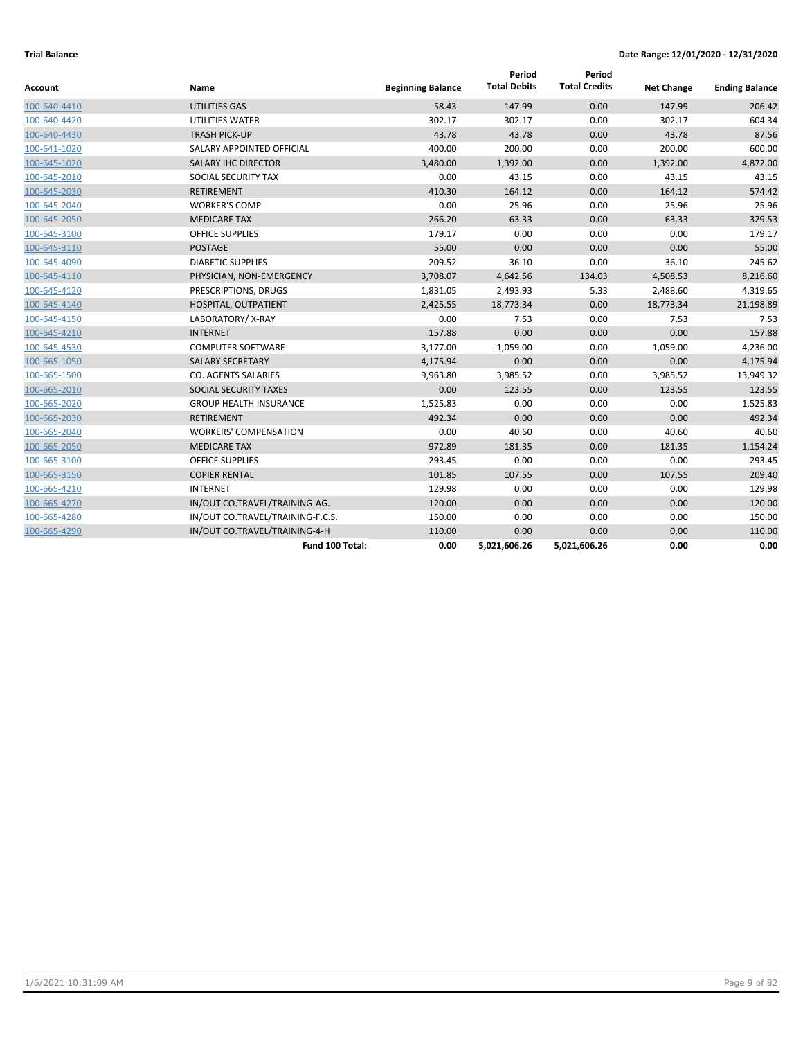| Account      | Name                             | <b>Beginning Balance</b> | Period<br><b>Total Debits</b> | Period<br><b>Total Credits</b> | <b>Net Change</b> | <b>Ending Balance</b> |
|--------------|----------------------------------|--------------------------|-------------------------------|--------------------------------|-------------------|-----------------------|
| 100-640-4410 | UTILITIES GAS                    | 58.43                    | 147.99                        | 0.00                           | 147.99            | 206.42                |
| 100-640-4420 | UTILITIES WATER                  | 302.17                   | 302.17                        | 0.00                           | 302.17            | 604.34                |
| 100-640-4430 | <b>TRASH PICK-UP</b>             | 43.78                    | 43.78                         | 0.00                           | 43.78             | 87.56                 |
| 100-641-1020 | SALARY APPOINTED OFFICIAL        | 400.00                   | 200.00                        | 0.00                           | 200.00            | 600.00                |
| 100-645-1020 | <b>SALARY IHC DIRECTOR</b>       | 3,480.00                 | 1,392.00                      | 0.00                           | 1,392.00          | 4,872.00              |
| 100-645-2010 | SOCIAL SECURITY TAX              | 0.00                     | 43.15                         | 0.00                           | 43.15             | 43.15                 |
| 100-645-2030 | <b>RETIREMENT</b>                | 410.30                   | 164.12                        | 0.00                           | 164.12            | 574.42                |
| 100-645-2040 | <b>WORKER'S COMP</b>             | 0.00                     | 25.96                         | 0.00                           | 25.96             | 25.96                 |
| 100-645-2050 | <b>MEDICARE TAX</b>              | 266.20                   | 63.33                         | 0.00                           | 63.33             | 329.53                |
| 100-645-3100 | <b>OFFICE SUPPLIES</b>           | 179.17                   | 0.00                          | 0.00                           | 0.00              | 179.17                |
| 100-645-3110 | <b>POSTAGE</b>                   | 55.00                    | 0.00                          | 0.00                           | 0.00              | 55.00                 |
| 100-645-4090 | <b>DIABETIC SUPPLIES</b>         | 209.52                   | 36.10                         | 0.00                           | 36.10             | 245.62                |
| 100-645-4110 | PHYSICIAN, NON-EMERGENCY         | 3,708.07                 | 4,642.56                      | 134.03                         | 4,508.53          | 8,216.60              |
| 100-645-4120 | PRESCRIPTIONS, DRUGS             | 1,831.05                 | 2,493.93                      | 5.33                           | 2,488.60          | 4,319.65              |
| 100-645-4140 | HOSPITAL, OUTPATIENT             | 2,425.55                 | 18,773.34                     | 0.00                           | 18,773.34         | 21,198.89             |
| 100-645-4150 | LABORATORY/X-RAY                 | 0.00                     | 7.53                          | 0.00                           | 7.53              | 7.53                  |
| 100-645-4210 | <b>INTERNET</b>                  | 157.88                   | 0.00                          | 0.00                           | 0.00              | 157.88                |
| 100-645-4530 | <b>COMPUTER SOFTWARE</b>         | 3,177.00                 | 1.059.00                      | 0.00                           | 1,059.00          | 4,236.00              |
| 100-665-1050 | <b>SALARY SECRETARY</b>          | 4,175.94                 | 0.00                          | 0.00                           | 0.00              | 4,175.94              |
| 100-665-1500 | CO. AGENTS SALARIES              | 9,963.80                 | 3,985.52                      | 0.00                           | 3,985.52          | 13,949.32             |
| 100-665-2010 | SOCIAL SECURITY TAXES            | 0.00                     | 123.55                        | 0.00                           | 123.55            | 123.55                |
| 100-665-2020 | <b>GROUP HEALTH INSURANCE</b>    | 1,525.83                 | 0.00                          | 0.00                           | 0.00              | 1,525.83              |
| 100-665-2030 | <b>RETIREMENT</b>                | 492.34                   | 0.00                          | 0.00                           | 0.00              | 492.34                |
| 100-665-2040 | <b>WORKERS' COMPENSATION</b>     | 0.00                     | 40.60                         | 0.00                           | 40.60             | 40.60                 |
| 100-665-2050 | <b>MEDICARE TAX</b>              | 972.89                   | 181.35                        | 0.00                           | 181.35            | 1,154.24              |
| 100-665-3100 | <b>OFFICE SUPPLIES</b>           | 293.45                   | 0.00                          | 0.00                           | 0.00              | 293.45                |
| 100-665-3150 | <b>COPIER RENTAL</b>             | 101.85                   | 107.55                        | 0.00                           | 107.55            | 209.40                |
| 100-665-4210 | <b>INTERNET</b>                  | 129.98                   | 0.00                          | 0.00                           | 0.00              | 129.98                |
| 100-665-4270 | IN/OUT CO.TRAVEL/TRAINING-AG.    | 120.00                   | 0.00                          | 0.00                           | 0.00              | 120.00                |
| 100-665-4280 | IN/OUT CO.TRAVEL/TRAINING-F.C.S. | 150.00                   | 0.00                          | 0.00                           | 0.00              | 150.00                |
| 100-665-4290 | IN/OUT CO.TRAVEL/TRAINING-4-H    | 110.00                   | 0.00                          | 0.00                           | 0.00              | 110.00                |
|              | Fund 100 Total:                  | 0.00                     | 5,021,606.26                  | 5,021,606.26                   | 0.00              | 0.00                  |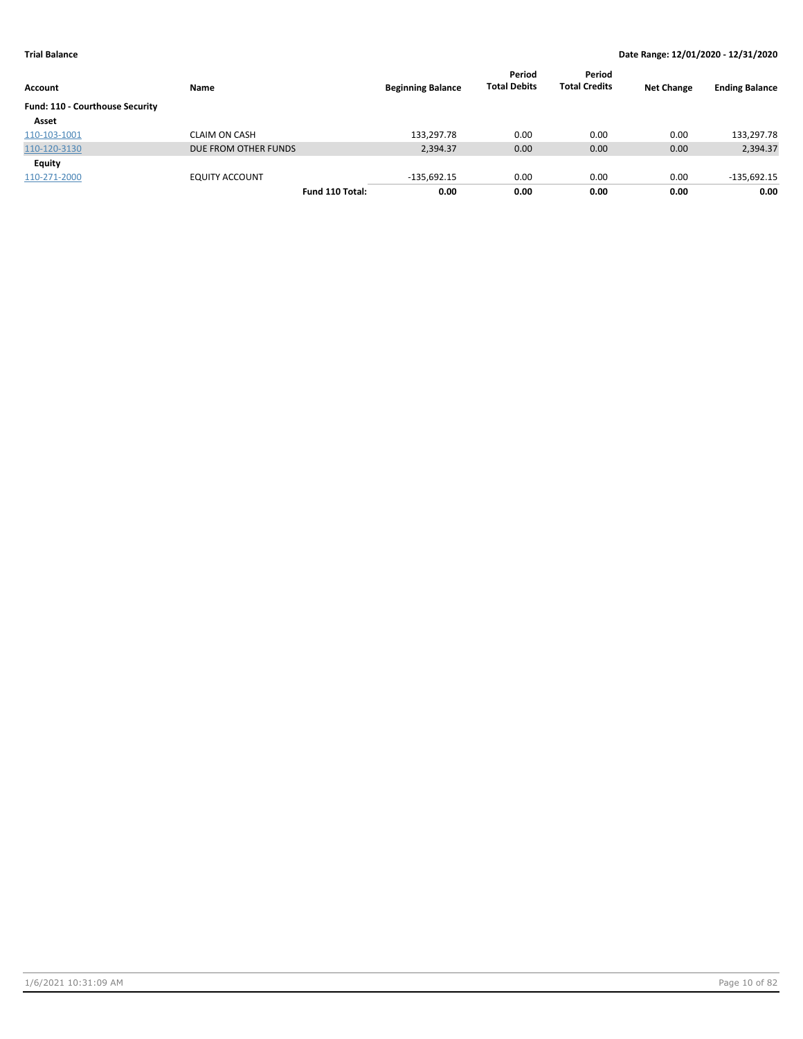|                                 |                       |                          | Period              | Period               |                   |                       |
|---------------------------------|-----------------------|--------------------------|---------------------|----------------------|-------------------|-----------------------|
| Account                         | Name                  | <b>Beginning Balance</b> | <b>Total Debits</b> | <b>Total Credits</b> | <b>Net Change</b> | <b>Ending Balance</b> |
| Fund: 110 - Courthouse Security |                       |                          |                     |                      |                   |                       |
| Asset                           |                       |                          |                     |                      |                   |                       |
| 110-103-1001                    | <b>CLAIM ON CASH</b>  | 133,297.78               | 0.00                | 0.00                 | 0.00              | 133,297.78            |
| 110-120-3130                    | DUE FROM OTHER FUNDS  | 2,394.37                 | 0.00                | 0.00                 | 0.00              | 2,394.37              |
| <b>Equity</b>                   |                       |                          |                     |                      |                   |                       |
| 110-271-2000                    | <b>EQUITY ACCOUNT</b> | $-135,692.15$            | 0.00                | 0.00                 | 0.00              | $-135,692.15$         |
|                                 | Fund 110 Total:       | 0.00                     | 0.00                | 0.00                 | 0.00              | 0.00                  |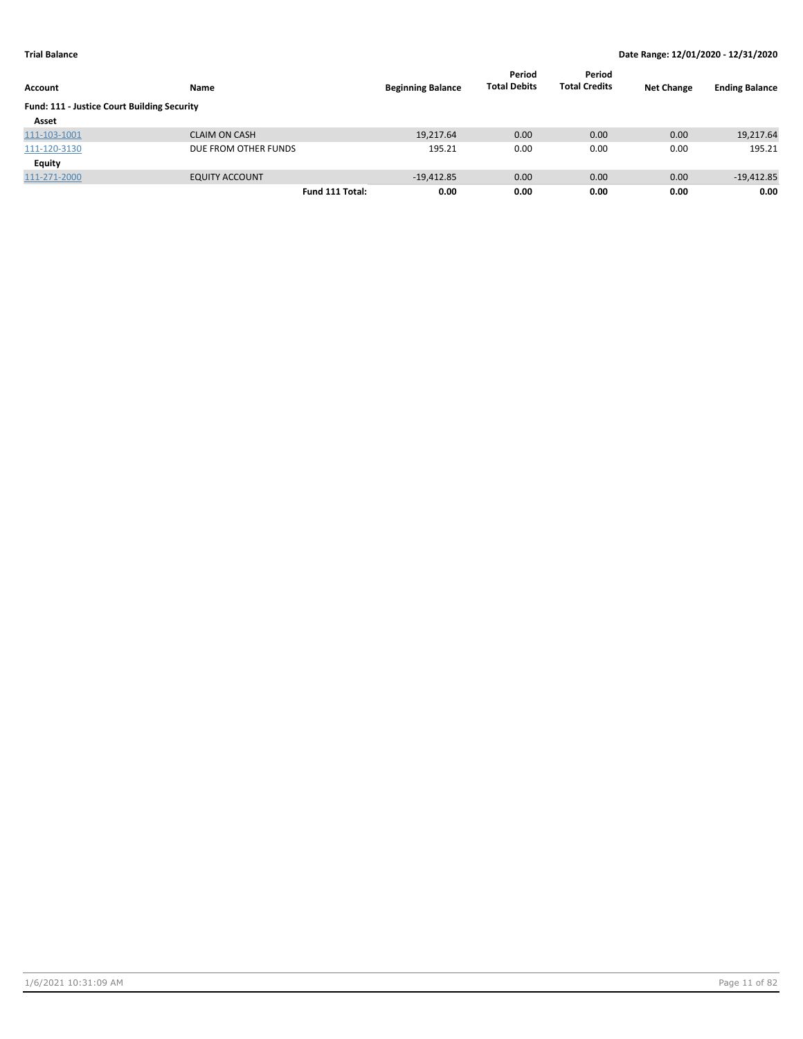| Account                                     | <b>Name</b>           | <b>Beginning Balance</b> | Period<br><b>Total Debits</b> | Period<br><b>Total Credits</b> | <b>Net Change</b> | <b>Ending Balance</b> |
|---------------------------------------------|-----------------------|--------------------------|-------------------------------|--------------------------------|-------------------|-----------------------|
| Fund: 111 - Justice Court Building Security |                       |                          |                               |                                |                   |                       |
| Asset                                       |                       |                          |                               |                                |                   |                       |
| 111-103-1001                                | <b>CLAIM ON CASH</b>  | 19,217.64                | 0.00                          | 0.00                           | 0.00              | 19,217.64             |
| 111-120-3130                                | DUE FROM OTHER FUNDS  | 195.21                   | 0.00                          | 0.00                           | 0.00              | 195.21                |
| Equity                                      |                       |                          |                               |                                |                   |                       |
| 111-271-2000                                | <b>EQUITY ACCOUNT</b> | $-19,412.85$             | 0.00                          | 0.00                           | 0.00              | $-19,412.85$          |
|                                             | Fund 111 Total:       | 0.00                     | 0.00                          | 0.00                           | 0.00              | 0.00                  |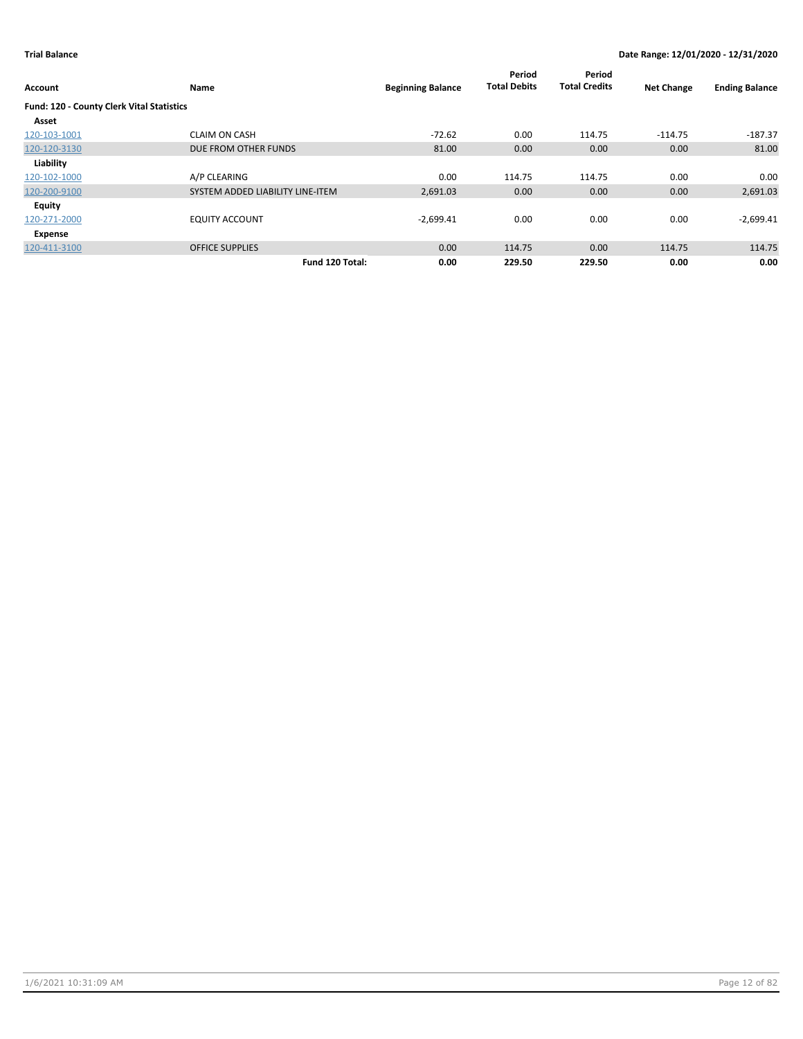| Account                                   | Name                             | <b>Beginning Balance</b> | Period<br><b>Total Debits</b> | Period<br><b>Total Credits</b> | <b>Net Change</b> | <b>Ending Balance</b> |
|-------------------------------------------|----------------------------------|--------------------------|-------------------------------|--------------------------------|-------------------|-----------------------|
| Fund: 120 - County Clerk Vital Statistics |                                  |                          |                               |                                |                   |                       |
| Asset                                     |                                  |                          |                               |                                |                   |                       |
| 120-103-1001                              | <b>CLAIM ON CASH</b>             | $-72.62$                 | 0.00                          | 114.75                         | $-114.75$         | $-187.37$             |
| 120-120-3130                              | DUE FROM OTHER FUNDS             | 81.00                    | 0.00                          | 0.00                           | 0.00              | 81.00                 |
| Liability                                 |                                  |                          |                               |                                |                   |                       |
| 120-102-1000                              | A/P CLEARING                     | 0.00                     | 114.75                        | 114.75                         | 0.00              | 0.00                  |
| 120-200-9100                              | SYSTEM ADDED LIABILITY LINE-ITEM | 2,691.03                 | 0.00                          | 0.00                           | 0.00              | 2,691.03              |
| Equity                                    |                                  |                          |                               |                                |                   |                       |
| 120-271-2000                              | <b>EQUITY ACCOUNT</b>            | $-2,699.41$              | 0.00                          | 0.00                           | 0.00              | $-2,699.41$           |
| Expense                                   |                                  |                          |                               |                                |                   |                       |
| 120-411-3100                              | <b>OFFICE SUPPLIES</b>           | 0.00                     | 114.75                        | 0.00                           | 114.75            | 114.75                |
|                                           | Fund 120 Total:                  | 0.00                     | 229.50                        | 229.50                         | 0.00              | 0.00                  |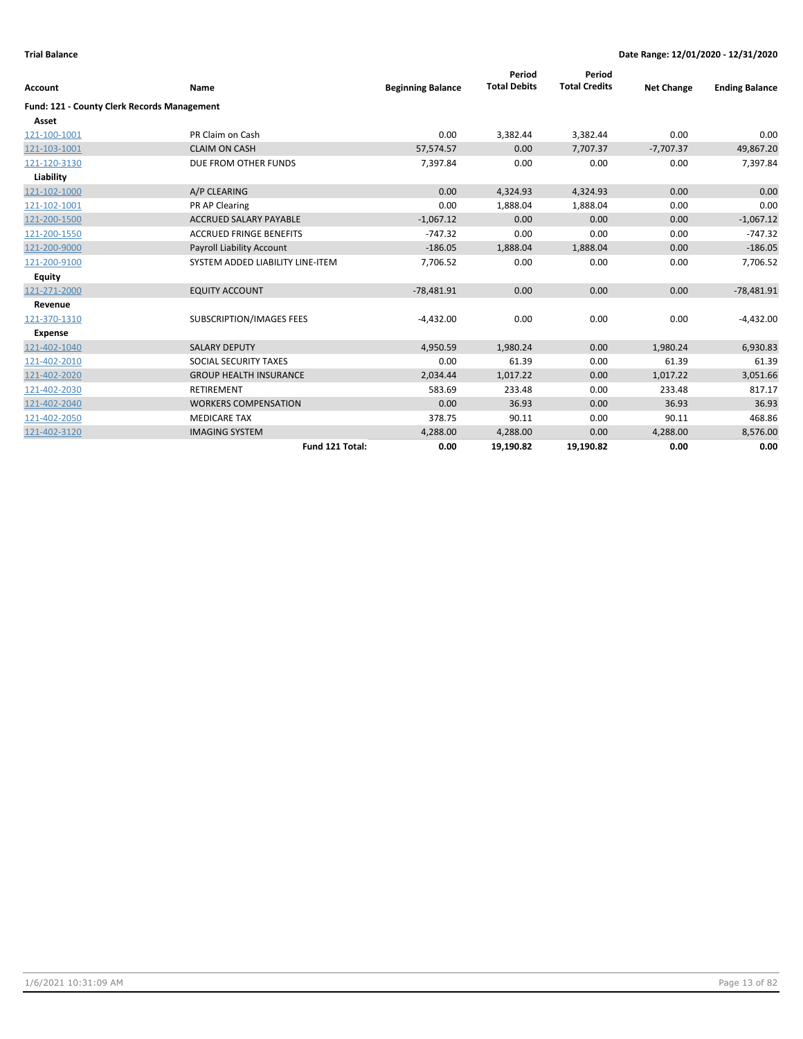|                                                    |                                  |                          | Period              | Period               |                   |                       |
|----------------------------------------------------|----------------------------------|--------------------------|---------------------|----------------------|-------------------|-----------------------|
| Account                                            | Name                             | <b>Beginning Balance</b> | <b>Total Debits</b> | <b>Total Credits</b> | <b>Net Change</b> | <b>Ending Balance</b> |
| <b>Fund: 121 - County Clerk Records Management</b> |                                  |                          |                     |                      |                   |                       |
| Asset                                              |                                  |                          |                     |                      |                   |                       |
| 121-100-1001                                       | PR Claim on Cash                 | 0.00                     | 3,382.44            | 3,382.44             | 0.00              | 0.00                  |
| 121-103-1001                                       | <b>CLAIM ON CASH</b>             | 57,574.57                | 0.00                | 7,707.37             | $-7,707.37$       | 49,867.20             |
| 121-120-3130                                       | DUE FROM OTHER FUNDS             | 7,397.84                 | 0.00                | 0.00                 | 0.00              | 7,397.84              |
| Liability                                          |                                  |                          |                     |                      |                   |                       |
| 121-102-1000                                       | A/P CLEARING                     | 0.00                     | 4,324.93            | 4,324.93             | 0.00              | 0.00                  |
| 121-102-1001                                       | PR AP Clearing                   | 0.00                     | 1,888.04            | 1,888.04             | 0.00              | 0.00                  |
| 121-200-1500                                       | <b>ACCRUED SALARY PAYABLE</b>    | $-1,067.12$              | 0.00                | 0.00                 | 0.00              | $-1,067.12$           |
| 121-200-1550                                       | <b>ACCRUED FRINGE BENEFITS</b>   | $-747.32$                | 0.00                | 0.00                 | 0.00              | $-747.32$             |
| 121-200-9000                                       | <b>Payroll Liability Account</b> | $-186.05$                | 1,888.04            | 1,888.04             | 0.00              | $-186.05$             |
| 121-200-9100                                       | SYSTEM ADDED LIABILITY LINE-ITEM | 7,706.52                 | 0.00                | 0.00                 | 0.00              | 7,706.52              |
| Equity                                             |                                  |                          |                     |                      |                   |                       |
| 121-271-2000                                       | <b>EQUITY ACCOUNT</b>            | $-78,481.91$             | 0.00                | 0.00                 | 0.00              | $-78,481.91$          |
| Revenue                                            |                                  |                          |                     |                      |                   |                       |
| 121-370-1310                                       | SUBSCRIPTION/IMAGES FEES         | $-4,432.00$              | 0.00                | 0.00                 | 0.00              | $-4,432.00$           |
| <b>Expense</b>                                     |                                  |                          |                     |                      |                   |                       |
| 121-402-1040                                       | <b>SALARY DEPUTY</b>             | 4,950.59                 | 1,980.24            | 0.00                 | 1,980.24          | 6,930.83              |
| 121-402-2010                                       | SOCIAL SECURITY TAXES            | 0.00                     | 61.39               | 0.00                 | 61.39             | 61.39                 |
| 121-402-2020                                       | <b>GROUP HEALTH INSURANCE</b>    | 2,034.44                 | 1,017.22            | 0.00                 | 1,017.22          | 3,051.66              |
| 121-402-2030                                       | <b>RETIREMENT</b>                | 583.69                   | 233.48              | 0.00                 | 233.48            | 817.17                |
| 121-402-2040                                       | <b>WORKERS COMPENSATION</b>      | 0.00                     | 36.93               | 0.00                 | 36.93             | 36.93                 |
| 121-402-2050                                       | <b>MEDICARE TAX</b>              | 378.75                   | 90.11               | 0.00                 | 90.11             | 468.86                |
| 121-402-3120                                       | <b>IMAGING SYSTEM</b>            | 4,288.00                 | 4,288.00            | 0.00                 | 4,288.00          | 8,576.00              |
|                                                    | Fund 121 Total:                  | 0.00                     | 19,190.82           | 19,190.82            | 0.00              | 0.00                  |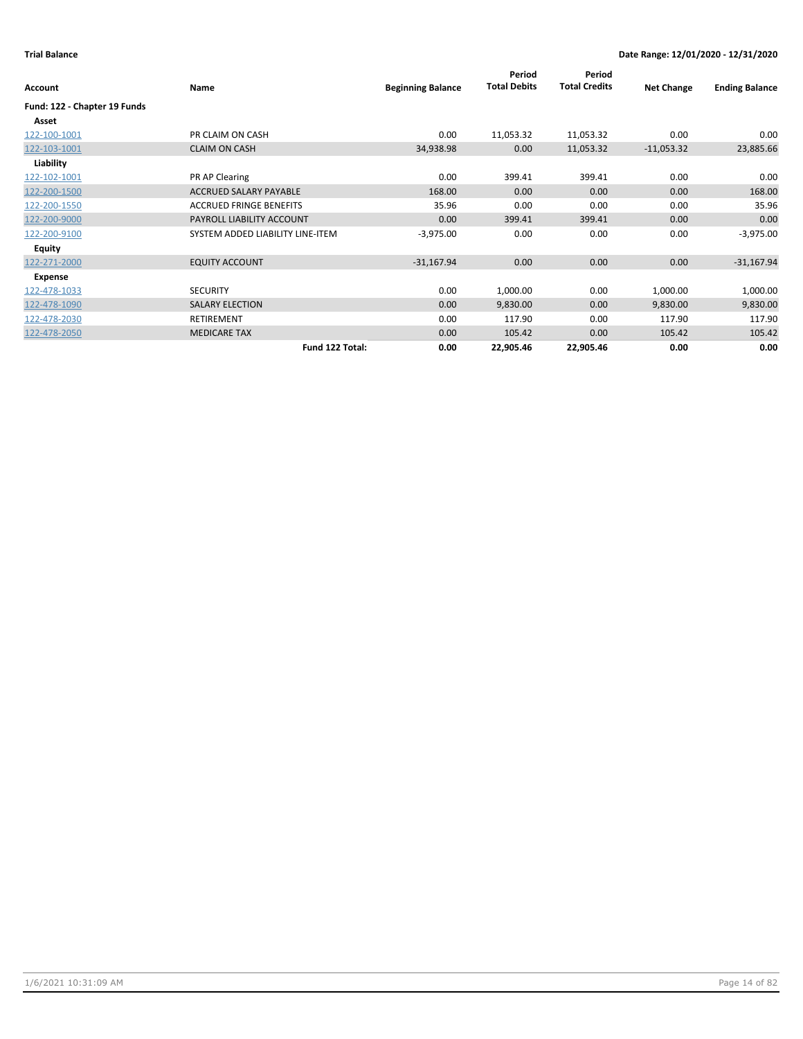|                              |                                  |                          | Period              | Period               |                   |                       |
|------------------------------|----------------------------------|--------------------------|---------------------|----------------------|-------------------|-----------------------|
| Account                      | Name                             | <b>Beginning Balance</b> | <b>Total Debits</b> | <b>Total Credits</b> | <b>Net Change</b> | <b>Ending Balance</b> |
| Fund: 122 - Chapter 19 Funds |                                  |                          |                     |                      |                   |                       |
| Asset                        |                                  |                          |                     |                      |                   |                       |
| 122-100-1001                 | PR CLAIM ON CASH                 | 0.00                     | 11,053.32           | 11,053.32            | 0.00              | 0.00                  |
| 122-103-1001                 | <b>CLAIM ON CASH</b>             | 34,938.98                | 0.00                | 11,053.32            | $-11,053.32$      | 23,885.66             |
| Liability                    |                                  |                          |                     |                      |                   |                       |
| 122-102-1001                 | PR AP Clearing                   | 0.00                     | 399.41              | 399.41               | 0.00              | 0.00                  |
| 122-200-1500                 | <b>ACCRUED SALARY PAYABLE</b>    | 168.00                   | 0.00                | 0.00                 | 0.00              | 168.00                |
| 122-200-1550                 | <b>ACCRUED FRINGE BENEFITS</b>   | 35.96                    | 0.00                | 0.00                 | 0.00              | 35.96                 |
| 122-200-9000                 | PAYROLL LIABILITY ACCOUNT        | 0.00                     | 399.41              | 399.41               | 0.00              | 0.00                  |
| 122-200-9100                 | SYSTEM ADDED LIABILITY LINE-ITEM | $-3,975.00$              | 0.00                | 0.00                 | 0.00              | $-3,975.00$           |
| <b>Equity</b>                |                                  |                          |                     |                      |                   |                       |
| 122-271-2000                 | <b>EQUITY ACCOUNT</b>            | $-31,167.94$             | 0.00                | 0.00                 | 0.00              | $-31,167.94$          |
| Expense                      |                                  |                          |                     |                      |                   |                       |
| 122-478-1033                 | <b>SECURITY</b>                  | 0.00                     | 1,000.00            | 0.00                 | 1,000.00          | 1,000.00              |
| 122-478-1090                 | <b>SALARY ELECTION</b>           | 0.00                     | 9,830.00            | 0.00                 | 9,830.00          | 9,830.00              |
| 122-478-2030                 | RETIREMENT                       | 0.00                     | 117.90              | 0.00                 | 117.90            | 117.90                |
| 122-478-2050                 | <b>MEDICARE TAX</b>              | 0.00                     | 105.42              | 0.00                 | 105.42            | 105.42                |
|                              | Fund 122 Total:                  | 0.00                     | 22,905.46           | 22,905.46            | 0.00              | 0.00                  |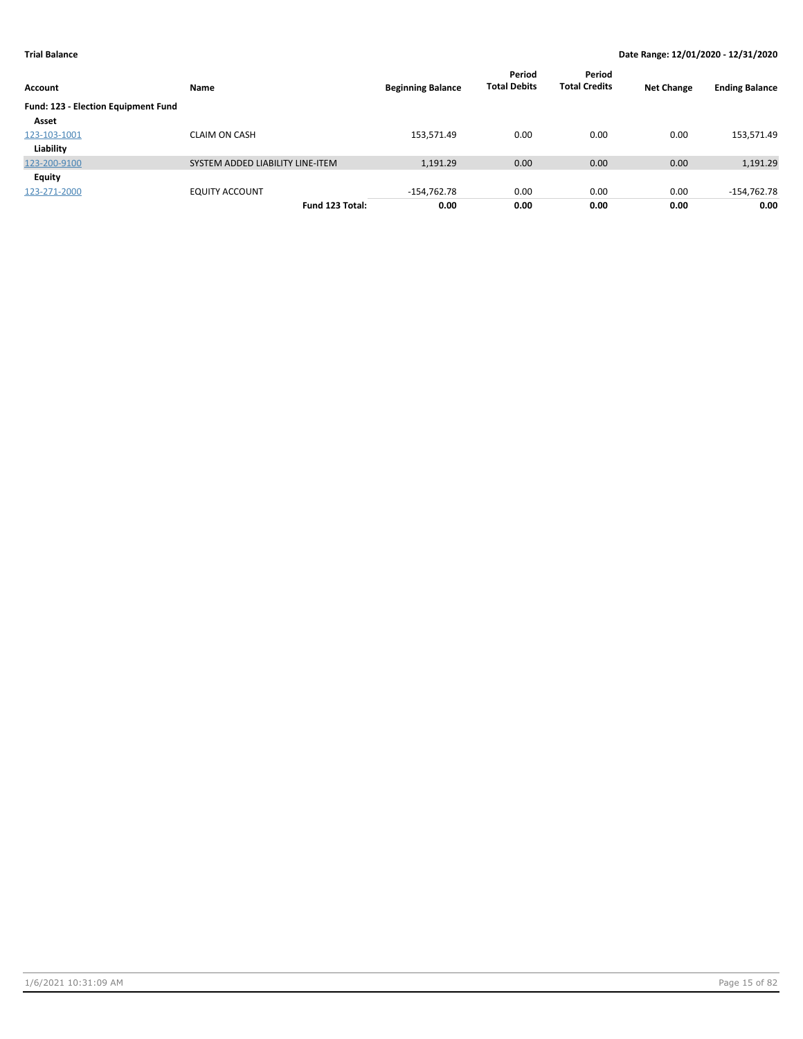| Account                             | Name                             | <b>Beginning Balance</b> | Period<br><b>Total Debits</b> | Period<br><b>Total Credits</b> | <b>Net Change</b> | <b>Ending Balance</b> |
|-------------------------------------|----------------------------------|--------------------------|-------------------------------|--------------------------------|-------------------|-----------------------|
| Fund: 123 - Election Equipment Fund |                                  |                          |                               |                                |                   |                       |
| Asset                               |                                  |                          |                               |                                |                   |                       |
| 123-103-1001                        | <b>CLAIM ON CASH</b>             | 153,571.49               | 0.00                          | 0.00                           | 0.00              | 153,571.49            |
| Liability                           |                                  |                          |                               |                                |                   |                       |
| 123-200-9100                        | SYSTEM ADDED LIABILITY LINE-ITEM | 1,191.29                 | 0.00                          | 0.00                           | 0.00              | 1,191.29              |
| Equity                              |                                  |                          |                               |                                |                   |                       |
| 123-271-2000                        | <b>EQUITY ACCOUNT</b>            | $-154,762.78$            | 0.00                          | 0.00                           | 0.00              | $-154,762.78$         |
|                                     | Fund 123 Total:                  | 0.00                     | 0.00                          | 0.00                           | 0.00              | 0.00                  |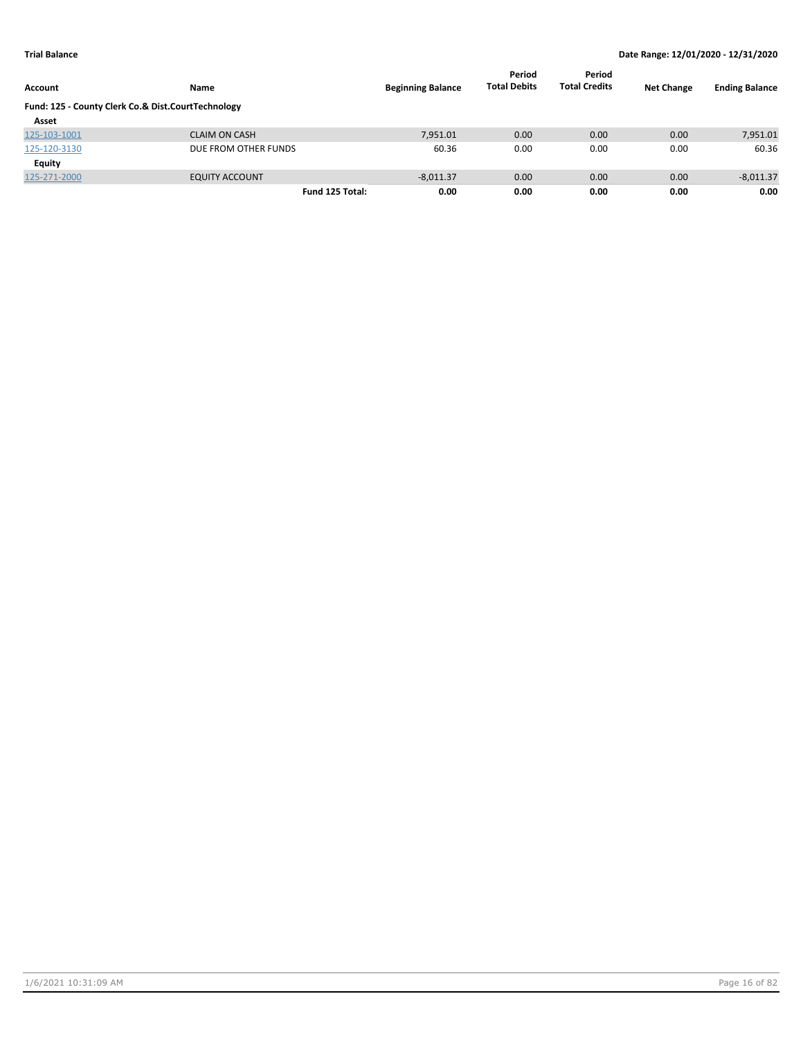| Account                                            | Name                  | <b>Beginning Balance</b> | Period<br><b>Total Debits</b> | Period<br><b>Total Credits</b> | <b>Net Change</b> | <b>Ending Balance</b> |
|----------------------------------------------------|-----------------------|--------------------------|-------------------------------|--------------------------------|-------------------|-----------------------|
| Fund: 125 - County Clerk Co.& Dist.CourtTechnology |                       |                          |                               |                                |                   |                       |
| Asset                                              |                       |                          |                               |                                |                   |                       |
| 125-103-1001                                       | <b>CLAIM ON CASH</b>  | 7,951.01                 | 0.00                          | 0.00                           | 0.00              | 7,951.01              |
| 125-120-3130                                       | DUE FROM OTHER FUNDS  | 60.36                    | 0.00                          | 0.00                           | 0.00              | 60.36                 |
| Equity                                             |                       |                          |                               |                                |                   |                       |
| 125-271-2000                                       | <b>EQUITY ACCOUNT</b> | $-8,011.37$              | 0.00                          | 0.00                           | 0.00              | $-8,011.37$           |
|                                                    | Fund 125 Total:       | 0.00                     | 0.00                          | 0.00                           | 0.00              | 0.00                  |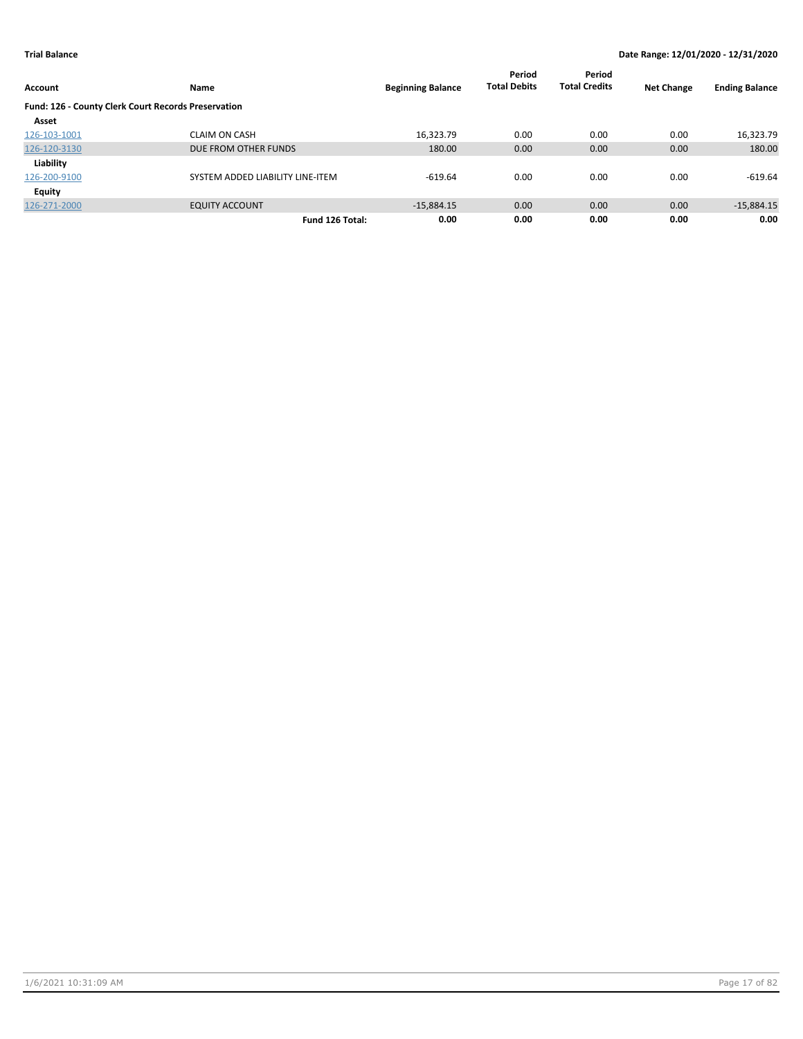| <b>Account</b>                                      | Name                             | <b>Beginning Balance</b> | Period<br><b>Total Debits</b> | Period<br><b>Total Credits</b> | <b>Net Change</b> | <b>Ending Balance</b> |
|-----------------------------------------------------|----------------------------------|--------------------------|-------------------------------|--------------------------------|-------------------|-----------------------|
| Fund: 126 - County Clerk Court Records Preservation |                                  |                          |                               |                                |                   |                       |
| Asset                                               |                                  |                          |                               |                                |                   |                       |
| 126-103-1001                                        | <b>CLAIM ON CASH</b>             | 16.323.79                | 0.00                          | 0.00                           | 0.00              | 16,323.79             |
| 126-120-3130                                        | DUE FROM OTHER FUNDS             | 180.00                   | 0.00                          | 0.00                           | 0.00              | 180.00                |
| Liability                                           |                                  |                          |                               |                                |                   |                       |
| 126-200-9100                                        | SYSTEM ADDED LIABILITY LINE-ITEM | $-619.64$                | 0.00                          | 0.00                           | 0.00              | $-619.64$             |
| Equity                                              |                                  |                          |                               |                                |                   |                       |
| 126-271-2000                                        | <b>EQUITY ACCOUNT</b>            | $-15.884.15$             | 0.00                          | 0.00                           | 0.00              | $-15,884.15$          |
|                                                     | Fund 126 Total:                  | 0.00                     | 0.00                          | 0.00                           | 0.00              | 0.00                  |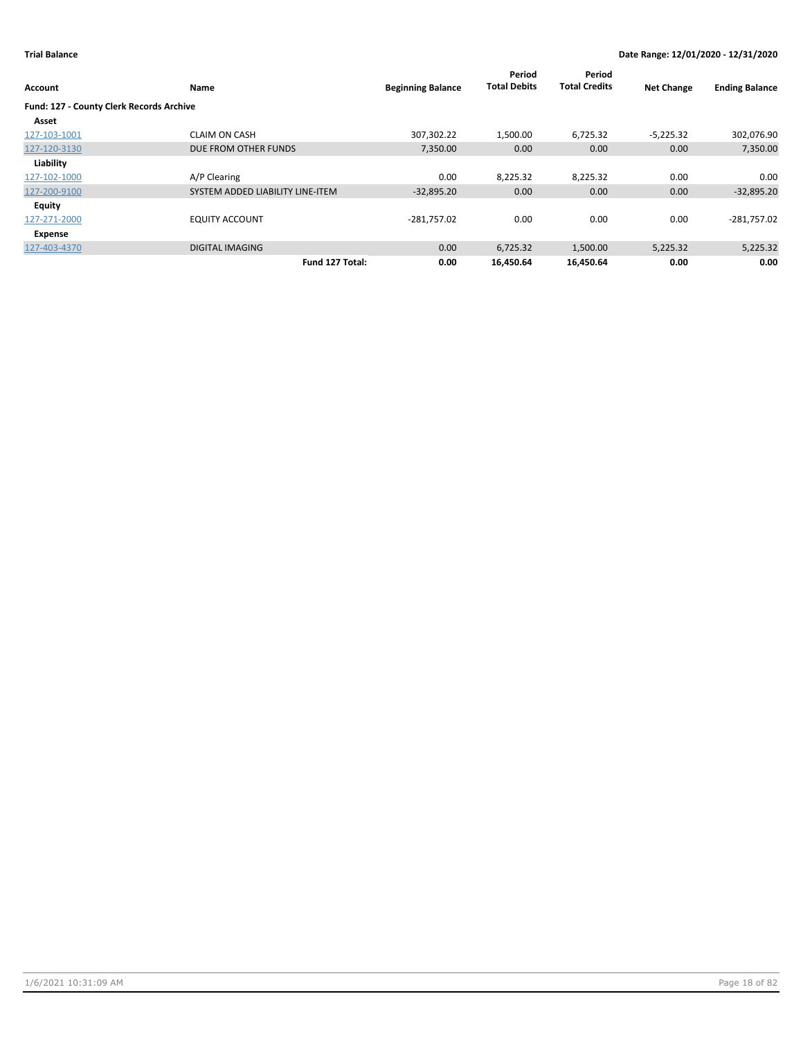| Account                                  | Name                             | <b>Beginning Balance</b> | Period<br><b>Total Debits</b> | Period<br><b>Total Credits</b> | <b>Net Change</b> | <b>Ending Balance</b> |
|------------------------------------------|----------------------------------|--------------------------|-------------------------------|--------------------------------|-------------------|-----------------------|
| Fund: 127 - County Clerk Records Archive |                                  |                          |                               |                                |                   |                       |
| Asset                                    |                                  |                          |                               |                                |                   |                       |
| 127-103-1001                             | <b>CLAIM ON CASH</b>             | 307,302.22               | 1,500.00                      | 6,725.32                       | $-5,225.32$       | 302,076.90            |
| 127-120-3130                             | DUE FROM OTHER FUNDS             | 7,350.00                 | 0.00                          | 0.00                           | 0.00              | 7,350.00              |
| Liability                                |                                  |                          |                               |                                |                   |                       |
| 127-102-1000                             | A/P Clearing                     | 0.00                     | 8,225.32                      | 8,225.32                       | 0.00              | 0.00                  |
| 127-200-9100                             | SYSTEM ADDED LIABILITY LINE-ITEM | $-32,895.20$             | 0.00                          | 0.00                           | 0.00              | $-32,895.20$          |
| <b>Equity</b>                            |                                  |                          |                               |                                |                   |                       |
| 127-271-2000                             | <b>EQUITY ACCOUNT</b>            | $-281,757.02$            | 0.00                          | 0.00                           | 0.00              | $-281,757.02$         |
| Expense                                  |                                  |                          |                               |                                |                   |                       |
| 127-403-4370                             | <b>DIGITAL IMAGING</b>           | 0.00                     | 6,725.32                      | 1,500.00                       | 5,225.32          | 5,225.32              |
|                                          | Fund 127 Total:                  | 0.00                     | 16,450.64                     | 16,450.64                      | 0.00              | 0.00                  |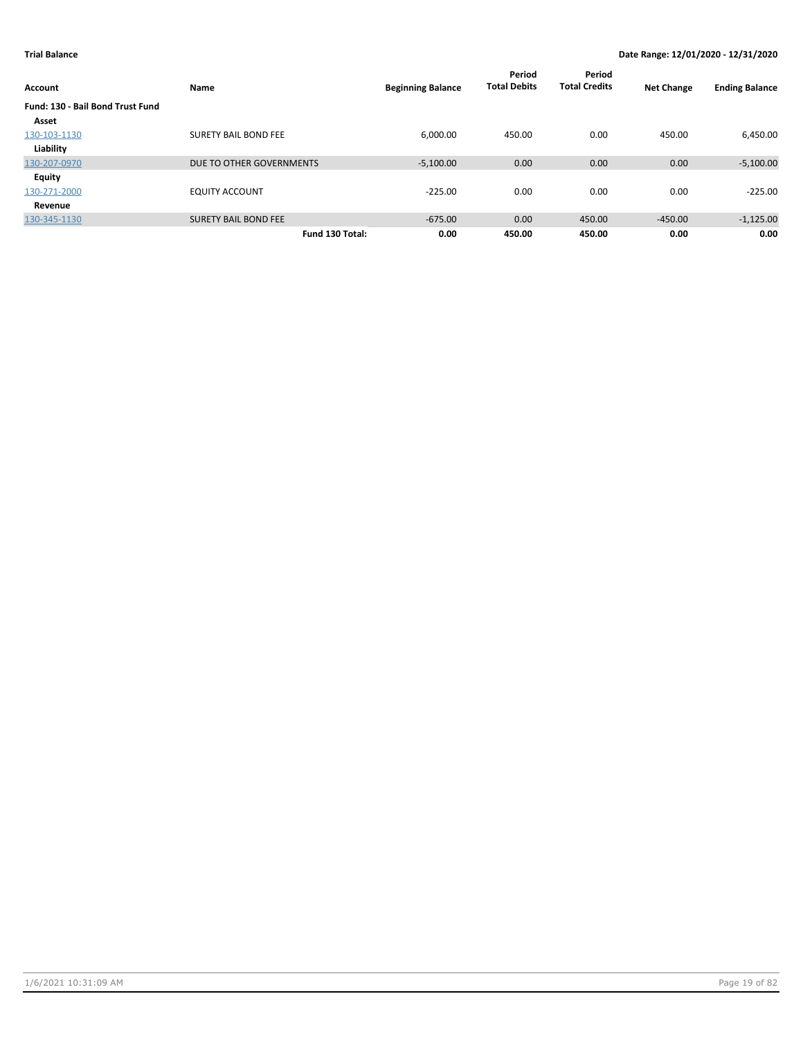| <b>Account</b>                   | Name                        | <b>Beginning Balance</b> | Period<br><b>Total Debits</b> | Period<br><b>Total Credits</b> | <b>Net Change</b> | <b>Ending Balance</b> |
|----------------------------------|-----------------------------|--------------------------|-------------------------------|--------------------------------|-------------------|-----------------------|
| Fund: 130 - Bail Bond Trust Fund |                             |                          |                               |                                |                   |                       |
| Asset                            |                             |                          |                               |                                |                   |                       |
| 130-103-1130                     | <b>SURETY BAIL BOND FEE</b> | 6.000.00                 | 450.00                        | 0.00                           | 450.00            | 6,450.00              |
| Liability                        |                             |                          |                               |                                |                   |                       |
| 130-207-0970                     | DUE TO OTHER GOVERNMENTS    | $-5,100.00$              | 0.00                          | 0.00                           | 0.00              | $-5,100.00$           |
| Equity                           |                             |                          |                               |                                |                   |                       |
| 130-271-2000                     | <b>EQUITY ACCOUNT</b>       | $-225.00$                | 0.00                          | 0.00                           | 0.00              | $-225.00$             |
| Revenue                          |                             |                          |                               |                                |                   |                       |
| 130-345-1130                     | <b>SURETY BAIL BOND FEE</b> | $-675.00$                | 0.00                          | 450.00                         | $-450.00$         | $-1,125.00$           |
|                                  | Fund 130 Total:             | 0.00                     | 450.00                        | 450.00                         | 0.00              | 0.00                  |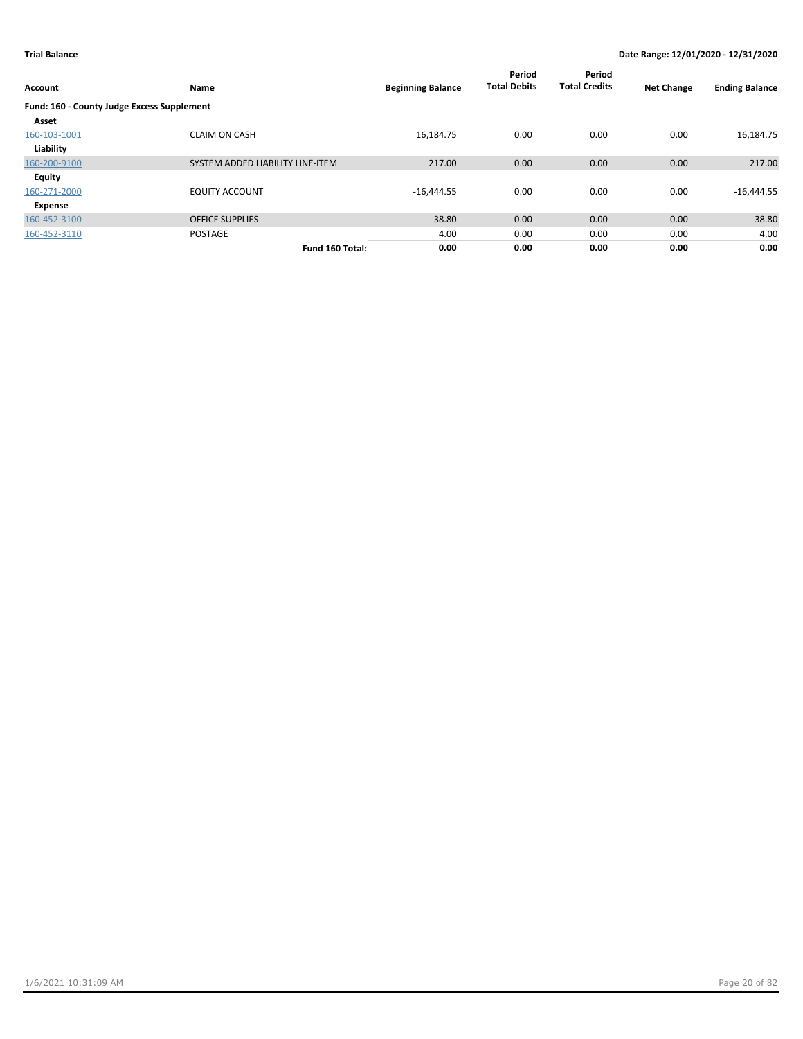| <b>Account</b>                             | Name                             | <b>Beginning Balance</b> | Period<br><b>Total Debits</b> | Period<br><b>Total Credits</b> | <b>Net Change</b> | <b>Ending Balance</b> |
|--------------------------------------------|----------------------------------|--------------------------|-------------------------------|--------------------------------|-------------------|-----------------------|
| Fund: 160 - County Judge Excess Supplement |                                  |                          |                               |                                |                   |                       |
| Asset                                      |                                  |                          |                               |                                |                   |                       |
| 160-103-1001                               | <b>CLAIM ON CASH</b>             | 16,184.75                | 0.00                          | 0.00                           | 0.00              | 16,184.75             |
| Liability                                  |                                  |                          |                               |                                |                   |                       |
| 160-200-9100                               | SYSTEM ADDED LIABILITY LINE-ITEM | 217.00                   | 0.00                          | 0.00                           | 0.00              | 217.00                |
| <b>Equity</b>                              |                                  |                          |                               |                                |                   |                       |
| 160-271-2000                               | <b>EQUITY ACCOUNT</b>            | $-16,444.55$             | 0.00                          | 0.00                           | 0.00              | $-16,444.55$          |
| Expense                                    |                                  |                          |                               |                                |                   |                       |
| 160-452-3100                               | <b>OFFICE SUPPLIES</b>           | 38.80                    | 0.00                          | 0.00                           | 0.00              | 38.80                 |
| 160-452-3110                               | <b>POSTAGE</b>                   | 4.00                     | 0.00                          | 0.00                           | 0.00              | 4.00                  |
|                                            | Fund 160 Total:                  | 0.00                     | 0.00                          | 0.00                           | 0.00              | 0.00                  |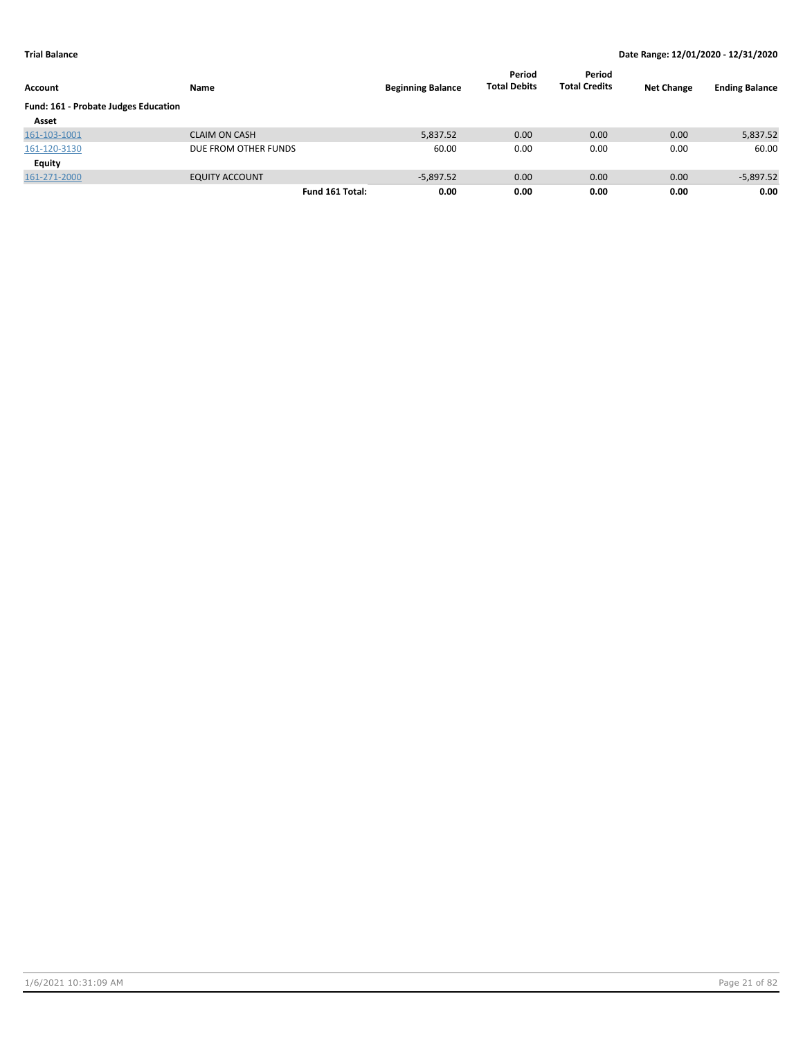| Account                              | Name                  | <b>Beginning Balance</b> | Period<br><b>Total Debits</b> | Period<br><b>Total Credits</b> | <b>Net Change</b> | <b>Ending Balance</b> |
|--------------------------------------|-----------------------|--------------------------|-------------------------------|--------------------------------|-------------------|-----------------------|
| Fund: 161 - Probate Judges Education |                       |                          |                               |                                |                   |                       |
| Asset                                |                       |                          |                               |                                |                   |                       |
| 161-103-1001                         | <b>CLAIM ON CASH</b>  | 5,837.52                 | 0.00                          | 0.00                           | 0.00              | 5,837.52              |
| 161-120-3130                         | DUE FROM OTHER FUNDS  | 60.00                    | 0.00                          | 0.00                           | 0.00              | 60.00                 |
| Equity                               |                       |                          |                               |                                |                   |                       |
| 161-271-2000                         | <b>EQUITY ACCOUNT</b> | $-5,897.52$              | 0.00                          | 0.00                           | 0.00              | $-5,897.52$           |
|                                      | Fund 161 Total:       | 0.00                     | 0.00                          | 0.00                           | 0.00              | 0.00                  |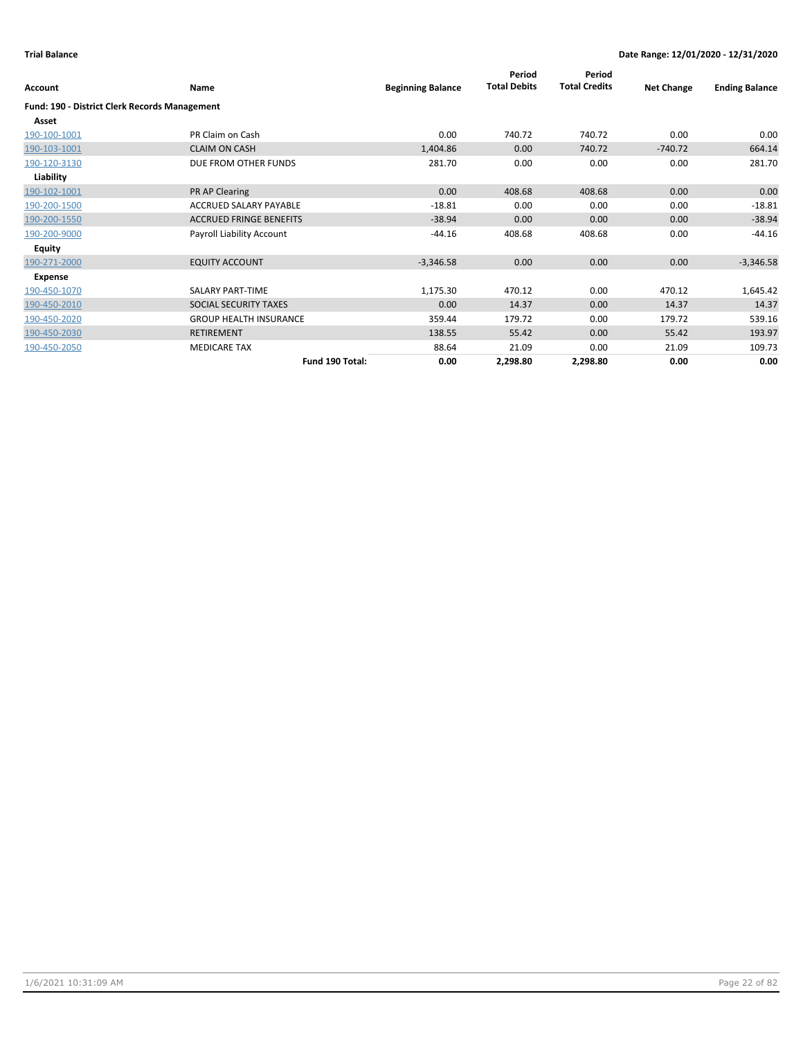|                                               |                                |                          | Period              | Period               |                   |                       |
|-----------------------------------------------|--------------------------------|--------------------------|---------------------|----------------------|-------------------|-----------------------|
| Account                                       | Name                           | <b>Beginning Balance</b> | <b>Total Debits</b> | <b>Total Credits</b> | <b>Net Change</b> | <b>Ending Balance</b> |
| Fund: 190 - District Clerk Records Management |                                |                          |                     |                      |                   |                       |
| Asset                                         |                                |                          |                     |                      |                   |                       |
| 190-100-1001                                  | PR Claim on Cash               | 0.00                     | 740.72              | 740.72               | 0.00              | 0.00                  |
| 190-103-1001                                  | <b>CLAIM ON CASH</b>           | 1,404.86                 | 0.00                | 740.72               | $-740.72$         | 664.14                |
| 190-120-3130                                  | DUE FROM OTHER FUNDS           | 281.70                   | 0.00                | 0.00                 | 0.00              | 281.70                |
| Liability                                     |                                |                          |                     |                      |                   |                       |
| 190-102-1001                                  | PR AP Clearing                 | 0.00                     | 408.68              | 408.68               | 0.00              | 0.00                  |
| 190-200-1500                                  | ACCRUED SALARY PAYABLE         | $-18.81$                 | 0.00                | 0.00                 | 0.00              | $-18.81$              |
| 190-200-1550                                  | <b>ACCRUED FRINGE BENEFITS</b> | $-38.94$                 | 0.00                | 0.00                 | 0.00              | $-38.94$              |
| 190-200-9000                                  | Payroll Liability Account      | $-44.16$                 | 408.68              | 408.68               | 0.00              | $-44.16$              |
| <b>Equity</b>                                 |                                |                          |                     |                      |                   |                       |
| 190-271-2000                                  | <b>EQUITY ACCOUNT</b>          | $-3,346.58$              | 0.00 <sub>1</sub>   | 0.00                 | 0.00              | $-3,346.58$           |
| Expense                                       |                                |                          |                     |                      |                   |                       |
| 190-450-1070                                  | SALARY PART-TIME               | 1,175.30                 | 470.12              | 0.00                 | 470.12            | 1,645.42              |
| 190-450-2010                                  | SOCIAL SECURITY TAXES          | 0.00                     | 14.37               | 0.00                 | 14.37             | 14.37                 |
| 190-450-2020                                  | <b>GROUP HEALTH INSURANCE</b>  | 359.44                   | 179.72              | 0.00                 | 179.72            | 539.16                |
| 190-450-2030                                  | <b>RETIREMENT</b>              | 138.55                   | 55.42               | 0.00                 | 55.42             | 193.97                |
| 190-450-2050                                  | <b>MEDICARE TAX</b>            | 88.64                    | 21.09               | 0.00                 | 21.09             | 109.73                |
|                                               | Fund 190 Total:                | 0.00                     | 2,298.80            | 2,298.80             | 0.00              | 0.00                  |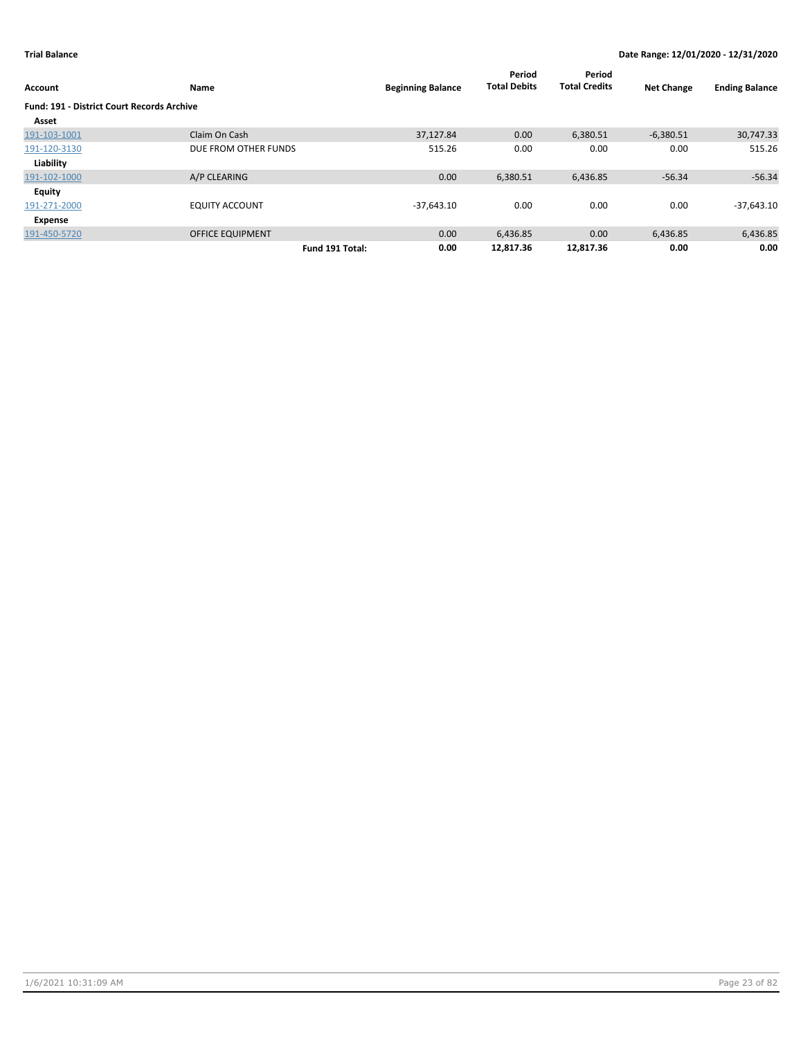| Account                                    | Name                    |                 | <b>Beginning Balance</b> | Period<br><b>Total Debits</b> | Period<br><b>Total Credits</b> | <b>Net Change</b> | <b>Ending Balance</b> |
|--------------------------------------------|-------------------------|-----------------|--------------------------|-------------------------------|--------------------------------|-------------------|-----------------------|
| Fund: 191 - District Court Records Archive |                         |                 |                          |                               |                                |                   |                       |
| Asset                                      |                         |                 |                          |                               |                                |                   |                       |
| 191-103-1001                               | Claim On Cash           |                 | 37,127.84                | 0.00                          | 6,380.51                       | $-6,380.51$       | 30,747.33             |
| 191-120-3130                               | DUE FROM OTHER FUNDS    |                 | 515.26                   | 0.00                          | 0.00                           | 0.00              | 515.26                |
| Liability                                  |                         |                 |                          |                               |                                |                   |                       |
| 191-102-1000                               | A/P CLEARING            |                 | 0.00                     | 6,380.51                      | 6,436.85                       | $-56.34$          | $-56.34$              |
| <b>Equity</b>                              |                         |                 |                          |                               |                                |                   |                       |
| 191-271-2000                               | <b>EQUITY ACCOUNT</b>   |                 | $-37,643.10$             | 0.00                          | 0.00                           | 0.00              | $-37,643.10$          |
| Expense                                    |                         |                 |                          |                               |                                |                   |                       |
| 191-450-5720                               | <b>OFFICE EQUIPMENT</b> |                 | 0.00                     | 6,436.85                      | 0.00                           | 6,436.85          | 6,436.85              |
|                                            |                         | Fund 191 Total: | 0.00                     | 12.817.36                     | 12,817.36                      | 0.00              | 0.00                  |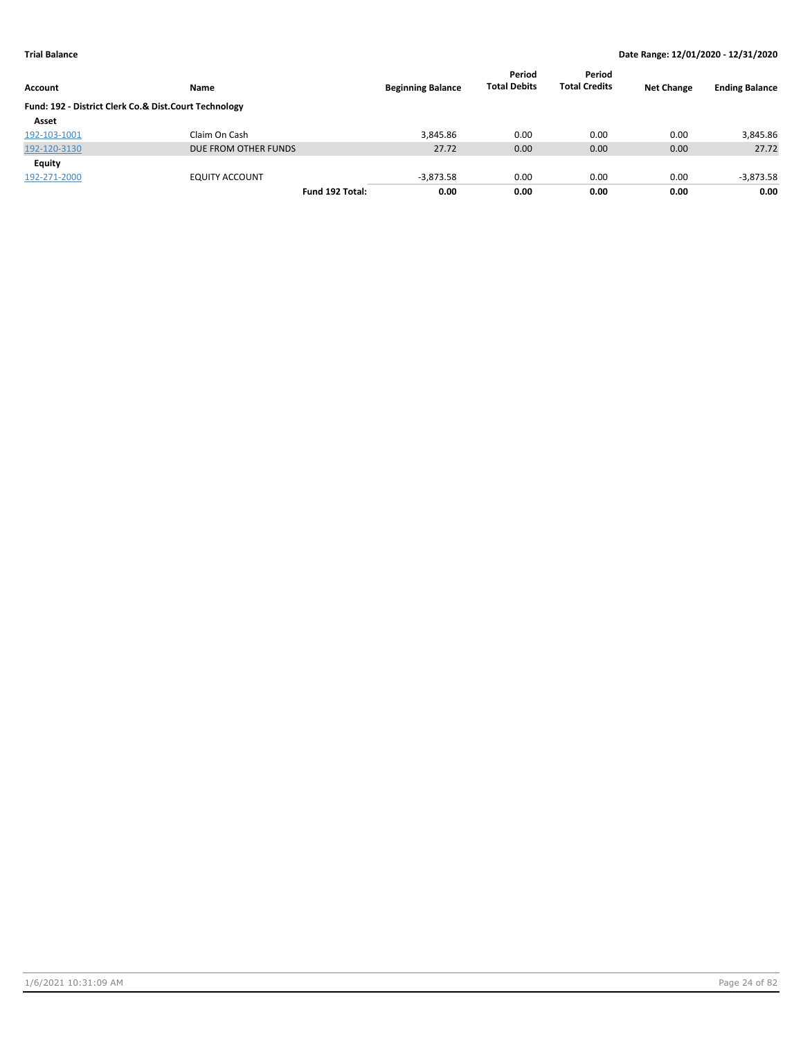|                                                       |                       |                          | Period<br><b>Total Debits</b> | Period<br><b>Total Credits</b> | <b>Net Change</b> |                       |
|-------------------------------------------------------|-----------------------|--------------------------|-------------------------------|--------------------------------|-------------------|-----------------------|
| Account                                               | Name                  | <b>Beginning Balance</b> |                               |                                |                   | <b>Ending Balance</b> |
| Fund: 192 - District Clerk Co.& Dist.Court Technology |                       |                          |                               |                                |                   |                       |
| Asset                                                 |                       |                          |                               |                                |                   |                       |
| 192-103-1001                                          | Claim On Cash         | 3.845.86                 | 0.00                          | 0.00                           | 0.00              | 3,845.86              |
| 192-120-3130                                          | DUE FROM OTHER FUNDS  | 27.72                    | 0.00                          | 0.00                           | 0.00              | 27.72                 |
| Equity                                                |                       |                          |                               |                                |                   |                       |
| 192-271-2000                                          | <b>EQUITY ACCOUNT</b> | $-3,873.58$              | 0.00                          | 0.00                           | 0.00              | $-3,873.58$           |
|                                                       | Fund 192 Total:       | 0.00                     | 0.00                          | 0.00                           | 0.00              | 0.00                  |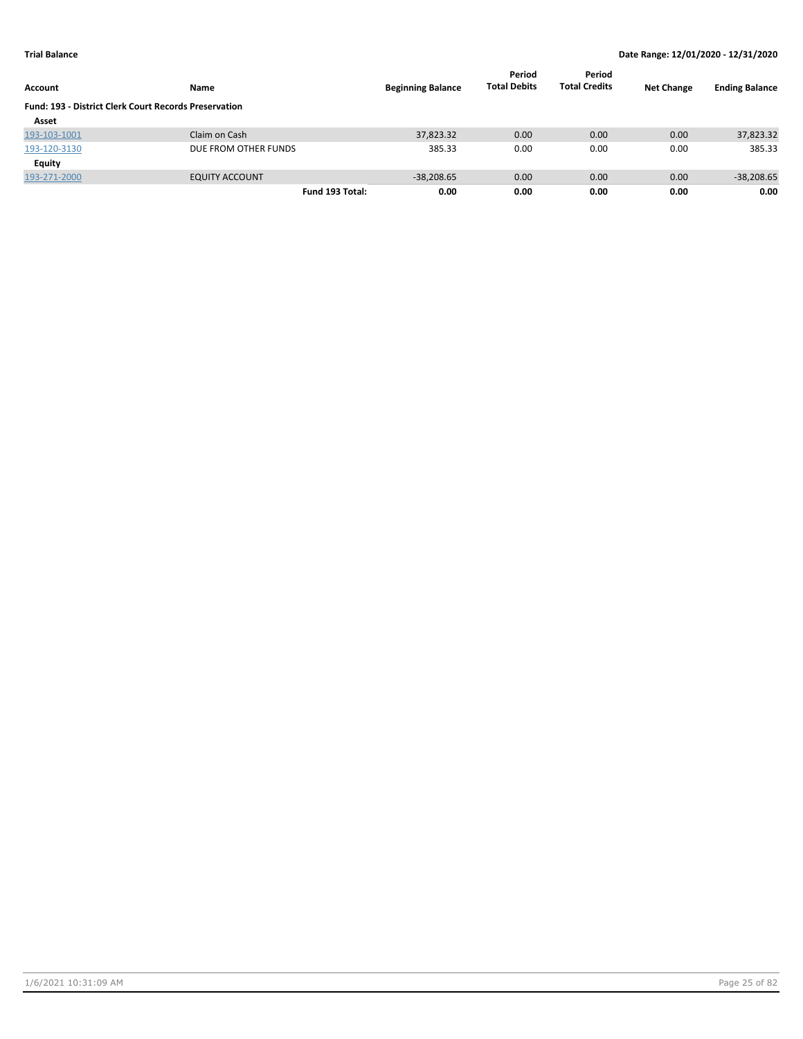| Account                                                      | Name                  | <b>Beginning Balance</b> | Period<br><b>Total Debits</b> | Period<br><b>Total Credits</b> | <b>Net Change</b> | <b>Ending Balance</b> |
|--------------------------------------------------------------|-----------------------|--------------------------|-------------------------------|--------------------------------|-------------------|-----------------------|
| <b>Fund: 193 - District Clerk Court Records Preservation</b> |                       |                          |                               |                                |                   |                       |
| Asset                                                        |                       |                          |                               |                                |                   |                       |
| 193-103-1001                                                 | Claim on Cash         | 37,823.32                | 0.00                          | 0.00                           | 0.00              | 37,823.32             |
| 193-120-3130                                                 | DUE FROM OTHER FUNDS  | 385.33                   | 0.00                          | 0.00                           | 0.00              | 385.33                |
| Equity                                                       |                       |                          |                               |                                |                   |                       |
| 193-271-2000                                                 | <b>EQUITY ACCOUNT</b> | $-38,208.65$             | 0.00                          | 0.00                           | 0.00              | $-38,208.65$          |
|                                                              | Fund 193 Total:       | 0.00                     | 0.00                          | 0.00                           | 0.00              | 0.00                  |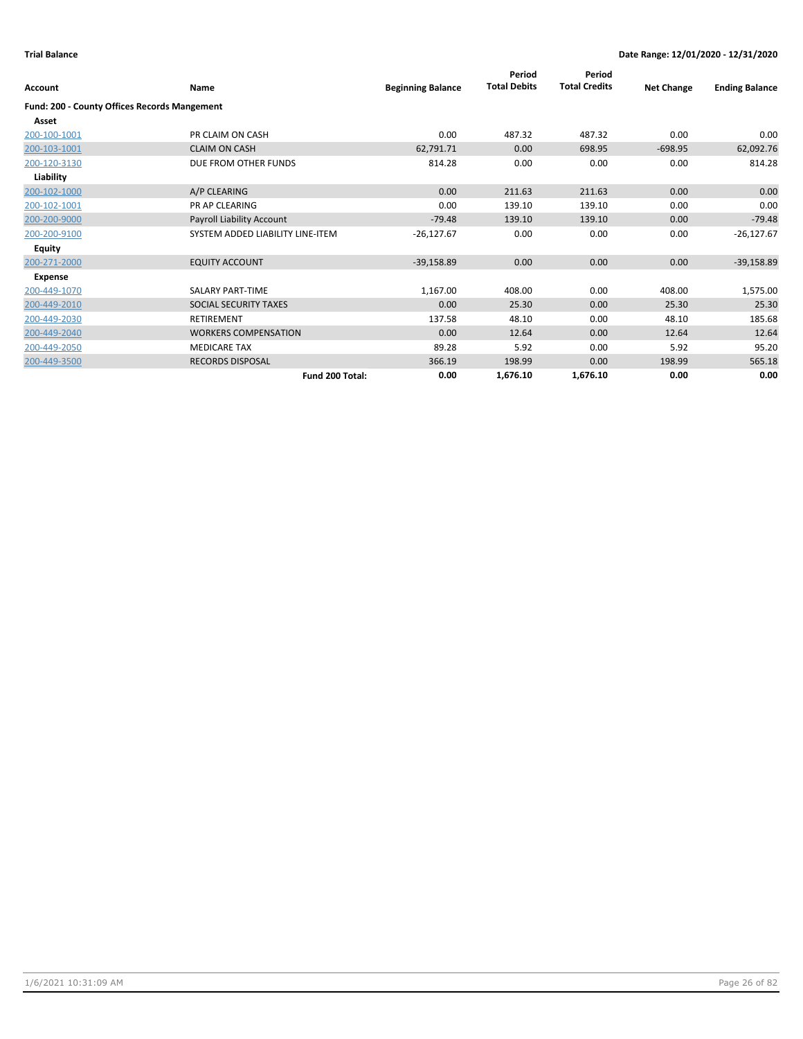| Account                                             | <b>Name</b>                      | <b>Beginning Balance</b> | Period<br><b>Total Debits</b> | Period<br><b>Total Credits</b> | <b>Net Change</b> | <b>Ending Balance</b> |
|-----------------------------------------------------|----------------------------------|--------------------------|-------------------------------|--------------------------------|-------------------|-----------------------|
| <b>Fund: 200 - County Offices Records Mangement</b> |                                  |                          |                               |                                |                   |                       |
| Asset                                               |                                  |                          |                               |                                |                   |                       |
| 200-100-1001                                        | PR CLAIM ON CASH                 | 0.00                     | 487.32                        | 487.32                         | 0.00              | 0.00                  |
| 200-103-1001                                        | <b>CLAIM ON CASH</b>             | 62,791.71                | 0.00                          | 698.95                         | $-698.95$         | 62,092.76             |
| 200-120-3130                                        | DUE FROM OTHER FUNDS             | 814.28                   | 0.00                          | 0.00                           | 0.00              | 814.28                |
| Liability                                           |                                  |                          |                               |                                |                   |                       |
| 200-102-1000                                        | A/P CLEARING                     | 0.00                     | 211.63                        | 211.63                         | 0.00              | 0.00                  |
| 200-102-1001                                        | <b>PR AP CLEARING</b>            | 0.00                     | 139.10                        | 139.10                         | 0.00              | 0.00                  |
| 200-200-9000                                        | Payroll Liability Account        | $-79.48$                 | 139.10                        | 139.10                         | 0.00              | $-79.48$              |
| 200-200-9100                                        | SYSTEM ADDED LIABILITY LINE-ITEM | $-26,127.67$             | 0.00                          | 0.00                           | 0.00              | $-26,127.67$          |
| Equity                                              |                                  |                          |                               |                                |                   |                       |
| 200-271-2000                                        | <b>EQUITY ACCOUNT</b>            | $-39,158.89$             | 0.00                          | 0.00                           | 0.00              | $-39,158.89$          |
| Expense                                             |                                  |                          |                               |                                |                   |                       |
| 200-449-1070                                        | <b>SALARY PART-TIME</b>          | 1,167.00                 | 408.00                        | 0.00                           | 408.00            | 1,575.00              |
| 200-449-2010                                        | SOCIAL SECURITY TAXES            | 0.00                     | 25.30                         | 0.00                           | 25.30             | 25.30                 |
| 200-449-2030                                        | <b>RETIREMENT</b>                | 137.58                   | 48.10                         | 0.00                           | 48.10             | 185.68                |
| 200-449-2040                                        | <b>WORKERS COMPENSATION</b>      | 0.00                     | 12.64                         | 0.00                           | 12.64             | 12.64                 |
| 200-449-2050                                        | <b>MEDICARE TAX</b>              | 89.28                    | 5.92                          | 0.00                           | 5.92              | 95.20                 |
| 200-449-3500                                        | <b>RECORDS DISPOSAL</b>          | 366.19                   | 198.99                        | 0.00                           | 198.99            | 565.18                |
|                                                     | Fund 200 Total:                  | 0.00                     | 1,676.10                      | 1,676.10                       | 0.00              | 0.00                  |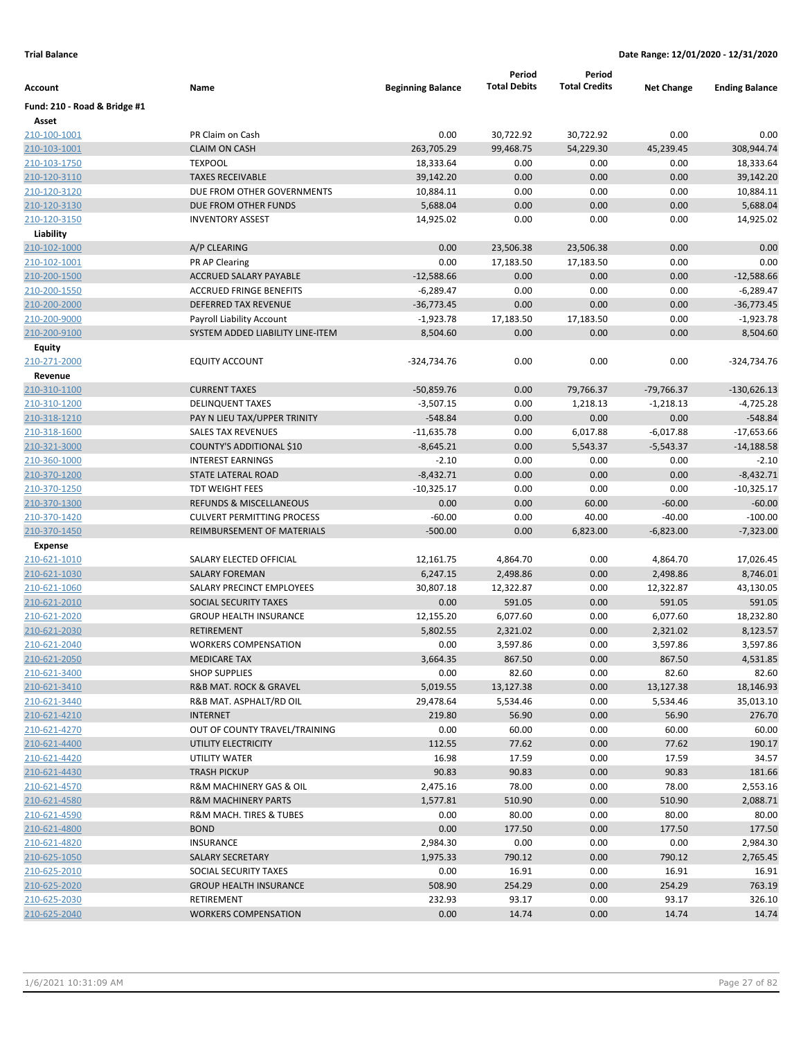|                              |                                                           |                          | Period              | Period               |                    |                       |
|------------------------------|-----------------------------------------------------------|--------------------------|---------------------|----------------------|--------------------|-----------------------|
| Account                      | Name                                                      | <b>Beginning Balance</b> | <b>Total Debits</b> | <b>Total Credits</b> | <b>Net Change</b>  | <b>Ending Balance</b> |
| Fund: 210 - Road & Bridge #1 |                                                           |                          |                     |                      |                    |                       |
| Asset                        |                                                           |                          |                     |                      |                    |                       |
| 210-100-1001                 | PR Claim on Cash                                          | 0.00                     | 30,722.92           | 30,722.92            | 0.00               | 0.00                  |
| 210-103-1001                 | <b>CLAIM ON CASH</b>                                      | 263,705.29               | 99,468.75           | 54,229.30            | 45,239.45          | 308,944.74            |
| 210-103-1750                 | <b>TEXPOOL</b>                                            | 18,333.64                | 0.00                | 0.00                 | 0.00               | 18,333.64             |
| 210-120-3110                 | <b>TAXES RECEIVABLE</b>                                   | 39,142.20                | 0.00                | 0.00                 | 0.00               | 39,142.20             |
| 210-120-3120                 | DUE FROM OTHER GOVERNMENTS                                | 10,884.11                | 0.00                | 0.00                 | 0.00               | 10,884.11             |
| 210-120-3130                 | DUE FROM OTHER FUNDS                                      | 5,688.04                 | 0.00                | 0.00                 | 0.00               | 5,688.04              |
| 210-120-3150                 | <b>INVENTORY ASSEST</b>                                   | 14,925.02                | 0.00                | 0.00                 | 0.00               | 14,925.02             |
| Liability                    |                                                           |                          |                     |                      |                    |                       |
| 210-102-1000                 | A/P CLEARING                                              | 0.00                     | 23,506.38           | 23,506.38            | 0.00               | 0.00                  |
| 210-102-1001                 | PR AP Clearing                                            | 0.00                     | 17,183.50           | 17,183.50            | 0.00               | 0.00                  |
| 210-200-1500                 | <b>ACCRUED SALARY PAYABLE</b>                             | $-12,588.66$             | 0.00                | 0.00                 | 0.00               | $-12,588.66$          |
| 210-200-1550                 | <b>ACCRUED FRINGE BENEFITS</b>                            | $-6,289.47$              | 0.00                | 0.00                 | 0.00               | $-6,289.47$           |
| 210-200-2000                 | DEFERRED TAX REVENUE                                      | $-36,773.45$             | 0.00                | 0.00                 | 0.00               | $-36,773.45$          |
| 210-200-9000                 | Payroll Liability Account                                 | $-1,923.78$              | 17,183.50           | 17,183.50            | 0.00               | $-1,923.78$           |
| 210-200-9100                 | SYSTEM ADDED LIABILITY LINE-ITEM                          | 8,504.60                 | 0.00                | 0.00                 | 0.00               | 8,504.60              |
| Equity                       |                                                           |                          |                     |                      |                    |                       |
| 210-271-2000                 | <b>EQUITY ACCOUNT</b>                                     | $-324,734.76$            | 0.00                | 0.00                 | 0.00               | -324,734.76           |
| Revenue                      |                                                           |                          |                     |                      |                    |                       |
| 210-310-1100                 | <b>CURRENT TAXES</b>                                      | $-50,859.76$             | 0.00                | 79,766.37            | $-79,766.37$       | $-130,626.13$         |
| 210-310-1200                 | <b>DELINQUENT TAXES</b>                                   | $-3,507.15$              | 0.00                | 1,218.13             | $-1,218.13$        | -4,725.28             |
| 210-318-1210                 | PAY N LIEU TAX/UPPER TRINITY                              | $-548.84$                | 0.00                | 0.00                 | 0.00               | $-548.84$             |
| 210-318-1600                 | <b>SALES TAX REVENUES</b>                                 | $-11,635.78$             | 0.00                | 6,017.88             | $-6,017.88$        | $-17,653.66$          |
| 210-321-3000                 | COUNTY'S ADDITIONAL \$10                                  | $-8,645.21$              | 0.00                | 5,543.37             | $-5,543.37$        | $-14,188.58$          |
| 210-360-1000                 | <b>INTEREST EARNINGS</b>                                  | $-2.10$                  | 0.00                | 0.00                 | 0.00               | $-2.10$               |
| 210-370-1200                 | STATE LATERAL ROAD                                        | $-8,432.71$              | 0.00                | 0.00                 | 0.00               | $-8,432.71$           |
| 210-370-1250                 | <b>TDT WEIGHT FEES</b>                                    | $-10,325.17$             | 0.00                | 0.00                 | 0.00               | $-10,325.17$          |
| 210-370-1300                 | <b>REFUNDS &amp; MISCELLANEOUS</b>                        | 0.00                     | 0.00                | 60.00                | $-60.00$           | $-60.00$              |
| 210-370-1420                 | <b>CULVERT PERMITTING PROCESS</b>                         | $-60.00$                 | 0.00                | 40.00                | $-40.00$           | $-100.00$             |
| 210-370-1450                 | REIMBURSEMENT OF MATERIALS                                | $-500.00$                | 0.00                | 6,823.00             | $-6,823.00$        | $-7,323.00$           |
| <b>Expense</b>               |                                                           |                          |                     |                      |                    |                       |
| 210-621-1010                 | SALARY ELECTED OFFICIAL                                   | 12,161.75                | 4,864.70            | 0.00                 | 4,864.70           | 17,026.45             |
| 210-621-1030                 | <b>SALARY FOREMAN</b>                                     | 6,247.15                 | 2,498.86            | 0.00                 | 2,498.86           | 8,746.01              |
| 210-621-1060                 | SALARY PRECINCT EMPLOYEES                                 | 30,807.18                | 12,322.87           | 0.00                 | 12,322.87          | 43,130.05             |
| 210-621-2010                 | SOCIAL SECURITY TAXES                                     | 0.00                     | 591.05              | 0.00                 | 591.05             | 591.05                |
| 210-621-2020                 | <b>GROUP HEALTH INSURANCE</b>                             | 12,155.20                | 6,077.60            | 0.00                 | 6,077.60           | 18,232.80             |
| 210-621-2030                 | <b>RETIREMENT</b><br><b>WORKERS COMPENSATION</b>          | 5,802.55                 | 2,321.02            | 0.00                 | 2,321.02           | 8,123.57              |
| 210-621-2040                 |                                                           | 0.00                     | 3,597.86<br>867.50  | 0.00                 | 3,597.86<br>867.50 | 3,597.86              |
| 210-621-2050                 | <b>MEDICARE TAX</b><br><b>SHOP SUPPLIES</b>               | 3,664.35                 |                     | 0.00                 |                    | 4,531.85              |
| 210-621-3400<br>210-621-3410 | R&B MAT. ROCK & GRAVEL                                    | 0.00<br>5,019.55         | 82.60<br>13,127.38  | 0.00<br>0.00         | 82.60<br>13,127.38 | 82.60<br>18,146.93    |
| 210-621-3440                 | R&B MAT. ASPHALT/RD OIL                                   | 29,478.64                | 5,534.46            | 0.00                 | 5,534.46           | 35,013.10             |
| 210-621-4210                 | <b>INTERNET</b>                                           | 219.80                   | 56.90               | 0.00                 | 56.90              | 276.70                |
| 210-621-4270                 | OUT OF COUNTY TRAVEL/TRAINING                             | 0.00                     | 60.00               | 0.00                 | 60.00              | 60.00                 |
| 210-621-4400                 | UTILITY ELECTRICITY                                       | 112.55                   | 77.62               | 0.00                 | 77.62              | 190.17                |
| 210-621-4420                 | UTILITY WATER                                             | 16.98                    | 17.59               | 0.00                 | 17.59              | 34.57                 |
|                              | <b>TRASH PICKUP</b>                                       |                          |                     |                      |                    |                       |
| 210-621-4430<br>210-621-4570 | R&M MACHINERY GAS & OIL                                   | 90.83<br>2,475.16        | 90.83<br>78.00      | 0.00<br>0.00         | 90.83<br>78.00     | 181.66<br>2,553.16    |
|                              |                                                           |                          |                     |                      |                    |                       |
| 210-621-4580<br>210-621-4590 | <b>R&amp;M MACHINERY PARTS</b><br>R&M MACH. TIRES & TUBES | 1,577.81<br>0.00         | 510.90<br>80.00     | 0.00<br>0.00         | 510.90<br>80.00    | 2,088.71<br>80.00     |
|                              |                                                           |                          |                     |                      |                    |                       |
| 210-621-4800                 | <b>BOND</b>                                               | 0.00                     | 177.50              | 0.00                 | 177.50             | 177.50                |
| 210-621-4820                 | <b>INSURANCE</b>                                          | 2,984.30                 | 0.00                | 0.00                 | 0.00               | 2,984.30              |
| 210-625-1050                 | SALARY SECRETARY                                          | 1,975.33                 | 790.12              | 0.00                 | 790.12             | 2,765.45              |
| 210-625-2010                 | SOCIAL SECURITY TAXES                                     | 0.00                     | 16.91               | 0.00                 | 16.91              | 16.91                 |
| 210-625-2020                 | <b>GROUP HEALTH INSURANCE</b>                             | 508.90                   | 254.29              | 0.00                 | 254.29             | 763.19                |
| 210-625-2030                 | RETIREMENT                                                | 232.93                   | 93.17               | 0.00                 | 93.17              | 326.10                |
| 210-625-2040                 | <b>WORKERS COMPENSATION</b>                               | 0.00                     | 14.74               | 0.00                 | 14.74              | 14.74                 |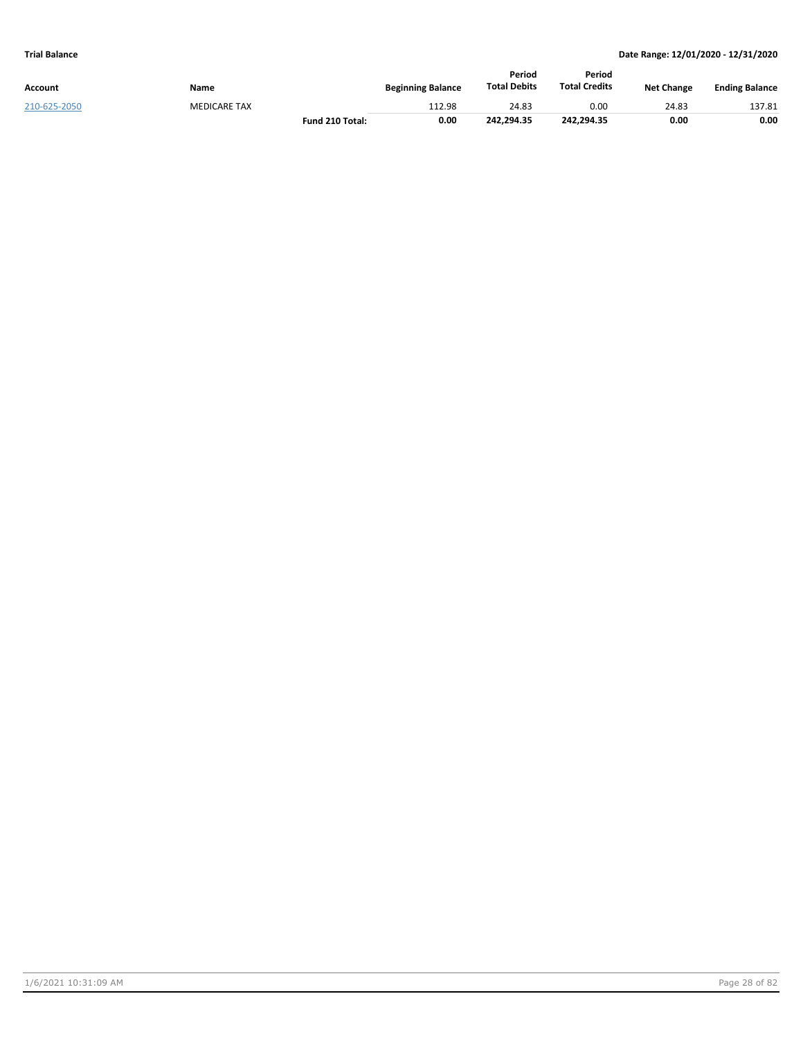| Account      | Name                | <b>Beginning Balance</b> | Period<br><b>Total Debits</b> | Period<br><b>Total Credits</b> | <b>Net Change</b> | <b>Ending Balance</b> |
|--------------|---------------------|--------------------------|-------------------------------|--------------------------------|-------------------|-----------------------|
| 210-625-2050 | <b>MEDICARE TAX</b> | 112.98                   | 24.83                         | 0.00                           | 24.83             | 137.81                |
|              | Fund 210 Total:     | 0.00                     | 242.294.35                    | 242.294.35                     | 0.00              | 0.00                  |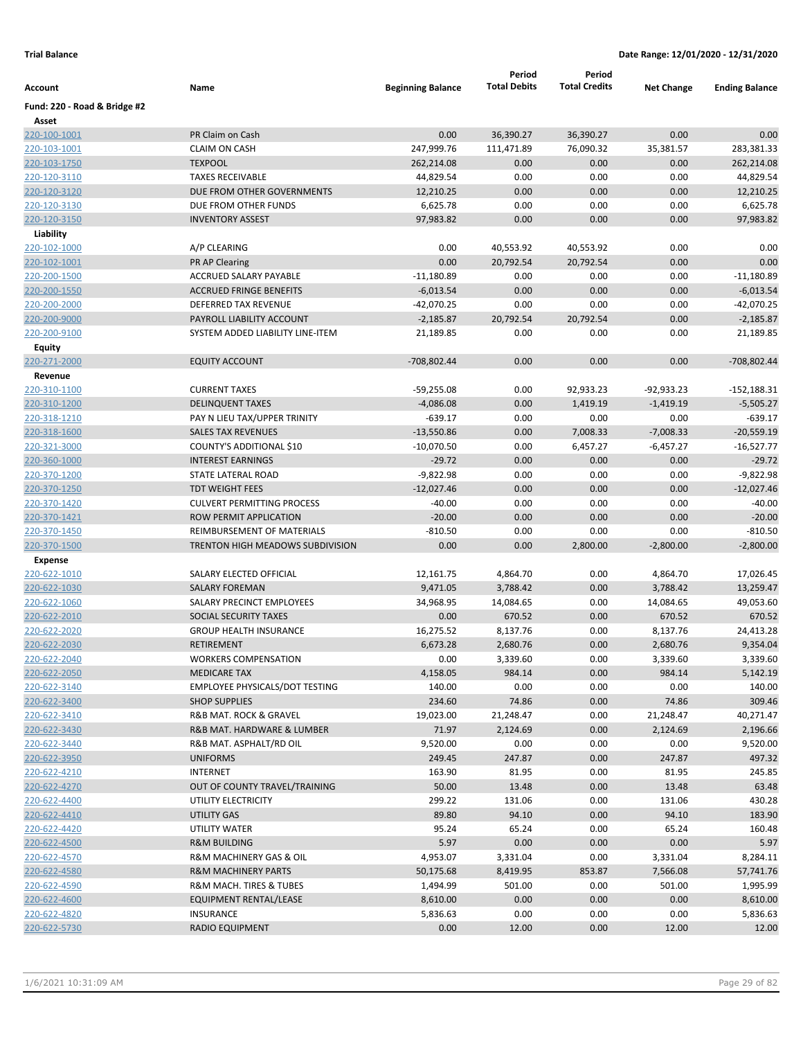| Account                      | Name                                  | <b>Beginning Balance</b> | Period<br><b>Total Debits</b> | Period<br><b>Total Credits</b> | <b>Net Change</b> | <b>Ending Balance</b> |
|------------------------------|---------------------------------------|--------------------------|-------------------------------|--------------------------------|-------------------|-----------------------|
| Fund: 220 - Road & Bridge #2 |                                       |                          |                               |                                |                   |                       |
| Asset                        |                                       |                          |                               |                                |                   |                       |
| 220-100-1001                 | PR Claim on Cash                      | 0.00                     | 36,390.27                     | 36,390.27                      | 0.00              | 0.00                  |
| 220-103-1001                 | <b>CLAIM ON CASH</b>                  | 247,999.76               | 111,471.89                    | 76,090.32                      | 35,381.57         | 283,381.33            |
| 220-103-1750                 | <b>TEXPOOL</b>                        | 262,214.08               | 0.00                          | 0.00                           | 0.00              | 262,214.08            |
| 220-120-3110                 | <b>TAXES RECEIVABLE</b>               | 44,829.54                | 0.00                          | 0.00                           | 0.00              | 44,829.54             |
| 220-120-3120                 | DUE FROM OTHER GOVERNMENTS            | 12,210.25                | 0.00                          | 0.00                           | 0.00              | 12,210.25             |
| 220-120-3130                 | DUE FROM OTHER FUNDS                  | 6,625.78                 | 0.00                          | 0.00                           | 0.00              | 6,625.78              |
| 220-120-3150                 | <b>INVENTORY ASSEST</b>               | 97,983.82                | 0.00                          | 0.00                           | 0.00              | 97,983.82             |
| Liability                    |                                       |                          |                               |                                |                   |                       |
| 220-102-1000                 | A/P CLEARING                          | 0.00                     | 40,553.92                     | 40,553.92                      | 0.00              | 0.00                  |
| 220-102-1001                 | PR AP Clearing                        | 0.00                     | 20,792.54                     | 20,792.54                      | 0.00              | 0.00                  |
| 220-200-1500                 | ACCRUED SALARY PAYABLE                | $-11,180.89$             | 0.00                          | 0.00                           | 0.00              | $-11,180.89$          |
| 220-200-1550                 | <b>ACCRUED FRINGE BENEFITS</b>        | $-6,013.54$              | 0.00                          | 0.00                           | 0.00              | $-6,013.54$           |
| 220-200-2000                 | DEFERRED TAX REVENUE                  | $-42,070.25$             | 0.00                          | 0.00                           | 0.00              | -42,070.25            |
| 220-200-9000                 | PAYROLL LIABILITY ACCOUNT             | $-2,185.87$              | 20,792.54                     | 20,792.54                      | 0.00              | $-2,185.87$           |
| 220-200-9100                 | SYSTEM ADDED LIABILITY LINE-ITEM      | 21,189.85                | 0.00                          | 0.00                           | 0.00              | 21,189.85             |
| Equity                       |                                       |                          |                               |                                |                   |                       |
| 220-271-2000                 | <b>EQUITY ACCOUNT</b>                 | -708,802.44              | 0.00                          | 0.00                           | 0.00              | -708,802.44           |
| Revenue                      |                                       |                          |                               |                                |                   |                       |
| 220-310-1100                 | <b>CURRENT TAXES</b>                  | $-59,255.08$             | 0.00                          | 92,933.23                      | $-92,933.23$      | $-152,188.31$         |
| 220-310-1200                 | <b>DELINQUENT TAXES</b>               | $-4,086.08$              | 0.00                          | 1,419.19                       | $-1,419.19$       | $-5,505.27$           |
| 220-318-1210                 | PAY N LIEU TAX/UPPER TRINITY          | $-639.17$                | 0.00                          | 0.00                           | 0.00              | $-639.17$             |
| 220-318-1600                 | <b>SALES TAX REVENUES</b>             | $-13,550.86$             | 0.00                          | 7,008.33                       | $-7,008.33$       | $-20,559.19$          |
| 220-321-3000                 | COUNTY'S ADDITIONAL \$10              | $-10,070.50$             | 0.00                          | 6,457.27                       | $-6,457.27$       | $-16,527.77$          |
| 220-360-1000                 | <b>INTEREST EARNINGS</b>              | $-29.72$                 | 0.00                          | 0.00                           | 0.00              | $-29.72$              |
| 220-370-1200                 | STATE LATERAL ROAD                    | $-9,822.98$              | 0.00                          | 0.00                           | 0.00              | $-9,822.98$           |
| 220-370-1250                 | <b>TDT WEIGHT FEES</b>                | $-12,027.46$             | 0.00                          | 0.00                           | 0.00              | $-12,027.46$          |
| 220-370-1420                 | <b>CULVERT PERMITTING PROCESS</b>     | $-40.00$                 | 0.00                          | 0.00                           | 0.00              | $-40.00$              |
| 220-370-1421                 | ROW PERMIT APPLICATION                | $-20.00$                 | 0.00                          | 0.00                           | 0.00              | $-20.00$              |
| 220-370-1450                 | REIMBURSEMENT OF MATERIALS            | $-810.50$                | 0.00                          | 0.00                           | 0.00              | $-810.50$             |
| 220-370-1500                 | TRENTON HIGH MEADOWS SUBDIVISION      | 0.00                     | 0.00                          | 2,800.00                       | $-2,800.00$       | $-2,800.00$           |
| <b>Expense</b>               |                                       |                          |                               |                                |                   |                       |
| 220-622-1010                 | SALARY ELECTED OFFICIAL               | 12,161.75                | 4,864.70                      | 0.00                           | 4,864.70          | 17,026.45             |
| 220-622-1030                 | <b>SALARY FOREMAN</b>                 | 9,471.05                 | 3,788.42                      | 0.00                           | 3,788.42          | 13,259.47             |
| 220-622-1060                 | SALARY PRECINCT EMPLOYEES             | 34,968.95                | 14,084.65                     | 0.00                           | 14,084.65         | 49,053.60             |
| 220-622-2010                 | SOCIAL SECURITY TAXES                 | 0.00                     | 670.52                        | 0.00                           | 670.52            | 670.52                |
| 220-622-2020                 | <b>GROUP HEALTH INSURANCE</b>         | 16,275.52                | 8,137.76                      | 0.00                           | 8,137.76          | 24,413.28             |
| 220-622-2030                 | RETIREMENT                            | 6,673.28                 | 2,680.76                      | 0.00                           | 2,680.76          | 9,354.04              |
| 220-622-2040                 | <b>WORKERS COMPENSATION</b>           | 0.00                     | 3,339.60                      | 0.00                           | 3,339.60          | 3,339.60              |
| 220-622-2050                 | <b>MEDICARE TAX</b>                   | 4,158.05                 | 984.14                        | 0.00                           | 984.14            | 5,142.19              |
| 220-622-3140                 | <b>EMPLOYEE PHYSICALS/DOT TESTING</b> | 140.00                   | 0.00                          | 0.00                           | 0.00              | 140.00                |
| 220-622-3400                 | <b>SHOP SUPPLIES</b>                  | 234.60                   | 74.86                         | 0.00                           | 74.86             | 309.46                |
| 220-622-3410                 | R&B MAT. ROCK & GRAVEL                | 19,023.00                | 21,248.47                     | 0.00                           | 21,248.47         | 40,271.47             |
| 220-622-3430                 | R&B MAT. HARDWARE & LUMBER            | 71.97                    | 2,124.69                      | 0.00                           | 2,124.69          | 2,196.66              |
| 220-622-3440                 | R&B MAT. ASPHALT/RD OIL               | 9,520.00                 | 0.00                          | 0.00                           | 0.00              | 9,520.00              |
| 220-622-3950                 | <b>UNIFORMS</b>                       | 249.45                   | 247.87                        | 0.00                           | 247.87            | 497.32                |
| 220-622-4210                 | <b>INTERNET</b>                       | 163.90                   | 81.95                         | 0.00                           | 81.95             | 245.85                |
| 220-622-4270                 | OUT OF COUNTY TRAVEL/TRAINING         | 50.00                    | 13.48                         | 0.00                           | 13.48             | 63.48                 |
| 220-622-4400                 | UTILITY ELECTRICITY                   | 299.22                   | 131.06                        | 0.00                           | 131.06            | 430.28                |
| 220-622-4410                 | UTILITY GAS                           | 89.80                    | 94.10                         | 0.00                           | 94.10             | 183.90                |
| 220-622-4420                 | UTILITY WATER                         | 95.24                    | 65.24                         | 0.00                           | 65.24             | 160.48                |
| 220-622-4500                 | <b>R&amp;M BUILDING</b>               | 5.97                     | 0.00                          | 0.00                           | 0.00              | 5.97                  |
| 220-622-4570                 | R&M MACHINERY GAS & OIL               | 4,953.07                 | 3,331.04                      | 0.00                           | 3,331.04          | 8,284.11              |
| 220-622-4580                 | <b>R&amp;M MACHINERY PARTS</b>        | 50,175.68                | 8,419.95                      | 853.87                         | 7,566.08          | 57,741.76             |
| 220-622-4590                 | R&M MACH. TIRES & TUBES               | 1,494.99                 | 501.00                        | 0.00                           | 501.00            | 1,995.99              |
| 220-622-4600                 | EQUIPMENT RENTAL/LEASE                | 8,610.00                 | 0.00                          | 0.00                           | 0.00              | 8,610.00              |
| 220-622-4820                 | <b>INSURANCE</b>                      | 5,836.63                 | 0.00                          | 0.00                           | 0.00              | 5,836.63              |
| 220-622-5730                 | RADIO EQUIPMENT                       | 0.00                     | 12.00                         | 0.00                           | 12.00             | 12.00                 |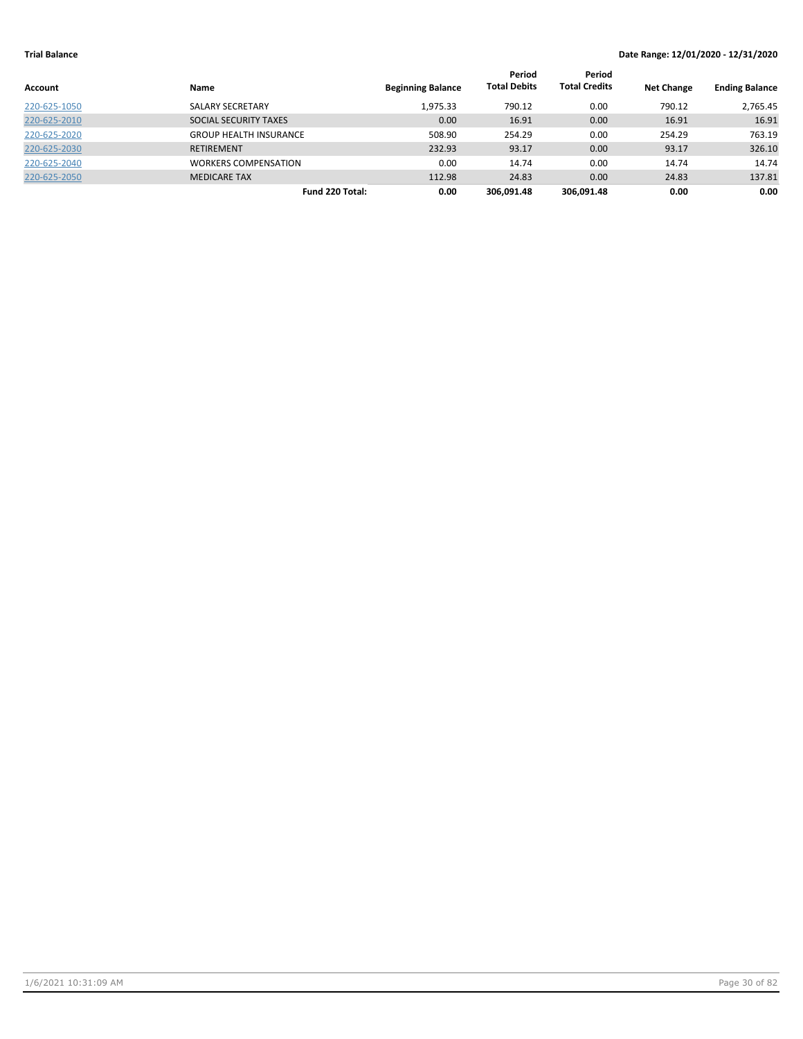| Account      | <b>Name</b>                   | <b>Beginning Balance</b> | Period<br><b>Total Debits</b> | Period<br><b>Total Credits</b> | <b>Net Change</b> | <b>Ending Balance</b> |
|--------------|-------------------------------|--------------------------|-------------------------------|--------------------------------|-------------------|-----------------------|
| 220-625-1050 | SALARY SECRETARY              | 1,975.33                 | 790.12                        | 0.00                           | 790.12            | 2,765.45              |
| 220-625-2010 | SOCIAL SECURITY TAXES         | 0.00                     | 16.91                         | 0.00                           | 16.91             | 16.91                 |
| 220-625-2020 | <b>GROUP HEALTH INSURANCE</b> | 508.90                   | 254.29                        | 0.00                           | 254.29            | 763.19                |
| 220-625-2030 | <b>RETIREMENT</b>             | 232.93                   | 93.17                         | 0.00                           | 93.17             | 326.10                |
| 220-625-2040 | <b>WORKERS COMPENSATION</b>   | 0.00                     | 14.74                         | 0.00                           | 14.74             | 14.74                 |
| 220-625-2050 | <b>MEDICARE TAX</b>           | 112.98                   | 24.83                         | 0.00                           | 24.83             | 137.81                |
|              | Fund 220 Total:               | 0.00                     | 306.091.48                    | 306.091.48                     | 0.00              | 0.00                  |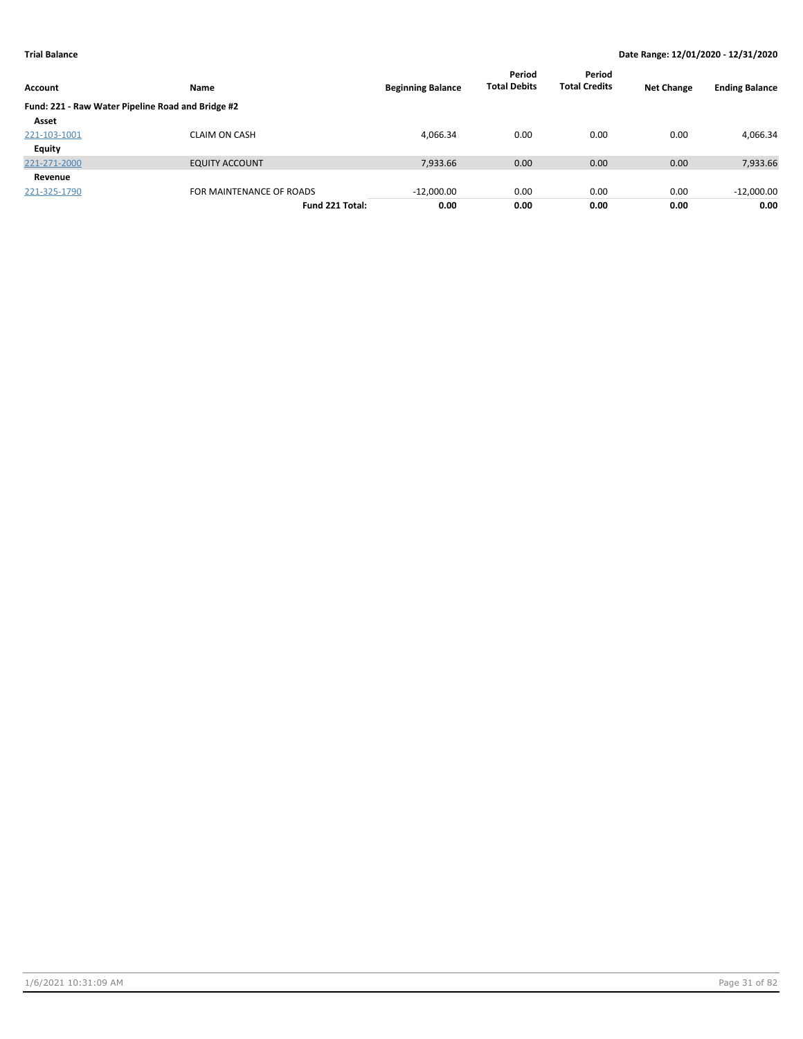| Account                                           | Name                     | <b>Beginning Balance</b> | Period<br><b>Total Debits</b> | Period<br><b>Total Credits</b> | <b>Net Change</b> | <b>Ending Balance</b> |
|---------------------------------------------------|--------------------------|--------------------------|-------------------------------|--------------------------------|-------------------|-----------------------|
| Fund: 221 - Raw Water Pipeline Road and Bridge #2 |                          |                          |                               |                                |                   |                       |
| Asset                                             |                          |                          |                               |                                |                   |                       |
| 221-103-1001                                      | <b>CLAIM ON CASH</b>     | 4,066.34                 | 0.00                          | 0.00                           | 0.00              | 4,066.34              |
| <b>Equity</b>                                     |                          |                          |                               |                                |                   |                       |
| 221-271-2000                                      | <b>EQUITY ACCOUNT</b>    | 7,933.66                 | 0.00                          | 0.00                           | 0.00              | 7,933.66              |
| Revenue                                           |                          |                          |                               |                                |                   |                       |
| 221-325-1790                                      | FOR MAINTENANCE OF ROADS | $-12,000.00$             | 0.00                          | 0.00                           | 0.00              | $-12,000.00$          |
|                                                   | Fund 221 Total:          | 0.00                     | 0.00                          | 0.00                           | 0.00              | 0.00                  |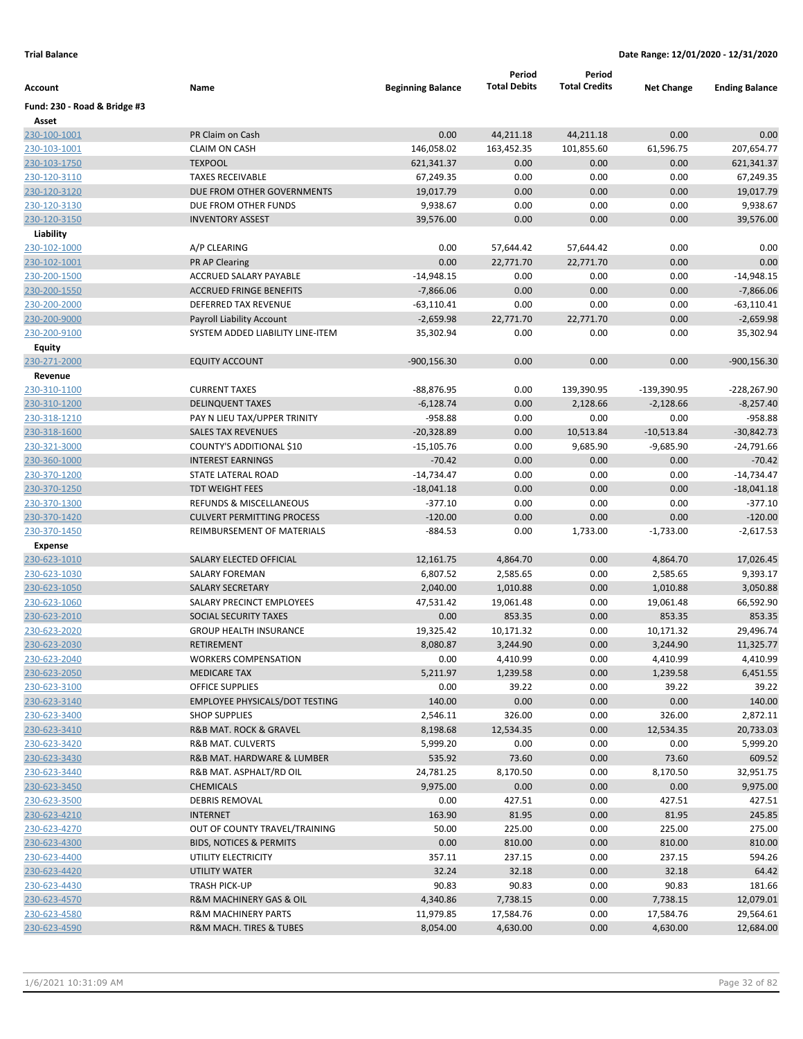|                              |                                             |                          | Period              | Period               |                   |                       |
|------------------------------|---------------------------------------------|--------------------------|---------------------|----------------------|-------------------|-----------------------|
| Account                      | Name                                        | <b>Beginning Balance</b> | <b>Total Debits</b> | <b>Total Credits</b> | <b>Net Change</b> | <b>Ending Balance</b> |
| Fund: 230 - Road & Bridge #3 |                                             |                          |                     |                      |                   |                       |
| Asset<br>230-100-1001        | PR Claim on Cash                            | 0.00                     | 44,211.18           | 44,211.18            | 0.00              | 0.00                  |
| 230-103-1001                 | <b>CLAIM ON CASH</b>                        | 146,058.02               | 163,452.35          | 101,855.60           | 61,596.75         | 207,654.77            |
| 230-103-1750                 | <b>TEXPOOL</b>                              | 621,341.37               | 0.00                | 0.00                 | 0.00              | 621,341.37            |
| 230-120-3110                 | <b>TAXES RECEIVABLE</b>                     | 67,249.35                | 0.00                | 0.00                 | 0.00              | 67,249.35             |
| 230-120-3120                 | DUE FROM OTHER GOVERNMENTS                  | 19,017.79                | 0.00                | 0.00                 | 0.00              | 19,017.79             |
| 230-120-3130                 | DUE FROM OTHER FUNDS                        | 9,938.67                 | 0.00                | 0.00                 | 0.00              | 9,938.67              |
| 230-120-3150                 | <b>INVENTORY ASSEST</b>                     | 39,576.00                | 0.00                | 0.00                 | 0.00              | 39,576.00             |
| Liability                    |                                             |                          |                     |                      |                   |                       |
| 230-102-1000                 | A/P CLEARING                                | 0.00                     | 57,644.42           | 57,644.42            | 0.00              | 0.00                  |
| 230-102-1001                 | PR AP Clearing                              | 0.00                     | 22,771.70           | 22,771.70            | 0.00              | 0.00                  |
| 230-200-1500                 | ACCRUED SALARY PAYABLE                      | $-14,948.15$             | 0.00                | 0.00                 | 0.00              | $-14,948.15$          |
| 230-200-1550                 | <b>ACCRUED FRINGE BENEFITS</b>              | $-7,866.06$              | 0.00                | 0.00                 | 0.00              | $-7,866.06$           |
| 230-200-2000                 | DEFERRED TAX REVENUE                        | $-63,110.41$             | 0.00                | 0.00                 | 0.00              | $-63,110.41$          |
| 230-200-9000                 | <b>Payroll Liability Account</b>            | $-2,659.98$              | 22,771.70           | 22,771.70            | 0.00              | $-2,659.98$           |
| 230-200-9100                 | SYSTEM ADDED LIABILITY LINE-ITEM            | 35,302.94                | 0.00                | 0.00                 | 0.00              | 35,302.94             |
| <b>Equity</b>                |                                             |                          |                     |                      |                   |                       |
| 230-271-2000                 | <b>EQUITY ACCOUNT</b>                       | $-900, 156.30$           | 0.00                | 0.00                 | 0.00              | $-900, 156.30$        |
| Revenue                      |                                             |                          |                     |                      |                   |                       |
| 230-310-1100                 | <b>CURRENT TAXES</b>                        | $-88,876.95$             | 0.00                | 139,390.95           | -139,390.95       | -228,267.90           |
| 230-310-1200                 | <b>DELINQUENT TAXES</b>                     | $-6,128.74$              | 0.00                | 2,128.66             | $-2,128.66$       | $-8,257.40$           |
| 230-318-1210                 | PAY N LIEU TAX/UPPER TRINITY                | -958.88                  | 0.00                | 0.00                 | 0.00              | -958.88               |
| 230-318-1600                 | <b>SALES TAX REVENUES</b>                   | $-20,328.89$             | 0.00                | 10,513.84            | $-10,513.84$      | $-30,842.73$          |
| 230-321-3000                 | COUNTY'S ADDITIONAL \$10                    | $-15,105.76$             | 0.00                | 9,685.90             | $-9,685.90$       | -24,791.66            |
| 230-360-1000                 | <b>INTEREST EARNINGS</b>                    | $-70.42$                 | 0.00                | 0.00                 | 0.00              | $-70.42$              |
| 230-370-1200                 | STATE LATERAL ROAD                          | $-14,734.47$             | 0.00                | 0.00                 | 0.00              | $-14,734.47$          |
| 230-370-1250                 | <b>TDT WEIGHT FEES</b>                      | $-18,041.18$             | 0.00                | 0.00                 | 0.00              | $-18,041.18$          |
| 230-370-1300                 | <b>REFUNDS &amp; MISCELLANEOUS</b>          | $-377.10$                | 0.00                | 0.00                 | 0.00              | $-377.10$             |
| 230-370-1420                 | <b>CULVERT PERMITTING PROCESS</b>           | $-120.00$                | 0.00                | 0.00                 | 0.00              | $-120.00$             |
| 230-370-1450                 | REIMBURSEMENT OF MATERIALS                  | $-884.53$                | 0.00                | 1,733.00             | $-1,733.00$       | $-2,617.53$           |
| <b>Expense</b>               |                                             |                          |                     |                      |                   |                       |
| 230-623-1010                 | SALARY ELECTED OFFICIAL                     | 12,161.75                | 4,864.70            | 0.00                 | 4,864.70          | 17,026.45             |
| 230-623-1030                 | <b>SALARY FOREMAN</b>                       | 6,807.52                 | 2,585.65            | 0.00                 | 2,585.65          | 9,393.17              |
| 230-623-1050                 | <b>SALARY SECRETARY</b>                     | 2,040.00                 | 1,010.88            | 0.00                 | 1,010.88          | 3,050.88              |
| 230-623-1060                 | SALARY PRECINCT EMPLOYEES                   | 47,531.42                | 19,061.48           | 0.00                 | 19,061.48         | 66,592.90             |
| 230-623-2010                 | SOCIAL SECURITY TAXES                       | 0.00                     | 853.35              | 0.00                 | 853.35            | 853.35                |
| 230-623-2020                 | <b>GROUP HEALTH INSURANCE</b>               | 19,325.42                | 10,171.32           | 0.00                 | 10,171.32         | 29,496.74             |
| 230-623-2030                 | <b>RETIREMENT</b>                           | 8,080.87                 | 3,244.90            | 0.00                 | 3,244.90          | 11,325.77             |
| 230-623-2040                 | <b>WORKERS COMPENSATION</b>                 | 0.00                     | 4,410.99            | 0.00                 | 4,410.99          | 4,410.99              |
| 230-623-2050                 | <b>MEDICARE TAX</b>                         | 5,211.97                 | 1,239.58            | 0.00                 | 1,239.58          | 6,451.55              |
| 230-623-3100                 | <b>OFFICE SUPPLIES</b>                      | 0.00                     | 39.22               | 0.00                 | 39.22             | 39.22                 |
| 230-623-3140                 | <b>EMPLOYEE PHYSICALS/DOT TESTING</b>       | 140.00                   | 0.00                | 0.00                 | 0.00              | 140.00                |
| 230-623-3400                 | <b>SHOP SUPPLIES</b>                        | 2,546.11                 | 326.00              | 0.00                 | 326.00            | 2,872.11              |
| 230-623-3410                 | R&B MAT. ROCK & GRAVEL                      | 8,198.68                 | 12,534.35           | 0.00                 | 12,534.35         | 20,733.03             |
| 230-623-3420                 | R&B MAT. CULVERTS                           | 5,999.20                 | 0.00                | 0.00                 | 0.00              | 5,999.20              |
| 230-623-3430                 | R&B MAT. HARDWARE & LUMBER                  | 535.92                   | 73.60               | 0.00                 | 73.60             | 609.52                |
| 230-623-3440<br>230-623-3450 | R&B MAT. ASPHALT/RD OIL<br><b>CHEMICALS</b> | 24,781.25<br>9,975.00    | 8,170.50<br>0.00    | 0.00<br>0.00         | 8,170.50<br>0.00  | 32,951.75<br>9,975.00 |
| 230-623-3500                 | <b>DEBRIS REMOVAL</b>                       | 0.00                     | 427.51              | 0.00                 | 427.51            | 427.51                |
| 230-623-4210                 | <b>INTERNET</b>                             | 163.90                   | 81.95               | 0.00                 | 81.95             | 245.85                |
| 230-623-4270                 | OUT OF COUNTY TRAVEL/TRAINING               | 50.00                    | 225.00              | 0.00                 | 225.00            | 275.00                |
| 230-623-4300                 | <b>BIDS, NOTICES &amp; PERMITS</b>          | 0.00                     | 810.00              | 0.00                 | 810.00            | 810.00                |
| 230-623-4400                 | UTILITY ELECTRICITY                         | 357.11                   | 237.15              | 0.00                 | 237.15            | 594.26                |
| 230-623-4420                 | UTILITY WATER                               | 32.24                    | 32.18               | 0.00                 | 32.18             | 64.42                 |
| 230-623-4430                 | TRASH PICK-UP                               | 90.83                    | 90.83               | 0.00                 | 90.83             | 181.66                |
| 230-623-4570                 | R&M MACHINERY GAS & OIL                     | 4,340.86                 | 7,738.15            | 0.00                 | 7,738.15          | 12,079.01             |
| 230-623-4580                 | <b>R&amp;M MACHINERY PARTS</b>              | 11,979.85                | 17,584.76           | 0.00                 | 17,584.76         | 29,564.61             |
| 230-623-4590                 | <b>R&amp;M MACH. TIRES &amp; TUBES</b>      | 8,054.00                 | 4,630.00            | 0.00                 | 4,630.00          | 12,684.00             |
|                              |                                             |                          |                     |                      |                   |                       |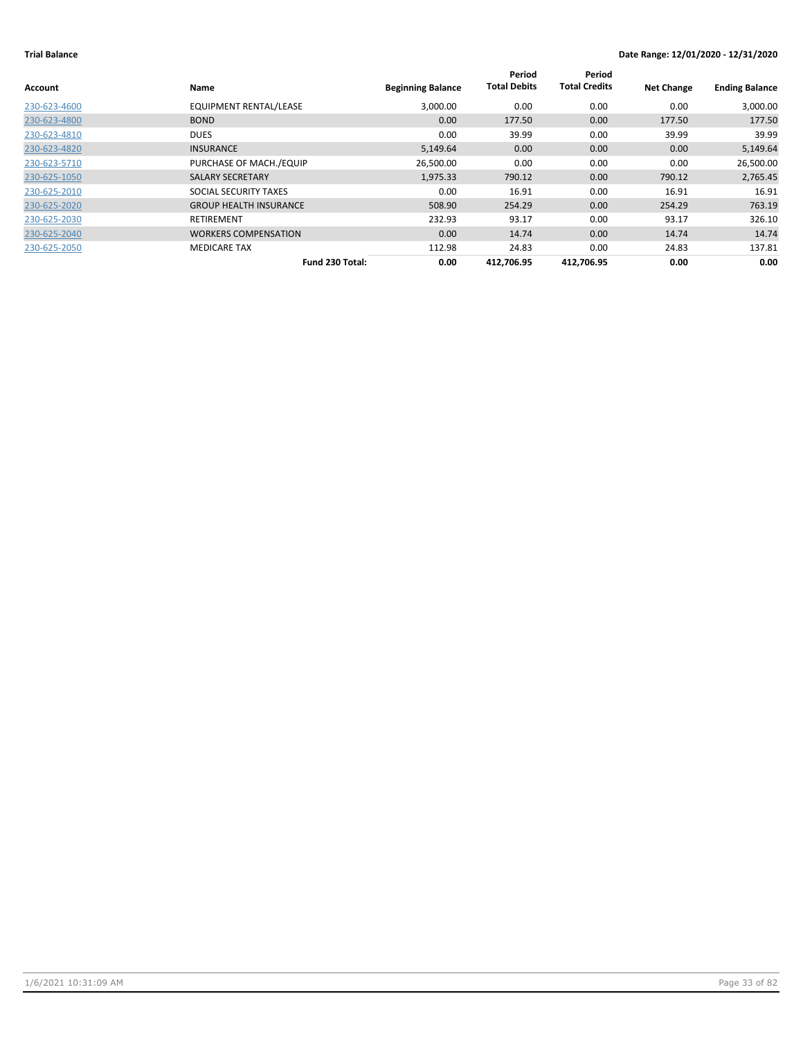| Account      | Name                          | <b>Beginning Balance</b> | Period<br><b>Total Debits</b> | Period<br><b>Total Credits</b> | <b>Net Change</b> | <b>Ending Balance</b> |
|--------------|-------------------------------|--------------------------|-------------------------------|--------------------------------|-------------------|-----------------------|
| 230-623-4600 | <b>EQUIPMENT RENTAL/LEASE</b> | 3,000.00                 | 0.00                          | 0.00                           | 0.00              | 3,000.00              |
| 230-623-4800 | <b>BOND</b>                   | 0.00                     | 177.50                        | 0.00                           | 177.50            | 177.50                |
| 230-623-4810 | <b>DUES</b>                   | 0.00                     | 39.99                         | 0.00                           | 39.99             | 39.99                 |
| 230-623-4820 | <b>INSURANCE</b>              | 5,149.64                 | 0.00 <sub>1</sub>             | 0.00                           | 0.00              | 5,149.64              |
| 230-623-5710 | PURCHASE OF MACH./EQUIP       | 26,500.00                | 0.00                          | 0.00                           | 0.00              | 26,500.00             |
| 230-625-1050 | <b>SALARY SECRETARY</b>       | 1,975.33                 | 790.12                        | 0.00                           | 790.12            | 2,765.45              |
| 230-625-2010 | SOCIAL SECURITY TAXES         | 0.00                     | 16.91                         | 0.00                           | 16.91             | 16.91                 |
| 230-625-2020 | <b>GROUP HEALTH INSURANCE</b> | 508.90                   | 254.29                        | 0.00                           | 254.29            | 763.19                |
| 230-625-2030 | RETIREMENT                    | 232.93                   | 93.17                         | 0.00                           | 93.17             | 326.10                |
| 230-625-2040 | <b>WORKERS COMPENSATION</b>   | 0.00                     | 14.74                         | 0.00                           | 14.74             | 14.74                 |
| 230-625-2050 | <b>MEDICARE TAX</b>           | 112.98                   | 24.83                         | 0.00                           | 24.83             | 137.81                |
|              | Fund 230 Total:               | 0.00                     | 412,706.95                    | 412,706.95                     | 0.00              | 0.00                  |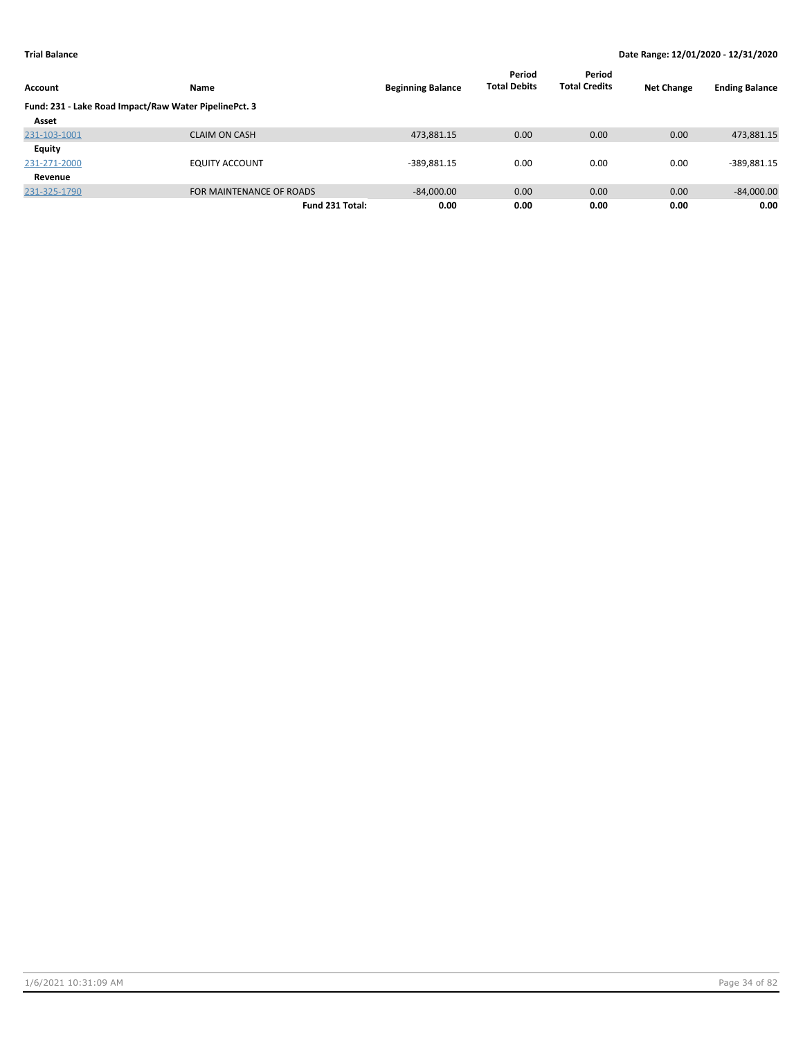|                                                       |                          |                          | Period              | Period               |                   |                       |
|-------------------------------------------------------|--------------------------|--------------------------|---------------------|----------------------|-------------------|-----------------------|
| Account                                               | <b>Name</b>              | <b>Beginning Balance</b> | <b>Total Debits</b> | <b>Total Credits</b> | <b>Net Change</b> | <b>Ending Balance</b> |
| Fund: 231 - Lake Road Impact/Raw Water PipelinePct. 3 |                          |                          |                     |                      |                   |                       |
| Asset                                                 |                          |                          |                     |                      |                   |                       |
| 231-103-1001                                          | <b>CLAIM ON CASH</b>     | 473,881.15               | 0.00                | 0.00                 | 0.00              | 473,881.15            |
| Equity                                                |                          |                          |                     |                      |                   |                       |
| 231-271-2000                                          | <b>EQUITY ACCOUNT</b>    | $-389,881.15$            | 0.00                | 0.00                 | 0.00              | $-389,881.15$         |
| Revenue                                               |                          |                          |                     |                      |                   |                       |
| 231-325-1790                                          | FOR MAINTENANCE OF ROADS | $-84,000.00$             | 0.00                | 0.00                 | 0.00              | $-84,000.00$          |
|                                                       | Fund 231 Total:          | 0.00                     | 0.00                | 0.00                 | 0.00              | 0.00                  |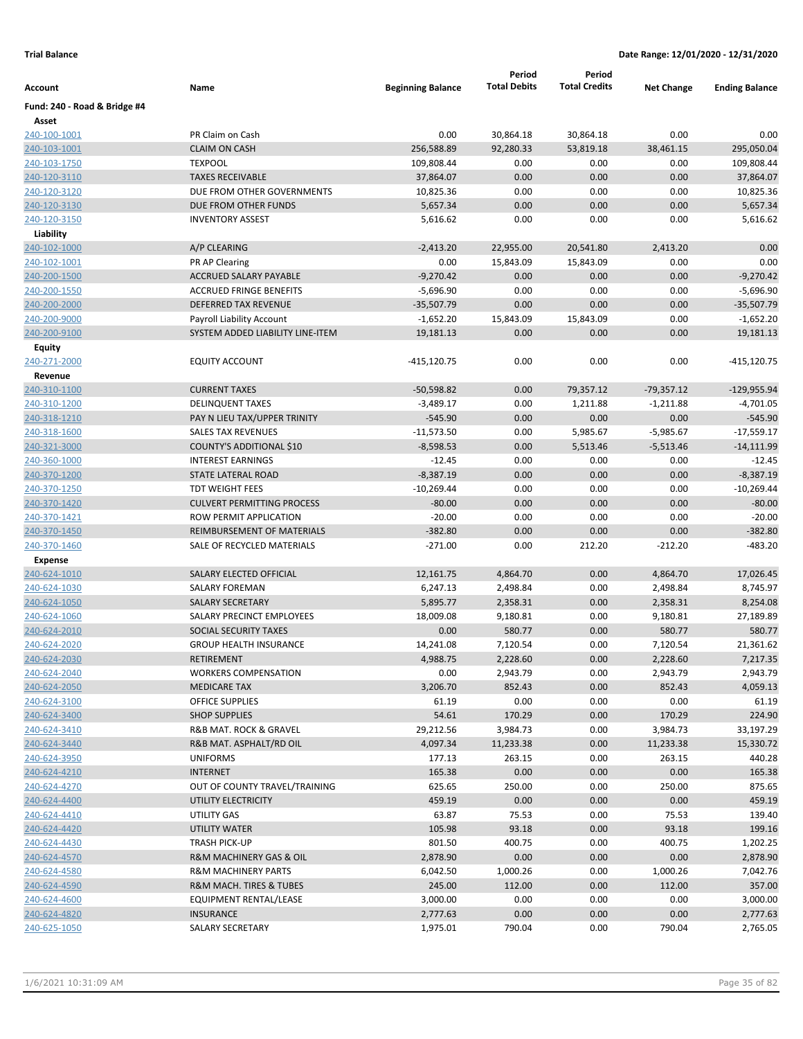|                              |                                   |                          | Period              | Period               |                   |                       |
|------------------------------|-----------------------------------|--------------------------|---------------------|----------------------|-------------------|-----------------------|
| Account                      | Name                              | <b>Beginning Balance</b> | <b>Total Debits</b> | <b>Total Credits</b> | <b>Net Change</b> | <b>Ending Balance</b> |
| Fund: 240 - Road & Bridge #4 |                                   |                          |                     |                      |                   |                       |
| Asset                        |                                   |                          |                     |                      |                   |                       |
| 240-100-1001                 | PR Claim on Cash                  | 0.00                     | 30,864.18           | 30,864.18            | 0.00              | 0.00                  |
| 240-103-1001                 | <b>CLAIM ON CASH</b>              | 256,588.89               | 92,280.33           | 53,819.18            | 38,461.15         | 295,050.04            |
| 240-103-1750                 | <b>TEXPOOL</b>                    | 109,808.44               | 0.00                | 0.00                 | 0.00              | 109,808.44            |
| 240-120-3110                 | <b>TAXES RECEIVABLE</b>           | 37,864.07                | 0.00                | 0.00                 | 0.00              | 37,864.07             |
| 240-120-3120                 | DUE FROM OTHER GOVERNMENTS        | 10,825.36                | 0.00                | 0.00                 | 0.00              | 10,825.36             |
| 240-120-3130                 | DUE FROM OTHER FUNDS              | 5,657.34                 | 0.00                | 0.00                 | 0.00              | 5,657.34              |
| 240-120-3150                 | <b>INVENTORY ASSEST</b>           | 5,616.62                 | 0.00                | 0.00                 | 0.00              | 5,616.62              |
| Liability                    |                                   |                          |                     |                      |                   |                       |
| 240-102-1000                 | A/P CLEARING                      | $-2,413.20$              | 22,955.00           | 20,541.80            | 2,413.20          | 0.00                  |
| 240-102-1001                 | PR AP Clearing                    | 0.00                     | 15,843.09           | 15,843.09            | 0.00              | 0.00                  |
| 240-200-1500                 | <b>ACCRUED SALARY PAYABLE</b>     | $-9,270.42$              | 0.00                | 0.00                 | 0.00              | $-9,270.42$           |
| 240-200-1550                 | <b>ACCRUED FRINGE BENEFITS</b>    | $-5,696.90$              | 0.00                | 0.00                 | 0.00              | $-5,696.90$           |
| 240-200-2000                 | DEFERRED TAX REVENUE              | $-35,507.79$             | 0.00                | 0.00                 | 0.00              | $-35,507.79$          |
| 240-200-9000                 | Payroll Liability Account         | $-1,652.20$              | 15,843.09           | 15,843.09            | 0.00              | $-1,652.20$           |
| 240-200-9100                 | SYSTEM ADDED LIABILITY LINE-ITEM  | 19,181.13                | 0.00                | 0.00                 | 0.00              | 19,181.13             |
| Equity                       |                                   |                          |                     |                      |                   |                       |
| 240-271-2000                 | <b>EQUITY ACCOUNT</b>             | $-415, 120.75$           | 0.00                | 0.00                 | 0.00              | -415,120.75           |
| Revenue                      |                                   |                          |                     |                      |                   |                       |
| 240-310-1100                 | <b>CURRENT TAXES</b>              | $-50,598.82$             | 0.00                | 79,357.12            | $-79,357.12$      | $-129,955.94$         |
| 240-310-1200                 | <b>DELINQUENT TAXES</b>           | $-3,489.17$              | 0.00                | 1,211.88             | $-1,211.88$       | $-4,701.05$           |
| 240-318-1210                 | PAY N LIEU TAX/UPPER TRINITY      | $-545.90$                | 0.00                | 0.00                 | 0.00              | $-545.90$             |
| 240-318-1600                 | <b>SALES TAX REVENUES</b>         | $-11,573.50$             | 0.00                | 5,985.67             | $-5,985.67$       | $-17,559.17$          |
| 240-321-3000                 | COUNTY'S ADDITIONAL \$10          | $-8,598.53$              | 0.00                | 5,513.46             | $-5,513.46$       | $-14,111.99$          |
| 240-360-1000                 | <b>INTEREST EARNINGS</b>          | $-12.45$                 | 0.00                | 0.00                 | 0.00              | $-12.45$              |
| 240-370-1200                 | <b>STATE LATERAL ROAD</b>         | $-8,387.19$              | 0.00                | 0.00                 | 0.00              | $-8,387.19$           |
| 240-370-1250                 | <b>TDT WEIGHT FEES</b>            | $-10,269.44$             | 0.00                | 0.00                 | 0.00              | $-10,269.44$          |
| 240-370-1420                 | <b>CULVERT PERMITTING PROCESS</b> | $-80.00$                 | 0.00                | 0.00                 | 0.00              | $-80.00$              |
| 240-370-1421                 | ROW PERMIT APPLICATION            | $-20.00$                 | 0.00                | 0.00                 | 0.00              | $-20.00$              |
| 240-370-1450                 | REIMBURSEMENT OF MATERIALS        | $-382.80$                | 0.00                | 0.00                 | 0.00              | $-382.80$             |
| 240-370-1460                 | SALE OF RECYCLED MATERIALS        | $-271.00$                | 0.00                | 212.20               | $-212.20$         | $-483.20$             |
| <b>Expense</b>               |                                   |                          |                     |                      |                   |                       |
| 240-624-1010                 | SALARY ELECTED OFFICIAL           | 12,161.75                | 4,864.70            | 0.00                 | 4,864.70          | 17,026.45             |
| 240-624-1030                 | SALARY FOREMAN                    | 6,247.13                 | 2,498.84            | 0.00                 | 2,498.84          | 8,745.97              |
| 240-624-1050                 | <b>SALARY SECRETARY</b>           | 5,895.77                 | 2,358.31            | 0.00                 | 2,358.31          | 8,254.08              |
| 240-624-1060                 | SALARY PRECINCT EMPLOYEES         | 18,009.08                | 9,180.81            | 0.00                 | 9,180.81          | 27,189.89             |
| 240-624-2010                 | SOCIAL SECURITY TAXES             | 0.00                     | 580.77              | 0.00                 | 580.77            | 580.77                |
| 240-624-2020                 | <b>GROUP HEALTH INSURANCE</b>     | 14,241.08                | 7,120.54            | 0.00                 | 7,120.54          | 21,361.62             |
| 240-624-2030                 | RETIREMENT                        | 4,988.75                 | 2,228.60            | 0.00                 | 2,228.60          | 7,217.35              |
| 240-624-2040                 | <b>WORKERS COMPENSATION</b>       | 0.00                     | 2,943.79            | 0.00                 | 2,943.79          | 2,943.79              |
| 240-624-2050                 | <b>MEDICARE TAX</b>               | 3,206.70                 | 852.43              | 0.00                 | 852.43            | 4,059.13              |
| 240-624-3100                 | <b>OFFICE SUPPLIES</b>            | 61.19                    | 0.00                | 0.00                 | 0.00              | 61.19                 |
| 240-624-3400                 | <b>SHOP SUPPLIES</b>              | 54.61                    | 170.29              | 0.00                 | 170.29            | 224.90                |
| 240-624-3410                 | R&B MAT. ROCK & GRAVEL            | 29,212.56                | 3,984.73            | 0.00                 | 3,984.73          | 33,197.29             |
| 240-624-3440                 | R&B MAT. ASPHALT/RD OIL           | 4,097.34                 | 11,233.38           | 0.00                 | 11,233.38         | 15,330.72             |
| 240-624-3950                 | <b>UNIFORMS</b>                   | 177.13                   | 263.15              | 0.00                 | 263.15            | 440.28                |
| 240-624-4210                 | <b>INTERNET</b>                   | 165.38                   | 0.00                | 0.00                 | 0.00              | 165.38                |
| 240-624-4270                 | OUT OF COUNTY TRAVEL/TRAINING     | 625.65                   | 250.00              | 0.00                 | 250.00            | 875.65                |
| 240-624-4400                 | UTILITY ELECTRICITY               | 459.19                   | 0.00                | 0.00                 | 0.00              | 459.19                |
| 240-624-4410                 | UTILITY GAS                       | 63.87                    | 75.53               | 0.00                 | 75.53             | 139.40                |
| 240-624-4420                 | UTILITY WATER                     | 105.98                   | 93.18               | 0.00                 | 93.18             | 199.16                |
| 240-624-4430                 | TRASH PICK-UP                     | 801.50                   | 400.75              | 0.00                 | 400.75            | 1,202.25              |
| 240-624-4570                 | R&M MACHINERY GAS & OIL           | 2,878.90                 | 0.00                | 0.00                 | 0.00              | 2,878.90              |
| 240-624-4580                 | <b>R&amp;M MACHINERY PARTS</b>    | 6,042.50                 | 1,000.26            | 0.00                 | 1,000.26          | 7,042.76              |
| 240-624-4590                 | R&M MACH. TIRES & TUBES           | 245.00                   | 112.00              | 0.00                 | 112.00            | 357.00                |
| 240-624-4600                 | EQUIPMENT RENTAL/LEASE            | 3,000.00                 | 0.00                | 0.00                 | 0.00              | 3,000.00              |
| 240-624-4820                 | <b>INSURANCE</b>                  | 2,777.63                 | 0.00                | 0.00                 | 0.00              | 2,777.63              |
| 240-625-1050                 | SALARY SECRETARY                  | 1,975.01                 | 790.04              | 0.00                 | 790.04            | 2,765.05              |
|                              |                                   |                          |                     |                      |                   |                       |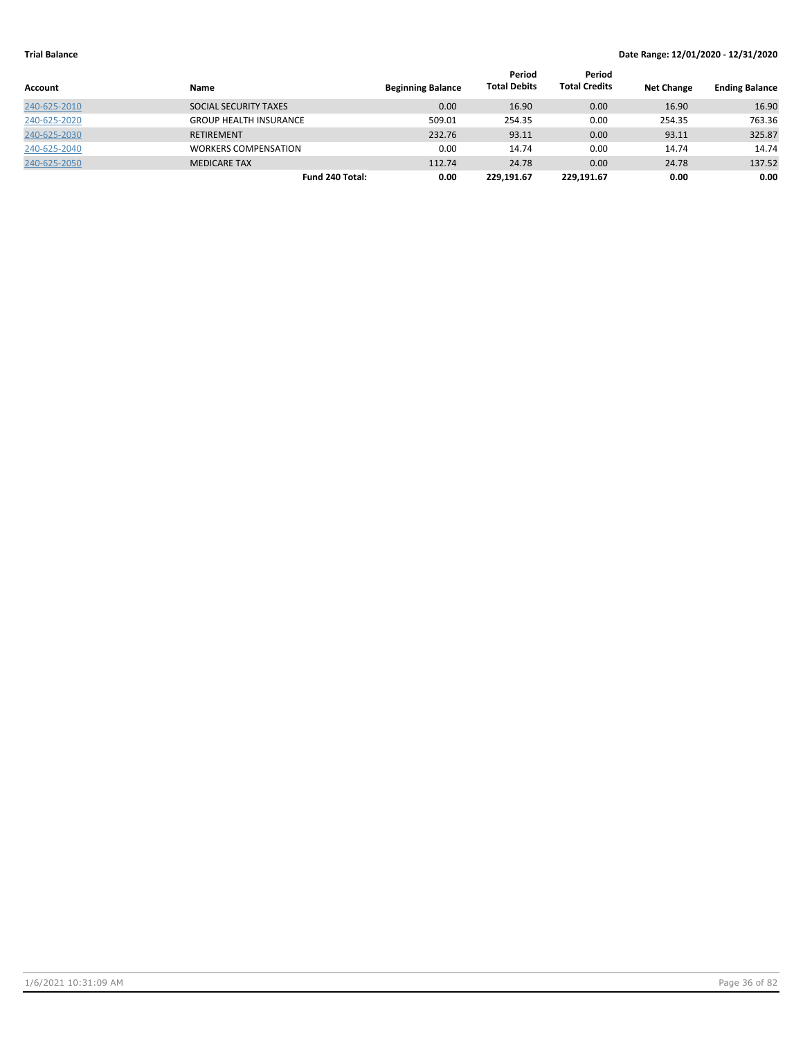|              |                               |                          | Period              | Period               |                   |                       |
|--------------|-------------------------------|--------------------------|---------------------|----------------------|-------------------|-----------------------|
| Account      | Name                          | <b>Beginning Balance</b> | <b>Total Debits</b> | <b>Total Credits</b> | <b>Net Change</b> | <b>Ending Balance</b> |
| 240-625-2010 | SOCIAL SECURITY TAXES         | 0.00                     | 16.90               | 0.00                 | 16.90             | 16.90                 |
| 240-625-2020 | <b>GROUP HEALTH INSURANCE</b> | 509.01                   | 254.35              | 0.00                 | 254.35            | 763.36                |
| 240-625-2030 | <b>RETIREMENT</b>             | 232.76                   | 93.11               | 0.00                 | 93.11             | 325.87                |
| 240-625-2040 | <b>WORKERS COMPENSATION</b>   | 0.00                     | 14.74               | 0.00                 | 14.74             | 14.74                 |
| 240-625-2050 | <b>MEDICARE TAX</b>           | 112.74                   | 24.78               | 0.00                 | 24.78             | 137.52                |
|              | Fund 240 Total:               | 0.00                     | 229.191.67          | 229.191.67           | 0.00              | 0.00                  |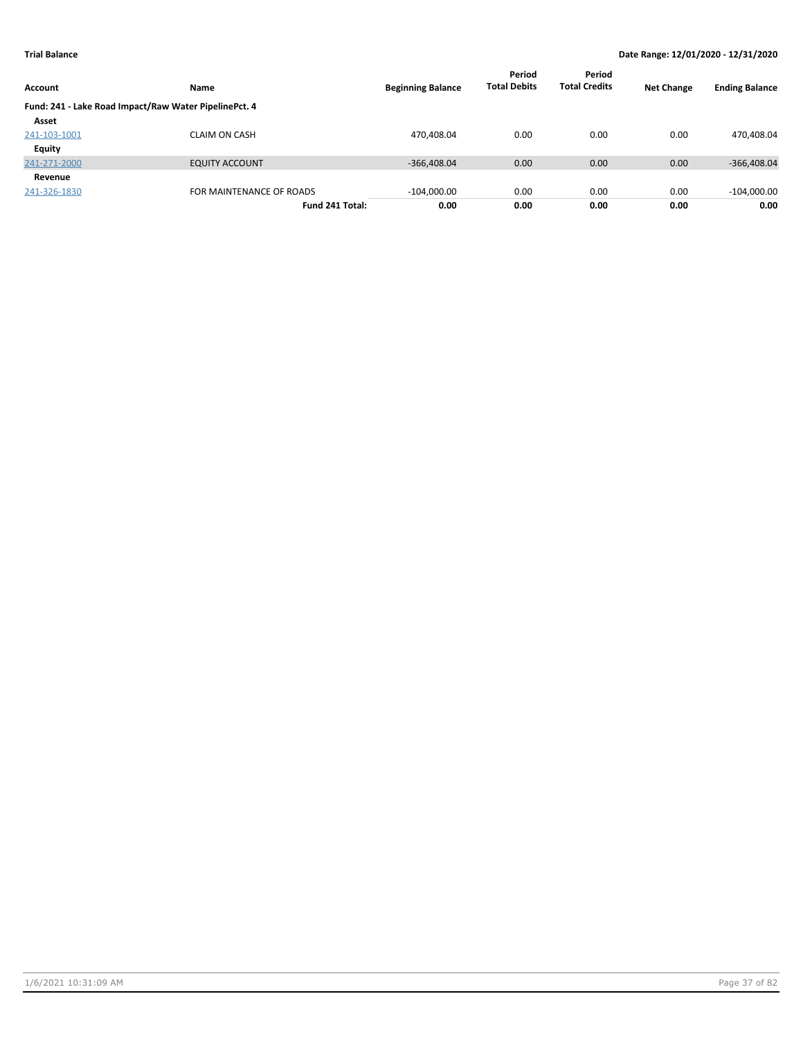| Account       | Name                                                  | <b>Beginning Balance</b> | Period<br><b>Total Debits</b> | Period<br><b>Total Credits</b> | <b>Net Change</b> | <b>Ending Balance</b> |
|---------------|-------------------------------------------------------|--------------------------|-------------------------------|--------------------------------|-------------------|-----------------------|
|               | Fund: 241 - Lake Road Impact/Raw Water PipelinePct. 4 |                          |                               |                                |                   |                       |
| Asset         |                                                       |                          |                               |                                |                   |                       |
| 241-103-1001  | <b>CLAIM ON CASH</b>                                  | 470,408.04               | 0.00                          | 0.00                           | 0.00              | 470,408.04            |
| <b>Equity</b> |                                                       |                          |                               |                                |                   |                       |
| 241-271-2000  | <b>EQUITY ACCOUNT</b>                                 | $-366,408.04$            | 0.00                          | 0.00                           | 0.00              | $-366,408.04$         |
| Revenue       |                                                       |                          |                               |                                |                   |                       |
| 241-326-1830  | FOR MAINTENANCE OF ROADS                              | $-104,000.00$            | 0.00                          | 0.00                           | 0.00              | $-104,000.00$         |
|               | Fund 241 Total:                                       | 0.00                     | 0.00                          | 0.00                           | 0.00              | 0.00                  |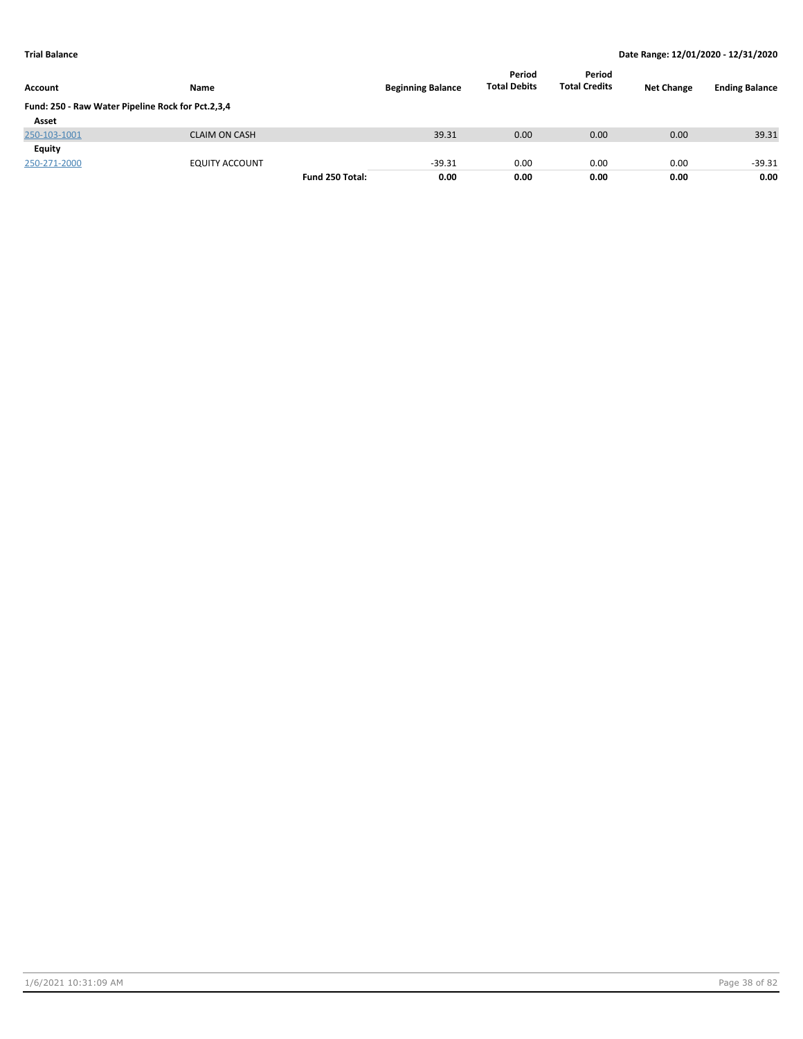| <b>Account</b>                                    | <b>Name</b>           |                 | <b>Beginning Balance</b> | Period<br><b>Total Debits</b> | Period<br><b>Total Credits</b> | <b>Net Change</b> | <b>Ending Balance</b> |
|---------------------------------------------------|-----------------------|-----------------|--------------------------|-------------------------------|--------------------------------|-------------------|-----------------------|
| Fund: 250 - Raw Water Pipeline Rock for Pct.2,3,4 |                       |                 |                          |                               |                                |                   |                       |
| Asset                                             |                       |                 |                          |                               |                                |                   |                       |
| 250-103-1001                                      | <b>CLAIM ON CASH</b>  |                 | 39.31                    | 0.00                          | 0.00                           | 0.00              | 39.31                 |
| <b>Equity</b>                                     |                       |                 |                          |                               |                                |                   |                       |
| 250-271-2000                                      | <b>EQUITY ACCOUNT</b> |                 | $-39.31$                 | 0.00                          | 0.00                           | 0.00              | $-39.31$              |
|                                                   |                       | Fund 250 Total: | 0.00                     | 0.00                          | 0.00                           | 0.00              | 0.00                  |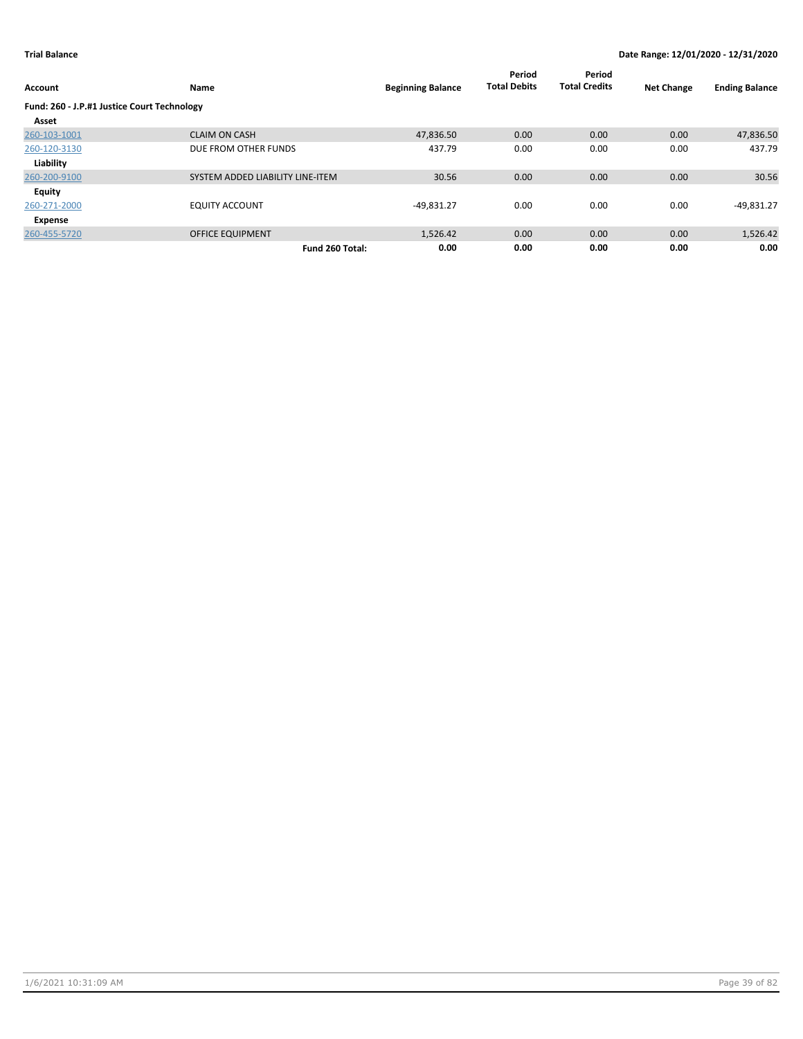| Account                                     | Name                             | <b>Beginning Balance</b> | Period<br><b>Total Debits</b> | Period<br><b>Total Credits</b> | <b>Net Change</b> | <b>Ending Balance</b> |
|---------------------------------------------|----------------------------------|--------------------------|-------------------------------|--------------------------------|-------------------|-----------------------|
| Fund: 260 - J.P.#1 Justice Court Technology |                                  |                          |                               |                                |                   |                       |
| Asset                                       |                                  |                          |                               |                                |                   |                       |
| 260-103-1001                                | <b>CLAIM ON CASH</b>             | 47,836.50                | 0.00                          | 0.00                           | 0.00              | 47,836.50             |
| 260-120-3130                                | DUE FROM OTHER FUNDS             | 437.79                   | 0.00                          | 0.00                           | 0.00              | 437.79                |
| Liability                                   |                                  |                          |                               |                                |                   |                       |
| 260-200-9100                                | SYSTEM ADDED LIABILITY LINE-ITEM | 30.56                    | 0.00                          | 0.00                           | 0.00              | 30.56                 |
| Equity                                      |                                  |                          |                               |                                |                   |                       |
| 260-271-2000                                | <b>EQUITY ACCOUNT</b>            | $-49,831.27$             | 0.00                          | 0.00                           | 0.00              | $-49,831.27$          |
| Expense                                     |                                  |                          |                               |                                |                   |                       |
| 260-455-5720                                | <b>OFFICE EQUIPMENT</b>          | 1,526.42                 | 0.00                          | 0.00                           | 0.00              | 1,526.42              |
|                                             | Fund 260 Total:                  | 0.00                     | 0.00                          | 0.00                           | 0.00              | 0.00                  |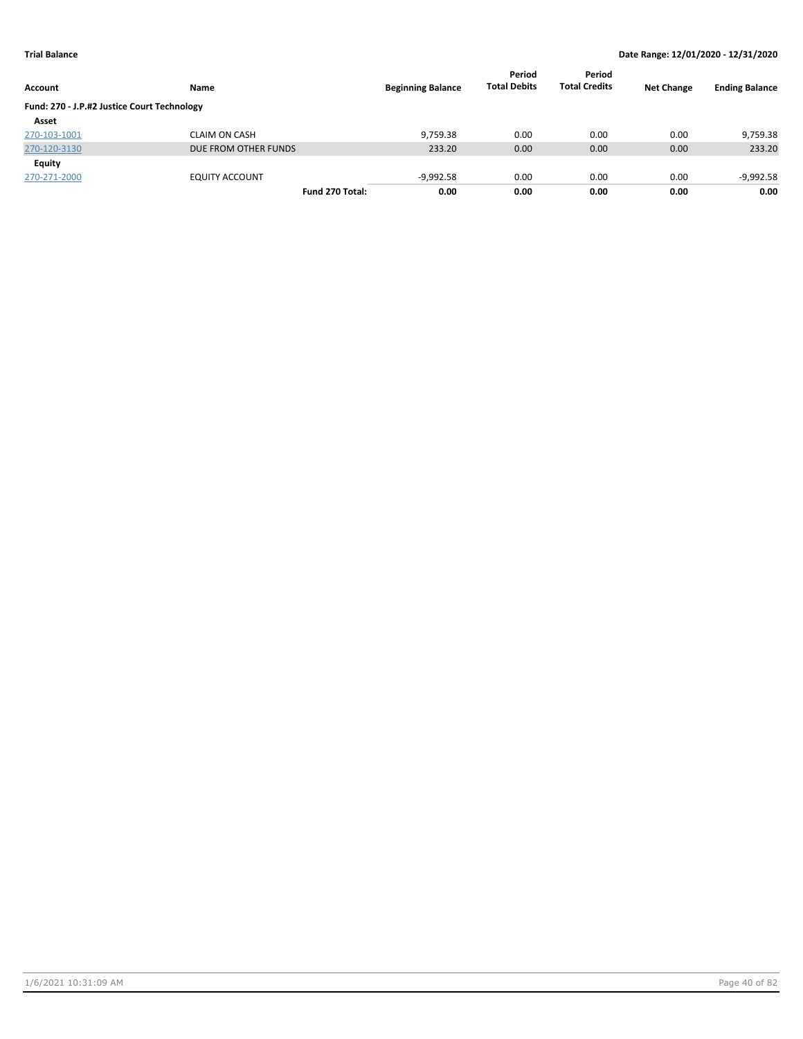| Account                                     | Name                  | <b>Beginning Balance</b> | Period<br><b>Total Debits</b> | Period<br><b>Total Credits</b> | <b>Net Change</b> | <b>Ending Balance</b> |
|---------------------------------------------|-----------------------|--------------------------|-------------------------------|--------------------------------|-------------------|-----------------------|
| Fund: 270 - J.P.#2 Justice Court Technology |                       |                          |                               |                                |                   |                       |
| Asset                                       |                       |                          |                               |                                |                   |                       |
| 270-103-1001                                | <b>CLAIM ON CASH</b>  | 9.759.38                 | 0.00                          | 0.00                           | 0.00              | 9,759.38              |
| 270-120-3130                                | DUE FROM OTHER FUNDS  | 233.20                   | 0.00                          | 0.00                           | 0.00              | 233.20                |
| Equity                                      |                       |                          |                               |                                |                   |                       |
| 270-271-2000                                | <b>EQUITY ACCOUNT</b> | $-9,992.58$              | 0.00                          | 0.00                           | 0.00              | $-9,992.58$           |
|                                             | Fund 270 Total:       | 0.00                     | 0.00                          | 0.00                           | 0.00              | 0.00                  |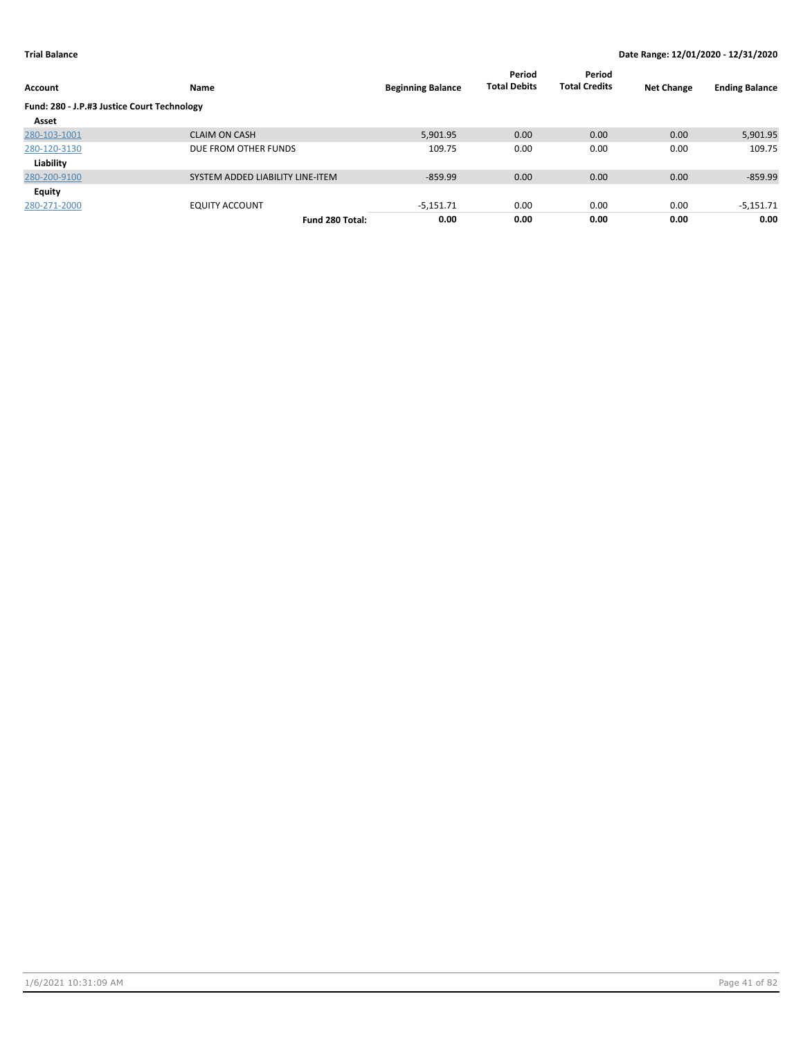| <b>Account</b>                              | Name                             | <b>Beginning Balance</b> | Period<br><b>Total Debits</b> | Period<br><b>Total Credits</b> | <b>Net Change</b> | <b>Ending Balance</b> |
|---------------------------------------------|----------------------------------|--------------------------|-------------------------------|--------------------------------|-------------------|-----------------------|
| Fund: 280 - J.P.#3 Justice Court Technology |                                  |                          |                               |                                |                   |                       |
| Asset                                       |                                  |                          |                               |                                |                   |                       |
| 280-103-1001                                | <b>CLAIM ON CASH</b>             | 5,901.95                 | 0.00                          | 0.00                           | 0.00              | 5,901.95              |
| 280-120-3130                                | DUE FROM OTHER FUNDS             | 109.75                   | 0.00                          | 0.00                           | 0.00              | 109.75                |
| Liability                                   |                                  |                          |                               |                                |                   |                       |
| 280-200-9100                                | SYSTEM ADDED LIABILITY LINE-ITEM | $-859.99$                | 0.00                          | 0.00                           | 0.00              | $-859.99$             |
| Equity                                      |                                  |                          |                               |                                |                   |                       |
| 280-271-2000                                | <b>EQUITY ACCOUNT</b>            | $-5,151.71$              | 0.00                          | 0.00                           | 0.00              | $-5,151.71$           |
|                                             | Fund 280 Total:                  | 0.00                     | 0.00                          | 0.00                           | 0.00              | 0.00                  |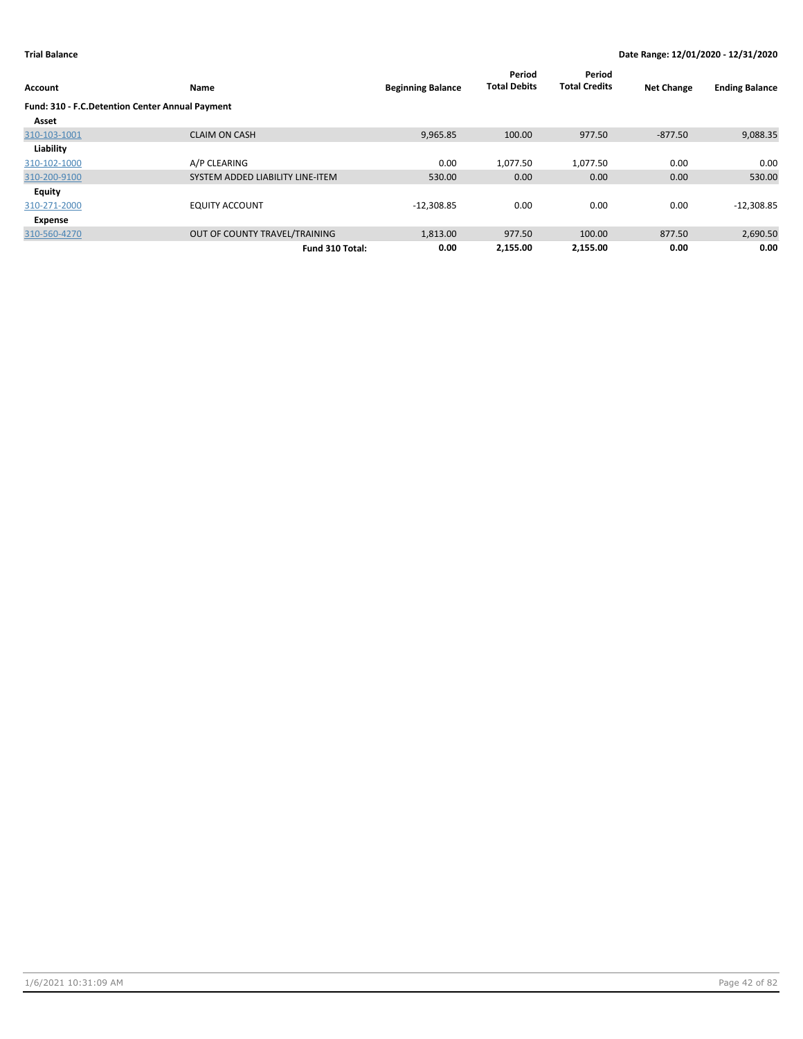| Account                                         | Name                             | <b>Beginning Balance</b> | Period<br><b>Total Debits</b> | Period<br><b>Total Credits</b> | <b>Net Change</b> | <b>Ending Balance</b> |
|-------------------------------------------------|----------------------------------|--------------------------|-------------------------------|--------------------------------|-------------------|-----------------------|
| Fund: 310 - F.C.Detention Center Annual Payment |                                  |                          |                               |                                |                   |                       |
| Asset                                           |                                  |                          |                               |                                |                   |                       |
| 310-103-1001                                    | <b>CLAIM ON CASH</b>             | 9,965.85                 | 100.00                        | 977.50                         | $-877.50$         | 9,088.35              |
| Liability                                       |                                  |                          |                               |                                |                   |                       |
| 310-102-1000                                    | A/P CLEARING                     | 0.00                     | 1,077.50                      | 1,077.50                       | 0.00              | 0.00                  |
| 310-200-9100                                    | SYSTEM ADDED LIABILITY LINE-ITEM | 530.00                   | 0.00                          | 0.00                           | 0.00              | 530.00                |
| Equity                                          |                                  |                          |                               |                                |                   |                       |
| 310-271-2000                                    | <b>EQUITY ACCOUNT</b>            | $-12,308.85$             | 0.00                          | 0.00                           | 0.00              | $-12,308.85$          |
| Expense                                         |                                  |                          |                               |                                |                   |                       |
| 310-560-4270                                    | OUT OF COUNTY TRAVEL/TRAINING    | 1,813.00                 | 977.50                        | 100.00                         | 877.50            | 2,690.50              |
|                                                 | Fund 310 Total:                  | 0.00                     | 2,155.00                      | 2.155.00                       | 0.00              | 0.00                  |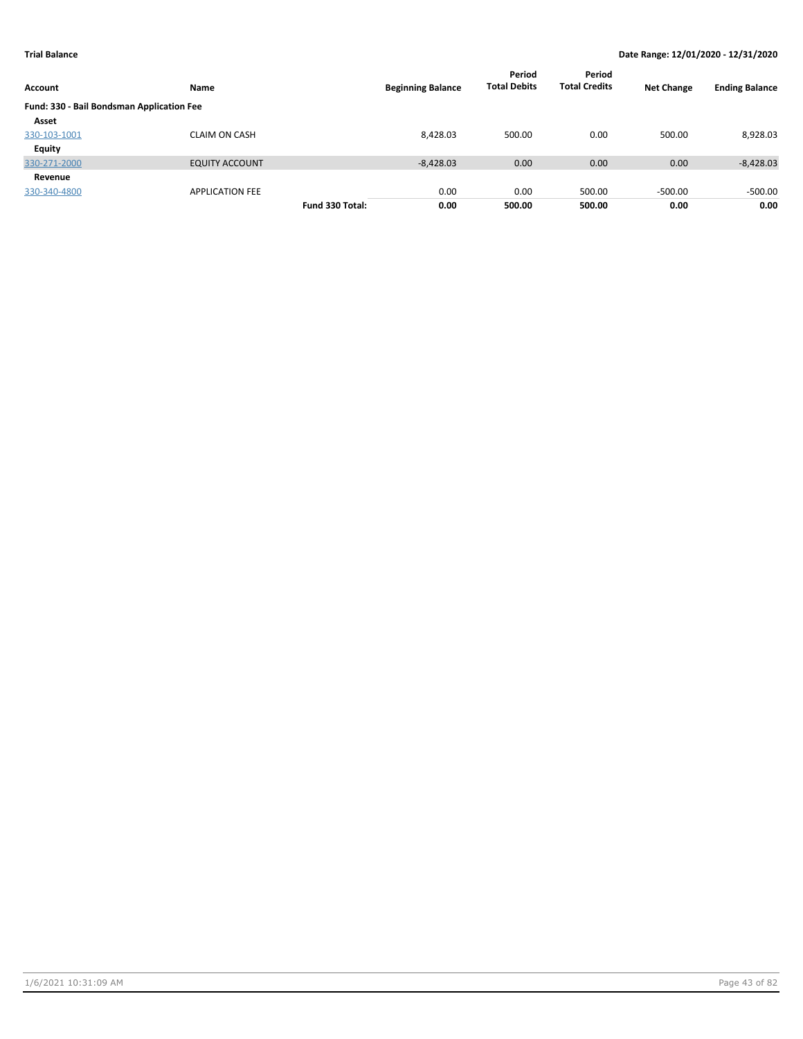| Account                                   | <b>Name</b>            |                 | <b>Beginning Balance</b> | Period<br><b>Total Debits</b> | Period<br><b>Total Credits</b> | <b>Net Change</b> | <b>Ending Balance</b> |
|-------------------------------------------|------------------------|-----------------|--------------------------|-------------------------------|--------------------------------|-------------------|-----------------------|
| Fund: 330 - Bail Bondsman Application Fee |                        |                 |                          |                               |                                |                   |                       |
| Asset                                     |                        |                 |                          |                               |                                |                   |                       |
| 330-103-1001                              | <b>CLAIM ON CASH</b>   |                 | 8,428.03                 | 500.00                        | 0.00                           | 500.00            | 8,928.03              |
| <b>Equity</b>                             |                        |                 |                          |                               |                                |                   |                       |
| 330-271-2000                              | <b>EQUITY ACCOUNT</b>  |                 | $-8,428.03$              | 0.00                          | 0.00                           | 0.00              | $-8,428.03$           |
| Revenue                                   |                        |                 |                          |                               |                                |                   |                       |
| 330-340-4800                              | <b>APPLICATION FEE</b> |                 | 0.00                     | 0.00                          | 500.00                         | $-500.00$         | $-500.00$             |
|                                           |                        | Fund 330 Total: | 0.00                     | 500.00                        | 500.00                         | 0.00              | 0.00                  |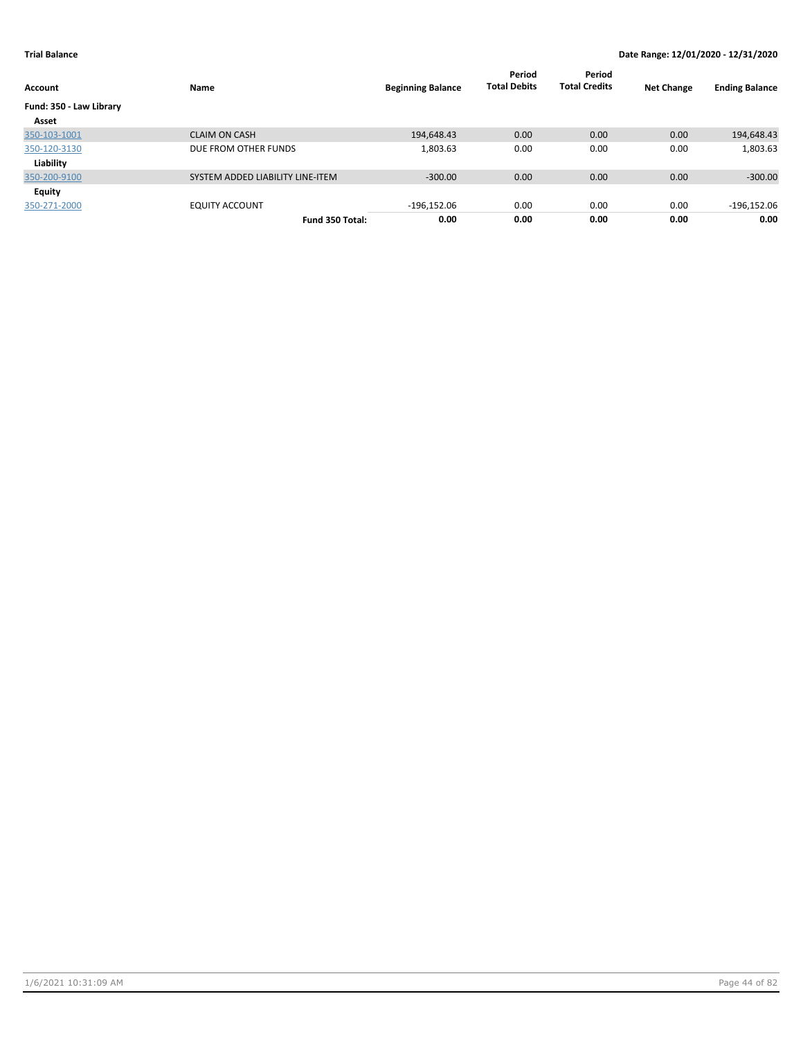| Account                 | Name                             | <b>Beginning Balance</b> | Period<br><b>Total Debits</b> | Period<br><b>Total Credits</b> | <b>Net Change</b> | <b>Ending Balance</b> |
|-------------------------|----------------------------------|--------------------------|-------------------------------|--------------------------------|-------------------|-----------------------|
| Fund: 350 - Law Library |                                  |                          |                               |                                |                   |                       |
| Asset                   |                                  |                          |                               |                                |                   |                       |
| 350-103-1001            | <b>CLAIM ON CASH</b>             | 194,648.43               | 0.00                          | 0.00                           | 0.00              | 194,648.43            |
| 350-120-3130            | DUE FROM OTHER FUNDS             | 1,803.63                 | 0.00                          | 0.00                           | 0.00              | 1,803.63              |
| Liability               |                                  |                          |                               |                                |                   |                       |
| 350-200-9100            | SYSTEM ADDED LIABILITY LINE-ITEM | $-300.00$                | 0.00                          | 0.00                           | 0.00              | $-300.00$             |
| <b>Equity</b>           |                                  |                          |                               |                                |                   |                       |
| 350-271-2000            | <b>EQUITY ACCOUNT</b>            | $-196,152.06$            | 0.00                          | 0.00                           | 0.00              | $-196,152.06$         |
|                         | Fund 350 Total:                  | 0.00                     | 0.00                          | 0.00                           | 0.00              | 0.00                  |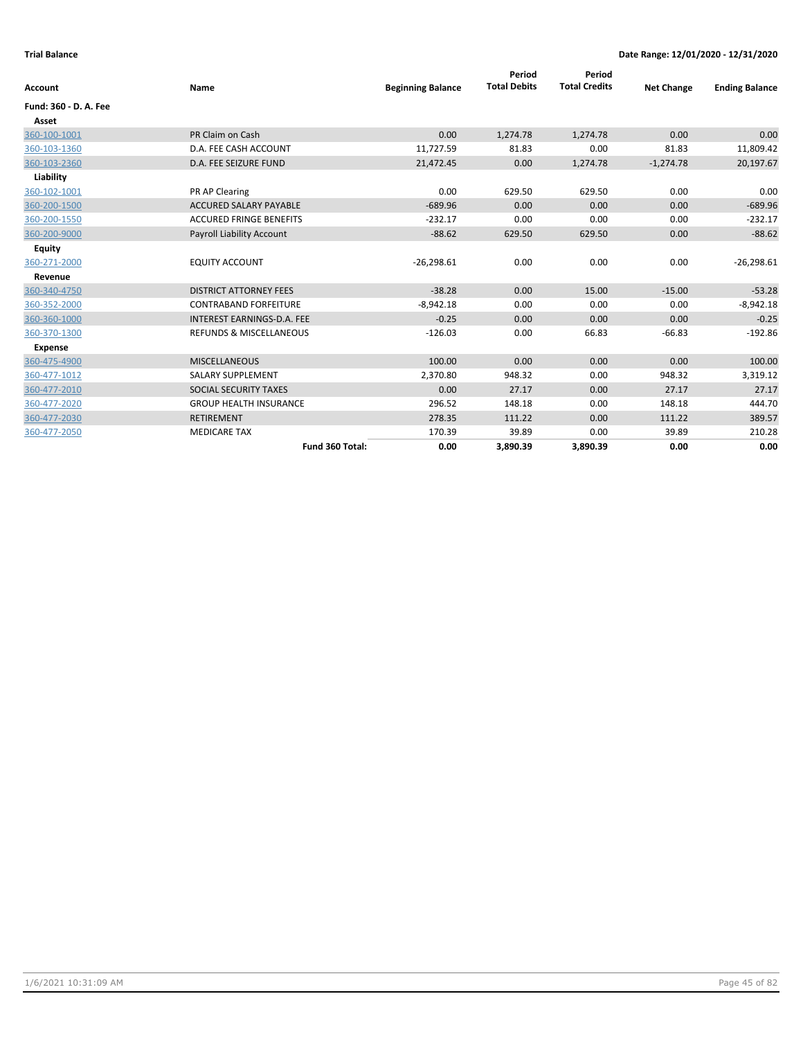| <b>Account</b>        | Name                           | <b>Beginning Balance</b> | Period<br><b>Total Debits</b> | Period<br><b>Total Credits</b> | <b>Net Change</b> | <b>Ending Balance</b> |
|-----------------------|--------------------------------|--------------------------|-------------------------------|--------------------------------|-------------------|-----------------------|
| Fund: 360 - D. A. Fee |                                |                          |                               |                                |                   |                       |
| Asset                 |                                |                          |                               |                                |                   |                       |
| 360-100-1001          | PR Claim on Cash               | 0.00                     | 1,274.78                      | 1,274.78                       | 0.00              | 0.00                  |
| 360-103-1360          | D.A. FEE CASH ACCOUNT          | 11,727.59                | 81.83                         | 0.00                           | 81.83             | 11,809.42             |
| 360-103-2360          | <b>D.A. FEE SEIZURE FUND</b>   | 21,472.45                | 0.00                          | 1,274.78                       | $-1,274.78$       | 20,197.67             |
| Liability             |                                |                          |                               |                                |                   |                       |
| 360-102-1001          | PR AP Clearing                 | 0.00                     | 629.50                        | 629.50                         | 0.00              | 0.00                  |
| 360-200-1500          | <b>ACCURED SALARY PAYABLE</b>  | $-689.96$                | 0.00                          | 0.00                           | 0.00              | $-689.96$             |
| 360-200-1550          | <b>ACCURED FRINGE BENEFITS</b> | $-232.17$                | 0.00                          | 0.00                           | 0.00              | $-232.17$             |
| 360-200-9000          | Payroll Liability Account      | $-88.62$                 | 629.50                        | 629.50                         | 0.00              | $-88.62$              |
| <b>Equity</b>         |                                |                          |                               |                                |                   |                       |
| 360-271-2000          | <b>EQUITY ACCOUNT</b>          | $-26,298.61$             | 0.00                          | 0.00                           | 0.00              | $-26,298.61$          |
| Revenue               |                                |                          |                               |                                |                   |                       |
| 360-340-4750          | <b>DISTRICT ATTORNEY FEES</b>  | $-38.28$                 | 0.00                          | 15.00                          | $-15.00$          | $-53.28$              |
| 360-352-2000          | <b>CONTRABAND FORFEITURE</b>   | $-8,942.18$              | 0.00                          | 0.00                           | 0.00              | $-8,942.18$           |
| 360-360-1000          | INTEREST EARNINGS-D.A. FEE     | $-0.25$                  | 0.00                          | 0.00                           | 0.00              | $-0.25$               |
| 360-370-1300          | REFUNDS & MISCELLANEOUS        | $-126.03$                | 0.00                          | 66.83                          | $-66.83$          | $-192.86$             |
| <b>Expense</b>        |                                |                          |                               |                                |                   |                       |
| 360-475-4900          | <b>MISCELLANEOUS</b>           | 100.00                   | 0.00                          | 0.00                           | 0.00              | 100.00                |
| 360-477-1012          | SALARY SUPPLEMENT              | 2,370.80                 | 948.32                        | 0.00                           | 948.32            | 3,319.12              |
| 360-477-2010          | SOCIAL SECURITY TAXES          | 0.00                     | 27.17                         | 0.00                           | 27.17             | 27.17                 |
| 360-477-2020          | <b>GROUP HEALTH INSURANCE</b>  | 296.52                   | 148.18                        | 0.00                           | 148.18            | 444.70                |
| 360-477-2030          | <b>RETIREMENT</b>              | 278.35                   | 111.22                        | 0.00                           | 111.22            | 389.57                |
| 360-477-2050          | <b>MEDICARE TAX</b>            | 170.39                   | 39.89                         | 0.00                           | 39.89             | 210.28                |
|                       | Fund 360 Total:                | 0.00                     | 3,890.39                      | 3,890.39                       | 0.00              | 0.00                  |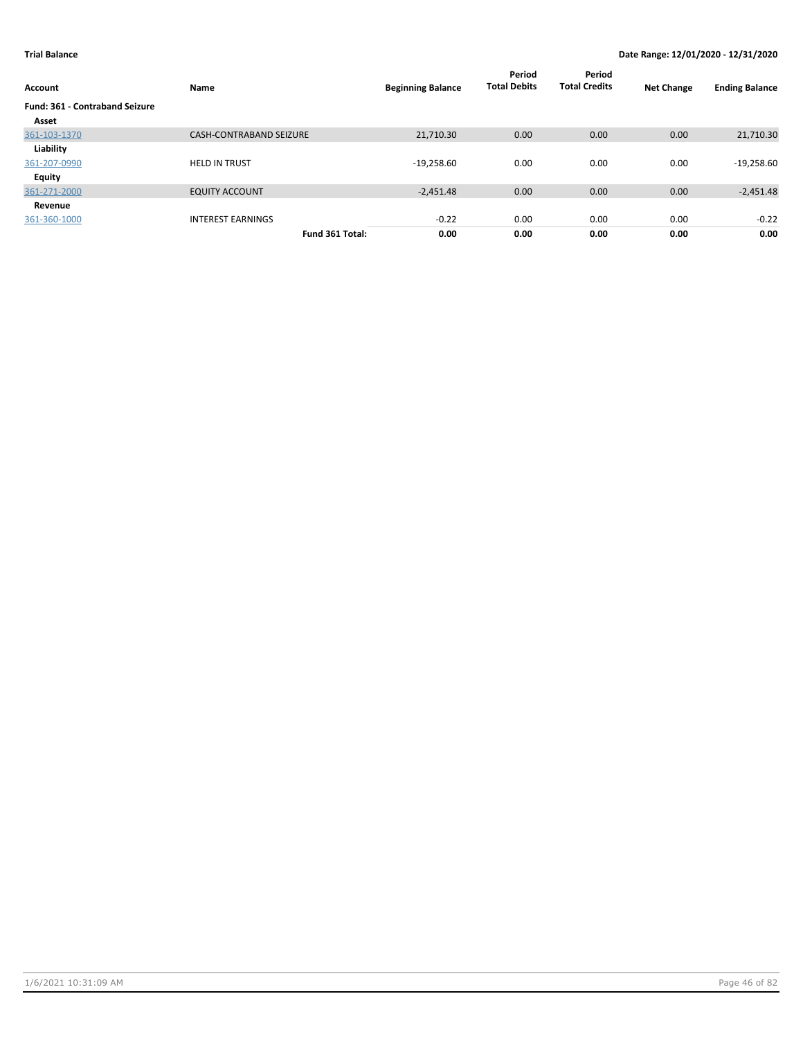| Account                               | Name                           | <b>Beginning Balance</b> | Period<br><b>Total Debits</b> | Period<br><b>Total Credits</b> | <b>Net Change</b> | <b>Ending Balance</b> |
|---------------------------------------|--------------------------------|--------------------------|-------------------------------|--------------------------------|-------------------|-----------------------|
| <b>Fund: 361 - Contraband Seizure</b> |                                |                          |                               |                                |                   |                       |
| Asset                                 |                                |                          |                               |                                |                   |                       |
| 361-103-1370                          | <b>CASH-CONTRABAND SEIZURE</b> | 21,710.30                | 0.00                          | 0.00                           | 0.00              | 21,710.30             |
| Liability                             |                                |                          |                               |                                |                   |                       |
| 361-207-0990                          | <b>HELD IN TRUST</b>           | $-19,258.60$             | 0.00                          | 0.00                           | 0.00              | $-19,258.60$          |
| Equity                                |                                |                          |                               |                                |                   |                       |
| 361-271-2000                          | <b>EQUITY ACCOUNT</b>          | $-2.451.48$              | 0.00                          | 0.00                           | 0.00              | $-2,451.48$           |
| Revenue                               |                                |                          |                               |                                |                   |                       |
| 361-360-1000                          | <b>INTEREST EARNINGS</b>       | $-0.22$                  | 0.00                          | 0.00                           | 0.00              | $-0.22$               |
|                                       | Fund 361 Total:                | 0.00                     | 0.00                          | 0.00                           | 0.00              | 0.00                  |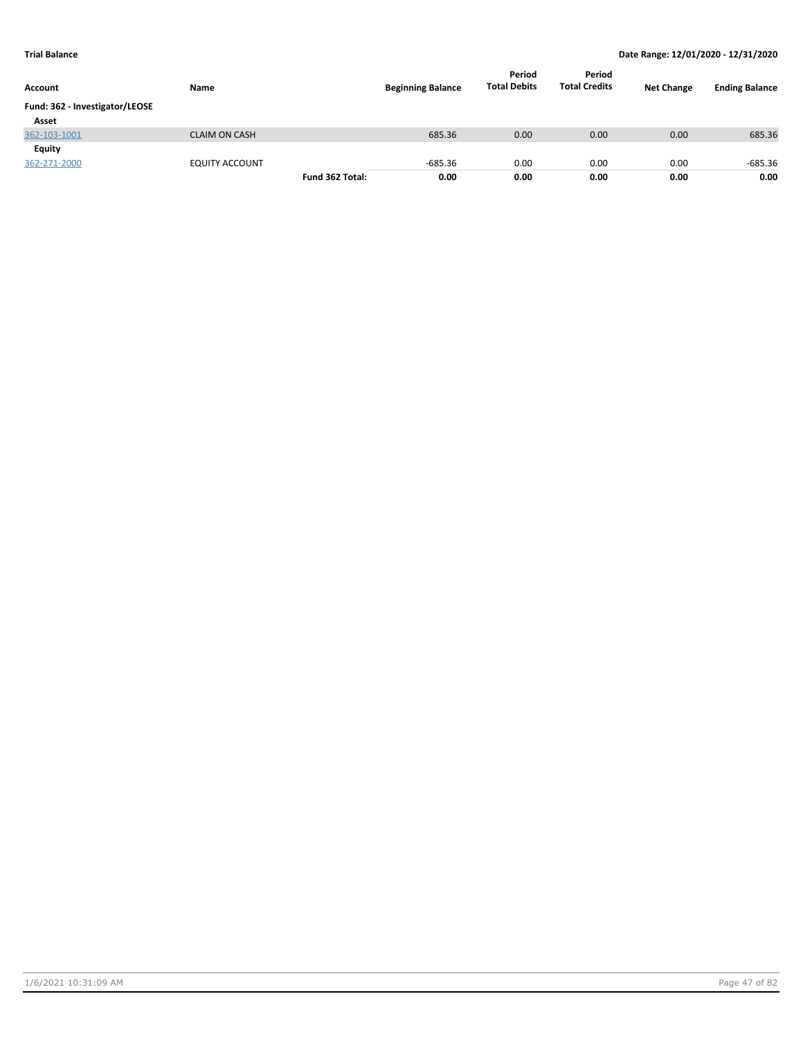| Account                        | Name                  |                 | <b>Beginning Balance</b> | Period<br><b>Total Debits</b> | Period<br><b>Total Credits</b> | <b>Net Change</b> | <b>Ending Balance</b> |
|--------------------------------|-----------------------|-----------------|--------------------------|-------------------------------|--------------------------------|-------------------|-----------------------|
| Fund: 362 - Investigator/LEOSE |                       |                 |                          |                               |                                |                   |                       |
| Asset                          |                       |                 |                          |                               |                                |                   |                       |
| 362-103-1001                   | <b>CLAIM ON CASH</b>  |                 | 685.36                   | 0.00                          | 0.00                           | 0.00              | 685.36                |
| Equity                         |                       |                 |                          |                               |                                |                   |                       |
| 362-271-2000                   | <b>EQUITY ACCOUNT</b> |                 | $-685.36$                | 0.00                          | 0.00                           | 0.00              | $-685.36$             |
|                                |                       | Fund 362 Total: | 0.00                     | 0.00                          | 0.00                           | 0.00              | 0.00                  |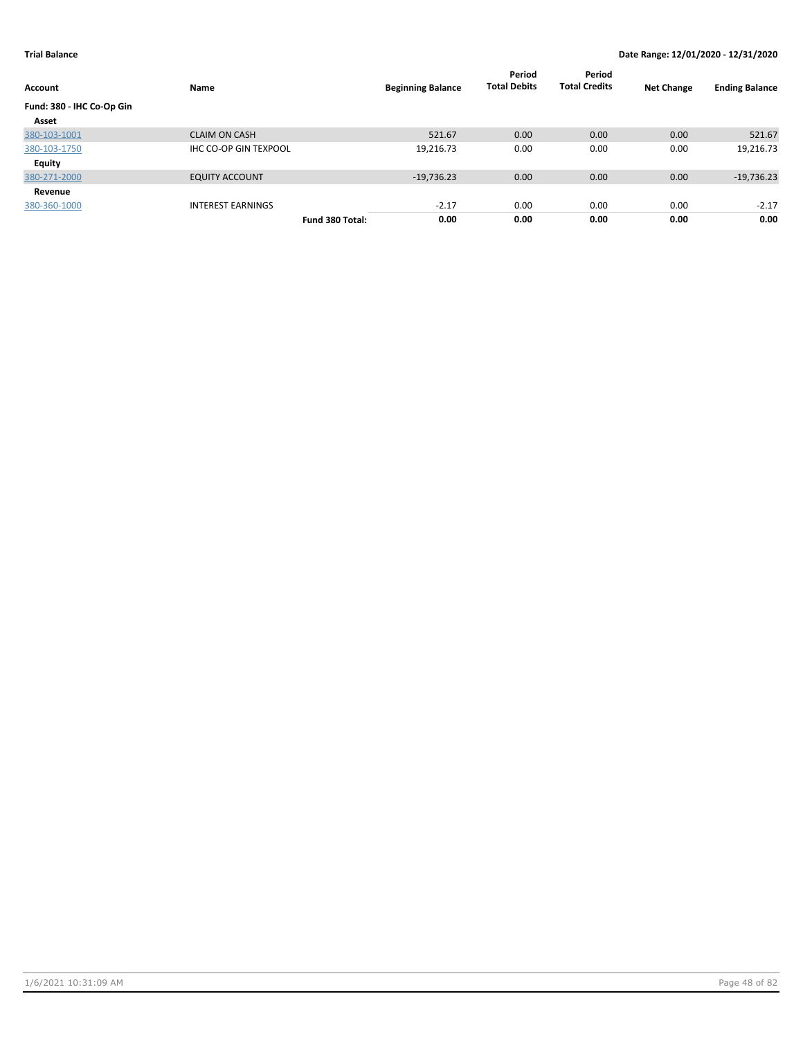| Account                   | Name                         |                 | <b>Beginning Balance</b> | Period<br><b>Total Debits</b> | Period<br><b>Total Credits</b> | <b>Net Change</b> | <b>Ending Balance</b> |
|---------------------------|------------------------------|-----------------|--------------------------|-------------------------------|--------------------------------|-------------------|-----------------------|
| Fund: 380 - IHC Co-Op Gin |                              |                 |                          |                               |                                |                   |                       |
| Asset                     |                              |                 |                          |                               |                                |                   |                       |
| 380-103-1001              | <b>CLAIM ON CASH</b>         |                 | 521.67                   | 0.00                          | 0.00                           | 0.00              | 521.67                |
| 380-103-1750              | <b>IHC CO-OP GIN TEXPOOL</b> |                 | 19,216.73                | 0.00                          | 0.00                           | 0.00              | 19,216.73             |
| Equity                    |                              |                 |                          |                               |                                |                   |                       |
| 380-271-2000              | <b>EQUITY ACCOUNT</b>        |                 | $-19,736.23$             | 0.00                          | 0.00                           | 0.00              | $-19,736.23$          |
| Revenue                   |                              |                 |                          |                               |                                |                   |                       |
| 380-360-1000              | <b>INTEREST EARNINGS</b>     |                 | $-2.17$                  | 0.00                          | 0.00                           | 0.00              | $-2.17$               |
|                           |                              | Fund 380 Total: | 0.00                     | 0.00                          | 0.00                           | 0.00              | 0.00                  |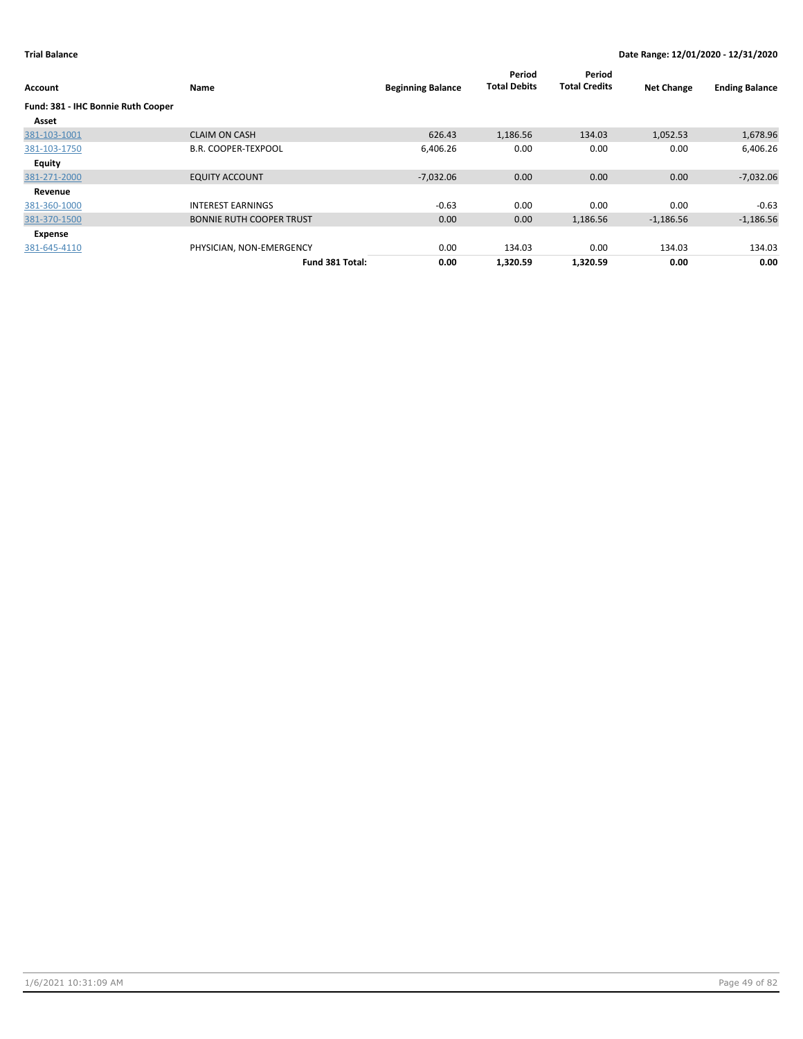| Account                                     | Name                            | <b>Beginning Balance</b> | Period<br><b>Total Debits</b> | Period<br><b>Total Credits</b> | <b>Net Change</b> | <b>Ending Balance</b> |
|---------------------------------------------|---------------------------------|--------------------------|-------------------------------|--------------------------------|-------------------|-----------------------|
| Fund: 381 - IHC Bonnie Ruth Cooper<br>Asset |                                 |                          |                               |                                |                   |                       |
| 381-103-1001                                | <b>CLAIM ON CASH</b>            | 626.43                   | 1,186.56                      | 134.03                         | 1,052.53          | 1,678.96              |
| 381-103-1750                                | <b>B.R. COOPER-TEXPOOL</b>      | 6,406.26                 | 0.00                          | 0.00                           | 0.00              | 6,406.26              |
| Equity                                      |                                 |                          |                               |                                |                   |                       |
| 381-271-2000                                | <b>EQUITY ACCOUNT</b>           | $-7,032.06$              | 0.00                          | 0.00                           | 0.00              | $-7,032.06$           |
| Revenue                                     |                                 |                          |                               |                                |                   |                       |
| 381-360-1000                                | <b>INTEREST EARNINGS</b>        | $-0.63$                  | 0.00                          | 0.00                           | 0.00              | $-0.63$               |
| 381-370-1500                                | <b>BONNIE RUTH COOPER TRUST</b> | 0.00                     | 0.00                          | 1,186.56                       | $-1,186.56$       | $-1,186.56$           |
| Expense                                     |                                 |                          |                               |                                |                   |                       |
| 381-645-4110                                | PHYSICIAN, NON-EMERGENCY        | 0.00                     | 134.03                        | 0.00                           | 134.03            | 134.03                |
|                                             | Fund 381 Total:                 | 0.00                     | 1,320.59                      | 1,320.59                       | 0.00              | 0.00                  |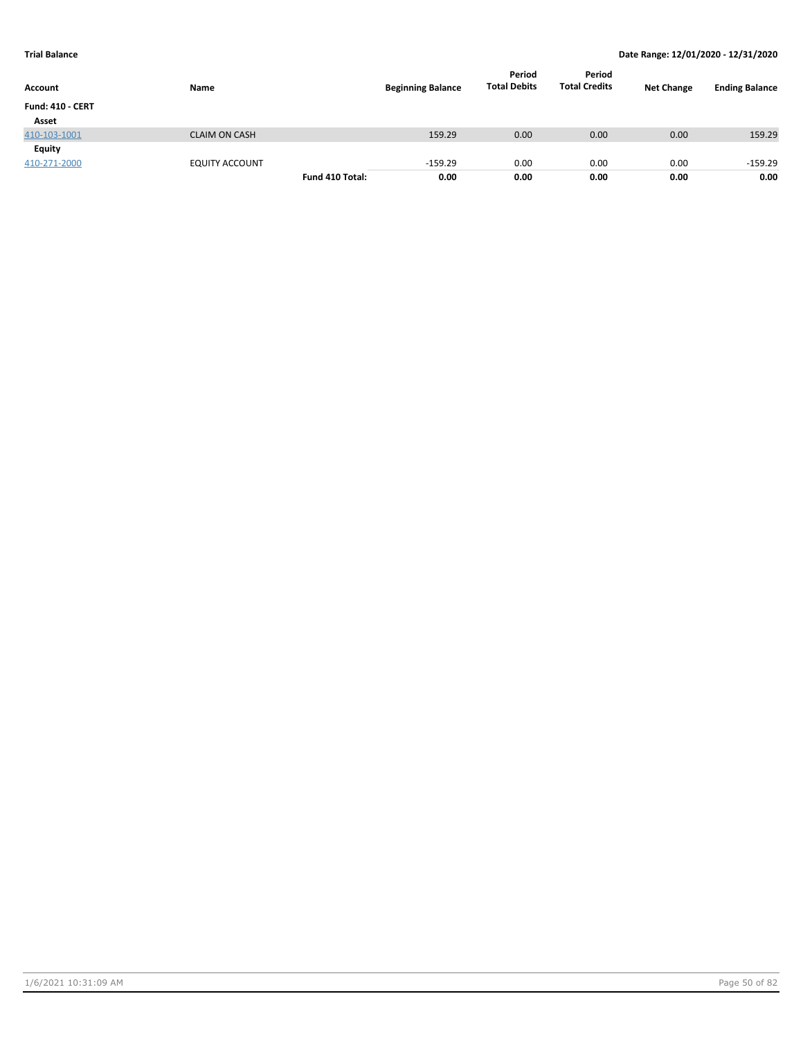| Account                 | <b>Name</b>           |                 | <b>Beginning Balance</b> | Period<br><b>Total Debits</b> | Period<br><b>Total Credits</b> | <b>Net Change</b> | <b>Ending Balance</b> |
|-------------------------|-----------------------|-----------------|--------------------------|-------------------------------|--------------------------------|-------------------|-----------------------|
| <b>Fund: 410 - CERT</b> |                       |                 |                          |                               |                                |                   |                       |
| Asset                   |                       |                 |                          |                               |                                |                   |                       |
| 410-103-1001            | <b>CLAIM ON CASH</b>  |                 | 159.29                   | 0.00                          | 0.00                           | 0.00              | 159.29                |
| <b>Equity</b>           |                       |                 |                          |                               |                                |                   |                       |
| 410-271-2000            | <b>EQUITY ACCOUNT</b> |                 | $-159.29$                | 0.00                          | 0.00                           | 0.00              | $-159.29$             |
|                         |                       | Fund 410 Total: | 0.00                     | 0.00                          | 0.00                           | 0.00              | 0.00                  |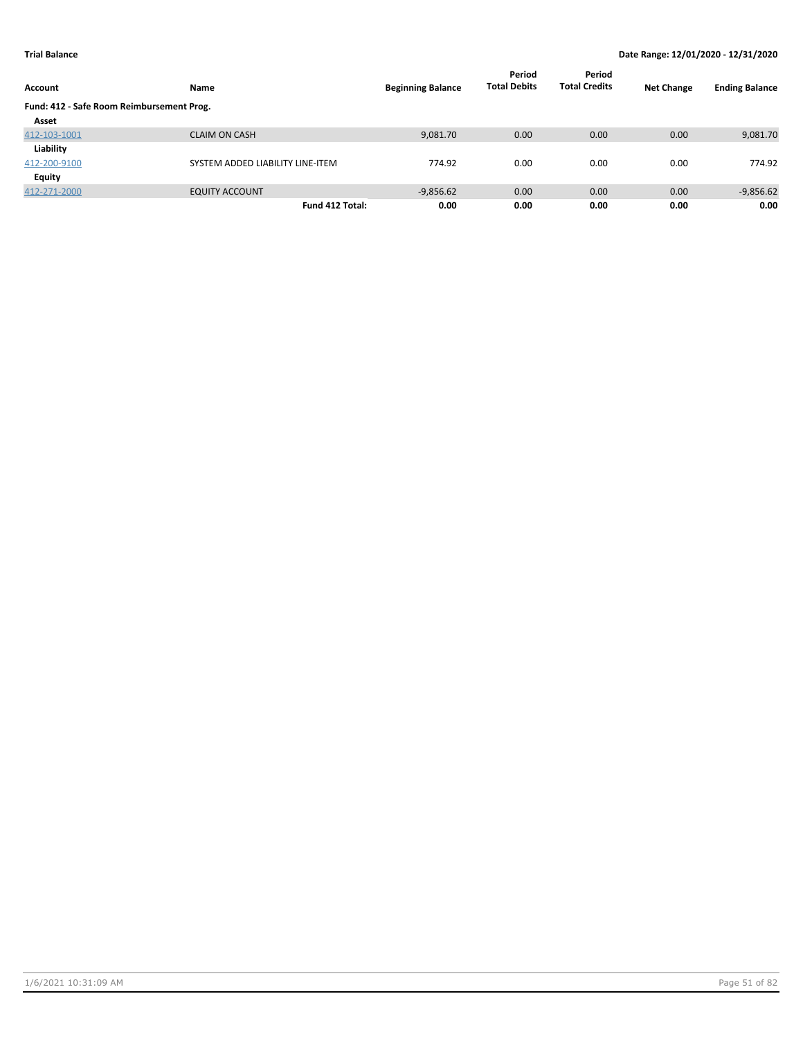| Account                                   | Name                             | <b>Beginning Balance</b> | Period<br><b>Total Debits</b> | Period<br><b>Total Credits</b> | <b>Net Change</b> | <b>Ending Balance</b> |
|-------------------------------------------|----------------------------------|--------------------------|-------------------------------|--------------------------------|-------------------|-----------------------|
| Fund: 412 - Safe Room Reimbursement Prog. |                                  |                          |                               |                                |                   |                       |
| Asset                                     |                                  |                          |                               |                                |                   |                       |
| 412-103-1001                              | <b>CLAIM ON CASH</b>             | 9,081.70                 | 0.00                          | 0.00                           | 0.00              | 9,081.70              |
| Liability                                 |                                  |                          |                               |                                |                   |                       |
| 412-200-9100                              | SYSTEM ADDED LIABILITY LINE-ITEM | 774.92                   | 0.00                          | 0.00                           | 0.00              | 774.92                |
| <b>Equity</b>                             |                                  |                          |                               |                                |                   |                       |
| 412-271-2000                              | <b>EQUITY ACCOUNT</b>            | $-9,856.62$              | 0.00                          | 0.00                           | 0.00              | $-9,856.62$           |
|                                           | Fund 412 Total:                  | 0.00                     | 0.00                          | 0.00                           | 0.00              | 0.00                  |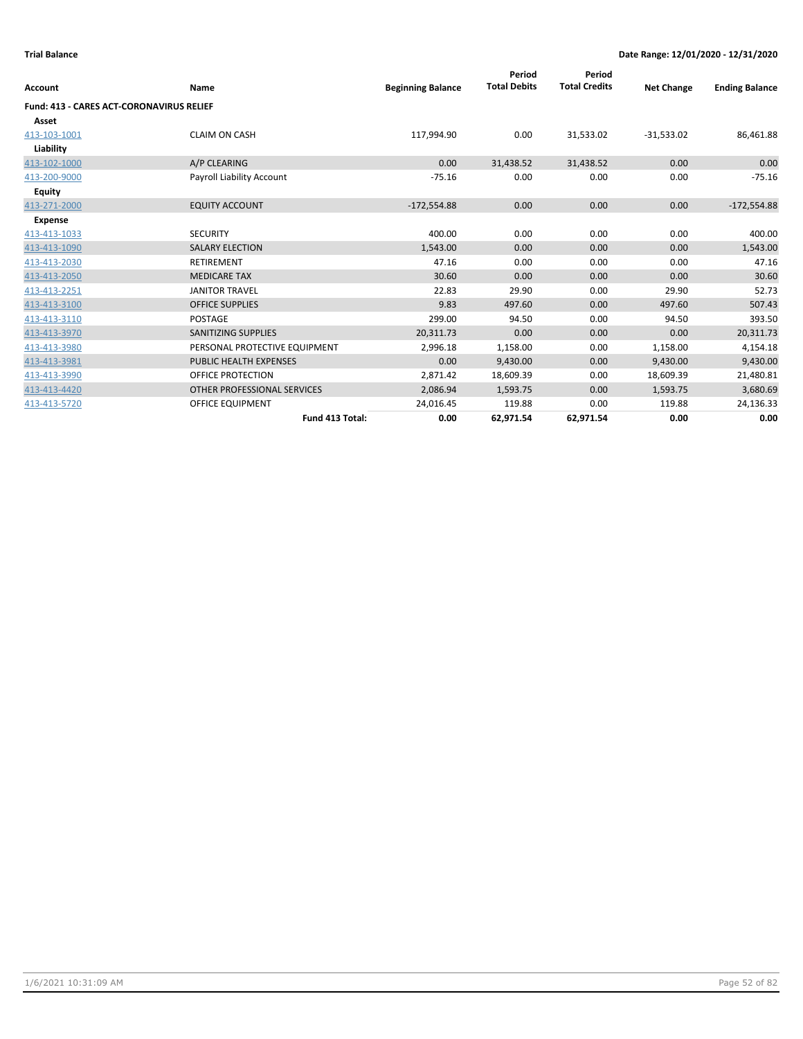| Account                                         | Name                          | <b>Beginning Balance</b> | Period<br><b>Total Debits</b> | Period<br><b>Total Credits</b> | <b>Net Change</b> | <b>Ending Balance</b> |
|-------------------------------------------------|-------------------------------|--------------------------|-------------------------------|--------------------------------|-------------------|-----------------------|
| <b>Fund: 413 - CARES ACT-CORONAVIRUS RELIEF</b> |                               |                          |                               |                                |                   |                       |
| Asset                                           |                               |                          |                               |                                |                   |                       |
| 413-103-1001                                    | <b>CLAIM ON CASH</b>          | 117,994.90               | 0.00                          | 31,533.02                      | $-31,533.02$      | 86,461.88             |
| Liability                                       |                               |                          |                               |                                |                   |                       |
| 413-102-1000                                    | A/P CLEARING                  | 0.00                     | 31,438.52                     | 31,438.52                      | 0.00              | 0.00                  |
| 413-200-9000                                    | Payroll Liability Account     | $-75.16$                 | 0.00                          | 0.00                           | 0.00              | $-75.16$              |
| Equity                                          |                               |                          |                               |                                |                   |                       |
| 413-271-2000                                    | <b>EQUITY ACCOUNT</b>         | $-172,554.88$            | 0.00                          | 0.00                           | 0.00              | $-172,554.88$         |
| <b>Expense</b>                                  |                               |                          |                               |                                |                   |                       |
| 413-413-1033                                    | <b>SECURITY</b>               | 400.00                   | 0.00                          | 0.00                           | 0.00              | 400.00                |
| 413-413-1090                                    | <b>SALARY ELECTION</b>        | 1,543.00                 | 0.00                          | 0.00                           | 0.00              | 1,543.00              |
| 413-413-2030                                    | <b>RETIREMENT</b>             | 47.16                    | 0.00                          | 0.00                           | 0.00              | 47.16                 |
| 413-413-2050                                    | <b>MEDICARE TAX</b>           | 30.60                    | 0.00                          | 0.00                           | 0.00              | 30.60                 |
| 413-413-2251                                    | <b>JANITOR TRAVEL</b>         | 22.83                    | 29.90                         | 0.00                           | 29.90             | 52.73                 |
| 413-413-3100                                    | <b>OFFICE SUPPLIES</b>        | 9.83                     | 497.60                        | 0.00                           | 497.60            | 507.43                |
| 413-413-3110                                    | <b>POSTAGE</b>                | 299.00                   | 94.50                         | 0.00                           | 94.50             | 393.50                |
| 413-413-3970                                    | <b>SANITIZING SUPPLIES</b>    | 20,311.73                | 0.00                          | 0.00                           | 0.00              | 20,311.73             |
| 413-413-3980                                    | PERSONAL PROTECTIVE EQUIPMENT | 2,996.18                 | 1,158.00                      | 0.00                           | 1,158.00          | 4,154.18              |
| 413-413-3981                                    | PUBLIC HEALTH EXPENSES        | 0.00                     | 9,430.00                      | 0.00                           | 9,430.00          | 9,430.00              |
| 413-413-3990                                    | OFFICE PROTECTION             | 2,871.42                 | 18,609.39                     | 0.00                           | 18,609.39         | 21,480.81             |
| 413-413-4420                                    | OTHER PROFESSIONAL SERVICES   | 2,086.94                 | 1,593.75                      | 0.00                           | 1,593.75          | 3,680.69              |
| 413-413-5720                                    | <b>OFFICE EQUIPMENT</b>       | 24,016.45                | 119.88                        | 0.00                           | 119.88            | 24,136.33             |
|                                                 | Fund 413 Total:               | 0.00                     | 62,971.54                     | 62,971.54                      | 0.00              | 0.00                  |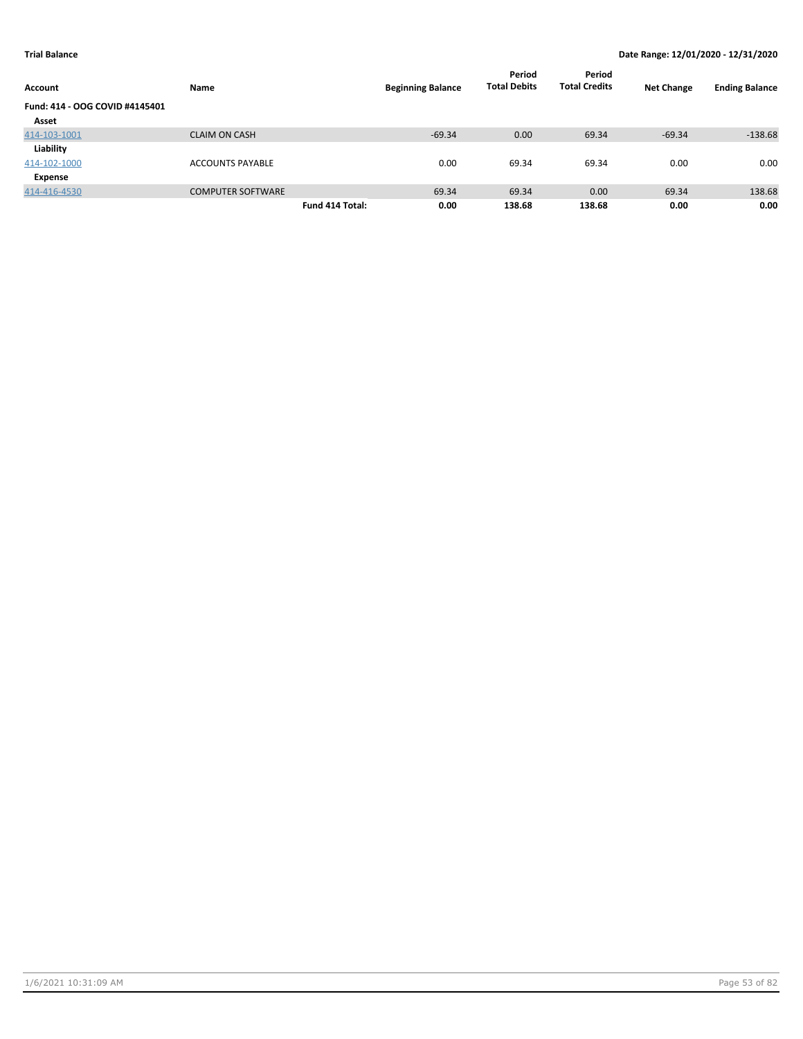| Account                        | Name                     |                 | <b>Beginning Balance</b> | Period<br><b>Total Debits</b> | Period<br><b>Total Credits</b> | <b>Net Change</b> | <b>Ending Balance</b> |
|--------------------------------|--------------------------|-----------------|--------------------------|-------------------------------|--------------------------------|-------------------|-----------------------|
| Fund: 414 - OOG COVID #4145401 |                          |                 |                          |                               |                                |                   |                       |
| Asset                          |                          |                 |                          |                               |                                |                   |                       |
| 414-103-1001                   | <b>CLAIM ON CASH</b>     |                 | $-69.34$                 | 0.00                          | 69.34                          | $-69.34$          | $-138.68$             |
| Liability                      |                          |                 |                          |                               |                                |                   |                       |
| 414-102-1000                   | <b>ACCOUNTS PAYABLE</b>  |                 | 0.00                     | 69.34                         | 69.34                          | 0.00              | 0.00                  |
| Expense                        |                          |                 |                          |                               |                                |                   |                       |
| 414-416-4530                   | <b>COMPUTER SOFTWARE</b> |                 | 69.34                    | 69.34                         | 0.00                           | 69.34             | 138.68                |
|                                |                          | Fund 414 Total: | 0.00                     | 138.68                        | 138.68                         | 0.00              | 0.00                  |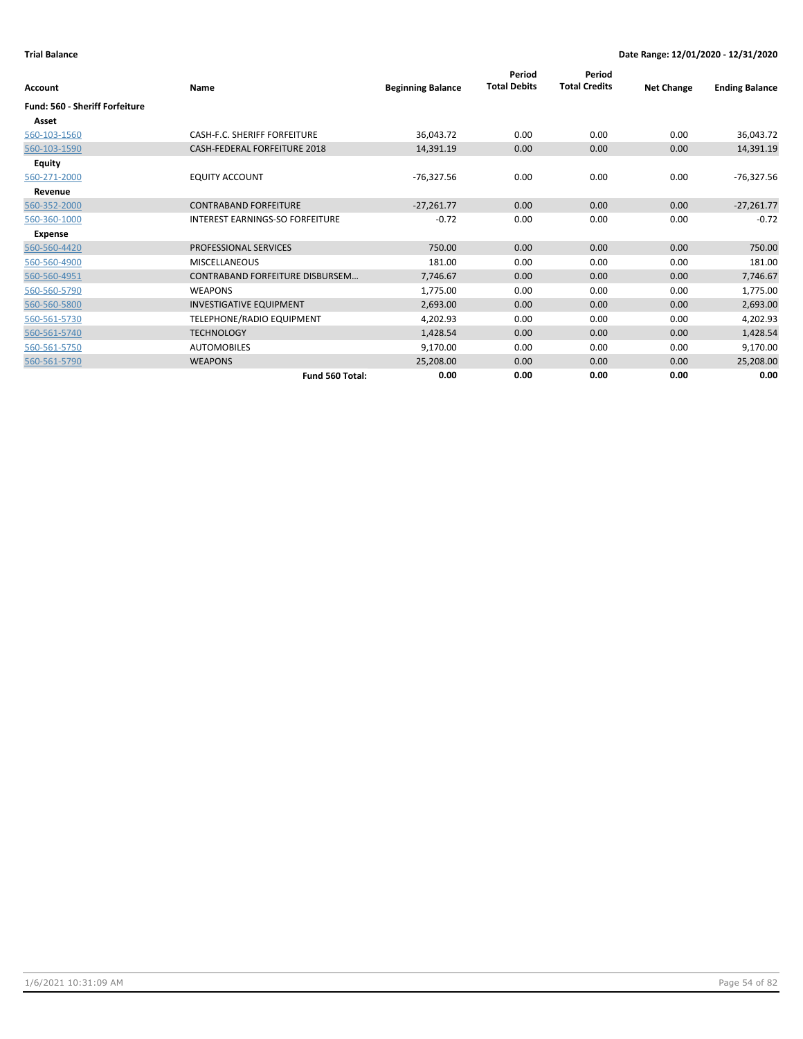| Account                        | Name                                   | <b>Beginning Balance</b> | Period<br><b>Total Debits</b> | Period<br><b>Total Credits</b> | <b>Net Change</b> | <b>Ending Balance</b> |
|--------------------------------|----------------------------------------|--------------------------|-------------------------------|--------------------------------|-------------------|-----------------------|
| Fund: 560 - Sheriff Forfeiture |                                        |                          |                               |                                |                   |                       |
| Asset                          |                                        |                          |                               |                                |                   |                       |
| 560-103-1560                   | CASH-F.C. SHERIFF FORFEITURE           | 36,043.72                | 0.00                          | 0.00                           | 0.00              | 36,043.72             |
| 560-103-1590                   | CASH-FEDERAL FORFEITURE 2018           | 14,391.19                | 0.00                          | 0.00                           | 0.00              | 14,391.19             |
| <b>Equity</b>                  |                                        |                          |                               |                                |                   |                       |
| 560-271-2000                   | <b>EQUITY ACCOUNT</b>                  | $-76,327.56$             | 0.00                          | 0.00                           | 0.00              | -76,327.56            |
| Revenue                        |                                        |                          |                               |                                |                   |                       |
| 560-352-2000                   | <b>CONTRABAND FORFEITURE</b>           | $-27,261.77$             | 0.00                          | 0.00                           | 0.00              | $-27,261.77$          |
| 560-360-1000                   | <b>INTEREST EARNINGS-SO FORFEITURE</b> | $-0.72$                  | 0.00                          | 0.00                           | 0.00              | $-0.72$               |
| Expense                        |                                        |                          |                               |                                |                   |                       |
| 560-560-4420                   | <b>PROFESSIONAL SERVICES</b>           | 750.00                   | 0.00                          | 0.00                           | 0.00              | 750.00                |
| 560-560-4900                   | <b>MISCELLANEOUS</b>                   | 181.00                   | 0.00                          | 0.00                           | 0.00              | 181.00                |
| 560-560-4951                   | <b>CONTRABAND FORFEITURE DISBURSEM</b> | 7,746.67                 | 0.00                          | 0.00                           | 0.00              | 7,746.67              |
| 560-560-5790                   | <b>WEAPONS</b>                         | 1,775.00                 | 0.00                          | 0.00                           | 0.00              | 1,775.00              |
| 560-560-5800                   | <b>INVESTIGATIVE EQUIPMENT</b>         | 2,693.00                 | 0.00                          | 0.00                           | 0.00              | 2,693.00              |
| 560-561-5730                   | TELEPHONE/RADIO EQUIPMENT              | 4,202.93                 | 0.00                          | 0.00                           | 0.00              | 4,202.93              |
| 560-561-5740                   | <b>TECHNOLOGY</b>                      | 1,428.54                 | 0.00                          | 0.00                           | 0.00              | 1,428.54              |
| 560-561-5750                   | <b>AUTOMOBILES</b>                     | 9,170.00                 | 0.00                          | 0.00                           | 0.00              | 9,170.00              |
| 560-561-5790                   | <b>WEAPONS</b>                         | 25,208.00                | 0.00                          | 0.00                           | 0.00              | 25,208.00             |
|                                | Fund 560 Total:                        | 0.00                     | 0.00                          | 0.00                           | 0.00              | 0.00                  |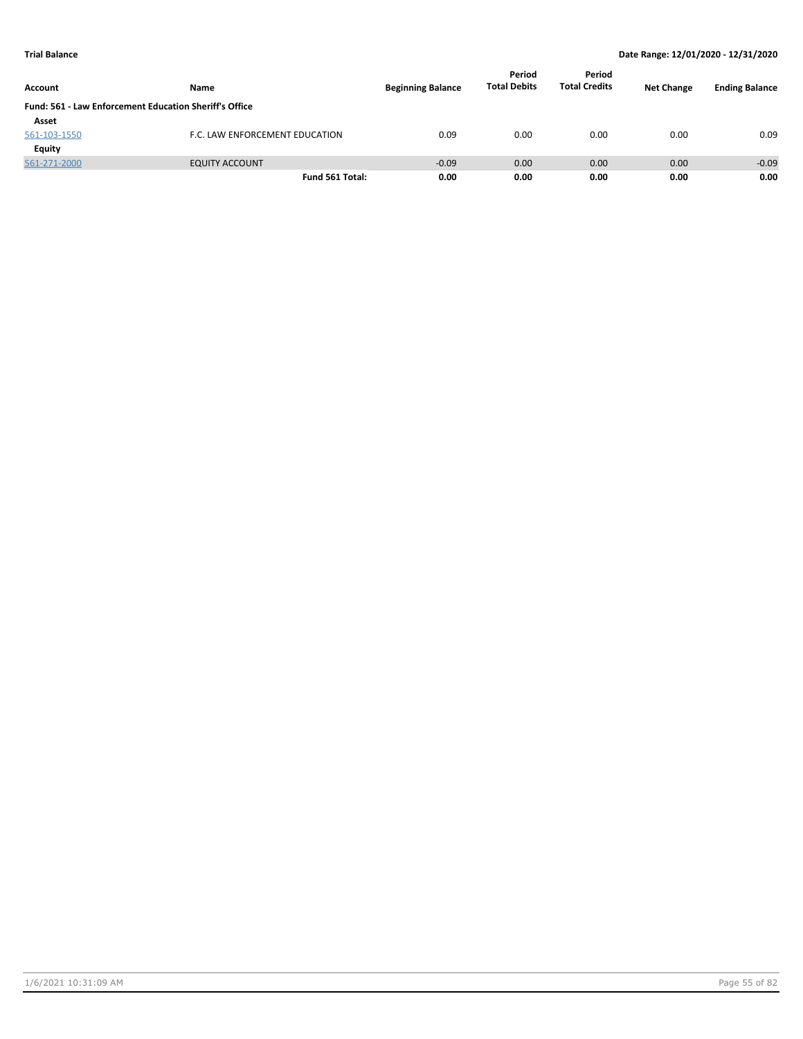| Account      | Name                                                   | <b>Beginning Balance</b> | Period<br><b>Total Debits</b> | Period<br><b>Total Credits</b> | <b>Net Change</b> | <b>Ending Balance</b> |
|--------------|--------------------------------------------------------|--------------------------|-------------------------------|--------------------------------|-------------------|-----------------------|
|              | Fund: 561 - Law Enforcement Education Sheriff's Office |                          |                               |                                |                   |                       |
| Asset        |                                                        |                          |                               |                                |                   |                       |
| 561-103-1550 | F.C. LAW ENFORCEMENT EDUCATION                         | 0.09                     | 0.00                          | 0.00                           | 0.00              | 0.09                  |
| Equity       |                                                        |                          |                               |                                |                   |                       |
| 561-271-2000 | <b>EQUITY ACCOUNT</b>                                  | $-0.09$                  | 0.00                          | 0.00                           | 0.00              | $-0.09$               |
|              | Fund 561 Total:                                        | 0.00                     | 0.00                          | 0.00                           | 0.00              | 0.00                  |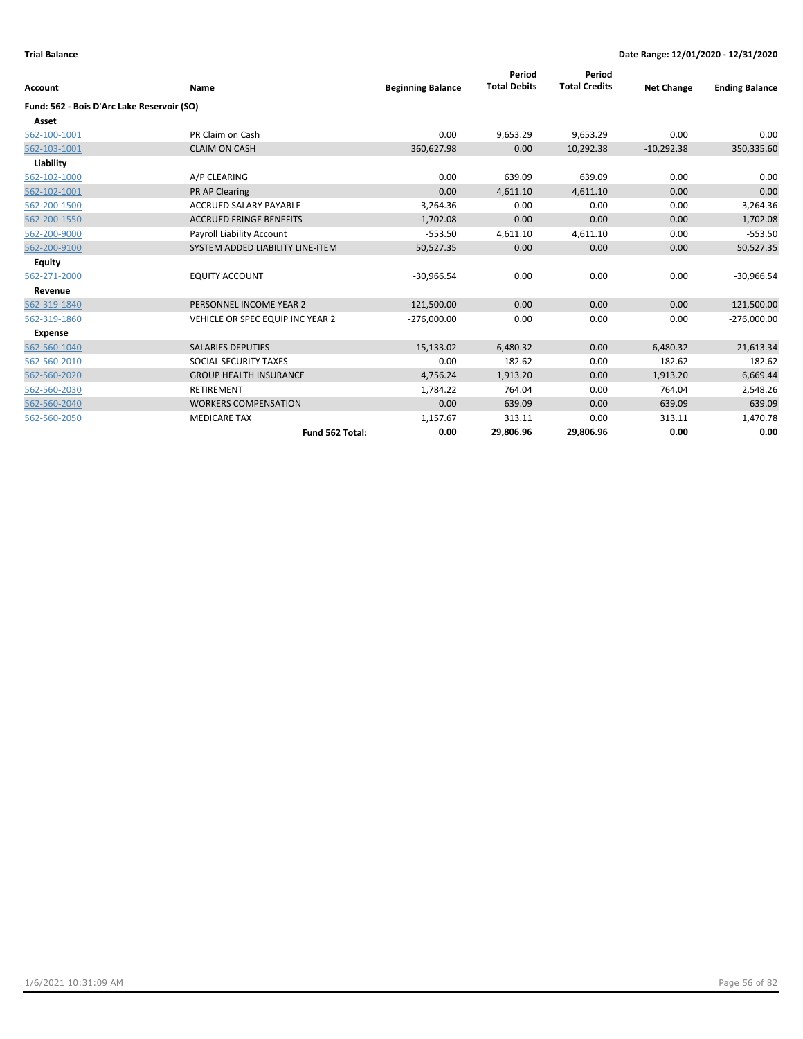| <b>Account</b>                             | Name                             | <b>Beginning Balance</b> | Period<br><b>Total Debits</b> | Period<br><b>Total Credits</b> | <b>Net Change</b> | <b>Ending Balance</b> |
|--------------------------------------------|----------------------------------|--------------------------|-------------------------------|--------------------------------|-------------------|-----------------------|
| Fund: 562 - Bois D'Arc Lake Reservoir (SO) |                                  |                          |                               |                                |                   |                       |
| Asset                                      |                                  |                          |                               |                                |                   |                       |
| 562-100-1001                               | PR Claim on Cash                 | 0.00                     | 9,653.29                      | 9,653.29                       | 0.00              | 0.00                  |
| 562-103-1001                               | <b>CLAIM ON CASH</b>             | 360,627.98               | 0.00                          | 10,292.38                      | $-10,292.38$      | 350,335.60            |
| Liability                                  |                                  |                          |                               |                                |                   |                       |
| 562-102-1000                               | A/P CLEARING                     | 0.00                     | 639.09                        | 639.09                         | 0.00              | 0.00                  |
| 562-102-1001                               | PR AP Clearing                   | 0.00                     | 4,611.10                      | 4,611.10                       | 0.00              | 0.00                  |
| 562-200-1500                               | <b>ACCRUED SALARY PAYABLE</b>    | $-3,264.36$              | 0.00                          | 0.00                           | 0.00              | $-3,264.36$           |
| 562-200-1550                               | <b>ACCRUED FRINGE BENEFITS</b>   | $-1,702.08$              | 0.00                          | 0.00                           | 0.00              | $-1,702.08$           |
| 562-200-9000                               | Payroll Liability Account        | $-553.50$                | 4,611.10                      | 4,611.10                       | 0.00              | $-553.50$             |
| 562-200-9100                               | SYSTEM ADDED LIABILITY LINE-ITEM | 50,527.35                | 0.00                          | 0.00                           | 0.00              | 50,527.35             |
| <b>Equity</b>                              |                                  |                          |                               |                                |                   |                       |
| 562-271-2000                               | <b>EQUITY ACCOUNT</b>            | $-30,966.54$             | 0.00                          | 0.00                           | 0.00              | $-30,966.54$          |
| Revenue                                    |                                  |                          |                               |                                |                   |                       |
| 562-319-1840                               | PERSONNEL INCOME YEAR 2          | $-121,500.00$            | 0.00                          | 0.00                           | 0.00              | $-121,500.00$         |
| 562-319-1860                               | VEHICLE OR SPEC EQUIP INC YEAR 2 | $-276,000.00$            | 0.00                          | 0.00                           | 0.00              | $-276,000.00$         |
| <b>Expense</b>                             |                                  |                          |                               |                                |                   |                       |
| 562-560-1040                               | <b>SALARIES DEPUTIES</b>         | 15,133.02                | 6,480.32                      | 0.00                           | 6,480.32          | 21,613.34             |
| 562-560-2010                               | SOCIAL SECURITY TAXES            | 0.00                     | 182.62                        | 0.00                           | 182.62            | 182.62                |
| 562-560-2020                               | <b>GROUP HEALTH INSURANCE</b>    | 4,756.24                 | 1,913.20                      | 0.00                           | 1,913.20          | 6,669.44              |
| 562-560-2030                               | <b>RETIREMENT</b>                | 1,784.22                 | 764.04                        | 0.00                           | 764.04            | 2,548.26              |
| 562-560-2040                               | <b>WORKERS COMPENSATION</b>      | 0.00                     | 639.09                        | 0.00                           | 639.09            | 639.09                |
| 562-560-2050                               | <b>MEDICARE TAX</b>              | 1,157.67                 | 313.11                        | 0.00                           | 313.11            | 1,470.78              |
|                                            | Fund 562 Total:                  | 0.00                     | 29,806.96                     | 29,806.96                      | 0.00              | 0.00                  |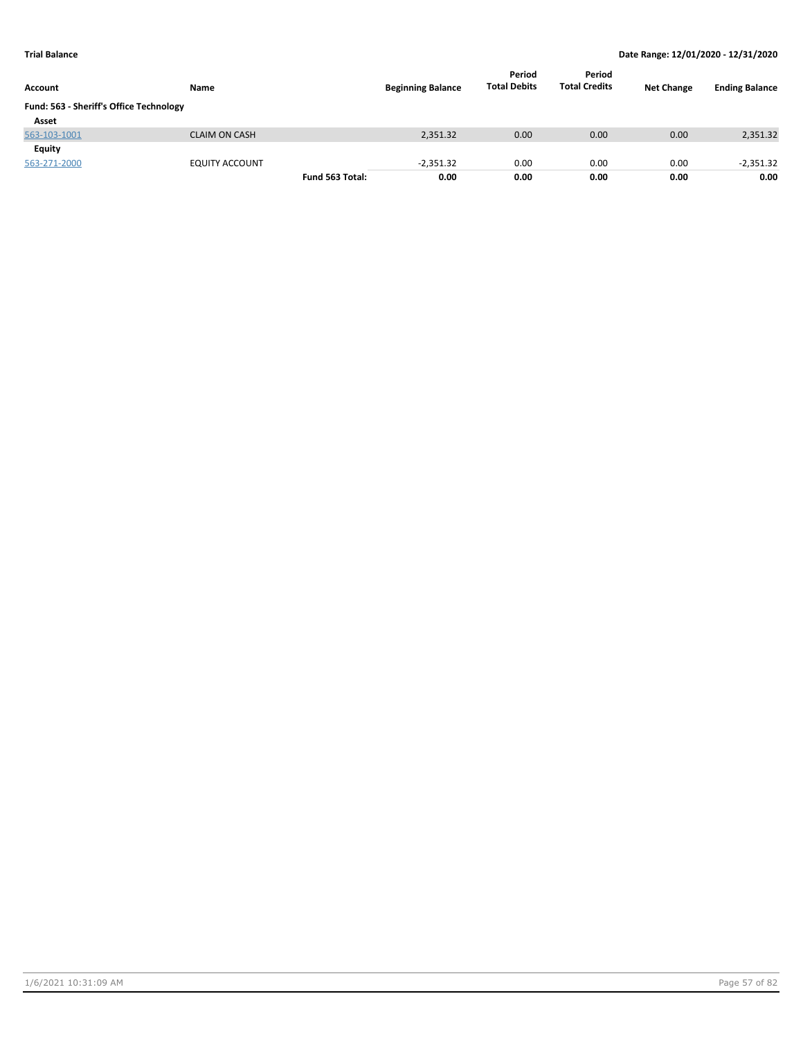| Account                                 | Name                  |                 | <b>Beginning Balance</b> | Period<br><b>Total Debits</b> | Period<br><b>Total Credits</b> | <b>Net Change</b> | <b>Ending Balance</b> |
|-----------------------------------------|-----------------------|-----------------|--------------------------|-------------------------------|--------------------------------|-------------------|-----------------------|
| Fund: 563 - Sheriff's Office Technology |                       |                 |                          |                               |                                |                   |                       |
| Asset                                   |                       |                 |                          |                               |                                |                   |                       |
| 563-103-1001                            | <b>CLAIM ON CASH</b>  |                 | 2,351.32                 | 0.00                          | 0.00                           | 0.00              | 2,351.32              |
| Equity                                  |                       |                 |                          |                               |                                |                   |                       |
| 563-271-2000                            | <b>EQUITY ACCOUNT</b> |                 | $-2.351.32$              | 0.00                          | 0.00                           | 0.00              | $-2,351.32$           |
|                                         |                       | Fund 563 Total: | 0.00                     | 0.00                          | 0.00                           | 0.00              | 0.00                  |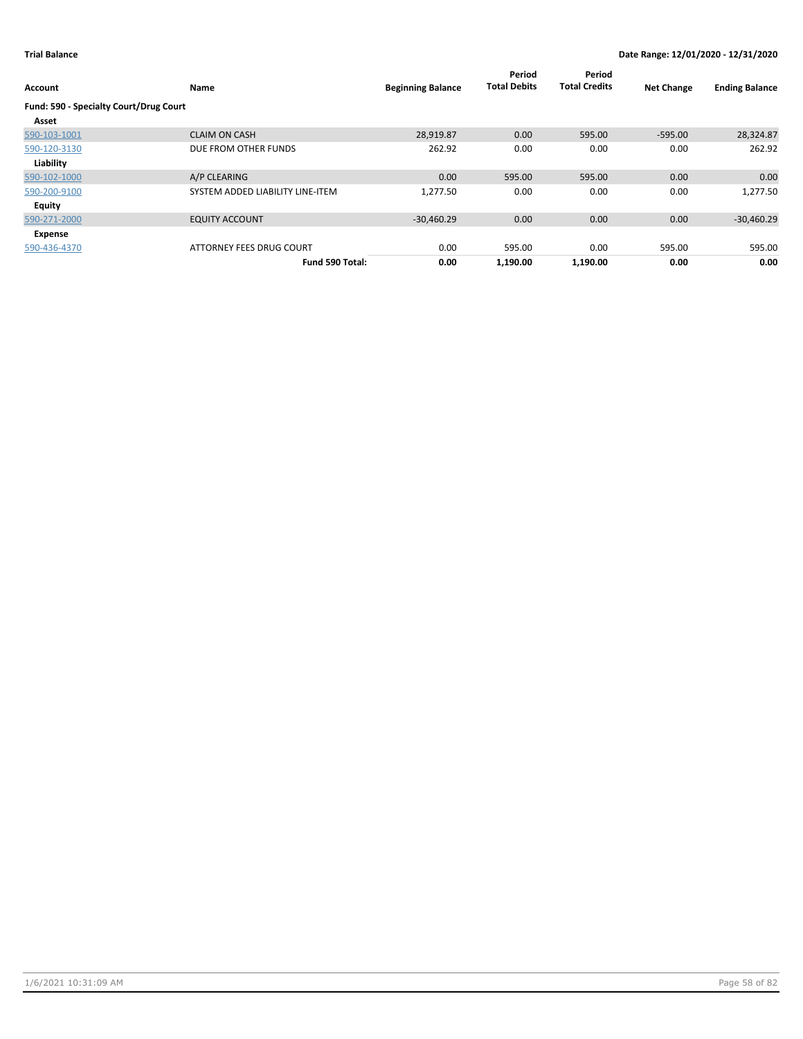| Account                                | Name                             | <b>Beginning Balance</b> | Period<br><b>Total Debits</b> | Period<br><b>Total Credits</b> | <b>Net Change</b> | <b>Ending Balance</b> |
|----------------------------------------|----------------------------------|--------------------------|-------------------------------|--------------------------------|-------------------|-----------------------|
| Fund: 590 - Specialty Court/Drug Court |                                  |                          |                               |                                |                   |                       |
| Asset                                  |                                  |                          |                               |                                |                   |                       |
| 590-103-1001                           | <b>CLAIM ON CASH</b>             | 28,919.87                | 0.00                          | 595.00                         | $-595.00$         | 28,324.87             |
| 590-120-3130                           | DUE FROM OTHER FUNDS             | 262.92                   | 0.00                          | 0.00                           | 0.00              | 262.92                |
| Liability                              |                                  |                          |                               |                                |                   |                       |
| 590-102-1000                           | A/P CLEARING                     | 0.00                     | 595.00                        | 595.00                         | 0.00              | 0.00                  |
| 590-200-9100                           | SYSTEM ADDED LIABILITY LINE-ITEM | 1,277.50                 | 0.00                          | 0.00                           | 0.00              | 1,277.50              |
| Equity                                 |                                  |                          |                               |                                |                   |                       |
| 590-271-2000                           | <b>EQUITY ACCOUNT</b>            | $-30,460.29$             | 0.00                          | 0.00                           | 0.00              | $-30,460.29$          |
| Expense                                |                                  |                          |                               |                                |                   |                       |
| 590-436-4370                           | ATTORNEY FEES DRUG COURT         | 0.00                     | 595.00                        | 0.00                           | 595.00            | 595.00                |
|                                        | Fund 590 Total:                  | 0.00                     | 1,190.00                      | 1,190.00                       | 0.00              | 0.00                  |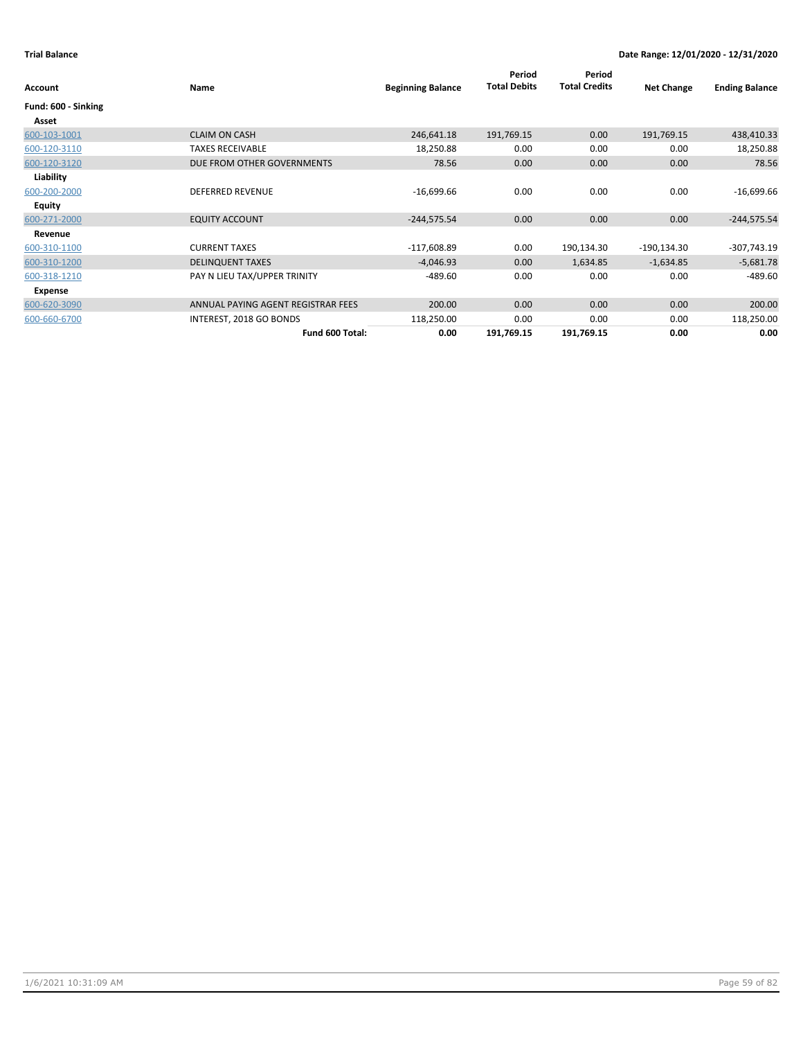| Account             | Name                               | <b>Beginning Balance</b> | Period<br><b>Total Debits</b> | Period<br><b>Total Credits</b> | <b>Net Change</b> | <b>Ending Balance</b> |
|---------------------|------------------------------------|--------------------------|-------------------------------|--------------------------------|-------------------|-----------------------|
| Fund: 600 - Sinking |                                    |                          |                               |                                |                   |                       |
| Asset               |                                    |                          |                               |                                |                   |                       |
| 600-103-1001        | <b>CLAIM ON CASH</b>               | 246,641.18               | 191,769.15                    | 0.00                           | 191,769.15        | 438,410.33            |
| 600-120-3110        | <b>TAXES RECEIVABLE</b>            | 18,250.88                | 0.00                          | 0.00                           | 0.00              | 18,250.88             |
| 600-120-3120        | DUE FROM OTHER GOVERNMENTS         | 78.56                    | 0.00                          | 0.00                           | 0.00              | 78.56                 |
| Liability           |                                    |                          |                               |                                |                   |                       |
| 600-200-2000        | <b>DEFERRED REVENUE</b>            | $-16,699.66$             | 0.00                          | 0.00                           | 0.00              | $-16,699.66$          |
| Equity              |                                    |                          |                               |                                |                   |                       |
| 600-271-2000        | <b>EQUITY ACCOUNT</b>              | $-244,575.54$            | 0.00                          | 0.00                           | 0.00              | $-244,575.54$         |
| Revenue             |                                    |                          |                               |                                |                   |                       |
| 600-310-1100        | <b>CURRENT TAXES</b>               | $-117,608.89$            | 0.00                          | 190,134.30                     | $-190,134.30$     | $-307,743.19$         |
| 600-310-1200        | <b>DELINQUENT TAXES</b>            | $-4,046.93$              | 0.00                          | 1,634.85                       | $-1,634.85$       | $-5,681.78$           |
| 600-318-1210        | PAY N LIEU TAX/UPPER TRINITY       | $-489.60$                | 0.00                          | 0.00                           | 0.00              | $-489.60$             |
| Expense             |                                    |                          |                               |                                |                   |                       |
| 600-620-3090        | ANNUAL PAYING AGENT REGISTRAR FEES | 200.00                   | 0.00                          | 0.00                           | 0.00              | 200.00                |
| 600-660-6700        | INTEREST, 2018 GO BONDS            | 118,250.00               | 0.00                          | 0.00                           | 0.00              | 118,250.00            |
|                     | Fund 600 Total:                    | 0.00                     | 191,769.15                    | 191,769.15                     | 0.00              | 0.00                  |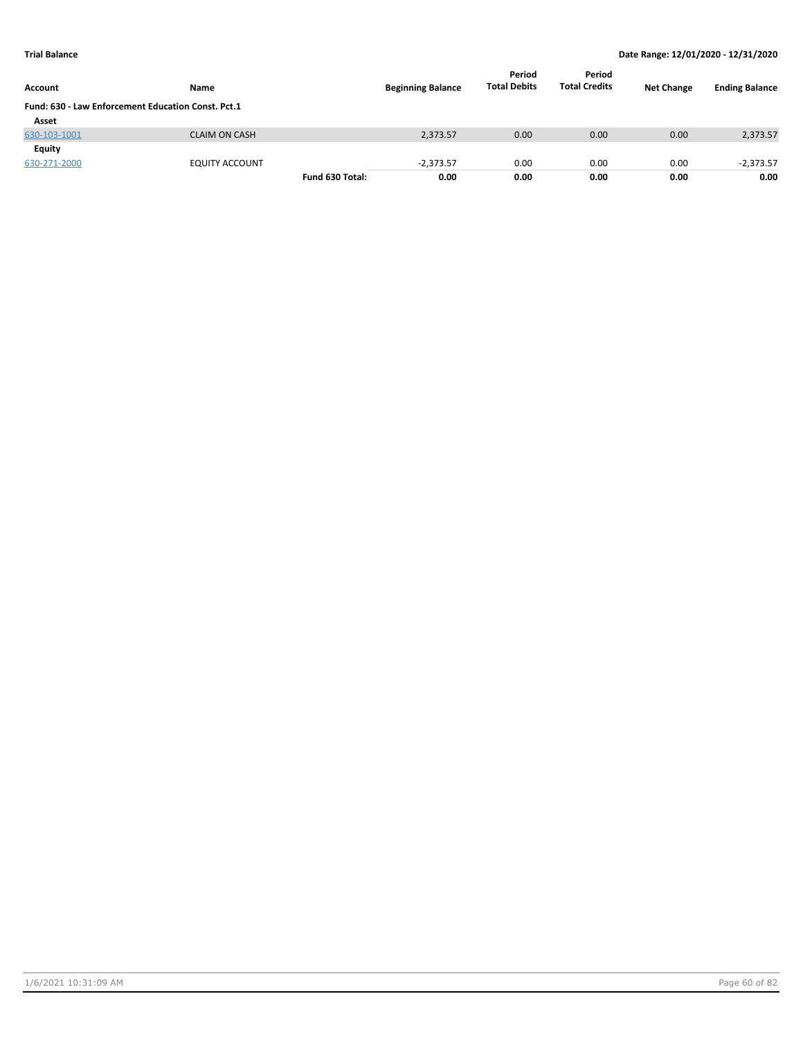| <b>Account</b>                                     | Name                  |                 | <b>Beginning Balance</b> | Period<br><b>Total Debits</b> | Period<br><b>Total Credits</b> | <b>Net Change</b> | <b>Ending Balance</b> |
|----------------------------------------------------|-----------------------|-----------------|--------------------------|-------------------------------|--------------------------------|-------------------|-----------------------|
| Fund: 630 - Law Enforcement Education Const. Pct.1 |                       |                 |                          |                               |                                |                   |                       |
| Asset                                              |                       |                 |                          |                               |                                |                   |                       |
| 630-103-1001                                       | <b>CLAIM ON CASH</b>  |                 | 2,373.57                 | 0.00                          | 0.00                           | 0.00              | 2,373.57              |
| Equity                                             |                       |                 |                          |                               |                                |                   |                       |
| 630-271-2000                                       | <b>EQUITY ACCOUNT</b> |                 | $-2,373.57$              | 0.00                          | 0.00                           | 0.00              | $-2,373.57$           |
|                                                    |                       | Fund 630 Total: | 0.00                     | 0.00                          | 0.00                           | 0.00              | 0.00                  |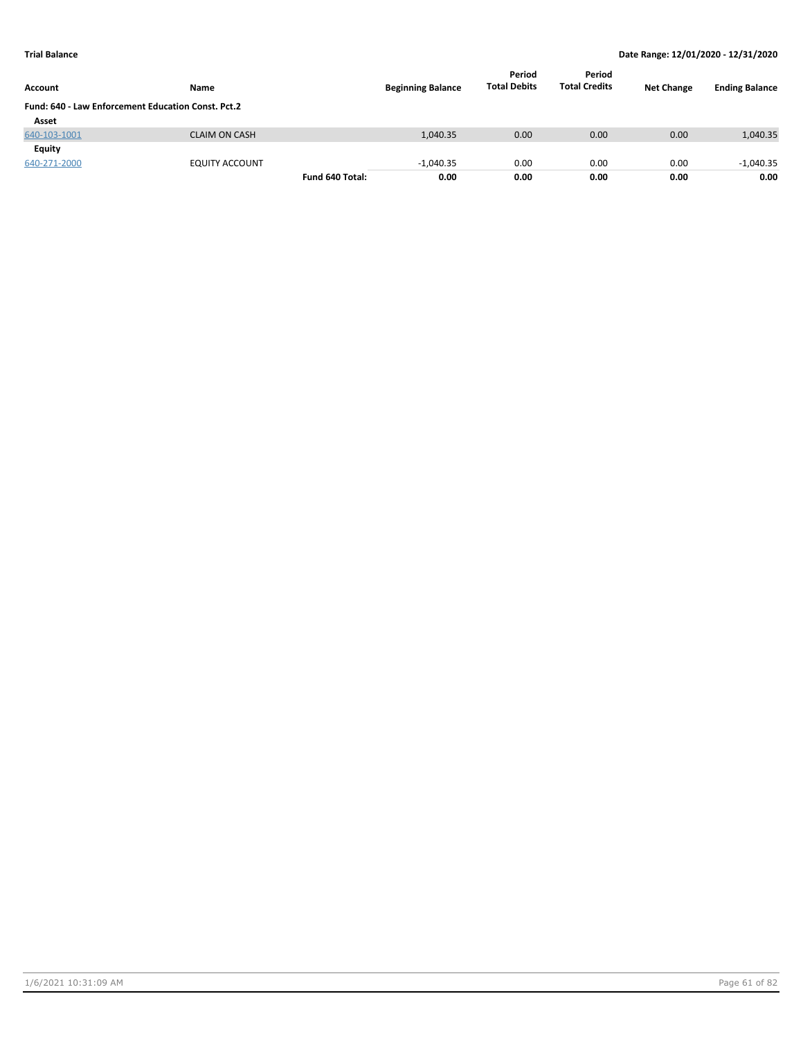| <b>Account</b>                                            | Name                  |                 | <b>Beginning Balance</b> | Period<br><b>Total Debits</b> | Period<br><b>Total Credits</b> | <b>Net Change</b> | <b>Ending Balance</b> |
|-----------------------------------------------------------|-----------------------|-----------------|--------------------------|-------------------------------|--------------------------------|-------------------|-----------------------|
| <b>Fund: 640 - Law Enforcement Education Const. Pct.2</b> |                       |                 |                          |                               |                                |                   |                       |
| Asset                                                     |                       |                 |                          |                               |                                |                   |                       |
| 640-103-1001                                              | <b>CLAIM ON CASH</b>  |                 | 1,040.35                 | 0.00                          | 0.00                           | 0.00              | 1,040.35              |
| Equity                                                    |                       |                 |                          |                               |                                |                   |                       |
| 640-271-2000                                              | <b>EQUITY ACCOUNT</b> |                 | $-1,040.35$              | 0.00                          | 0.00                           | 0.00              | $-1,040.35$           |
|                                                           |                       | Fund 640 Total: | 0.00                     | 0.00                          | 0.00                           | 0.00              | 0.00                  |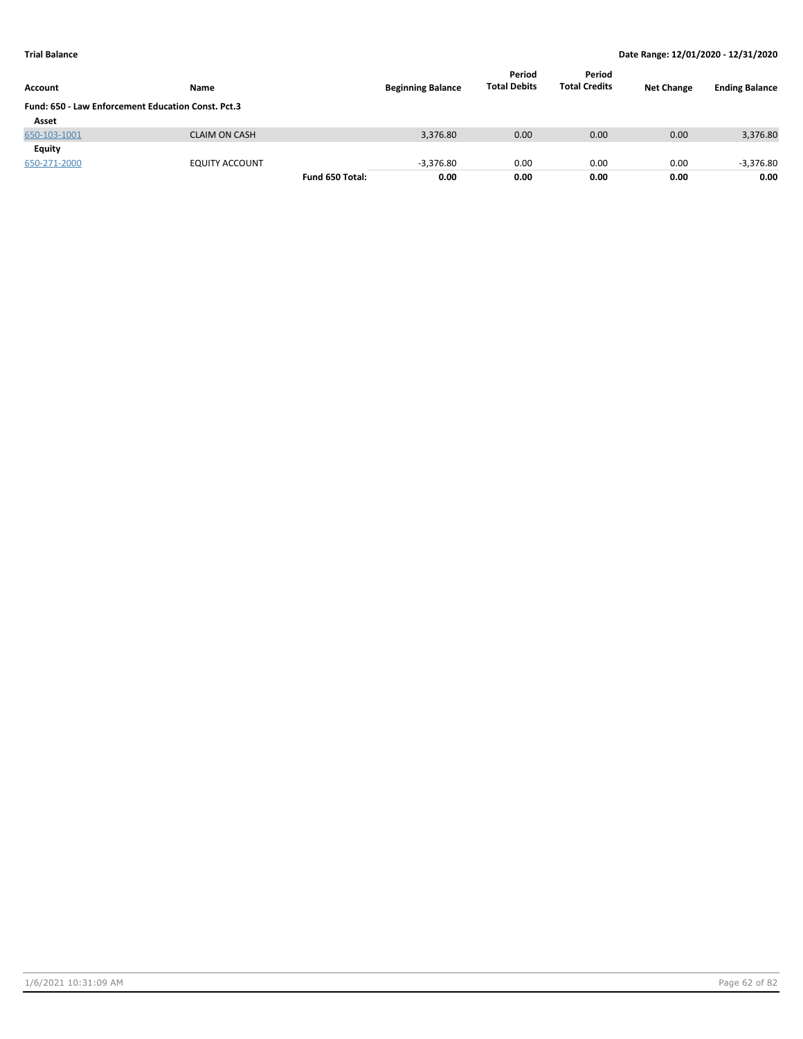| Account                                            | Name                  |                 | <b>Beginning Balance</b> | Period<br><b>Total Debits</b> | Period<br><b>Total Credits</b> | <b>Net Change</b> | <b>Ending Balance</b> |
|----------------------------------------------------|-----------------------|-----------------|--------------------------|-------------------------------|--------------------------------|-------------------|-----------------------|
| Fund: 650 - Law Enforcement Education Const. Pct.3 |                       |                 |                          |                               |                                |                   |                       |
| Asset                                              |                       |                 |                          |                               |                                |                   |                       |
| 650-103-1001                                       | <b>CLAIM ON CASH</b>  |                 | 3,376.80                 | 0.00                          | 0.00                           | 0.00              | 3,376.80              |
| Equity                                             |                       |                 |                          |                               |                                |                   |                       |
| 650-271-2000                                       | <b>EQUITY ACCOUNT</b> |                 | $-3,376.80$              | 0.00                          | 0.00                           | 0.00              | $-3,376.80$           |
|                                                    |                       | Fund 650 Total: | 0.00                     | 0.00                          | 0.00                           | 0.00              | 0.00                  |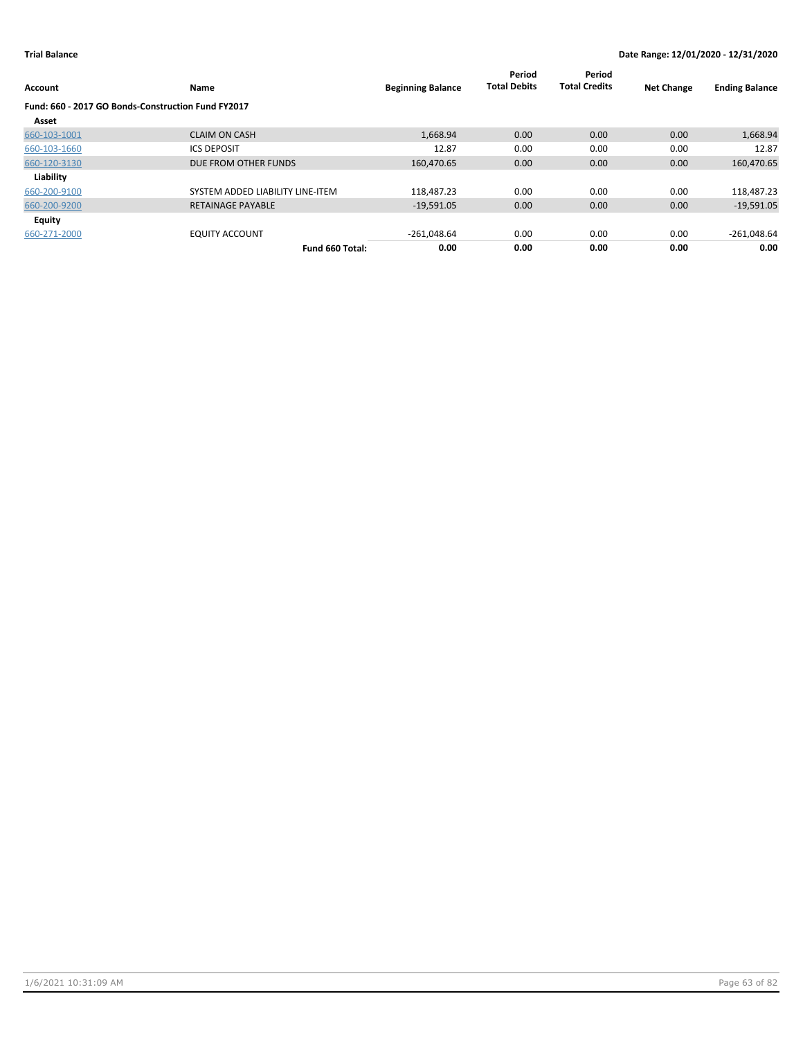| Account                                            | Name                             | <b>Beginning Balance</b> | Period<br><b>Total Debits</b> | Period<br><b>Total Credits</b> | <b>Net Change</b> | <b>Ending Balance</b> |
|----------------------------------------------------|----------------------------------|--------------------------|-------------------------------|--------------------------------|-------------------|-----------------------|
| Fund: 660 - 2017 GO Bonds-Construction Fund FY2017 |                                  |                          |                               |                                |                   |                       |
| Asset                                              |                                  |                          |                               |                                |                   |                       |
| 660-103-1001                                       | <b>CLAIM ON CASH</b>             | 1,668.94                 | 0.00                          | 0.00                           | 0.00              | 1,668.94              |
| 660-103-1660                                       | <b>ICS DEPOSIT</b>               | 12.87                    | 0.00                          | 0.00                           | 0.00              | 12.87                 |
| 660-120-3130                                       | DUE FROM OTHER FUNDS             | 160,470.65               | 0.00                          | 0.00                           | 0.00              | 160,470.65            |
| Liability                                          |                                  |                          |                               |                                |                   |                       |
| 660-200-9100                                       | SYSTEM ADDED LIABILITY LINE-ITEM | 118.487.23               | 0.00                          | 0.00                           | 0.00              | 118,487.23            |
| 660-200-9200                                       | <b>RETAINAGE PAYABLE</b>         | $-19,591.05$             | 0.00                          | 0.00                           | 0.00              | $-19,591.05$          |
| <b>Equity</b>                                      |                                  |                          |                               |                                |                   |                       |
| 660-271-2000                                       | <b>EQUITY ACCOUNT</b>            | $-261,048.64$            | 0.00                          | 0.00                           | 0.00              | $-261,048.64$         |
|                                                    | Fund 660 Total:                  | 0.00                     | 0.00                          | 0.00                           | 0.00              | 0.00                  |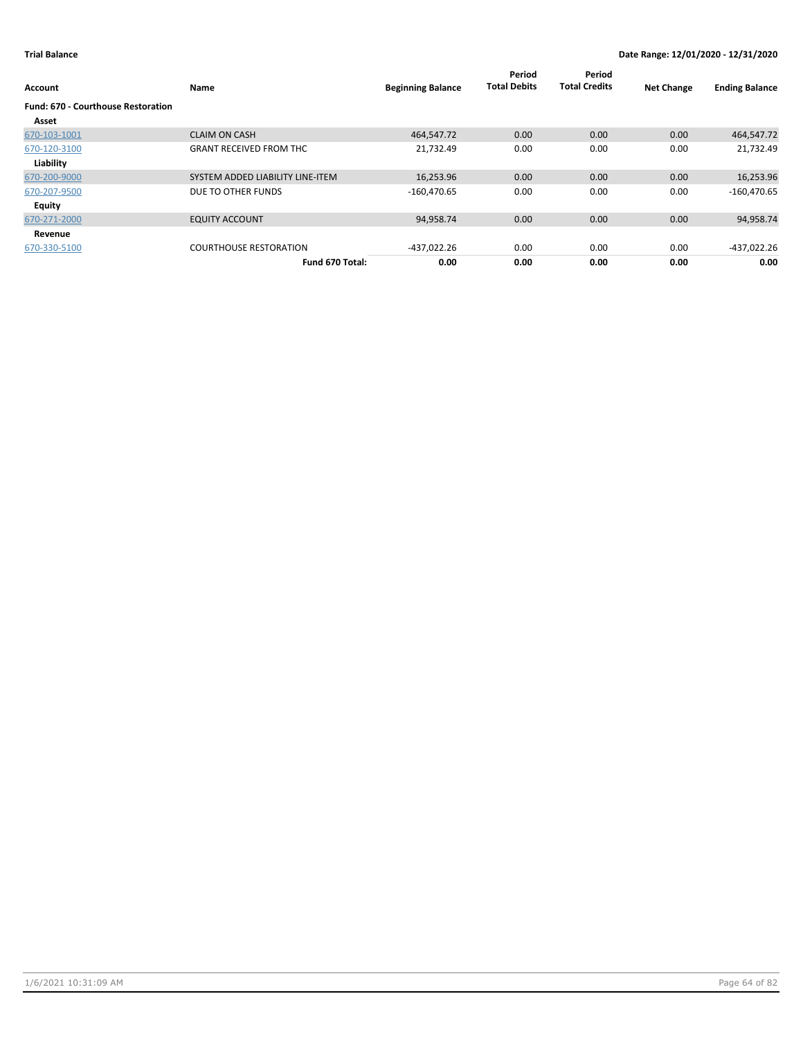| Account                                            | Name                             | <b>Beginning Balance</b> | Period<br><b>Total Debits</b> | Period<br><b>Total Credits</b> | <b>Net Change</b> | <b>Ending Balance</b> |
|----------------------------------------------------|----------------------------------|--------------------------|-------------------------------|--------------------------------|-------------------|-----------------------|
| <b>Fund: 670 - Courthouse Restoration</b><br>Asset |                                  |                          |                               |                                |                   |                       |
| 670-103-1001                                       | <b>CLAIM ON CASH</b>             | 464,547.72               | 0.00                          | 0.00                           | 0.00              | 464,547.72            |
| 670-120-3100                                       | <b>GRANT RECEIVED FROM THC</b>   | 21,732.49                | 0.00                          | 0.00                           | 0.00              | 21,732.49             |
| Liability                                          |                                  |                          |                               |                                |                   |                       |
| 670-200-9000                                       | SYSTEM ADDED LIABILITY LINE-ITEM | 16,253.96                | 0.00                          | 0.00                           | 0.00              | 16,253.96             |
| 670-207-9500                                       | DUE TO OTHER FUNDS               | $-160,470.65$            | 0.00                          | 0.00                           | 0.00              | $-160,470.65$         |
| Equity                                             |                                  |                          |                               |                                |                   |                       |
| 670-271-2000                                       | <b>EQUITY ACCOUNT</b>            | 94,958.74                | 0.00                          | 0.00                           | 0.00              | 94,958.74             |
| Revenue                                            |                                  |                          |                               |                                |                   |                       |
| 670-330-5100                                       | <b>COURTHOUSE RESTORATION</b>    | -437,022.26              | 0.00                          | 0.00                           | 0.00              | -437,022.26           |
|                                                    | Fund 670 Total:                  | 0.00                     | 0.00                          | 0.00                           | 0.00              | 0.00                  |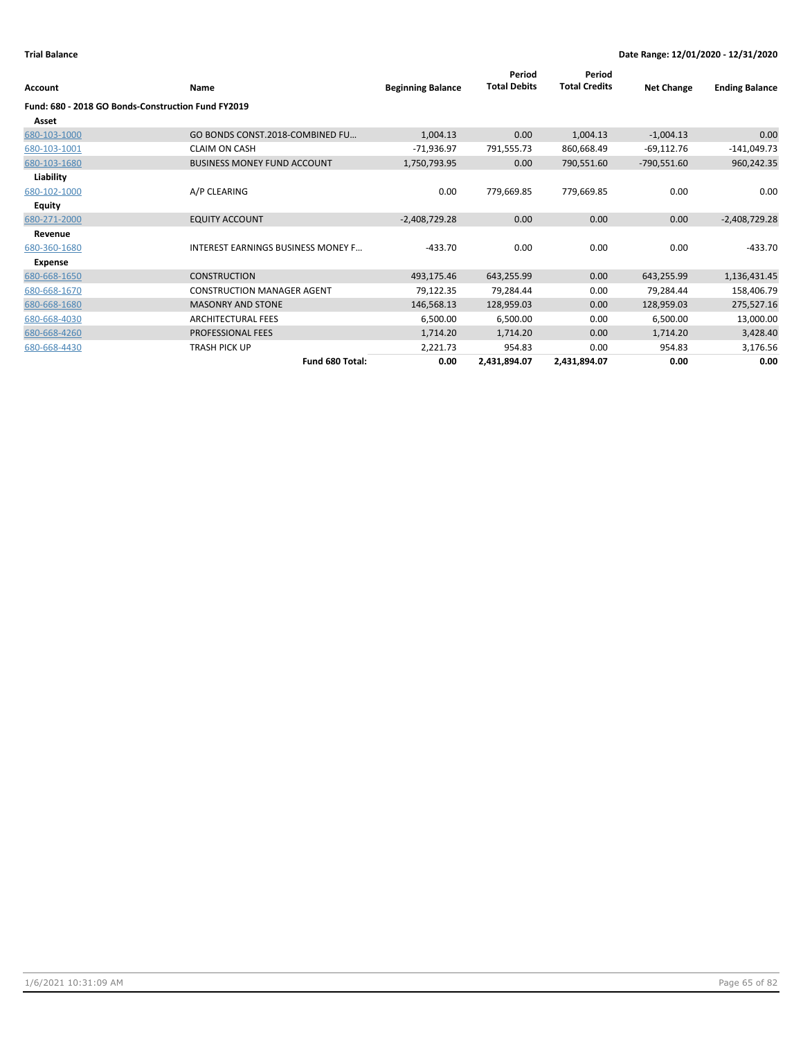| Account                                            | <b>Name</b>                               | <b>Beginning Balance</b> | Period<br><b>Total Debits</b> | Period<br><b>Total Credits</b> | <b>Net Change</b> | <b>Ending Balance</b> |
|----------------------------------------------------|-------------------------------------------|--------------------------|-------------------------------|--------------------------------|-------------------|-----------------------|
| Fund: 680 - 2018 GO Bonds-Construction Fund FY2019 |                                           |                          |                               |                                |                   |                       |
| Asset                                              |                                           |                          |                               |                                |                   |                       |
| 680-103-1000                                       | GO BONDS CONST.2018-COMBINED FU           | 1,004.13                 | 0.00                          | 1,004.13                       | $-1,004.13$       | 0.00                  |
| 680-103-1001                                       | <b>CLAIM ON CASH</b>                      | $-71,936.97$             | 791,555.73                    | 860,668.49                     | $-69,112.76$      | $-141,049.73$         |
| 680-103-1680                                       | <b>BUSINESS MONEY FUND ACCOUNT</b>        | 1,750,793.95             | 0.00                          | 790,551.60                     | $-790,551.60$     | 960,242.35            |
| Liability                                          |                                           |                          |                               |                                |                   |                       |
| 680-102-1000                                       | A/P CLEARING                              | 0.00                     | 779,669.85                    | 779,669.85                     | 0.00              | 0.00                  |
| <b>Equity</b>                                      |                                           |                          |                               |                                |                   |                       |
| 680-271-2000                                       | <b>EQUITY ACCOUNT</b>                     | $-2,408,729.28$          | 0.00                          | 0.00                           | 0.00              | $-2,408,729.28$       |
| Revenue                                            |                                           |                          |                               |                                |                   |                       |
| 680-360-1680                                       | <b>INTEREST EARNINGS BUSINESS MONEY F</b> | $-433.70$                | 0.00                          | 0.00                           | 0.00              | $-433.70$             |
| Expense                                            |                                           |                          |                               |                                |                   |                       |
| 680-668-1650                                       | <b>CONSTRUCTION</b>                       | 493,175.46               | 643,255.99                    | 0.00                           | 643,255.99        | 1,136,431.45          |
| 680-668-1670                                       | <b>CONSTRUCTION MANAGER AGENT</b>         | 79,122.35                | 79,284.44                     | 0.00                           | 79,284.44         | 158,406.79            |
| 680-668-1680                                       | <b>MASONRY AND STONE</b>                  | 146,568.13               | 128,959.03                    | 0.00                           | 128,959.03        | 275,527.16            |
| 680-668-4030                                       | <b>ARCHITECTURAL FEES</b>                 | 6,500.00                 | 6,500.00                      | 0.00                           | 6,500.00          | 13,000.00             |
| 680-668-4260                                       | PROFESSIONAL FEES                         | 1,714.20                 | 1,714.20                      | 0.00                           | 1,714.20          | 3,428.40              |
| 680-668-4430                                       | <b>TRASH PICK UP</b>                      | 2,221.73                 | 954.83                        | 0.00                           | 954.83            | 3,176.56              |
|                                                    | Fund 680 Total:                           | 0.00                     | 2,431,894.07                  | 2,431,894.07                   | 0.00              | 0.00                  |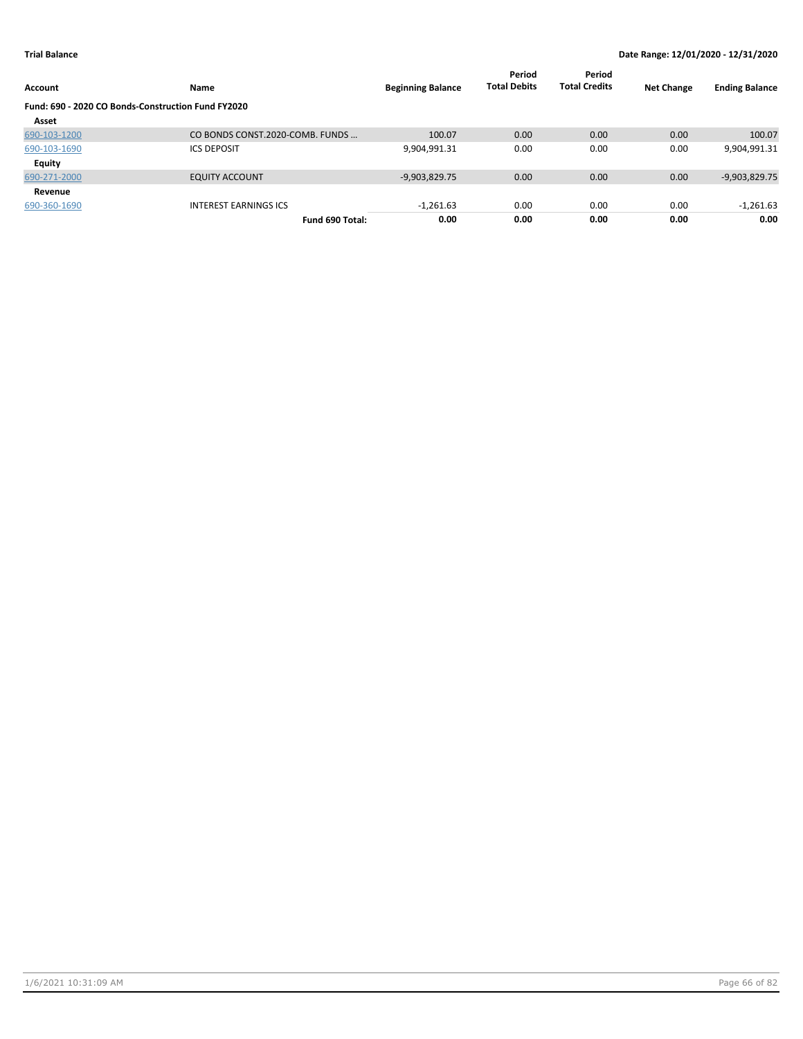| <b>Account</b>                                     | Name                            | <b>Beginning Balance</b> | Period<br><b>Total Debits</b> | Period<br><b>Total Credits</b> | <b>Net Change</b> | <b>Ending Balance</b> |
|----------------------------------------------------|---------------------------------|--------------------------|-------------------------------|--------------------------------|-------------------|-----------------------|
| Fund: 690 - 2020 CO Bonds-Construction Fund FY2020 |                                 |                          |                               |                                |                   |                       |
| Asset                                              |                                 |                          |                               |                                |                   |                       |
| 690-103-1200                                       | CO BONDS CONST.2020-COMB. FUNDS | 100.07                   | 0.00                          | 0.00                           | 0.00              | 100.07                |
| 690-103-1690                                       | <b>ICS DEPOSIT</b>              | 9,904,991.31             | 0.00                          | 0.00                           | 0.00              | 9,904,991.31          |
| <b>Equity</b>                                      |                                 |                          |                               |                                |                   |                       |
| 690-271-2000                                       | <b>EQUITY ACCOUNT</b>           | $-9,903,829.75$          | 0.00                          | 0.00                           | 0.00              | $-9,903,829.75$       |
| Revenue                                            |                                 |                          |                               |                                |                   |                       |
| 690-360-1690                                       | <b>INTEREST EARNINGS ICS</b>    | $-1,261.63$              | 0.00                          | 0.00                           | 0.00              | $-1,261.63$           |
|                                                    | Fund 690 Total:                 | 0.00                     | 0.00                          | 0.00                           | 0.00              | 0.00                  |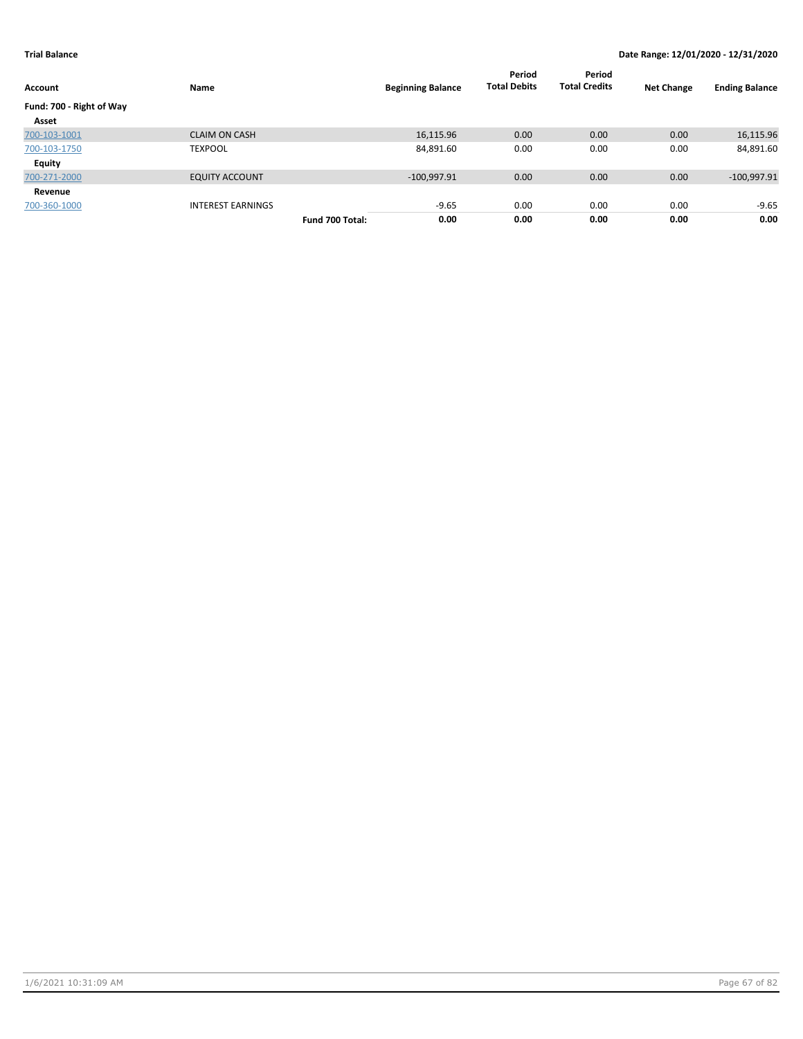| Account                  | Name                     |                 | <b>Beginning Balance</b> | Period<br><b>Total Debits</b> | Period<br><b>Total Credits</b> | <b>Net Change</b> | <b>Ending Balance</b> |
|--------------------------|--------------------------|-----------------|--------------------------|-------------------------------|--------------------------------|-------------------|-----------------------|
| Fund: 700 - Right of Way |                          |                 |                          |                               |                                |                   |                       |
| Asset                    |                          |                 |                          |                               |                                |                   |                       |
| 700-103-1001             | <b>CLAIM ON CASH</b>     |                 | 16,115.96                | 0.00                          | 0.00                           | 0.00              | 16,115.96             |
| 700-103-1750             | <b>TEXPOOL</b>           |                 | 84,891.60                | 0.00                          | 0.00                           | 0.00              | 84,891.60             |
| <b>Equity</b>            |                          |                 |                          |                               |                                |                   |                       |
| 700-271-2000             | <b>EQUITY ACCOUNT</b>    |                 | $-100,997.91$            | 0.00                          | 0.00                           | 0.00              | $-100,997.91$         |
| Revenue                  |                          |                 |                          |                               |                                |                   |                       |
| 700-360-1000             | <b>INTEREST EARNINGS</b> |                 | $-9.65$                  | 0.00                          | 0.00                           | 0.00              | $-9.65$               |
|                          |                          | Fund 700 Total: | 0.00                     | 0.00                          | 0.00                           | 0.00              | 0.00                  |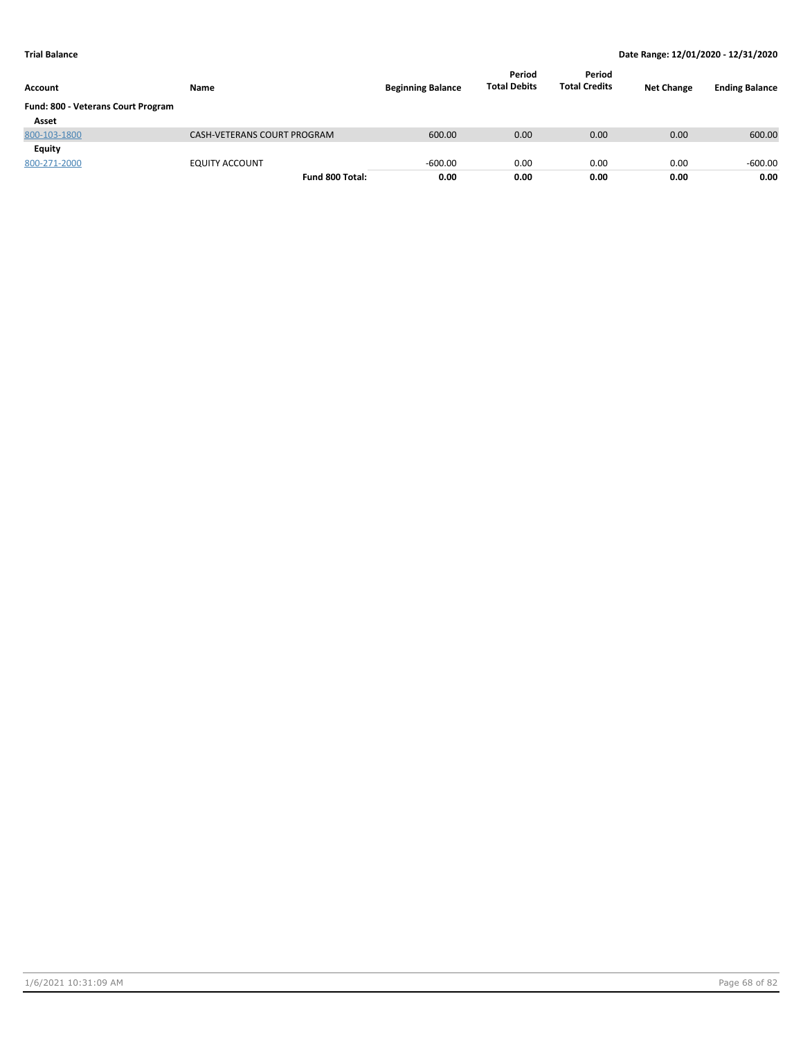| Account                            | Name                        | <b>Beginning Balance</b> | Period<br><b>Total Debits</b> | Period<br><b>Total Credits</b> | <b>Net Change</b> | <b>Ending Balance</b> |
|------------------------------------|-----------------------------|--------------------------|-------------------------------|--------------------------------|-------------------|-----------------------|
| Fund: 800 - Veterans Court Program |                             |                          |                               |                                |                   |                       |
| Asset                              |                             |                          |                               |                                |                   |                       |
| 800-103-1800                       | CASH-VETERANS COURT PROGRAM | 600.00                   | 0.00                          | 0.00                           | 0.00              | 600.00                |
| Equity                             |                             |                          |                               |                                |                   |                       |
| 800-271-2000                       | <b>EQUITY ACCOUNT</b>       | $-600.00$                | 0.00                          | 0.00                           | 0.00              | $-600.00$             |
|                                    | Fund 800 Total:             | 0.00                     | 0.00                          | 0.00                           | 0.00              | 0.00                  |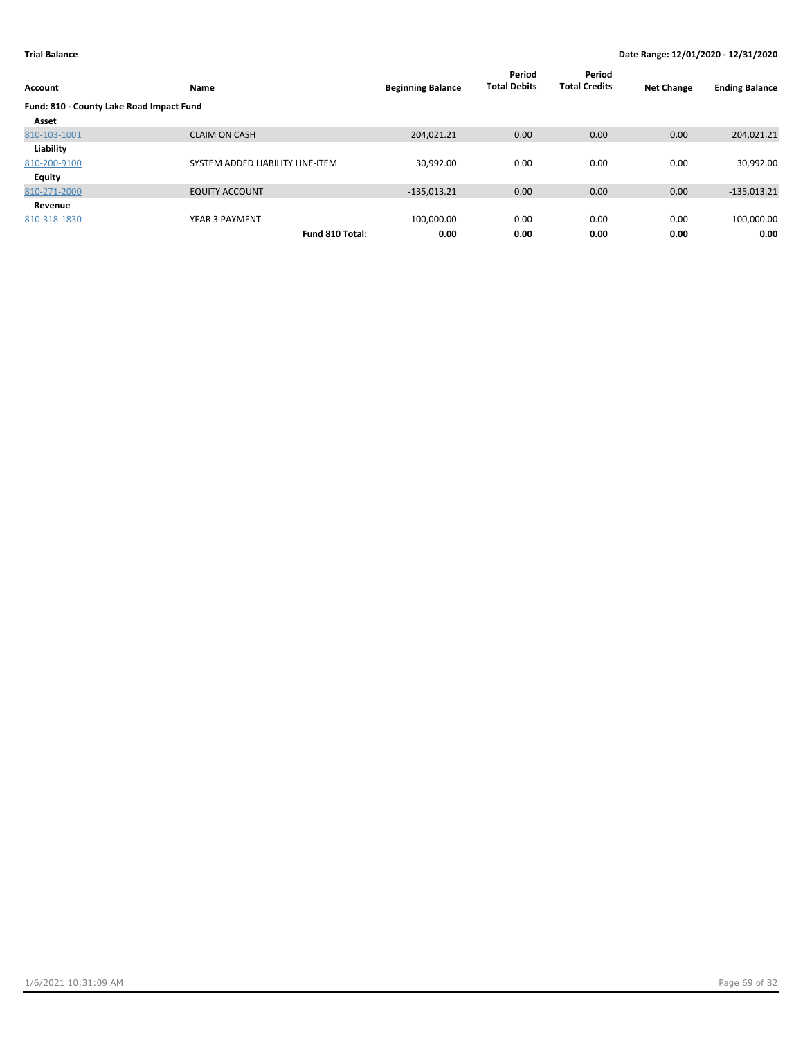| <b>Account</b>                           | Name                             | <b>Beginning Balance</b> | Period<br><b>Total Debits</b> | Period<br><b>Total Credits</b> | <b>Net Change</b> | <b>Ending Balance</b> |
|------------------------------------------|----------------------------------|--------------------------|-------------------------------|--------------------------------|-------------------|-----------------------|
| Fund: 810 - County Lake Road Impact Fund |                                  |                          |                               |                                |                   |                       |
| Asset                                    |                                  |                          |                               |                                |                   |                       |
| 810-103-1001                             | <b>CLAIM ON CASH</b>             | 204,021.21               | 0.00                          | 0.00                           | 0.00              | 204,021.21            |
| Liability                                |                                  |                          |                               |                                |                   |                       |
| 810-200-9100                             | SYSTEM ADDED LIABILITY LINE-ITEM | 30,992.00                | 0.00                          | 0.00                           | 0.00              | 30,992.00             |
| <b>Equity</b>                            |                                  |                          |                               |                                |                   |                       |
| 810-271-2000                             | <b>EQUITY ACCOUNT</b>            | $-135,013.21$            | 0.00                          | 0.00                           | 0.00              | $-135,013.21$         |
| Revenue                                  |                                  |                          |                               |                                |                   |                       |
| 810-318-1830                             | YEAR 3 PAYMENT                   | $-100,000.00$            | 0.00                          | 0.00                           | 0.00              | $-100,000.00$         |
|                                          | Fund 810 Total:                  | 0.00                     | 0.00                          | 0.00                           | 0.00              | 0.00                  |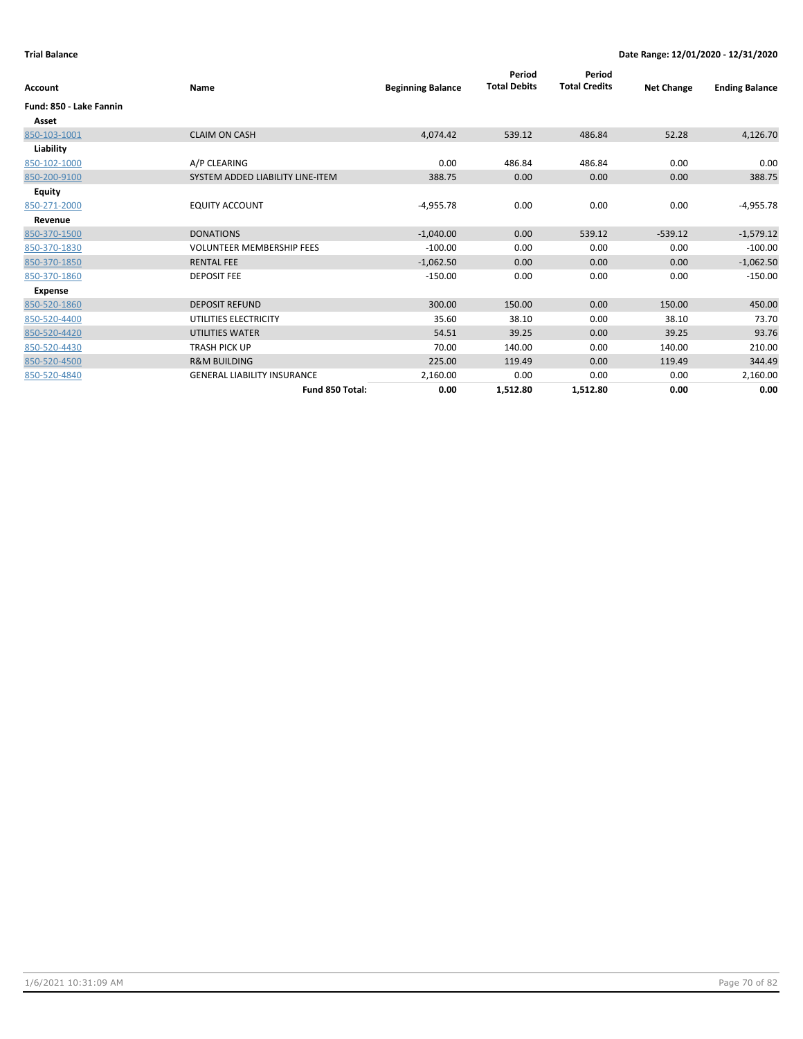| Account                 | Name                               | <b>Beginning Balance</b> | Period<br><b>Total Debits</b> | Period<br><b>Total Credits</b> | <b>Net Change</b> | <b>Ending Balance</b> |
|-------------------------|------------------------------------|--------------------------|-------------------------------|--------------------------------|-------------------|-----------------------|
| Fund: 850 - Lake Fannin |                                    |                          |                               |                                |                   |                       |
| Asset                   |                                    |                          |                               |                                |                   |                       |
| 850-103-1001            | <b>CLAIM ON CASH</b>               | 4,074.42                 | 539.12                        | 486.84                         | 52.28             | 4,126.70              |
| Liability               |                                    |                          |                               |                                |                   |                       |
| 850-102-1000            | A/P CLEARING                       | 0.00                     | 486.84                        | 486.84                         | 0.00              | 0.00                  |
| 850-200-9100            | SYSTEM ADDED LIABILITY LINE-ITEM   | 388.75                   | 0.00                          | 0.00                           | 0.00              | 388.75                |
| Equity                  |                                    |                          |                               |                                |                   |                       |
| 850-271-2000            | <b>EQUITY ACCOUNT</b>              | $-4,955.78$              | 0.00                          | 0.00                           | 0.00              | $-4,955.78$           |
| Revenue                 |                                    |                          |                               |                                |                   |                       |
| 850-370-1500            | <b>DONATIONS</b>                   | $-1,040.00$              | 0.00                          | 539.12                         | $-539.12$         | $-1,579.12$           |
| 850-370-1830            | <b>VOLUNTEER MEMBERSHIP FEES</b>   | $-100.00$                | 0.00                          | 0.00                           | 0.00              | $-100.00$             |
| 850-370-1850            | <b>RENTAL FEE</b>                  | $-1,062.50$              | 0.00                          | 0.00                           | 0.00              | $-1,062.50$           |
| 850-370-1860            | <b>DEPOSIT FEE</b>                 | $-150.00$                | 0.00                          | 0.00                           | 0.00              | $-150.00$             |
| Expense                 |                                    |                          |                               |                                |                   |                       |
| 850-520-1860            | <b>DEPOSIT REFUND</b>              | 300.00                   | 150.00                        | 0.00                           | 150.00            | 450.00                |
| 850-520-4400            | UTILITIES ELECTRICITY              | 35.60                    | 38.10                         | 0.00                           | 38.10             | 73.70                 |
| 850-520-4420            | <b>UTILITIES WATER</b>             | 54.51                    | 39.25                         | 0.00                           | 39.25             | 93.76                 |
| 850-520-4430            | <b>TRASH PICK UP</b>               | 70.00                    | 140.00                        | 0.00                           | 140.00            | 210.00                |
| 850-520-4500            | <b>R&amp;M BUILDING</b>            | 225.00                   | 119.49                        | 0.00                           | 119.49            | 344.49                |
| 850-520-4840            | <b>GENERAL LIABILITY INSURANCE</b> | 2,160.00                 | 0.00                          | 0.00                           | 0.00              | 2,160.00              |
|                         | Fund 850 Total:                    | 0.00                     | 1,512.80                      | 1,512.80                       | 0.00              | 0.00                  |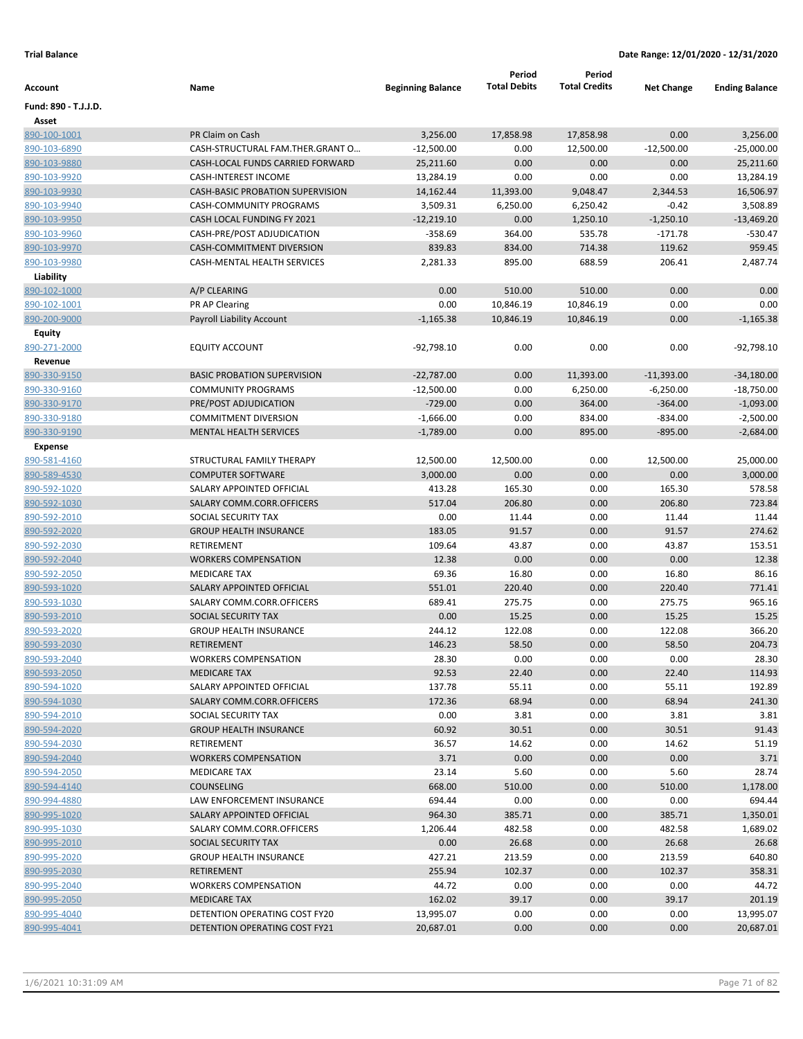|                         |                                         |                           | Period<br><b>Total Debits</b> | Period<br><b>Total Credits</b> |                          |                             |
|-------------------------|-----------------------------------------|---------------------------|-------------------------------|--------------------------------|--------------------------|-----------------------------|
| Account                 | Name                                    | <b>Beginning Balance</b>  |                               |                                | <b>Net Change</b>        | <b>Ending Balance</b>       |
| Fund: 890 - T.J.J.D.    |                                         |                           |                               |                                |                          |                             |
| Asset                   |                                         |                           |                               |                                |                          |                             |
| 890-100-1001            | PR Claim on Cash                        | 3,256.00                  | 17,858.98                     | 17,858.98                      | 0.00                     | 3,256.00                    |
| 890-103-6890            | CASH-STRUCTURAL FAM.THER.GRANT O        | $-12,500.00$              | 0.00                          | 12,500.00                      | $-12,500.00$             | $-25,000.00$                |
| 890-103-9880            | CASH-LOCAL FUNDS CARRIED FORWARD        | 25,211.60                 | 0.00                          | 0.00                           | 0.00                     | 25,211.60                   |
| 890-103-9920            | <b>CASH-INTEREST INCOME</b>             | 13,284.19                 | 0.00                          | 0.00                           | 0.00                     | 13,284.19                   |
| 890-103-9930            | <b>CASH-BASIC PROBATION SUPERVISION</b> | 14,162.44                 | 11,393.00                     | 9,048.47                       | 2,344.53                 | 16,506.97                   |
| 890-103-9940            | CASH-COMMUNITY PROGRAMS                 | 3,509.31                  | 6,250.00                      | 6,250.42                       | $-0.42$                  | 3,508.89                    |
| 890-103-9950            | CASH LOCAL FUNDING FY 2021              | $-12,219.10$              | 0.00                          | 1,250.10                       | $-1,250.10$              | $-13,469.20$                |
| 890-103-9960            | CASH-PRE/POST ADJUDICATION              | $-358.69$                 | 364.00                        | 535.78                         | $-171.78$                | $-530.47$                   |
| 890-103-9970            | <b>CASH-COMMITMENT DIVERSION</b>        | 839.83                    | 834.00                        | 714.38                         | 119.62                   | 959.45                      |
| 890-103-9980            | <b>CASH-MENTAL HEALTH SERVICES</b>      | 2,281.33                  | 895.00                        | 688.59                         | 206.41                   | 2,487.74                    |
| Liability               |                                         |                           |                               |                                |                          |                             |
| 890-102-1000            | A/P CLEARING                            | 0.00                      | 510.00                        | 510.00                         | 0.00                     | 0.00                        |
| 890-102-1001            | PR AP Clearing                          | 0.00                      | 10,846.19                     | 10,846.19                      | 0.00                     | 0.00                        |
| 890-200-9000            | Payroll Liability Account               | $-1,165.38$               | 10,846.19                     | 10,846.19                      | 0.00                     | $-1,165.38$                 |
| Equity                  |                                         |                           |                               |                                |                          |                             |
| 890-271-2000            | <b>EQUITY ACCOUNT</b>                   | $-92,798.10$              | 0.00                          | 0.00                           | 0.00                     | $-92,798.10$                |
| Revenue<br>890-330-9150 | <b>BASIC PROBATION SUPERVISION</b>      | $-22,787.00$              | 0.00                          |                                |                          |                             |
| 890-330-9160            | <b>COMMUNITY PROGRAMS</b>               |                           | 0.00                          | 11,393.00                      | $-11,393.00$             | $-34,180.00$                |
| 890-330-9170            | PRE/POST ADJUDICATION                   | $-12,500.00$<br>$-729.00$ | 0.00                          | 6,250.00<br>364.00             | $-6,250.00$<br>$-364.00$ | $-18,750.00$<br>$-1,093.00$ |
| 890-330-9180            | <b>COMMITMENT DIVERSION</b>             | $-1,666.00$               | 0.00                          | 834.00                         | $-834.00$                | $-2,500.00$                 |
| 890-330-9190            | <b>MENTAL HEALTH SERVICES</b>           | $-1,789.00$               | 0.00                          | 895.00                         | $-895.00$                | $-2,684.00$                 |
| <b>Expense</b>          |                                         |                           |                               |                                |                          |                             |
| 890-581-4160            | STRUCTURAL FAMILY THERAPY               | 12,500.00                 | 12,500.00                     | 0.00                           | 12,500.00                | 25,000.00                   |
| 890-589-4530            | <b>COMPUTER SOFTWARE</b>                | 3,000.00                  | 0.00                          | 0.00                           | 0.00                     | 3,000.00                    |
| 890-592-1020            | SALARY APPOINTED OFFICIAL               | 413.28                    | 165.30                        | 0.00                           | 165.30                   | 578.58                      |
| 890-592-1030            | SALARY COMM.CORR.OFFICERS               | 517.04                    | 206.80                        | 0.00                           | 206.80                   | 723.84                      |
| 890-592-2010            | SOCIAL SECURITY TAX                     | 0.00                      | 11.44                         | 0.00                           | 11.44                    | 11.44                       |
| 890-592-2020            | <b>GROUP HEALTH INSURANCE</b>           | 183.05                    | 91.57                         | 0.00                           | 91.57                    | 274.62                      |
| 890-592-2030            | RETIREMENT                              | 109.64                    | 43.87                         | 0.00                           | 43.87                    | 153.51                      |
| 890-592-2040            | <b>WORKERS COMPENSATION</b>             | 12.38                     | 0.00                          | 0.00                           | 0.00                     | 12.38                       |
| 890-592-2050            | <b>MEDICARE TAX</b>                     | 69.36                     | 16.80                         | 0.00                           | 16.80                    | 86.16                       |
| 890-593-1020            | SALARY APPOINTED OFFICIAL               | 551.01                    | 220.40                        | 0.00                           | 220.40                   | 771.41                      |
| 890-593-1030            | SALARY COMM.CORR.OFFICERS               | 689.41                    | 275.75                        | 0.00                           | 275.75                   | 965.16                      |
| 890-593-2010            | <b>SOCIAL SECURITY TAX</b>              | 0.00                      | 15.25                         | 0.00                           | 15.25                    | 15.25                       |
| 890-593-2020            | <b>GROUP HEALTH INSURANCE</b>           | 244.12                    | 122.08                        | 0.00                           | 122.08                   | 366.20                      |
| 890-593-2030            | RETIREMENT                              | 146.23                    | 58.50                         | 0.00                           | 58.50                    | 204.73                      |
| 890-593-2040            | <b>WORKERS COMPENSATION</b>             | 28.30                     | 0.00                          | 0.00                           | 0.00                     | 28.30                       |
| 890-593-2050            | <b>MEDICARE TAX</b>                     | 92.53                     | 22.40                         | 0.00                           | 22.40                    | 114.93                      |
| 890-594-1020            | SALARY APPOINTED OFFICIAL               | 137.78                    | 55.11                         | 0.00                           | 55.11                    | 192.89                      |
| 890-594-1030            | SALARY COMM.CORR.OFFICERS               | 172.36                    | 68.94                         | 0.00                           | 68.94                    | 241.30                      |
| 890-594-2010            | SOCIAL SECURITY TAX                     | 0.00                      | 3.81                          | 0.00                           | 3.81                     | 3.81                        |
| 890-594-2020            | <b>GROUP HEALTH INSURANCE</b>           | 60.92                     | 30.51                         | 0.00                           | 30.51                    | 91.43                       |
| 890-594-2030            | RETIREMENT                              | 36.57                     | 14.62                         | 0.00                           | 14.62                    | 51.19                       |
| 890-594-2040            | <b>WORKERS COMPENSATION</b>             | 3.71                      | 0.00                          | 0.00                           | 0.00                     | 3.71                        |
| 890-594-2050            | MEDICARE TAX                            | 23.14                     | 5.60                          | 0.00                           | 5.60                     | 28.74                       |
| 890-594-4140            | COUNSELING                              | 668.00                    | 510.00                        | 0.00                           | 510.00                   | 1,178.00                    |
| 890-994-4880            | LAW ENFORCEMENT INSURANCE               | 694.44                    | 0.00                          | 0.00                           | 0.00                     | 694.44                      |
| 890-995-1020            | SALARY APPOINTED OFFICIAL               | 964.30                    | 385.71                        | 0.00                           | 385.71                   | 1,350.01                    |
| 890-995-1030            | SALARY COMM.CORR.OFFICERS               | 1,206.44                  | 482.58                        | 0.00                           | 482.58                   | 1,689.02                    |
| 890-995-2010            | SOCIAL SECURITY TAX                     | 0.00                      | 26.68                         | 0.00                           | 26.68                    | 26.68                       |
| 890-995-2020            | <b>GROUP HEALTH INSURANCE</b>           | 427.21                    | 213.59                        | 0.00                           | 213.59                   | 640.80                      |
| 890-995-2030            | <b>RETIREMENT</b>                       | 255.94                    | 102.37                        | 0.00                           | 102.37                   | 358.31                      |
| 890-995-2040            | <b>WORKERS COMPENSATION</b>             | 44.72                     | 0.00                          | 0.00                           | 0.00                     | 44.72                       |
| 890-995-2050            | <b>MEDICARE TAX</b>                     | 162.02                    | 39.17                         | 0.00                           | 39.17                    | 201.19                      |
| 890-995-4040            | DETENTION OPERATING COST FY20           | 13,995.07                 | 0.00                          | 0.00                           | 0.00                     | 13,995.07                   |
| 890-995-4041            | DETENTION OPERATING COST FY21           | 20,687.01                 | 0.00                          | 0.00                           | 0.00                     | 20,687.01                   |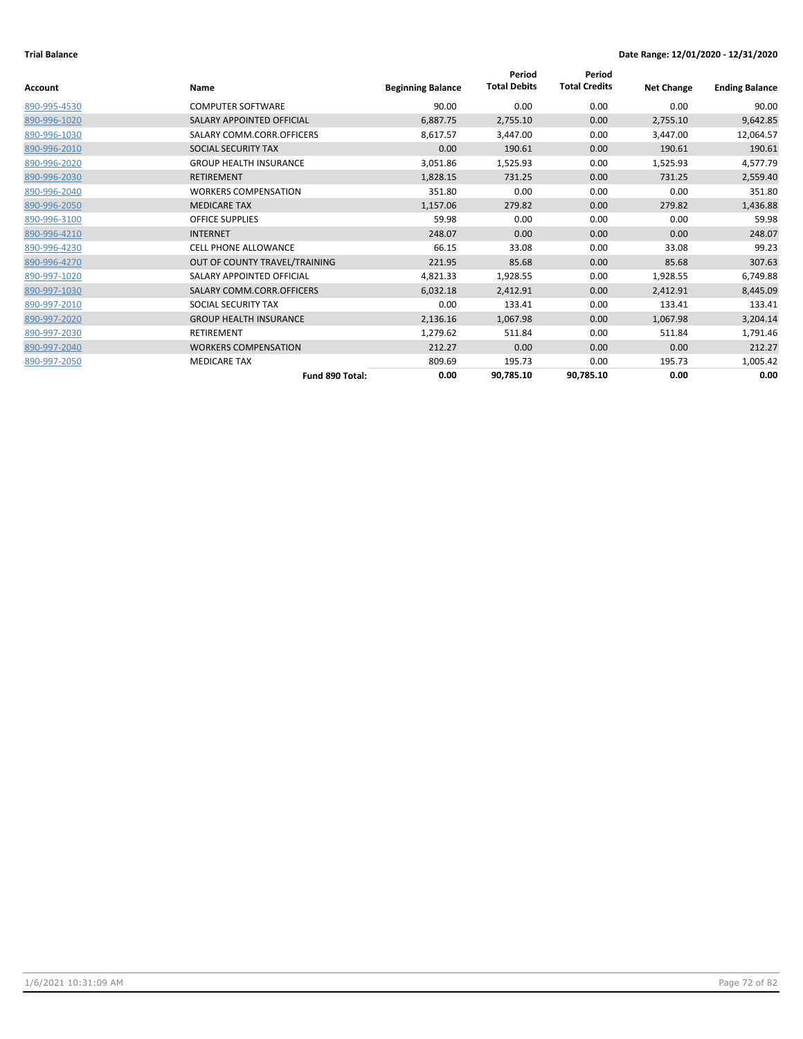|              |                               |                          | Period              | Period               |                   |                       |
|--------------|-------------------------------|--------------------------|---------------------|----------------------|-------------------|-----------------------|
| Account      | Name                          | <b>Beginning Balance</b> | <b>Total Debits</b> | <b>Total Credits</b> | <b>Net Change</b> | <b>Ending Balance</b> |
| 890-995-4530 | <b>COMPUTER SOFTWARE</b>      | 90.00                    | 0.00                | 0.00                 | 0.00              | 90.00                 |
| 890-996-1020 | SALARY APPOINTED OFFICIAL     | 6,887.75                 | 2,755.10            | 0.00                 | 2,755.10          | 9,642.85              |
| 890-996-1030 | SALARY COMM.CORR.OFFICERS     | 8,617.57                 | 3,447.00            | 0.00                 | 3,447.00          | 12,064.57             |
| 890-996-2010 | SOCIAL SECURITY TAX           | 0.00                     | 190.61              | 0.00                 | 190.61            | 190.61                |
| 890-996-2020 | <b>GROUP HEALTH INSURANCE</b> | 3,051.86                 | 1,525.93            | 0.00                 | 1,525.93          | 4,577.79              |
| 890-996-2030 | <b>RETIREMENT</b>             | 1,828.15                 | 731.25              | 0.00                 | 731.25            | 2,559.40              |
| 890-996-2040 | <b>WORKERS COMPENSATION</b>   | 351.80                   | 0.00                | 0.00                 | 0.00              | 351.80                |
| 890-996-2050 | <b>MEDICARE TAX</b>           | 1,157.06                 | 279.82              | 0.00                 | 279.82            | 1,436.88              |
| 890-996-3100 | <b>OFFICE SUPPLIES</b>        | 59.98                    | 0.00                | 0.00                 | 0.00              | 59.98                 |
| 890-996-4210 | <b>INTERNET</b>               | 248.07                   | 0.00                | 0.00                 | 0.00              | 248.07                |
| 890-996-4230 | <b>CELL PHONE ALLOWANCE</b>   | 66.15                    | 33.08               | 0.00                 | 33.08             | 99.23                 |
| 890-996-4270 | OUT OF COUNTY TRAVEL/TRAINING | 221.95                   | 85.68               | 0.00                 | 85.68             | 307.63                |
| 890-997-1020 | SALARY APPOINTED OFFICIAL     | 4,821.33                 | 1,928.55            | 0.00                 | 1,928.55          | 6,749.88              |
| 890-997-1030 | SALARY COMM.CORR.OFFICERS     | 6,032.18                 | 2,412.91            | 0.00                 | 2,412.91          | 8,445.09              |
| 890-997-2010 | SOCIAL SECURITY TAX           | 0.00                     | 133.41              | 0.00                 | 133.41            | 133.41                |
| 890-997-2020 | <b>GROUP HEALTH INSURANCE</b> | 2,136.16                 | 1,067.98            | 0.00                 | 1,067.98          | 3,204.14              |
| 890-997-2030 | <b>RETIREMENT</b>             | 1,279.62                 | 511.84              | 0.00                 | 511.84            | 1,791.46              |
| 890-997-2040 | <b>WORKERS COMPENSATION</b>   | 212.27                   | 0.00                | 0.00                 | 0.00              | 212.27                |
| 890-997-2050 | <b>MEDICARE TAX</b>           | 809.69                   | 195.73              | 0.00                 | 195.73            | 1,005.42              |
|              | Fund 890 Total:               | 0.00                     | 90,785.10           | 90,785.10            | 0.00              | 0.00                  |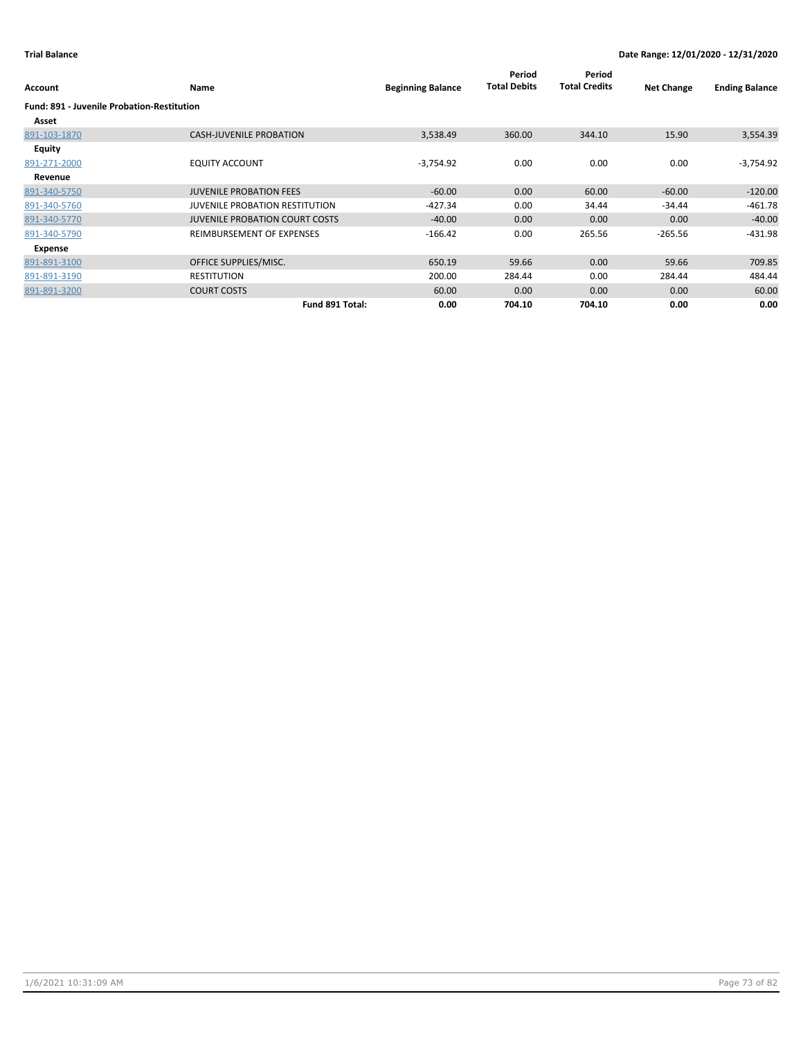| Account                                           | Name                                  | <b>Beginning Balance</b> | Period<br><b>Total Debits</b> | Period<br><b>Total Credits</b> | <b>Net Change</b> | <b>Ending Balance</b> |
|---------------------------------------------------|---------------------------------------|--------------------------|-------------------------------|--------------------------------|-------------------|-----------------------|
| <b>Fund: 891 - Juvenile Probation-Restitution</b> |                                       |                          |                               |                                |                   |                       |
| Asset                                             |                                       |                          |                               |                                |                   |                       |
| 891-103-1870                                      | <b>CASH-JUVENILE PROBATION</b>        | 3,538.49                 | 360.00                        | 344.10                         | 15.90             | 3,554.39              |
| <b>Equity</b>                                     |                                       |                          |                               |                                |                   |                       |
| 891-271-2000                                      | <b>EQUITY ACCOUNT</b>                 | $-3,754.92$              | 0.00                          | 0.00                           | 0.00              | $-3,754.92$           |
| Revenue                                           |                                       |                          |                               |                                |                   |                       |
| 891-340-5750                                      | <b>JUVENILE PROBATION FEES</b>        | $-60.00$                 | 0.00                          | 60.00                          | $-60.00$          | $-120.00$             |
| 891-340-5760                                      | <b>JUVENILE PROBATION RESTITUTION</b> | $-427.34$                | 0.00                          | 34.44                          | $-34.44$          | $-461.78$             |
| 891-340-5770                                      | <b>JUVENILE PROBATION COURT COSTS</b> | $-40.00$                 | 0.00                          | 0.00                           | 0.00              | $-40.00$              |
| 891-340-5790                                      | REIMBURSEMENT OF EXPENSES             | $-166.42$                | 0.00                          | 265.56                         | $-265.56$         | $-431.98$             |
| Expense                                           |                                       |                          |                               |                                |                   |                       |
| 891-891-3100                                      | OFFICE SUPPLIES/MISC.                 | 650.19                   | 59.66                         | 0.00                           | 59.66             | 709.85                |
| 891-891-3190                                      | <b>RESTITUTION</b>                    | 200.00                   | 284.44                        | 0.00                           | 284.44            | 484.44                |
| 891-891-3200                                      | <b>COURT COSTS</b>                    | 60.00                    | 0.00                          | 0.00                           | 0.00              | 60.00                 |
|                                                   | Fund 891 Total:                       | 0.00                     | 704.10                        | 704.10                         | 0.00              | 0.00                  |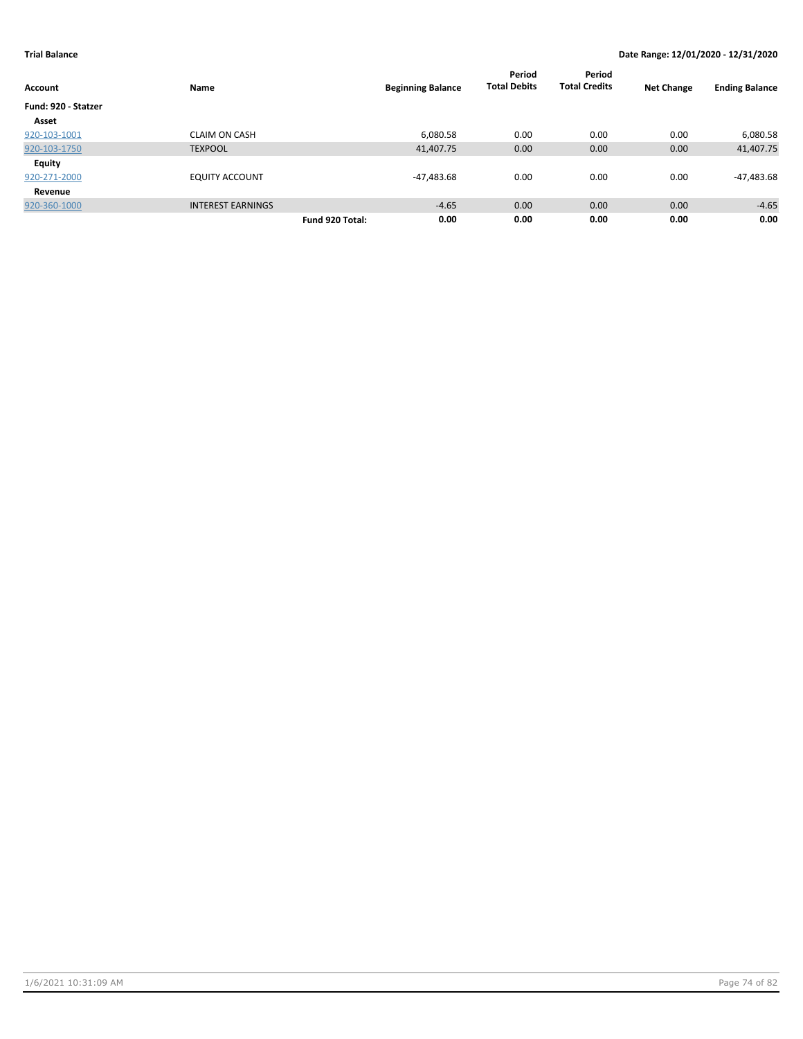|                     |                          |                          | Period              | Period               |                   |                       |
|---------------------|--------------------------|--------------------------|---------------------|----------------------|-------------------|-----------------------|
| <b>Account</b>      | Name                     | <b>Beginning Balance</b> | <b>Total Debits</b> | <b>Total Credits</b> | <b>Net Change</b> | <b>Ending Balance</b> |
| Fund: 920 - Statzer |                          |                          |                     |                      |                   |                       |
| Asset               |                          |                          |                     |                      |                   |                       |
| 920-103-1001        | <b>CLAIM ON CASH</b>     | 6,080.58                 | 0.00                | 0.00                 | 0.00              | 6,080.58              |
| 920-103-1750        | <b>TEXPOOL</b>           | 41,407.75                | 0.00                | 0.00                 | 0.00              | 41,407.75             |
| <b>Equity</b>       |                          |                          |                     |                      |                   |                       |
| 920-271-2000        | <b>EQUITY ACCOUNT</b>    | -47,483.68               | 0.00                | 0.00                 | 0.00              | -47,483.68            |
| Revenue             |                          |                          |                     |                      |                   |                       |
| 920-360-1000        | <b>INTEREST EARNINGS</b> | $-4.65$                  | 0.00                | 0.00                 | 0.00              | $-4.65$               |
|                     |                          | 0.00<br>Fund 920 Total:  | 0.00                | 0.00                 | 0.00              | 0.00                  |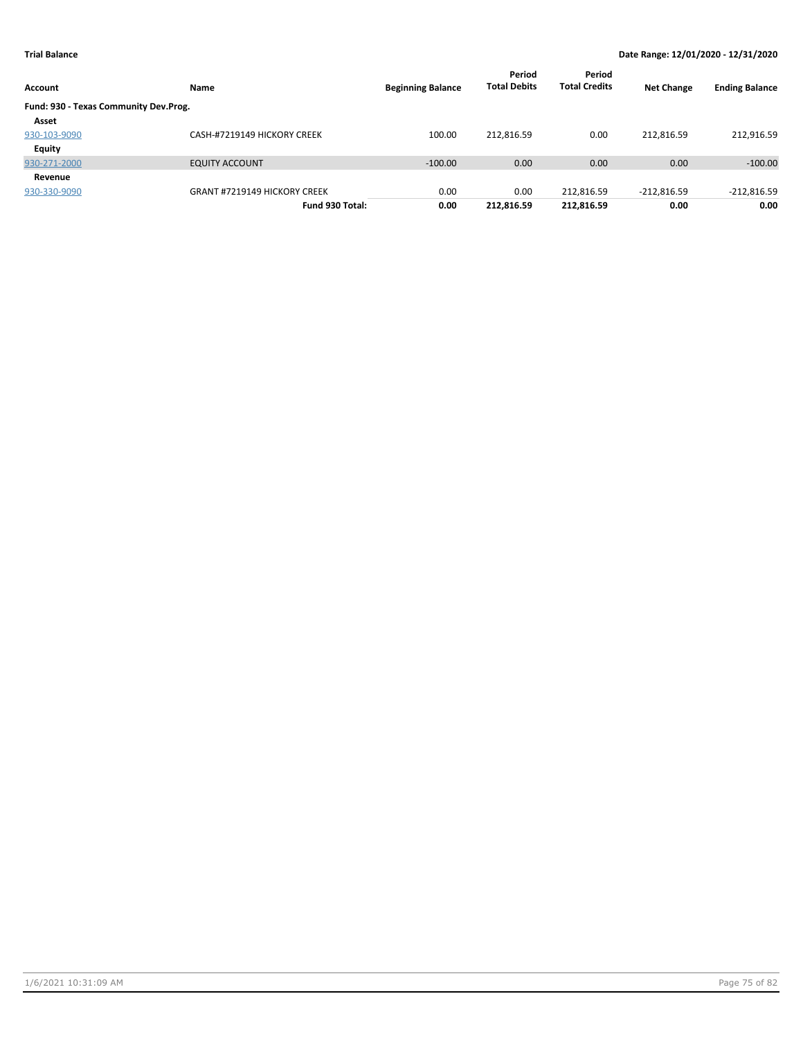| Account                               | Name                                | <b>Beginning Balance</b> | Period<br><b>Total Debits</b> | Period<br><b>Total Credits</b> | <b>Net Change</b> | <b>Ending Balance</b> |
|---------------------------------------|-------------------------------------|--------------------------|-------------------------------|--------------------------------|-------------------|-----------------------|
| Fund: 930 - Texas Community Dev.Prog. |                                     |                          |                               |                                |                   |                       |
| Asset                                 |                                     |                          |                               |                                |                   |                       |
| 930-103-9090                          | CASH-#7219149 HICKORY CREEK         | 100.00                   | 212,816.59                    | 0.00                           | 212.816.59        | 212,916.59            |
| <b>Equity</b>                         |                                     |                          |                               |                                |                   |                       |
| 930-271-2000                          | <b>EQUITY ACCOUNT</b>               | $-100.00$                | 0.00                          | 0.00                           | 0.00              | $-100.00$             |
| Revenue                               |                                     |                          |                               |                                |                   |                       |
| 930-330-9090                          | <b>GRANT #7219149 HICKORY CREEK</b> | 0.00                     | 0.00                          | 212,816.59                     | $-212,816.59$     | $-212,816.59$         |
|                                       | Fund 930 Total:                     | 0.00                     | 212,816.59                    | 212,816.59                     | 0.00              | 0.00                  |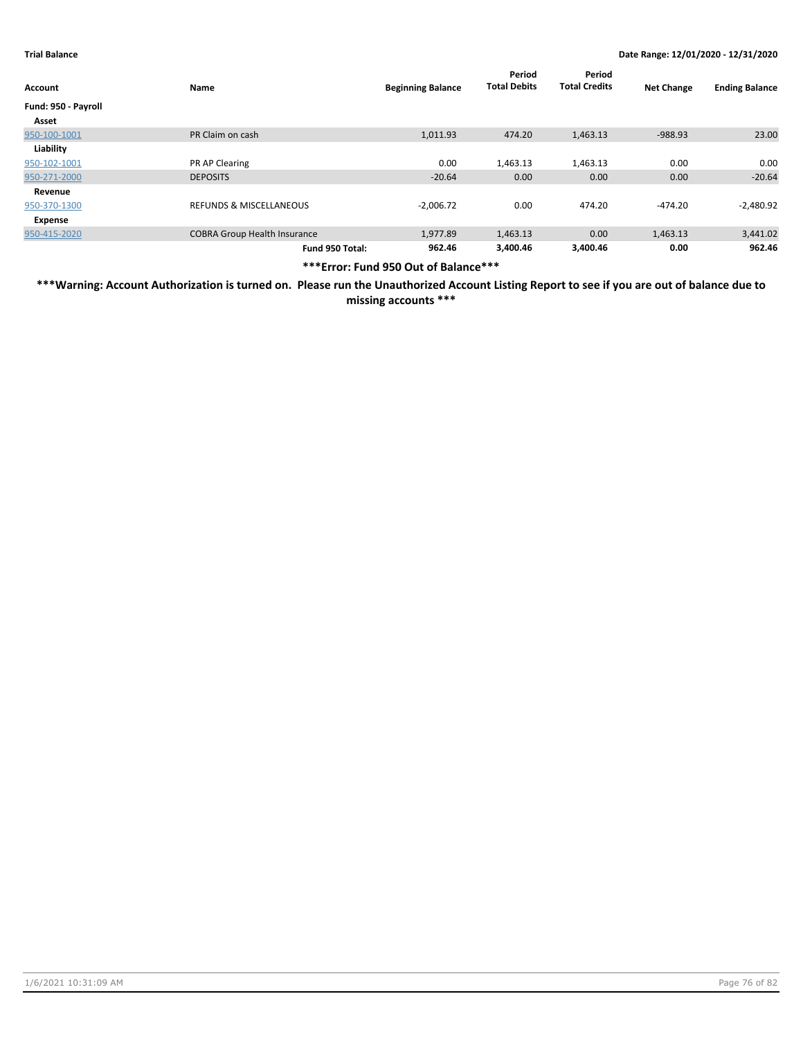| Account             | Name                                | <b>Beginning Balance</b> | Period<br><b>Total Debits</b> | Period<br><b>Total Credits</b> | <b>Net Change</b> | <b>Ending Balance</b> |
|---------------------|-------------------------------------|--------------------------|-------------------------------|--------------------------------|-------------------|-----------------------|
| Fund: 950 - Payroll |                                     |                          |                               |                                |                   |                       |
| Asset               |                                     |                          |                               |                                |                   |                       |
| 950-100-1001        | PR Claim on cash                    | 1,011.93                 | 474.20                        | 1,463.13                       | $-988.93$         | 23.00                 |
| Liability           |                                     |                          |                               |                                |                   |                       |
| 950-102-1001        | PR AP Clearing                      | 0.00                     | 1,463.13                      | 1,463.13                       | 0.00              | 0.00                  |
| 950-271-2000        | <b>DEPOSITS</b>                     | $-20.64$                 | 0.00                          | 0.00                           | 0.00              | $-20.64$              |
| Revenue             |                                     |                          |                               |                                |                   |                       |
| 950-370-1300        | <b>REFUNDS &amp; MISCELLANEOUS</b>  | $-2,006.72$              | 0.00                          | 474.20                         | $-474.20$         | $-2,480.92$           |
| Expense             |                                     |                          |                               |                                |                   |                       |
| 950-415-2020        | <b>COBRA Group Health Insurance</b> | 1,977.89                 | 1,463.13                      | 0.00                           | 1,463.13          | 3,441.02              |
|                     | Fund 950 Total:                     | 962.46                   | 3,400.46                      | 3.400.46                       | 0.00              | 962.46                |

**\*\*\*Error: Fund 950 Out of Balance\*\*\***

**\*\*\*Warning: Account Authorization is turned on. Please run the Unauthorized Account Listing Report to see if you are out of balance due to missing accounts \*\*\***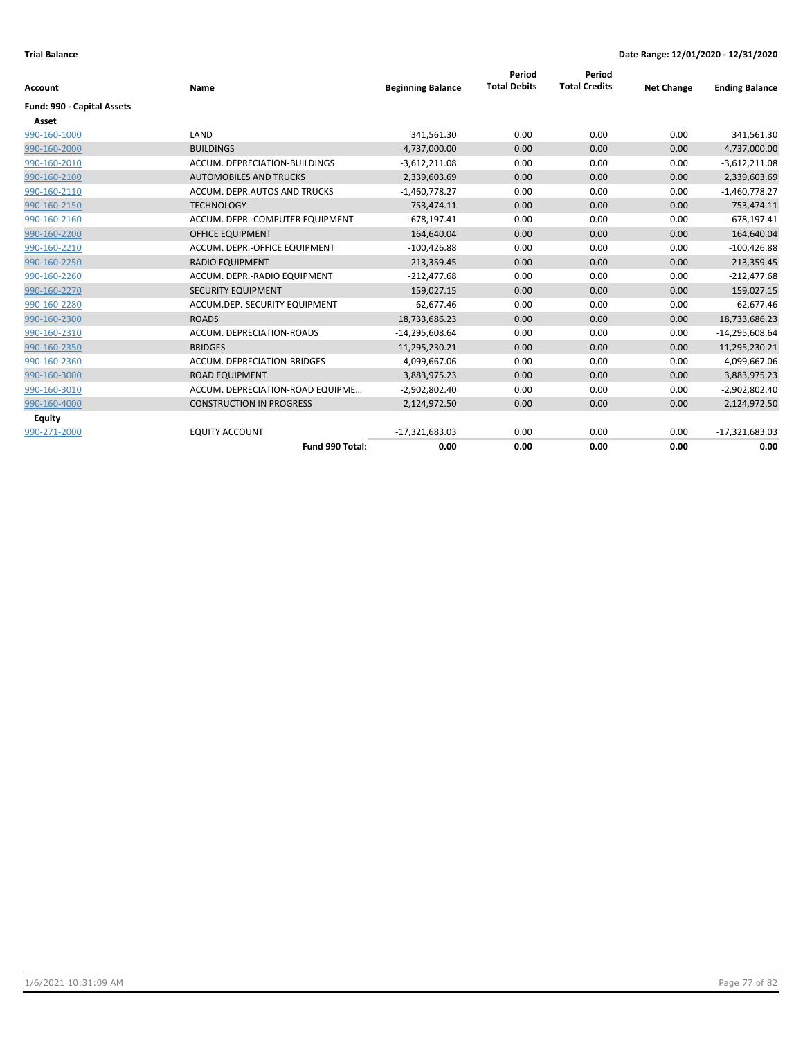| <b>Account</b>             | Name                             | <b>Beginning Balance</b> | Period<br><b>Total Debits</b> | Period<br><b>Total Credits</b> | <b>Net Change</b> | <b>Ending Balance</b> |
|----------------------------|----------------------------------|--------------------------|-------------------------------|--------------------------------|-------------------|-----------------------|
| Fund: 990 - Capital Assets |                                  |                          |                               |                                |                   |                       |
| Asset                      |                                  |                          |                               |                                |                   |                       |
| 990-160-1000               | LAND                             | 341,561.30               | 0.00                          | 0.00                           | 0.00              | 341,561.30            |
| 990-160-2000               | <b>BUILDINGS</b>                 | 4,737,000.00             | 0.00                          | 0.00                           | 0.00              | 4,737,000.00          |
| 990-160-2010               | ACCUM. DEPRECIATION-BUILDINGS    | $-3,612,211.08$          | 0.00                          | 0.00                           | 0.00              | $-3,612,211.08$       |
| 990-160-2100               | <b>AUTOMOBILES AND TRUCKS</b>    | 2,339,603.69             | 0.00                          | 0.00                           | 0.00              | 2,339,603.69          |
| 990-160-2110               | ACCUM. DEPR.AUTOS AND TRUCKS     | $-1,460,778.27$          | 0.00                          | 0.00                           | 0.00              | $-1,460,778.27$       |
| 990-160-2150               | <b>TECHNOLOGY</b>                | 753,474.11               | 0.00                          | 0.00                           | 0.00              | 753,474.11            |
| 990-160-2160               | ACCUM. DEPR.-COMPUTER EQUIPMENT  | $-678,197.41$            | 0.00                          | 0.00                           | 0.00              | $-678, 197.41$        |
| 990-160-2200               | <b>OFFICE EQUIPMENT</b>          | 164,640.04               | 0.00                          | 0.00                           | 0.00              | 164,640.04            |
| 990-160-2210               | ACCUM. DEPR.-OFFICE EQUIPMENT    | $-100,426.88$            | 0.00                          | 0.00                           | 0.00              | $-100,426.88$         |
| 990-160-2250               | <b>RADIO EQUIPMENT</b>           | 213,359.45               | 0.00                          | 0.00                           | 0.00              | 213,359.45            |
| 990-160-2260               | ACCUM. DEPR.-RADIO EQUIPMENT     | $-212,477.68$            | 0.00                          | 0.00                           | 0.00              | $-212,477.68$         |
| 990-160-2270               | <b>SECURITY EQUIPMENT</b>        | 159,027.15               | 0.00                          | 0.00                           | 0.00              | 159,027.15            |
| 990-160-2280               | ACCUM.DEP.-SECURITY EQUIPMENT    | $-62,677.46$             | 0.00                          | 0.00                           | 0.00              | $-62,677.46$          |
| 990-160-2300               | <b>ROADS</b>                     | 18,733,686.23            | 0.00                          | 0.00                           | 0.00              | 18,733,686.23         |
| 990-160-2310               | ACCUM. DEPRECIATION-ROADS        | $-14,295,608.64$         | 0.00                          | 0.00                           | 0.00              | $-14,295,608.64$      |
| 990-160-2350               | <b>BRIDGES</b>                   | 11,295,230.21            | 0.00                          | 0.00                           | 0.00              | 11,295,230.21         |
| 990-160-2360               | ACCUM. DEPRECIATION-BRIDGES      | -4,099,667.06            | 0.00                          | 0.00                           | 0.00              | $-4,099,667.06$       |
| 990-160-3000               | <b>ROAD EQUIPMENT</b>            | 3,883,975.23             | 0.00                          | 0.00                           | 0.00              | 3,883,975.23          |
| 990-160-3010               | ACCUM. DEPRECIATION-ROAD EQUIPME | $-2,902,802.40$          | 0.00                          | 0.00                           | 0.00              | $-2,902,802.40$       |
| 990-160-4000               | <b>CONSTRUCTION IN PROGRESS</b>  | 2,124,972.50             | 0.00                          | 0.00                           | 0.00              | 2,124,972.50          |
| Equity                     |                                  |                          |                               |                                |                   |                       |
| 990-271-2000               | <b>EQUITY ACCOUNT</b>            | $-17,321,683.03$         | 0.00                          | 0.00                           | 0.00              | $-17,321,683.03$      |
|                            | Fund 990 Total:                  | 0.00                     | 0.00                          | 0.00                           | 0.00              | 0.00                  |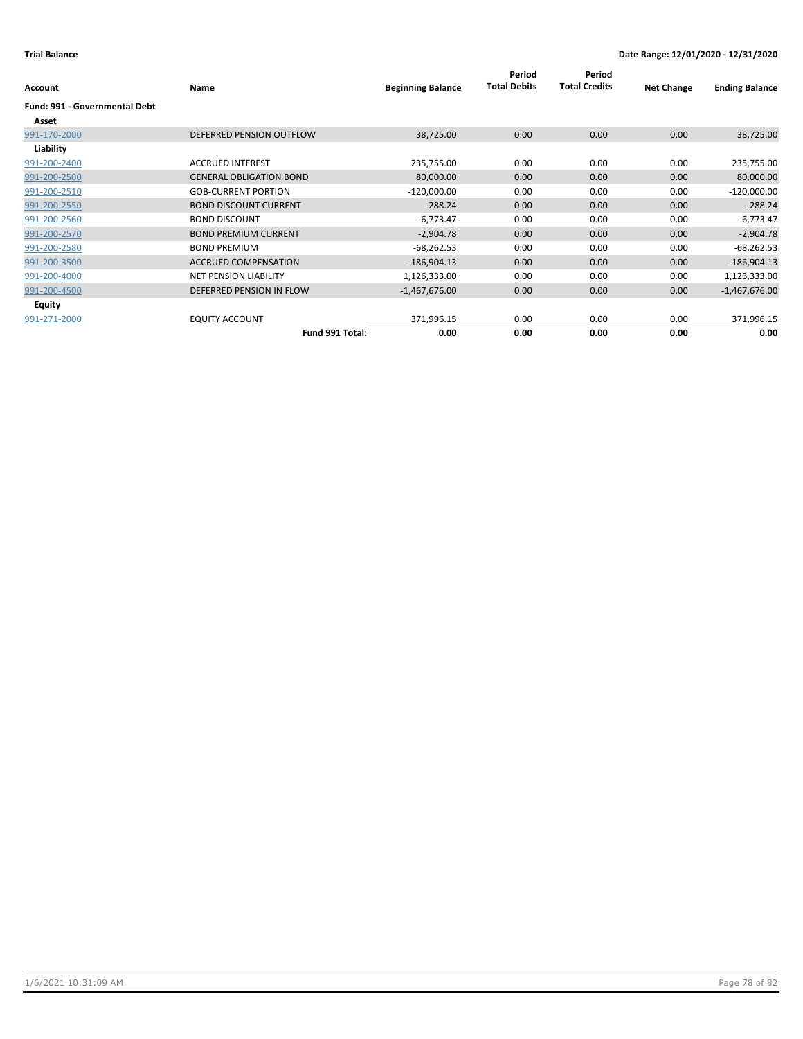| Account                       | Name                           | <b>Beginning Balance</b> | Period<br><b>Total Debits</b> | Period<br><b>Total Credits</b> | <b>Net Change</b> | <b>Ending Balance</b> |
|-------------------------------|--------------------------------|--------------------------|-------------------------------|--------------------------------|-------------------|-----------------------|
| Fund: 991 - Governmental Debt |                                |                          |                               |                                |                   |                       |
| Asset                         |                                |                          |                               |                                |                   |                       |
| 991-170-2000                  | DEFERRED PENSION OUTFLOW       | 38,725.00                | 0.00                          | 0.00                           | 0.00              | 38,725.00             |
| Liability                     |                                |                          |                               |                                |                   |                       |
| 991-200-2400                  | <b>ACCRUED INTEREST</b>        | 235,755.00               | 0.00                          | 0.00                           | 0.00              | 235,755.00            |
| 991-200-2500                  | <b>GENERAL OBLIGATION BOND</b> | 80,000.00                | 0.00                          | 0.00                           | 0.00              | 80,000.00             |
| 991-200-2510                  | <b>GOB-CURRENT PORTION</b>     | $-120,000.00$            | 0.00                          | 0.00                           | 0.00              | $-120,000.00$         |
| 991-200-2550                  | <b>BOND DISCOUNT CURRENT</b>   | $-288.24$                | 0.00                          | 0.00                           | 0.00              | $-288.24$             |
| 991-200-2560                  | <b>BOND DISCOUNT</b>           | $-6,773.47$              | 0.00                          | 0.00                           | 0.00              | $-6,773.47$           |
| 991-200-2570                  | <b>BOND PREMIUM CURRENT</b>    | $-2,904.78$              | 0.00                          | 0.00                           | 0.00              | $-2,904.78$           |
| 991-200-2580                  | <b>BOND PREMIUM</b>            | $-68,262.53$             | 0.00                          | 0.00                           | 0.00              | $-68,262.53$          |
| 991-200-3500                  | <b>ACCRUED COMPENSATION</b>    | $-186,904.13$            | 0.00                          | 0.00                           | 0.00              | $-186,904.13$         |
| 991-200-4000                  | <b>NET PENSION LIABILITY</b>   | 1,126,333.00             | 0.00                          | 0.00                           | 0.00              | 1,126,333.00          |
| 991-200-4500                  | DEFERRED PENSION IN FLOW       | $-1,467,676.00$          | 0.00                          | 0.00                           | 0.00              | $-1,467,676.00$       |
| Equity                        |                                |                          |                               |                                |                   |                       |
| 991-271-2000                  | <b>EQUITY ACCOUNT</b>          | 371,996.15               | 0.00                          | 0.00                           | 0.00              | 371,996.15            |
|                               | Fund 991 Total:                | 0.00                     | 0.00                          | 0.00                           | 0.00              | 0.00                  |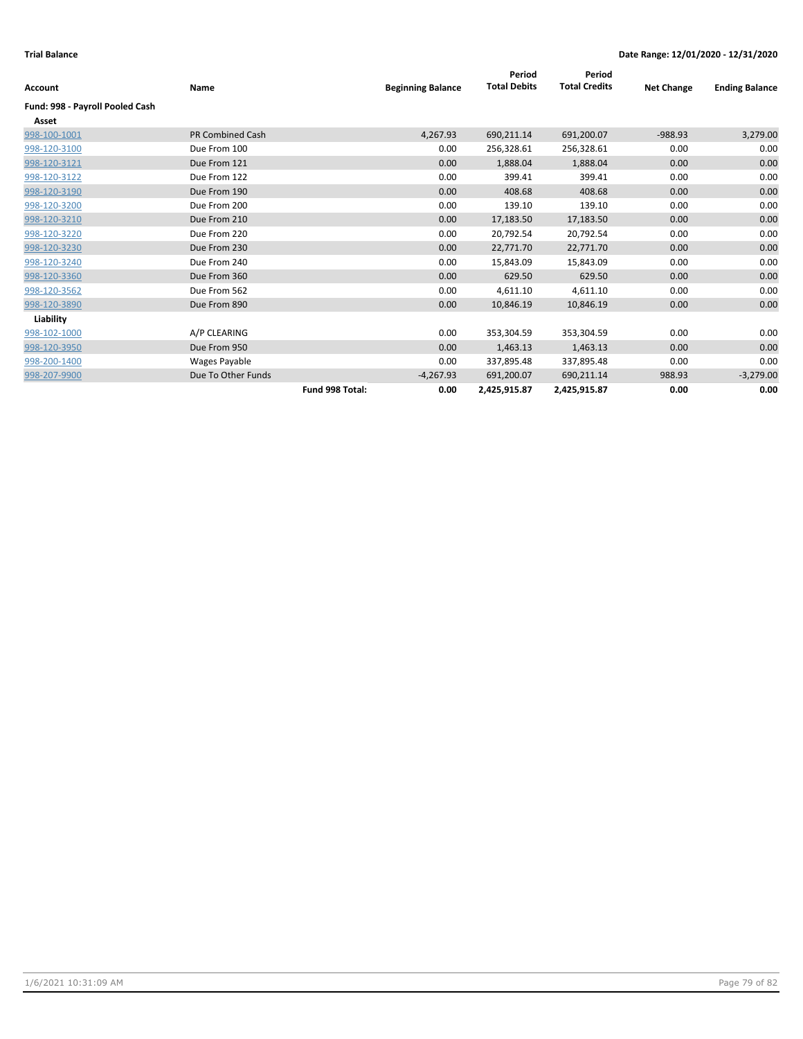| <b>Account</b>                  | Name                    |                 | <b>Beginning Balance</b> | Period<br><b>Total Debits</b> | Period<br><b>Total Credits</b> | <b>Net Change</b> | <b>Ending Balance</b> |
|---------------------------------|-------------------------|-----------------|--------------------------|-------------------------------|--------------------------------|-------------------|-----------------------|
| Fund: 998 - Payroll Pooled Cash |                         |                 |                          |                               |                                |                   |                       |
| Asset                           |                         |                 |                          |                               |                                |                   |                       |
| 998-100-1001                    | <b>PR Combined Cash</b> |                 | 4,267.93                 | 690,211.14                    | 691,200.07                     | $-988.93$         | 3,279.00              |
| 998-120-3100                    | Due From 100            |                 | 0.00                     | 256,328.61                    | 256,328.61                     | 0.00              | 0.00                  |
| 998-120-3121                    | Due From 121            |                 | 0.00                     | 1,888.04                      | 1,888.04                       | 0.00              | 0.00                  |
| 998-120-3122                    | Due From 122            |                 | 0.00                     | 399.41                        | 399.41                         | 0.00              | 0.00                  |
| 998-120-3190                    | Due From 190            |                 | 0.00                     | 408.68                        | 408.68                         | 0.00              | 0.00                  |
| 998-120-3200                    | Due From 200            |                 | 0.00                     | 139.10                        | 139.10                         | 0.00              | 0.00                  |
| 998-120-3210                    | Due From 210            |                 | 0.00                     | 17,183.50                     | 17,183.50                      | 0.00              | 0.00                  |
| 998-120-3220                    | Due From 220            |                 | 0.00                     | 20,792.54                     | 20,792.54                      | 0.00              | 0.00                  |
| 998-120-3230                    | Due From 230            |                 | 0.00                     | 22,771.70                     | 22,771.70                      | 0.00              | 0.00                  |
| 998-120-3240                    | Due From 240            |                 | 0.00                     | 15,843.09                     | 15,843.09                      | 0.00              | 0.00                  |
| 998-120-3360                    | Due From 360            |                 | 0.00                     | 629.50                        | 629.50                         | 0.00              | 0.00                  |
| 998-120-3562                    | Due From 562            |                 | 0.00                     | 4,611.10                      | 4,611.10                       | 0.00              | 0.00                  |
| 998-120-3890                    | Due From 890            |                 | 0.00                     | 10,846.19                     | 10,846.19                      | 0.00              | 0.00                  |
| Liability                       |                         |                 |                          |                               |                                |                   |                       |
| 998-102-1000                    | A/P CLEARING            |                 | 0.00                     | 353,304.59                    | 353,304.59                     | 0.00              | 0.00                  |
| 998-120-3950                    | Due From 950            |                 | 0.00                     | 1,463.13                      | 1,463.13                       | 0.00              | 0.00                  |
| 998-200-1400                    | Wages Payable           |                 | 0.00                     | 337,895.48                    | 337,895.48                     | 0.00              | 0.00                  |
| 998-207-9900                    | Due To Other Funds      |                 | $-4,267.93$              | 691,200.07                    | 690,211.14                     | 988.93            | $-3,279.00$           |
|                                 |                         | Fund 998 Total: | 0.00                     | 2,425,915.87                  | 2,425,915.87                   | 0.00              | 0.00                  |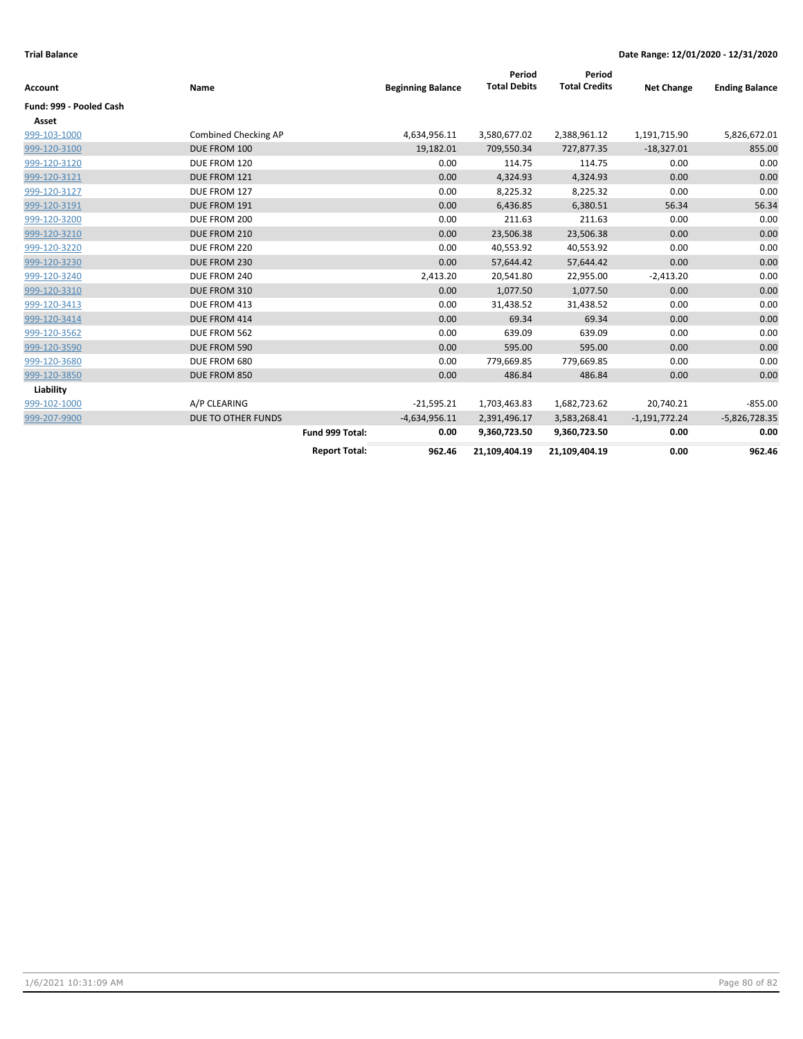| Account                 | Name                      |                      | <b>Beginning Balance</b> | Period<br><b>Total Debits</b> | Period<br><b>Total Credits</b> | <b>Net Change</b> | <b>Ending Balance</b> |
|-------------------------|---------------------------|----------------------|--------------------------|-------------------------------|--------------------------------|-------------------|-----------------------|
| Fund: 999 - Pooled Cash |                           |                      |                          |                               |                                |                   |                       |
| Asset                   |                           |                      |                          |                               |                                |                   |                       |
| 999-103-1000            | Combined Checking AP      |                      | 4,634,956.11             | 3,580,677.02                  | 2,388,961.12                   | 1,191,715.90      | 5,826,672.01          |
| 999-120-3100            | DUE FROM 100              |                      | 19,182.01                | 709,550.34                    | 727,877.35                     | $-18,327.01$      | 855.00                |
| 999-120-3120            | DUE FROM 120              |                      | 0.00                     | 114.75                        | 114.75                         | 0.00              | 0.00                  |
| 999-120-3121            | DUE FROM 121              |                      | 0.00                     | 4,324.93                      | 4,324.93                       | 0.00              | 0.00                  |
| 999-120-3127            | DUE FROM 127              |                      | 0.00                     | 8,225.32                      | 8,225.32                       | 0.00              | 0.00                  |
| 999-120-3191            | DUE FROM 191              |                      | 0.00                     | 6,436.85                      | 6,380.51                       | 56.34             | 56.34                 |
| 999-120-3200            | DUE FROM 200              |                      | 0.00                     | 211.63                        | 211.63                         | 0.00              | 0.00                  |
| 999-120-3210            | DUE FROM 210              |                      | 0.00                     | 23,506.38                     | 23,506.38                      | 0.00              | 0.00                  |
| 999-120-3220            | DUE FROM 220              |                      | 0.00                     | 40,553.92                     | 40,553.92                      | 0.00              | 0.00                  |
| 999-120-3230            | DUE FROM 230              |                      | 0.00                     | 57,644.42                     | 57,644.42                      | 0.00              | 0.00                  |
| 999-120-3240            | DUE FROM 240              |                      | 2,413.20                 | 20,541.80                     | 22,955.00                      | $-2,413.20$       | 0.00                  |
| 999-120-3310            | DUE FROM 310              |                      | 0.00                     | 1,077.50                      | 1,077.50                       | 0.00              | 0.00                  |
| 999-120-3413            | DUE FROM 413              |                      | 0.00                     | 31,438.52                     | 31,438.52                      | 0.00              | 0.00                  |
| 999-120-3414            | DUE FROM 414              |                      | 0.00                     | 69.34                         | 69.34                          | 0.00              | 0.00                  |
| 999-120-3562            | DUE FROM 562              |                      | 0.00                     | 639.09                        | 639.09                         | 0.00              | 0.00                  |
| 999-120-3590            | DUE FROM 590              |                      | 0.00                     | 595.00                        | 595.00                         | 0.00              | 0.00                  |
| 999-120-3680            | DUE FROM 680              |                      | 0.00                     | 779,669.85                    | 779,669.85                     | 0.00              | 0.00                  |
| 999-120-3850            | DUE FROM 850              |                      | 0.00                     | 486.84                        | 486.84                         | 0.00              | 0.00                  |
| Liability               |                           |                      |                          |                               |                                |                   |                       |
| 999-102-1000            | A/P CLEARING              |                      | $-21,595.21$             | 1,703,463.83                  | 1,682,723.62                   | 20,740.21         | $-855.00$             |
| 999-207-9900            | <b>DUE TO OTHER FUNDS</b> |                      | $-4,634,956.11$          | 2,391,496.17                  | 3,583,268.41                   | $-1,191,772.24$   | $-5,826,728.35$       |
|                         |                           | Fund 999 Total:      | 0.00                     | 9,360,723.50                  | 9,360,723.50                   | 0.00              | 0.00                  |
|                         |                           | <b>Report Total:</b> | 962.46                   | 21,109,404.19                 | 21,109,404.19                  | 0.00              | 962.46                |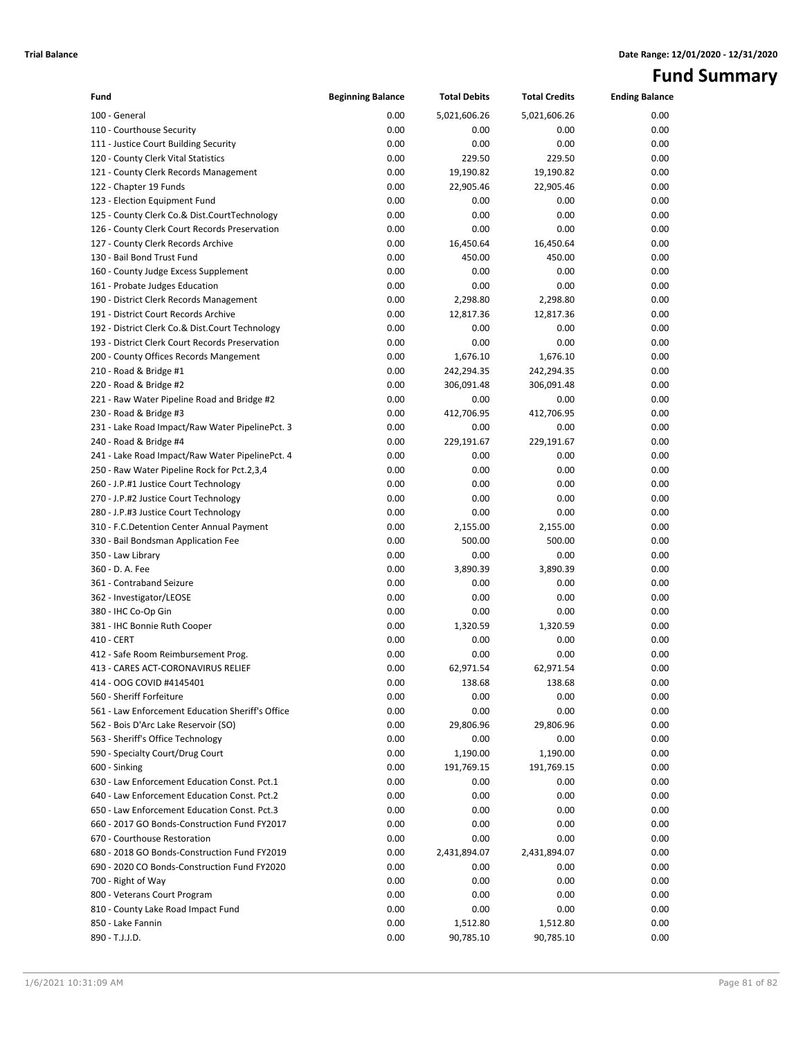# **Fund Summary**

| Fund                                                                      | <b>Beginning Balance</b> | <b>Total Debits</b> | <b>Total Credits</b> | <b>Ending Balance</b> |
|---------------------------------------------------------------------------|--------------------------|---------------------|----------------------|-----------------------|
| 100 - General                                                             | 0.00                     | 5,021,606.26        | 5,021,606.26         | 0.00                  |
| 110 - Courthouse Security                                                 | 0.00                     | 0.00                | 0.00                 | 0.00                  |
| 111 - Justice Court Building Security                                     | 0.00                     | 0.00                | 0.00                 | 0.00                  |
| 120 - County Clerk Vital Statistics                                       | 0.00                     | 229.50              | 229.50               | 0.00                  |
| 121 - County Clerk Records Management                                     | 0.00                     | 19,190.82           | 19,190.82            | 0.00                  |
| 122 - Chapter 19 Funds                                                    | 0.00                     | 22,905.46           | 22,905.46            | 0.00                  |
| 123 - Election Equipment Fund                                             | 0.00                     | 0.00                | 0.00                 | 0.00                  |
| 125 - County Clerk Co.& Dist.CourtTechnology                              | 0.00                     | 0.00                | 0.00                 | 0.00                  |
| 126 - County Clerk Court Records Preservation                             | 0.00                     | 0.00                | 0.00                 | 0.00                  |
| 127 - County Clerk Records Archive                                        | 0.00                     | 16,450.64           | 16,450.64            | 0.00                  |
| 130 - Bail Bond Trust Fund                                                | 0.00                     | 450.00              | 450.00               | 0.00                  |
| 160 - County Judge Excess Supplement                                      | 0.00                     | 0.00                | 0.00                 | 0.00                  |
| 161 - Probate Judges Education                                            | 0.00                     | 0.00                | 0.00                 | 0.00                  |
| 190 - District Clerk Records Management                                   | 0.00                     | 2,298.80            | 2,298.80             | 0.00                  |
| 191 - District Court Records Archive                                      | 0.00                     | 12,817.36           | 12,817.36            | 0.00                  |
| 192 - District Clerk Co.& Dist.Court Technology                           | 0.00                     | 0.00                | 0.00                 | 0.00                  |
| 193 - District Clerk Court Records Preservation                           | 0.00                     | 0.00                | 0.00                 | 0.00                  |
| 200 - County Offices Records Mangement                                    | 0.00                     | 1,676.10            | 1,676.10             | 0.00                  |
| 210 - Road & Bridge #1                                                    | 0.00                     | 242,294.35          | 242,294.35           | 0.00                  |
| 220 - Road & Bridge #2                                                    | 0.00                     | 306,091.48          | 306,091.48           | 0.00                  |
| 221 - Raw Water Pipeline Road and Bridge #2                               | 0.00                     | 0.00                | 0.00                 | 0.00                  |
| 230 - Road & Bridge #3                                                    | 0.00                     | 412,706.95          | 412,706.95           | 0.00                  |
| 231 - Lake Road Impact/Raw Water PipelinePct. 3                           | 0.00                     | 0.00                | 0.00                 | 0.00                  |
| 240 - Road & Bridge #4                                                    | 0.00                     | 229,191.67          | 229,191.67           | 0.00                  |
| 241 - Lake Road Impact/Raw Water PipelinePct. 4                           | 0.00                     | 0.00                | 0.00                 | 0.00                  |
| 250 - Raw Water Pipeline Rock for Pct.2,3,4                               | 0.00                     | 0.00                | 0.00                 | 0.00                  |
| 260 - J.P.#1 Justice Court Technology                                     | 0.00                     | 0.00                | 0.00                 | 0.00                  |
| 270 - J.P.#2 Justice Court Technology                                     | 0.00                     | 0.00                | 0.00                 | 0.00                  |
| 280 - J.P.#3 Justice Court Technology                                     | 0.00                     | 0.00                | 0.00                 | 0.00                  |
| 310 - F.C.Detention Center Annual Payment                                 | 0.00                     | 2,155.00            | 2,155.00             | 0.00                  |
| 330 - Bail Bondsman Application Fee                                       | 0.00                     | 500.00              | 500.00               | 0.00                  |
| 350 - Law Library                                                         | 0.00                     | 0.00                | 0.00                 | 0.00                  |
| 360 - D. A. Fee                                                           | 0.00                     | 3,890.39            | 3,890.39             | 0.00                  |
| 361 - Contraband Seizure                                                  | 0.00                     | 0.00                | 0.00                 | 0.00                  |
| 362 - Investigator/LEOSE                                                  | 0.00                     | 0.00                | 0.00                 | 0.00                  |
| 380 - IHC Co-Op Gin                                                       | 0.00                     | 0.00                | 0.00                 | 0.00                  |
| 381 - IHC Bonnie Ruth Cooper                                              | 0.00                     | 1,320.59            | 1,320.59             | 0.00                  |
| 410 - CERT                                                                | 0.00                     | 0.00                | 0.00                 | 0.00                  |
| 412 - Safe Room Reimbursement Prog.<br>413 - CARES ACT-CORONAVIRUS RELIEF | 0.00<br>0.00             | 0.00                | 0.00                 | 0.00                  |
|                                                                           |                          | 62,971.54           | 62,971.54            | 0.00                  |
| 414 - OOG COVID #4145401<br>560 - Sheriff Forfeiture                      | 0.00<br>0.00             | 138.68<br>0.00      | 138.68<br>0.00       | 0.00<br>0.00          |
| 561 - Law Enforcement Education Sheriff's Office                          | 0.00                     | 0.00                | 0.00                 | 0.00                  |
| 562 - Bois D'Arc Lake Reservoir (SO)                                      | 0.00                     |                     | 29,806.96            | 0.00                  |
| 563 - Sheriff's Office Technology                                         | 0.00                     | 29,806.96<br>0.00   | 0.00                 | 0.00                  |
| 590 - Specialty Court/Drug Court                                          | 0.00                     | 1,190.00            | 1,190.00             | 0.00                  |
| 600 - Sinking                                                             | 0.00                     | 191,769.15          | 191,769.15           | 0.00                  |
| 630 - Law Enforcement Education Const. Pct.1                              | 0.00                     | 0.00                | 0.00                 | 0.00                  |
| 640 - Law Enforcement Education Const. Pct.2                              | 0.00                     | 0.00                | 0.00                 | 0.00                  |
| 650 - Law Enforcement Education Const. Pct.3                              | 0.00                     | 0.00                | 0.00                 | 0.00                  |
| 660 - 2017 GO Bonds-Construction Fund FY2017                              | 0.00                     | 0.00                | 0.00                 | 0.00                  |
| 670 - Courthouse Restoration                                              | 0.00                     | 0.00                | 0.00                 | 0.00                  |
| 680 - 2018 GO Bonds-Construction Fund FY2019                              | 0.00                     | 2,431,894.07        | 2,431,894.07         | 0.00                  |
| 690 - 2020 CO Bonds-Construction Fund FY2020                              | 0.00                     | 0.00                | 0.00                 | 0.00                  |
| 700 - Right of Way                                                        | 0.00                     | 0.00                | 0.00                 | 0.00                  |
| 800 - Veterans Court Program                                              | 0.00                     | 0.00                | 0.00                 | 0.00                  |
| 810 - County Lake Road Impact Fund                                        | 0.00                     | 0.00                | 0.00                 | 0.00                  |
| 850 - Lake Fannin                                                         | 0.00                     | 1,512.80            | 1,512.80             | 0.00                  |
| 890 - T.J.J.D.                                                            | 0.00                     | 90,785.10           | 90,785.10            | 0.00                  |
|                                                                           |                          |                     |                      |                       |